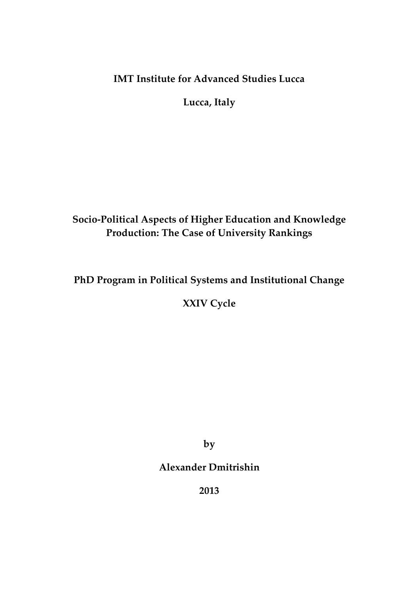# **IMT Institute for Advanced Studies Lucca**

**Lucca, Italy**

# **Socio-Political Aspects of Higher Education and Knowledge Production: The Case of University Rankings**

## **PhD Program in Political Systems and Institutional Change**

**XXIV Cycle**

**by**

## **Alexander Dmitrishin**

**2013**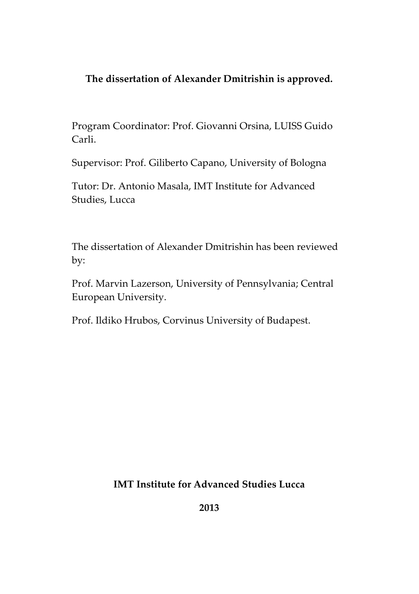## **The dissertation of Alexander Dmitrishin is approved.**

Program Coordinator: Prof. Giovanni Orsina, LUISS Guido Carli.

Supervisor: Prof. Giliberto Capano, University of Bologna

Tutor: Dr. Antonio Masala, IMT Institute for Advanced Studies, Lucca

The dissertation of Alexander Dmitrishin has been reviewed by:

Prof. Marvin Lazerson, University of Pennsylvania; Central European University.

Prof. Ildiko Hrubos, Corvinus University of Budapest.

**IMT Institute for Advanced Studies Lucca**

**2013**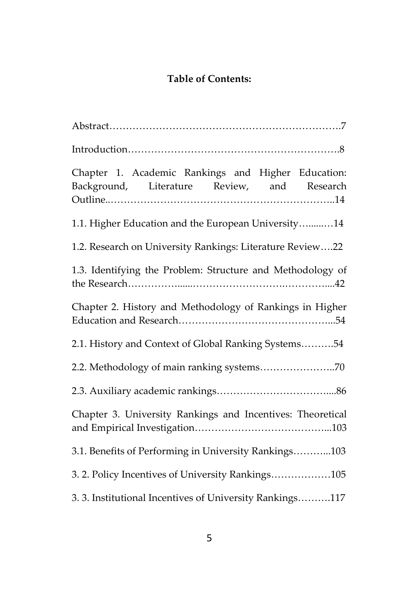# **Table of Contents:**

| Chapter 1. Academic Rankings and Higher Education:<br>Background, Literature Review, and Research |
|---------------------------------------------------------------------------------------------------|
| 1.1. Higher Education and the European University14                                               |
| 1.2. Research on University Rankings: Literature Review22                                         |
| 1.3. Identifying the Problem: Structure and Methodology of                                        |
| Chapter 2. History and Methodology of Rankings in Higher                                          |
| 2.1. History and Context of Global Ranking Systems54                                              |
|                                                                                                   |
|                                                                                                   |
| Chapter 3. University Rankings and Incentives: Theoretical                                        |
| 3.1. Benefits of Performing in University Rankings103                                             |
| 3.2. Policy Incentives of University Rankings105                                                  |
| 3. 3. Institutional Incentives of University Rankings117                                          |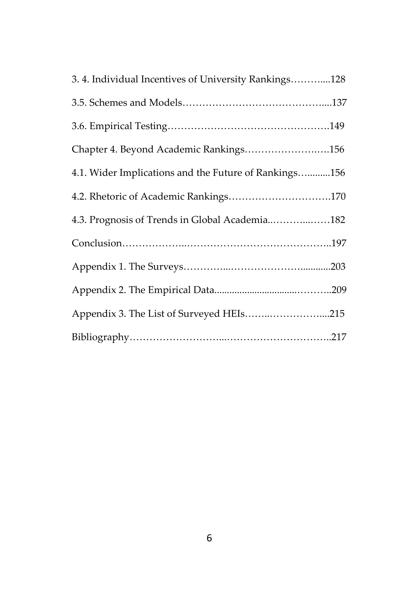| 3.4. Individual Incentives of University Rankings128  |  |
|-------------------------------------------------------|--|
|                                                       |  |
|                                                       |  |
| Chapter 4. Beyond Academic Rankings156                |  |
| 4.1. Wider Implications and the Future of Rankings156 |  |
| 4.2. Rhetoric of Academic Rankings170                 |  |
| 4.3. Prognosis of Trends in Global Academia182        |  |
|                                                       |  |
|                                                       |  |
|                                                       |  |
| Appendix 3. The List of Surveyed HEIs215              |  |
|                                                       |  |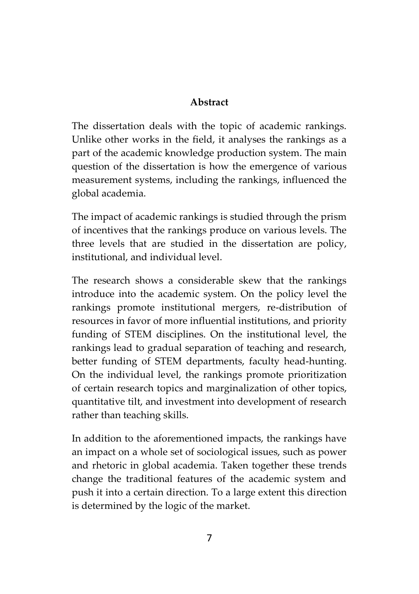## **Abstract**

The dissertation deals with the topic of academic rankings. Unlike other works in the field, it analyses the rankings as a part of the academic knowledge production system. The main question of the dissertation is how the emergence of various measurement systems, including the rankings, influenced the global academia.

The impact of academic rankings is studied through the prism of incentives that the rankings produce on various levels. The three levels that are studied in the dissertation are policy, institutional, and individual level.

The research shows a considerable skew that the rankings introduce into the academic system. On the policy level the rankings promote institutional mergers, re-distribution of resources in favor of more influential institutions, and priority funding of STEM disciplines. On the institutional level, the rankings lead to gradual separation of teaching and research, better funding of STEM departments, faculty head-hunting. On the individual level, the rankings promote prioritization of certain research topics and marginalization of other topics, quantitative tilt, and investment into development of research rather than teaching skills.

In addition to the aforementioned impacts, the rankings have an impact on a whole set of sociological issues, such as power and rhetoric in global academia. Taken together these trends change the traditional features of the academic system and push it into a certain direction. To a large extent this direction is determined by the logic of the market.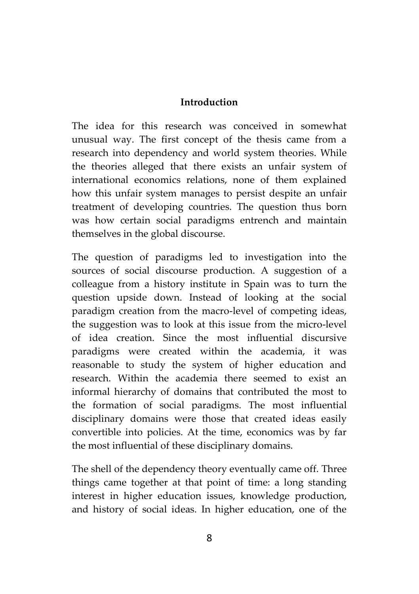#### **Introduction**

The idea for this research was conceived in somewhat unusual way. The first concept of the thesis came from a research into dependency and world system theories. While the theories alleged that there exists an unfair system of international economics relations, none of them explained how this unfair system manages to persist despite an unfair treatment of developing countries. The question thus born was how certain social paradigms entrench and maintain themselves in the global discourse.

The question of paradigms led to investigation into the sources of social discourse production. A suggestion of a colleague from a history institute in Spain was to turn the question upside down. Instead of looking at the social paradigm creation from the macro-level of competing ideas, the suggestion was to look at this issue from the micro-level of idea creation. Since the most influential discursive paradigms were created within the academia, it was reasonable to study the system of higher education and research. Within the academia there seemed to exist an informal hierarchy of domains that contributed the most to the formation of social paradigms. The most influential disciplinary domains were those that created ideas easily convertible into policies. At the time, economics was by far the most influential of these disciplinary domains.

The shell of the dependency theory eventually came off. Three things came together at that point of time: a long standing interest in higher education issues, knowledge production, and history of social ideas. In higher education, one of the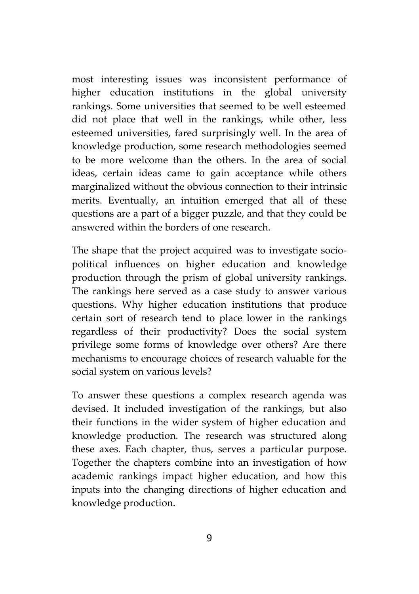most interesting issues was inconsistent performance of higher education institutions in the global university rankings. Some universities that seemed to be well esteemed did not place that well in the rankings, while other, less esteemed universities, fared surprisingly well. In the area of knowledge production, some research methodologies seemed to be more welcome than the others. In the area of social ideas, certain ideas came to gain acceptance while others marginalized without the obvious connection to their intrinsic merits. Eventually, an intuition emerged that all of these questions are a part of a bigger puzzle, and that they could be answered within the borders of one research.

The shape that the project acquired was to investigate socio political influences on higher education and knowledge production through the prism of global university rankings. The rankings here served as a case study to answer various questions. Why higher education institutions that produce certain sort of research tend to place lower in the rankings regardless of their productivity? Does the social system privilege some forms of knowledge over others? Are there mechanisms to encourage choices of research valuable for the social system on various levels?

To answer these questions a complex research agenda was devised. It included investigation of the rankings, but also their functions in the wider system of higher education and knowledge production. The research was structured along these axes. Each chapter, thus, serves a particular purpose. Together the chapters combine into an investigation of how academic rankings impact higher education, and how this inputs into the changing directions of higher education and knowledge production.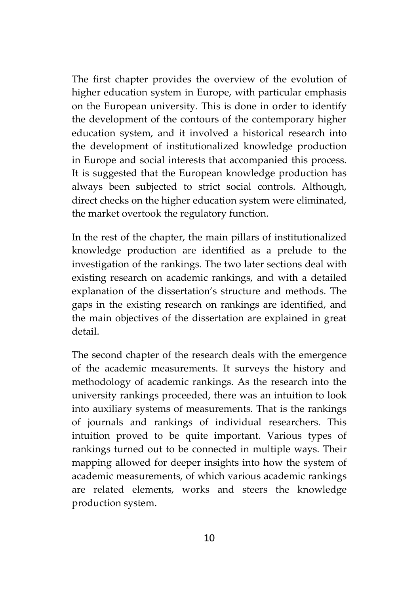The first chapter provides the overview of the evolution of higher education system in Europe, with particular emphasis on the European university. This is done in order to identify the development of the contours of the contemporary higher education system, and it involved a historical research into the development of institutionalized knowledge production in Europe and social interests that accompanied this process. It is suggested that the European knowledge production has always been subjected to strict social controls. Although, direct checks on the higher education system were eliminated, the market overtook the regulatory function.

In the rest of the chapter, the main pillars of institutionalized knowledge production are identified as a prelude to the investigation of the rankings. The two later sections deal with existing research on academic rankings, and with a detailed explanation of the dissertation's structure and methods. The gaps in the existing research on rankings are identified, and the main objectives of the dissertation are explained in great detail.

The second chapter of the research deals with the emergence of the academic measurements. It surveys the history and methodology of academic rankings. As the research into the university rankings proceeded, there was an intuition to look into auxiliary systems of measurements. That is the rankings of journals and rankings of individual researchers. This intuition proved to be quite important. Various types of rankings turned out to be connected in multiple ways. Their mapping allowed for deeper insights into how the system of academic measurements, of which various academic rankings are related elements, works and steers the knowledge production system.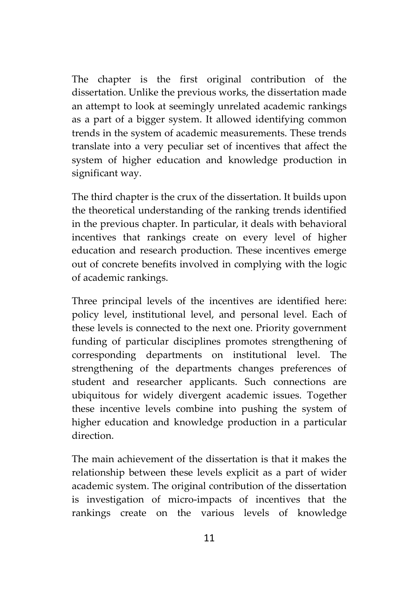The chapter is the first original contribution of the dissertation. Unlike the previous works, the dissertation made an attempt to look at seemingly unrelated academic rankings as a part of a bigger system. It allowed identifying common trends in the system of academic measurements. These trends translate into a very peculiar set of incentives that affect the system of higher education and knowledge production in significant way.

The third chapter is the crux of the dissertation. It builds upon the theoretical understanding of the ranking trends identified in the previous chapter. In particular, it deals with behavioral incentives that rankings create on every level of higher education and research production. These incentives emerge out of concrete benefits involved in complying with the logic of academic rankings.

Three principal levels of the incentives are identified here: policy level, institutional level, and personal level. Each of these levels is connected to the next one. Priority government funding of particular disciplines promotes strengthening of corresponding departments on institutional level. The strengthening of the departments changes preferences of student and researcher applicants. Such connections are ubiquitous for widely divergent academic issues. Together these incentive levels combine into pushing the system of higher education and knowledge production in a particular direction.

The main achievement of the dissertation is that it makes the relationship between these levels explicit as a part of wider academic system. The original contribution of the dissertation is investigation of micro-impacts of incentives that the rankings create on the various levels of knowledge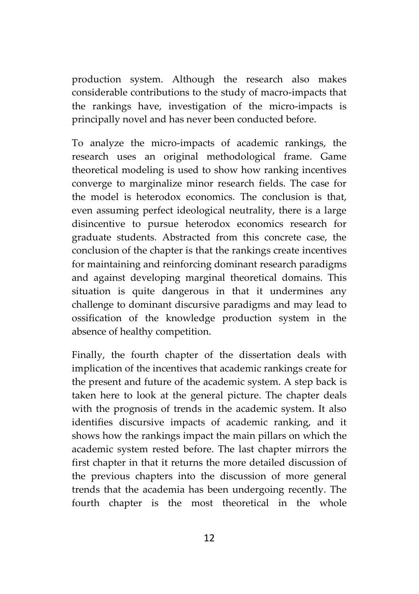production system. Although the research also makes considerable contributions to the study of macro-impacts that the rankings have, investigation of the micro-impacts is principally novel and has never been conducted before.

To analyze the micro-impacts of academic rankings, the research uses an original methodological frame. Game theoretical modeling is used to show how ranking incentives converge to marginalize minor research fields. The case for the model is heterodox economics. The conclusion is that, even assuming perfect ideological neutrality, there is a large disincentive to pursue heterodox economics research for graduate students. Abstracted from this concrete case, the conclusion of the chapter is that the rankings create incentives for maintaining and reinforcing dominant research paradigms and against developing marginal theoretical domains. This situation is quite dangerous in that it undermines any challenge to dominant discursive paradigms and may lead to ossification of the knowledge production system in the absence of healthy competition.

Finally, the fourth chapter of the dissertation deals with implication of the incentives that academic rankings create for the present and future of the academic system. A step back is taken here to look at the general picture. The chapter deals with the prognosis of trends in the academic system. It also identifies discursive impacts of academic ranking, and it shows how the rankings impact the main pillars on which the academic system rested before. The last chapter mirrors the first chapter in that it returns the more detailed discussion of the previous chapters into the discussion of more general trends that the academia has been undergoing recently. The fourth chapter is the most theoretical in the whole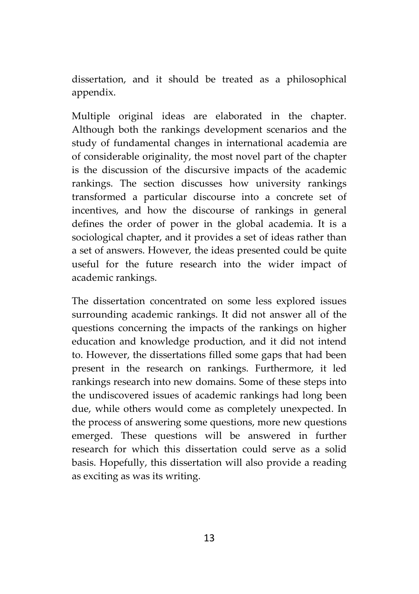dissertation, and it should be treated as a philosophical appendix.

Multiple original ideas are elaborated in the chapter. Although both the rankings development scenarios and the study of fundamental changes in international academia are of considerable originality, the most novel part of the chapter is the discussion of the discursive impacts of the academic rankings. The section discusses how university rankings transformed a particular discourse into a concrete set of incentives, and how the discourse of rankings in general defines the order of power in the global academia. It is a sociological chapter, and it provides a set of ideas rather than a set of answers. However, the ideas presented could be quite useful for the future research into the wider impact of academic rankings.

The dissertation concentrated on some less explored issues surrounding academic rankings. It did not answer all of the questions concerning the impacts of the rankings on higher education and knowledge production, and it did not intend to. However, the dissertations filled some gaps that had been present in the research on rankings. Furthermore, it led rankings research into new domains. Some of these steps into the undiscovered issues of academic rankings had long been due, while others would come as completely unexpected. In the process of answering some questions, more new questions emerged. These questions will be answered in further research for which this dissertation could serve as a solid basis. Hopefully, this dissertation will also provide a reading as exciting as was its writing.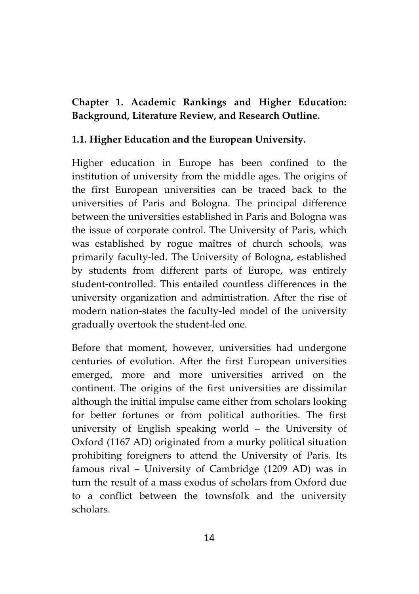## **Chapter 1. Academic Rankings and Higher Education: Background, Literature Review, and Research Outline.**

## **1.1. Higher Education and the European University.**

Higher education in Europe has been confined to the institution of university from the middle ages. The origins of the first European universities can be traced back to the universities of Paris and Bologna. The principal difference between the universities established in Paris and Bologna was the issue of corporate control. The University of Paris, which was established by rogue maîtres of church schools, was primarily faculty-led. The University of Bologna, established by students from different parts of Europe, was entirely student-controlled. This entailed countless differences in the university organization and administration. After the rise of modern nation-states the faculty-led model of the university gradually overtook the student-led one.

Before that moment, however, universities had undergone centuries of evolution. After the first European universities emerged, more and more universities arrived on the continent. The origins of the first universities are dissimilar although the initial impulse came either from scholars looking for better fortunes or from political authorities. The first university of English speaking world – the University of Oxford (1167 AD) originated from a murky political situation prohibiting foreigners to attend the University of Paris. Its famous rival – University of Cambridge (1209 AD) was in turn the result of a mass exodus of scholars from Oxford due to a conflict between the townsfolk and the university scholars.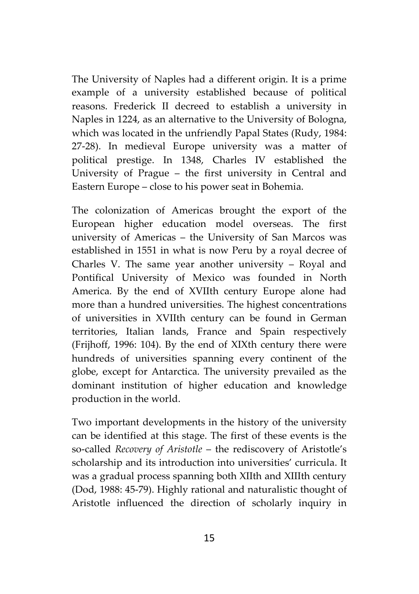The University of Naples had a different origin. It is a prime example of a university established because of political reasons. Frederick II decreed to establish a university in Naples in 1224, as an alternative to the University of Bologna, which was located in the unfriendly Papal States (Rudy, 1984: 27-28). In medieval Europe university was a matter of political prestige. In 1348, Charles IV established the University of Prague – the first university in Central and Eastern Europe – close to his power seat in Bohemia.

The colonization of Americas brought the export of the European higher education model overseas. The first university of Americas – the University of San Marcos was established in 1551 in what is now Peru by a royal decree of Charles V. The same year another university – Royal and Pontifical University of Mexico was founded in North America. By the end of XVIIth century Europe alone had more than a hundred universities. The highest concentrations of universities in XVIIth century can be found in German territories, Italian lands, France and Spain respectively (Frijhoff, 1996: 104). By the end of XIXth century there were hundreds of universities spanning every continent of the globe, except for Antarctica. The university prevailed as the dominant institution of higher education and knowledge production in the world.

Two important developments in the history of the university can be identified at this stage. The first of these events is the so-called *Recovery of Aristotle* – the rediscovery of Aristotle's scholarship and its introduction into universities' curricula. It was a gradual process spanning both XIIth and XIIIth century (Dod, 1988: 45-79). Highly rational and naturalistic thought of Aristotle influenced the direction of scholarly inquiry in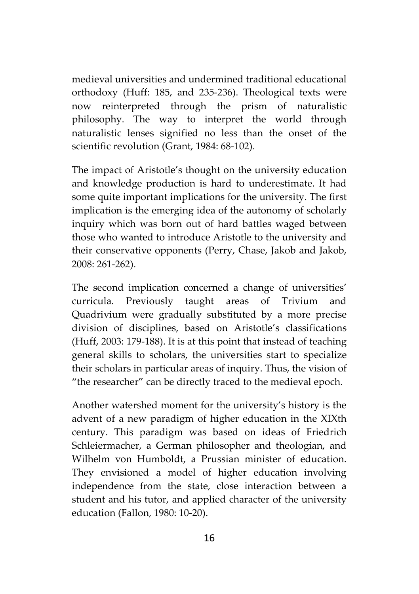medieval universities and undermined traditional educational orthodoxy (Huff: 185, and 235-236). Theological texts were now reinterpreted through the prism of naturalistic philosophy. The way to interpret the world through naturalistic lenses signified no less than the onset of the scientific revolution (Grant, 1984: 68-102).

The impact of Aristotle's thought on the university education and knowledge production is hard to underestimate. It had some quite important implications for the university. The first implication is the emerging idea of the autonomy of scholarly inquiry which was born out of hard battles waged between those who wanted to introduce Aristotle to the university and their conservative opponents (Perry, Chase, Jakob and Jakob, 2008: 261-262).

The second implication concerned a change of universities' curricula. Previously taught areas of Trivium and Quadrivium were gradually substituted by a more precise division of disciplines, based on Aristotle's classifications (Huff, 2003: 179-188). It is at this point that instead of teaching general skills to scholars, the universities start to specialize their scholars in particular areas of inquiry. Thus, the vision of "the researcher" can be directly traced to the medieval epoch.

Another watershed moment for the university's history is the advent of a new paradigm of higher education in the XIXth century. This paradigm was based on ideas of Friedrich Schleiermacher, a German philosopher and theologian, and Wilhelm von Humboldt, a Prussian minister of education. They envisioned a model of higher education involving independence from the state, close interaction between a student and his tutor, and applied character of the university education (Fallon, 1980: 10-20).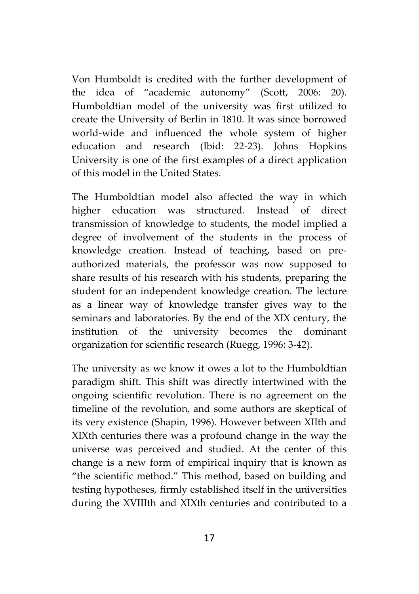Von Humboldt is credited with the further development of the idea of "academic autonomy" (Scott, 2006: 20). Humboldtian model of the university was first utilized to create the University of Berlin in 1810. It was since borrowed world-wide and influenced the whole system of higher education and research (Ibid: 22-23). Johns Hopkins University is one of the first examples of a direct application of this model in the United States.

The Humboldtian model also affected the way in which higher education was structured. Instead of direct transmission of knowledge to students, the model implied a degree of involvement of the students in the process of knowledge creation. Instead of teaching, based on pre authorized materials, the professor was now supposed to share results of his research with his students, preparing the student for an independent knowledge creation. The lecture as a linear way of knowledge transfer gives way to the seminars and laboratories. By the end of the XIX century, the institution of the university becomes the dominant organization for scientific research (Ruegg, 1996: 3-42).

The university as we know it owes a lot to the Humboldtian paradigm shift. This shift was directly intertwined with the ongoing scientific revolution. There is no agreement on the timeline of the revolution, and some authors are skeptical of its very existence (Shapin, 1996). However between XIIth and XIXth centuries there was a profound change in the way the universe was perceived and studied. At the center of this change is a new form of empirical inquiry that is known as "the scientific method." This method, based on building and testing hypotheses, firmly established itself in the universities during the XVIIIth and XIXth centuries and contributed to a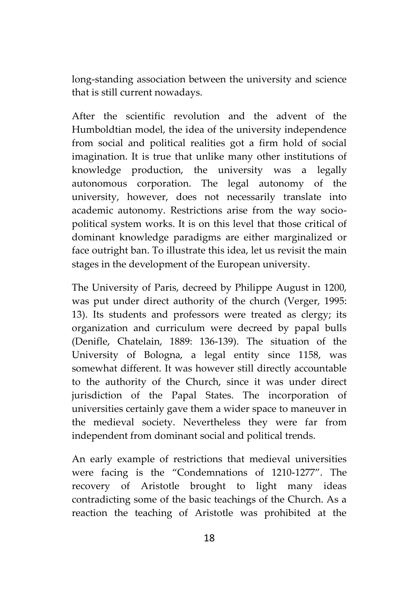long-standing association between the university and science that is still current nowadays.

After the scientific revolution and the advent of the Humboldtian model, the idea of the university independence from social and political realities got a firm hold of social imagination. It is true that unlike many other institutions of knowledge production, the university was a legally autonomous corporation. The legal autonomy of the university, however, does not necessarily translate into academic autonomy. Restrictions arise from the way socio political system works. It is on this level that those critical of dominant knowledge paradigms are either marginalized or face outright ban. To illustrate this idea, let us revisit the main stages in the development of the European university.

The University of Paris, decreed by Philippe August in 1200, was put under direct authority of the church (Verger, 1995: 13). Its students and professors were treated as clergy; its organization and curriculum were decreed by papal bulls (Denifle, Chatelain, 1889: 136-139). The situation of the University of Bologna, a legal entity since 1158, was somewhat different. It was however still directly accountable to the authority of the Church, since it was under direct jurisdiction of the Papal States. The incorporation of universities certainly gave them a wider space to maneuver in the medieval society. Nevertheless they were far from independent from dominant social and political trends.

An early example of restrictions that medieval universities were facing is the "Condemnations of 1210-1277". The recovery of Aristotle brought to light many ideas contradicting some of the basic teachings of the Church. As a reaction the teaching of Aristotle was prohibited at the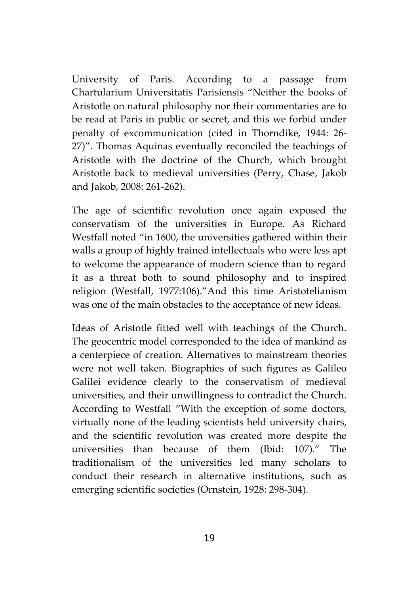University of Paris. According to a passage from Chartularium Universitatis Parisiensis "Neither the books of Aristotle on natural philosophy nor their commentaries are to be read at Paris in public or secret, and this we forbid under penalty of excommunication (cited in Thorndike, 1944: 26- 27)". Thomas Aquinas eventually reconciled the teachings of Aristotle with the doctrine of the Church, which brought Aristotle back to medieval universities (Perry, Chase, Jakob and Jakob, 2008: 261-262).

The age of scientific revolution once again exposed the conservatism of the universities in Europe. As Richard Westfall noted "in 1600, the universities gathered within their walls a group of highly trained intellectuals who were less apt to welcome the appearance of modern science than to regard it as a threat both to sound philosophy and to inspired religion (Westfall, 1977:106)."And this time Aristotelianism was one of the main obstacles to the acceptance of new ideas.

Ideas of Aristotle fitted well with teachings of the Church. The geocentric model corresponded to the idea of mankind as a centerpiece of creation. Alternatives to mainstream theories were not well taken. Biographies of such figures as Galileo Galilei evidence clearly to the conservatism of medieval universities, and their unwillingness to contradict the Church. According to Westfall "With the exception of some doctors, virtually none of the leading scientists held university chairs, and the scientific revolution was created more despite the universities than because of them (Ibid: 107)." The traditionalism of the universities led many scholars to conduct their research in alternative institutions, such as emerging scientific societies (Ornstein, 1928: 298-304).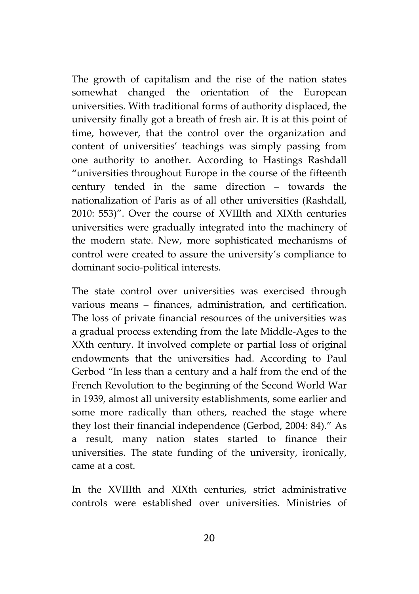The growth of capitalism and the rise of the nation states somewhat changed the orientation of the European universities. With traditional forms of authority displaced, the university finally got a breath of fresh air. It is at this point of time, however, that the control over the organization and content of universities' teachings was simply passing from one authority to another. According to Hastings Rashdall "universities throughout Europe in the course of the fifteenth century tended in the same direction – towards the nationalization of Paris as of all other universities (Rashdall, 2010: 553)". Over the course of XVIIIth and XIXth centuries universities were gradually integrated into the machinery of the modern state. New, more sophisticated mechanisms of control were created to assure the university's compliance to dominant socio-political interests.

The state control over universities was exercised through various means – finances, administration, and certification. The loss of private financial resources of the universities was a gradual process extending from the late Middle-Ages to the XXth century. It involved complete or partial loss of original endowments that the universities had. According to Paul Gerbod "In less than a century and a half from the end of the French Revolution to the beginning of the Second World War in 1939, almost all university establishments, some earlier and some more radically than others, reached the stage where they lost their financial independence (Gerbod, 2004: 84)." As a result, many nation states started to finance their universities. The state funding of the university, ironically, came at a cost.

In the XVIIIth and XIXth centuries, strict administrative controls were established over universities. Ministries of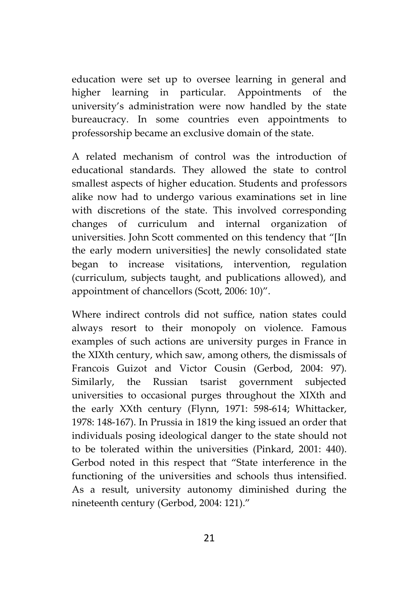education were set up to oversee learning in general and higher learning in particular. Appointments of the university's administration were now handled by the state bureaucracy. In some countries even appointments to professorship became an exclusive domain of the state.

A related mechanism of control was the introduction of educational standards. They allowed the state to control smallest aspects of higher education. Students and professors alike now had to undergo various examinations set in line with discretions of the state. This involved corresponding changes of curriculum and internal organization of universities. John Scott commented on this tendency that "[In the early modern universities] the newly consolidated state began to increase visitations, intervention, regulation (curriculum, subjects taught, and publications allowed), and appointment of chancellors (Scott, 2006: 10)".

Where indirect controls did not suffice, nation states could always resort to their monopoly on violence. Famous examples of such actions are university purges in France in the XIXth century, which saw, among others, the dismissals of Francois Guizot and Victor Cousin (Gerbod, 2004: 97). Similarly, the Russian tsarist government subjected universities to occasional purges throughout the XIXth and the early XXth century (Flynn, 1971: 598-614; Whittacker, 1978: 148-167). In Prussia in 1819 the king issued an order that individuals posing ideological danger to the state should not to be tolerated within the universities (Pinkard, 2001: 440). Gerbod noted in this respect that "State interference in the functioning of the universities and schools thus intensified. As a result, university autonomy diminished during the nineteenth century (Gerbod, 2004: 121)."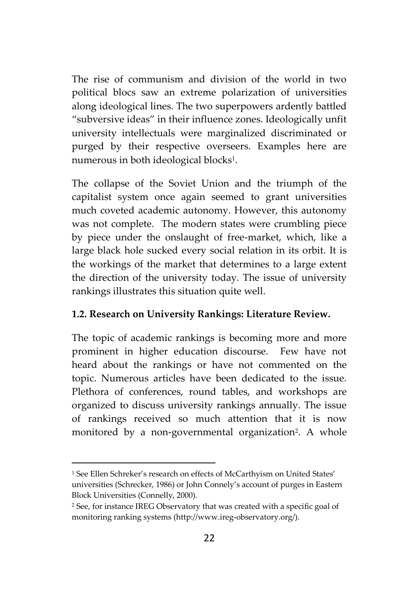The rise of communism and division of the world in two political blocs saw an extreme polarization of universities along ideological lines. The two superpowers ardently battled "subversive ideas" in their influence zones. Ideologically unfit university intellectuals were marginalized discriminated or purged by their respective overseers. Examples here are numerous in both ideological blocks<sup>1</sup> .

The collapse of the Soviet Union and the triumph of the capitalist system once again seemed to grant universities much coveted academic autonomy. However, this autonomy was not complete. The modern states were crumbling piece by piece under the onslaught of free-market, which, like a large black hole sucked every social relation in its orbit. It is the workings of the market that determines to a large extent the direction of the university today. The issue of university rankings illustrates this situation quite well.

#### **1.2. Research on University Rankings: Literature Review.**

The topic of academic rankings is becoming more and more prominent in higher education discourse. Few have not heard about the rankings or have not commented on the topic. Numerous articles have been dedicated to the issue. Plethora of conferences, round tables, and workshops are organized to discuss university rankings annually. The issue of rankings received so much attention that it is now monitored by a non-governmental organization<sup>2</sup> . A whole

<sup>1</sup> See Ellen Schreker's research on effects of McCarthyism on United States' universities (Schrecker, 1986) or John Connely's account of purges in Eastern Block Universities (Connelly, 2000).

<sup>2</sup> See, for instance IREG Observatory that was created with a specific goal of monitoring ranking systems (http://www.ireg-observatory.org/).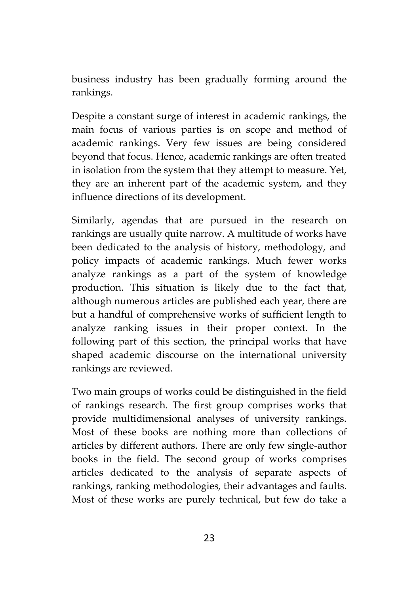business industry has been gradually forming around the rankings.

Despite a constant surge of interest in academic rankings, the main focus of various parties is on scope and method of academic rankings. Very few issues are being considered beyond that focus. Hence, academic rankings are often treated in isolation from the system that they attempt to measure. Yet, they are an inherent part of the academic system, and they influence directions of its development.

Similarly, agendas that are pursued in the research on rankings are usually quite narrow. A multitude of works have been dedicated to the analysis of history, methodology, and policy impacts of academic rankings. Much fewer works analyze rankings as a part of the system of knowledge production. This situation is likely due to the fact that, although numerous articles are published each year, there are but a handful of comprehensive works of sufficient length to analyze ranking issues in their proper context. In the following part of this section, the principal works that have shaped academic discourse on the international university rankings are reviewed.

Two main groups of works could be distinguished in the field of rankings research. The first group comprises works that provide multidimensional analyses of university rankings. Most of these books are nothing more than collections of articles by different authors. There are only few single-author books in the field. The second group of works comprises articles dedicated to the analysis of separate aspects of rankings, ranking methodologies, their advantages and faults. Most of these works are purely technical, but few do take a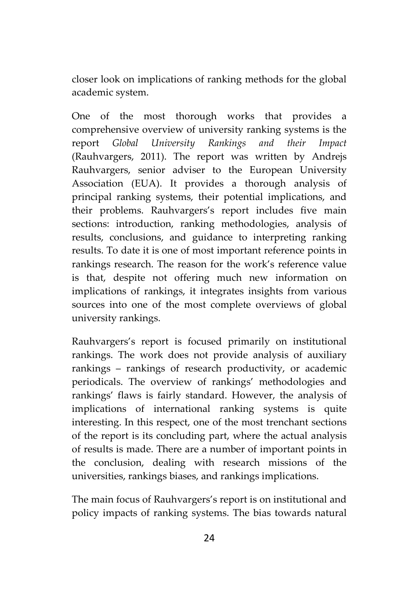closer look on implications of ranking methods for the global academic system.

One of the most thorough works that provides a comprehensive overview of university ranking systems is the report *Global University Rankings and their Impact* (Rauhvargers, 2011). The report was written by Andrejs Rauhvargers, senior adviser to the European University Association (EUA). It provides a thorough analysis of principal ranking systems, their potential implications, and their problems. Rauhvargers's report includes five main sections: introduction, ranking methodologies, analysis of results, conclusions, and guidance to interpreting ranking results. To date it is one of most important reference points in rankings research. The reason for the work's reference value is that, despite not offering much new information on implications of rankings, it integrates insights from various sources into one of the most complete overviews of global university rankings.

Rauhvargers's report is focused primarily on institutional rankings. The work does not provide analysis of auxiliary rankings – rankings of research productivity, or academic periodicals. The overview of rankings' methodologies and rankings' flaws is fairly standard. However, the analysis of implications of international ranking systems is quite interesting. In this respect, one of the most trenchant sections of the report is its concluding part, where the actual analysis of results is made. There are a number of important points in the conclusion, dealing with research missions of the universities, rankings biases, and rankings implications.

The main focus of Rauhvargers's report is on institutional and policy impacts of ranking systems. The bias towards natural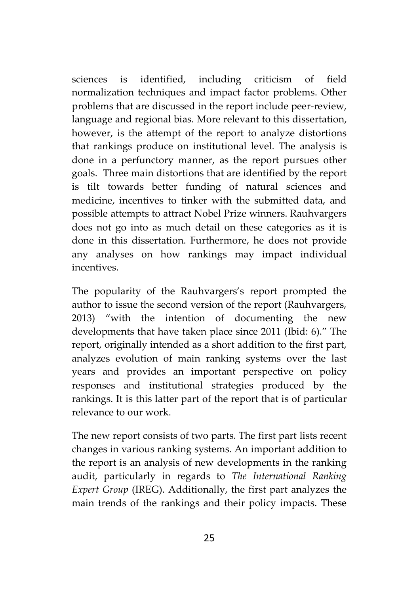sciences is identified, including criticism of field normalization techniques and impact factor problems. Other problems that are discussed in the report include peer-review, language and regional bias. More relevant to this dissertation, however, is the attempt of the report to analyze distortions that rankings produce on institutional level. The analysis is done in a perfunctory manner, as the report pursues other goals. Three main distortions that are identified by the report is tilt towards better funding of natural sciences and medicine, incentives to tinker with the submitted data, and possible attempts to attract Nobel Prize winners. Rauhvargers does not go into as much detail on these categories as it is done in this dissertation. Furthermore, he does not provide any analyses on how rankings may impact individual incentives.

The popularity of the Rauhvargers's report prompted the author to issue the second version of the report (Rauhvargers, 2013) "with the intention of documenting the new developments that have taken place since 2011 (Ibid: 6)." The report, originally intended as a short addition to the first part, analyzes evolution of main ranking systems over the last years and provides an important perspective on policy responses and institutional strategies produced by the rankings. It is this latter part of the report that is of particular relevance to our work.

The new report consists of two parts. The first part lists recent changes in various ranking systems. An important addition to the report is an analysis of new developments in the ranking audit, particularly in regards to *The International Ranking Expert Group* (IREG). Additionally, the first part analyzes the main trends of the rankings and their policy impacts. These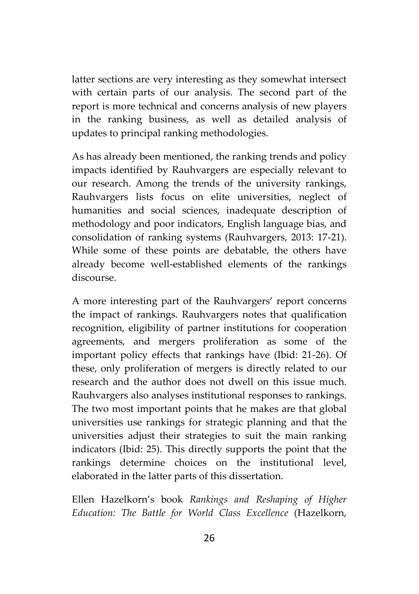latter sections are very interesting as they somewhat intersect with certain parts of our analysis. The second part of the report is more technical and concerns analysis of new players in the ranking business, as well as detailed analysis of updates to principal ranking methodologies.

As has already been mentioned, the ranking trends and policy impacts identified by Rauhvargers are especially relevant to our research. Among the trends of the university rankings, Rauhvargers lists focus on elite universities, neglect of humanities and social sciences, inadequate description of methodology and poor indicators, English language bias, and consolidation of ranking systems (Rauhvargers, 2013: 17-21). While some of these points are debatable, the others have already become well-established elements of the rankings discourse.

A more interesting part of the Rauhvargers' report concerns the impact of rankings. Rauhvargers notes that qualification recognition, eligibility of partner institutions for cooperation agreements, and mergers proliferation as some of the important policy effects that rankings have (Ibid: 21-26). Of these, only proliferation of mergers is directly related to our research and the author does not dwell on this issue much. Rauhvargers also analyses institutional responses to rankings. The two most important points that he makes are that global universities use rankings for strategic planning and that the universities adjust their strategies to suit the main ranking indicators (Ibid: 25). This directly supports the point that the rankings determine choices on the institutional level, elaborated in the latter parts of this dissertation.

Ellen Hazelkorn's book *Rankings and Reshaping of Higher Education: The Battle for World Class Excellence* (Hazelkorn,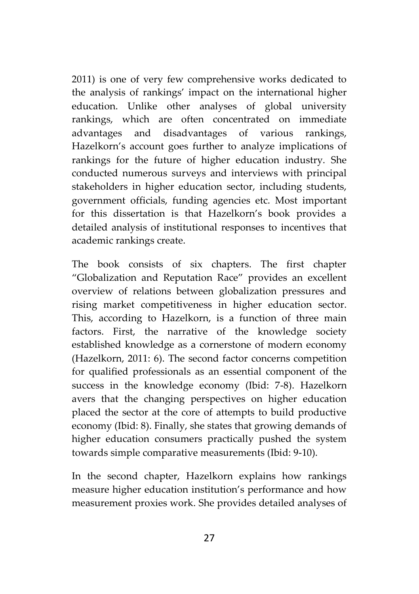2011) is one of very few comprehensive works dedicated to the analysis of rankings' impact on the international higher education. Unlike other analyses of global university rankings, which are often concentrated on immediate advantages and disadvantages of various rankings, Hazelkorn's account goes further to analyze implications of rankings for the future of higher education industry. She conducted numerous surveys and interviews with principal stakeholders in higher education sector, including students, government officials, funding agencies etc. Most important for this dissertation is that Hazelkorn's book provides a detailed analysis of institutional responses to incentives that academic rankings create.

The book consists of six chapters. The first chapter "Globalization and Reputation Race" provides an excellent overview of relations between globalization pressures and rising market competitiveness in higher education sector. This, according to Hazelkorn, is a function of three main factors. First, the narrative of the knowledge society established knowledge as a cornerstone of modern economy (Hazelkorn, 2011: 6). The second factor concerns competition for qualified professionals as an essential component of the success in the knowledge economy (Ibid: 7-8). Hazelkorn avers that the changing perspectives on higher education placed the sector at the core of attempts to build productive economy (Ibid: 8). Finally, she states that growing demands of higher education consumers practically pushed the system towards simple comparative measurements (Ibid: 9-10).

In the second chapter, Hazelkorn explains how rankings measure higher education institution's performance and how measurement proxies work. She provides detailed analyses of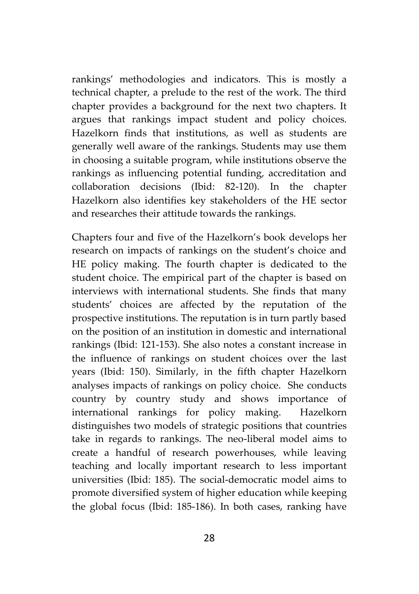rankings' methodologies and indicators. This is mostly a technical chapter, a prelude to the rest of the work. The third chapter provides a background for the next two chapters. It argues that rankings impact student and policy choices. Hazelkorn finds that institutions, as well as students are generally well aware of the rankings. Students may use them in choosing a suitable program, while institutions observe the rankings as influencing potential funding, accreditation and collaboration decisions (Ibid: 82-120). In the chapter Hazelkorn also identifies key stakeholders of the HE sector and researches their attitude towards the rankings.

Chapters four and five of the Hazelkorn's book develops her research on impacts of rankings on the student's choice and HE policy making. The fourth chapter is dedicated to the student choice. The empirical part of the chapter is based on interviews with international students. She finds that many students' choices are affected by the reputation of the prospective institutions. The reputation is in turn partly based on the position of an institution in domestic and international rankings (Ibid: 121-153). She also notes a constant increase in the influence of rankings on student choices over the last years (Ibid: 150). Similarly, in the fifth chapter Hazelkorn analyses impacts of rankings on policy choice. She conducts country by country study and shows importance of international rankings for policy making. Hazelkorn distinguishes two models of strategic positions that countries take in regards to rankings. The neo-liberal model aims to create a handful of research powerhouses, while leaving teaching and locally important research to less important universities (Ibid: 185). The social-democratic model aims to promote diversified system of higher education while keeping the global focus (Ibid: 185-186). In both cases, ranking have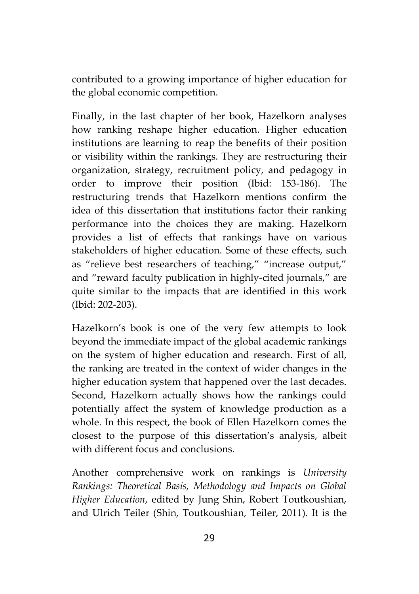contributed to a growing importance of higher education for the global economic competition.

Finally, in the last chapter of her book, Hazelkorn analyses how ranking reshape higher education. Higher education institutions are learning to reap the benefits of their position or visibility within the rankings. They are restructuring their organization, strategy, recruitment policy, and pedagogy in order to improve their position (Ibid: 153-186). The restructuring trends that Hazelkorn mentions confirm the idea of this dissertation that institutions factor their ranking performance into the choices they are making. Hazelkorn provides a list of effects that rankings have on various stakeholders of higher education. Some of these effects, such as "relieve best researchers of teaching," "increase output," and "reward faculty publication in highly-cited journals," are quite similar to the impacts that are identified in this work (Ibid: 202-203).

Hazelkorn's book is one of the very few attempts to look beyond the immediate impact of the global academic rankings on the system of higher education and research. First of all, the ranking are treated in the context of wider changes in the higher education system that happened over the last decades. Second, Hazelkorn actually shows how the rankings could potentially affect the system of knowledge production as a whole. In this respect, the book of Ellen Hazelkorn comes the closest to the purpose of this dissertation's analysis, albeit with different focus and conclusions.

Another comprehensive work on rankings is *University Rankings: Theoretical Basis, Methodology and Impacts on Global Higher Education*, edited by Jung Shin, Robert Toutkoushian, and Ulrich Teiler (Shin, Toutkoushian, Teiler, 2011). It is the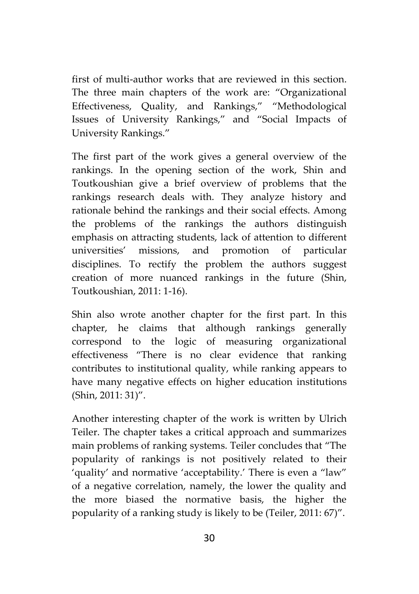first of multi-author works that are reviewed in this section. The three main chapters of the work are: "Organizational Effectiveness, Quality, and Rankings," "Methodological Issues of University Rankings," and "Social Impacts of University Rankings."

The first part of the work gives a general overview of the rankings. In the opening section of the work, Shin and Toutkoushian give a brief overview of problems that the rankings research deals with. They analyze history and rationale behind the rankings and their social effects. Among the problems of the rankings the authors distinguish emphasis on attracting students, lack of attention to different universities' missions, and promotion of particular disciplines. To rectify the problem the authors suggest creation of more nuanced rankings in the future (Shin, Toutkoushian, 2011: 1-16).

Shin also wrote another chapter for the first part. In this chapter, he claims that although rankings generally correspond to the logic of measuring organizational effectiveness "There is no clear evidence that ranking contributes to institutional quality, while ranking appears to have many negative effects on higher education institutions (Shin, 2011: 31)".

Another interesting chapter of the work is written by Ulrich Teiler. The chapter takes a critical approach and summarizes main problems of ranking systems. Teiler concludes that "The popularity of rankings is not positively related to their 'quality' and normative 'acceptability.' There is even a "law" of a negative correlation, namely, the lower the quality and the more biased the normative basis, the higher the popularity of a ranking study is likely to be (Teiler, 2011: 67)".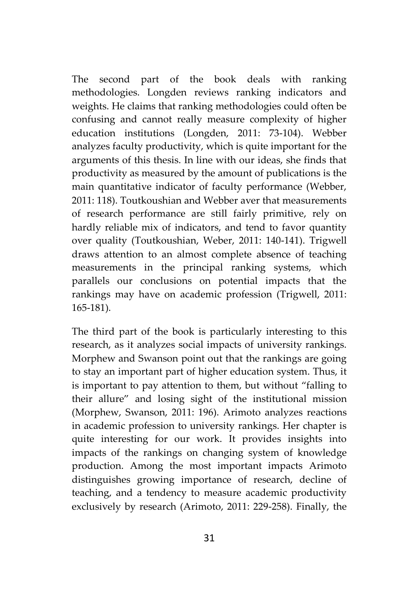The second part of the book deals with ranking methodologies. Longden reviews ranking indicators and weights. He claims that ranking methodologies could often be confusing and cannot really measure complexity of higher education institutions (Longden, 2011: 73-104). Webber analyzes faculty productivity, which is quite important for the arguments of this thesis. In line with our ideas, she finds that productivity as measured by the amount of publications is the main quantitative indicator of faculty performance (Webber, 2011: 118). Toutkoushian and Webber aver that measurements of research performance are still fairly primitive, rely on hardly reliable mix of indicators, and tend to favor quantity over quality (Toutkoushian, Weber, 2011: 140-141). Trigwell draws attention to an almost complete absence of teaching measurements in the principal ranking systems, which parallels our conclusions on potential impacts that the rankings may have on academic profession (Trigwell, 2011: 165-181).

The third part of the book is particularly interesting to this research, as it analyzes social impacts of university rankings. Morphew and Swanson point out that the rankings are going to stay an important part of higher education system. Thus, it is important to pay attention to them, but without "falling to their allure" and losing sight of the institutional mission (Morphew, Swanson, 2011: 196). Arimoto analyzes reactions in academic profession to university rankings. Her chapter is quite interesting for our work. It provides insights into impacts of the rankings on changing system of knowledge production. Among the most important impacts Arimoto distinguishes growing importance of research, decline of teaching, and a tendency to measure academic productivity exclusively by research (Arimoto, 2011: 229-258). Finally, the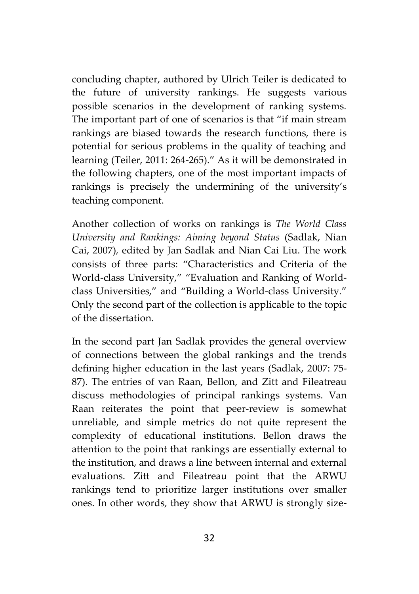concluding chapter, authored by Ulrich Teiler is dedicated to the future of university rankings. He suggests various possible scenarios in the development of ranking systems. The important part of one of scenarios is that "if main stream rankings are biased towards the research functions, there is potential for serious problems in the quality of teaching and learning (Teiler, 2011: 264-265)." As it will be demonstrated in the following chapters, one of the most important impacts of rankings is precisely the undermining of the university's teaching component.

Another collection of works on rankings is *The World Class University and Rankings: Aiming beyond Status* (Sadlak, Nian Cai, 2007)*,* edited by Jan Sadlak and Nian Cai Liu. The work consists of three parts: "Characteristics and Criteria of the World-class University," "Evaluation and Ranking of World class Universities," and "Building a World-class University." Only the second part of the collection is applicable to the topic of the dissertation.

In the second part Jan Sadlak provides the general overview of connections between the global rankings and the trends defining higher education in the last years (Sadlak, 2007: 75- 87). The entries of van Raan, Bellon, and Zitt and Fileatreau discuss methodologies of principal rankings systems. Van Raan reiterates the point that peer-review is somewhat unreliable, and simple metrics do not quite represent the complexity of educational institutions. Bellon draws the attention to the point that rankings are essentially external to the institution, and draws a line between internal and external evaluations. Zitt and Fileatreau point that the ARWU rankings tend to prioritize larger institutions over smaller ones. In other words, they show that ARWU is strongly size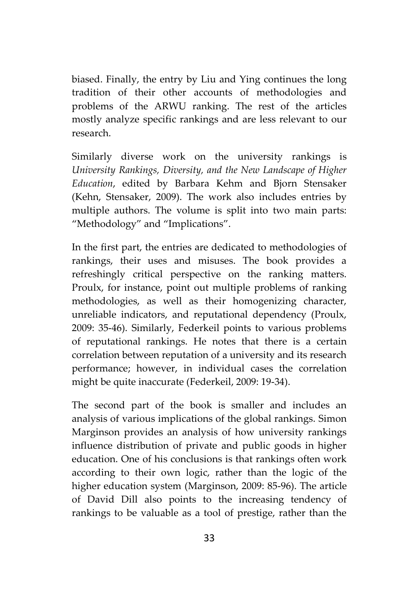biased. Finally, the entry by Liu and Ying continues the long tradition of their other accounts of methodologies and problems of the ARWU ranking. The rest of the articles mostly analyze specific rankings and are less relevant to our research.

Similarly diverse work on the university rankings is *University Rankings, Diversity, and the New Landscape of Higher Education*, edited by Barbara Kehm and Bjorn Stensaker (Kehn, Stensaker, 2009). The work also includes entries by multiple authors. The volume is split into two main parts: "Methodology" and "Implications".

In the first part, the entries are dedicated to methodologies of rankings, their uses and misuses. The book provides a refreshingly critical perspective on the ranking matters. Proulx, for instance, point out multiple problems of ranking methodologies, as well as their homogenizing character, unreliable indicators, and reputational dependency (Proulx, 2009: 35-46). Similarly, Federkeil points to various problems of reputational rankings. He notes that there is a certain correlation between reputation of a university and its research performance; however, in individual cases the correlation might be quite inaccurate (Federkeil, 2009: 19-34).

The second part of the book is smaller and includes an analysis of various implications of the global rankings. Simon Marginson provides an analysis of how university rankings influence distribution of private and public goods in higher education. One of his conclusions is that rankings often work according to their own logic, rather than the logic of the higher education system (Marginson, 2009: 85-96). The article of David Dill also points to the increasing tendency of rankings to be valuable as a tool of prestige, rather than the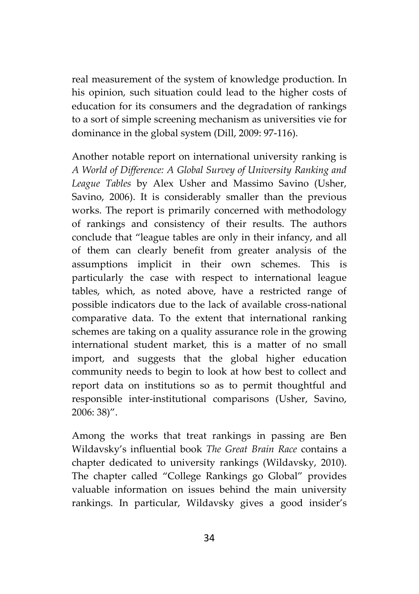real measurement of the system of knowledge production. In his opinion, such situation could lead to the higher costs of education for its consumers and the degradation of rankings to a sort of simple screening mechanism as universities vie for dominance in the global system (Dill, 2009: 97-116).

Another notable report on international university ranking is *A World of Difference: A Global Survey of University Ranking and League Tables* by Alex Usher and Massimo Savino (Usher, Savino, 2006). It is considerably smaller than the previous works. The report is primarily concerned with methodology of rankings and consistency of their results. The authors conclude that "league tables are only in their infancy, and all of them can clearly benefit from greater analysis of the assumptions implicit in their own schemes. This is particularly the case with respect to international league tables, which, as noted above, have a restricted range of possible indicators due to the lack of available cross-national comparative data. To the extent that international ranking schemes are taking on a quality assurance role in the growing international student market, this is a matter of no small import, and suggests that the global higher education community needs to begin to look at how best to collect and report data on institutions so as to permit thoughtful and responsible inter-institutional comparisons (Usher, Savino, 2006: 38)".

Among the works that treat rankings in passing are Ben Wildavsky's influential book *The Great Brain Race* contains a chapter dedicated to university rankings (Wildavsky, 2010). The chapter called "College Rankings go Global" provides valuable information on issues behind the main university rankings. In particular, Wildavsky gives a good insider's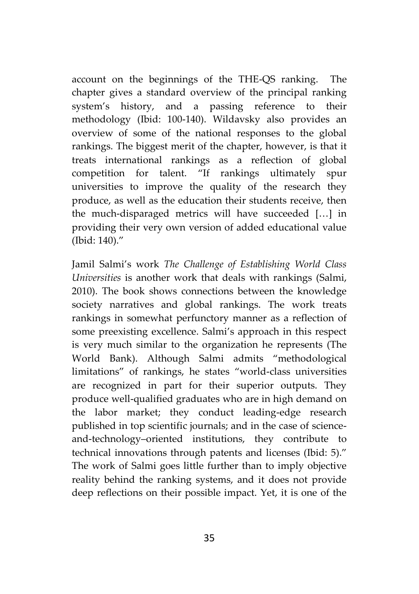account on the beginnings of the THE-QS ranking. The chapter gives a standard overview of the principal ranking system's history, and a passing reference to their methodology (Ibid: 100-140). Wildavsky also provides an overview of some of the national responses to the global rankings. The biggest merit of the chapter, however, is that it treats international rankings as a reflection of global competition for talent. "If rankings ultimately spur universities to improve the quality of the research they produce, as well as the education their students receive, then the much-disparaged metrics will have succeeded […] in providing their very own version of added educational value (Ibid: 140)."

Jamil Salmi's work *The Challenge of Establishing World Class Universities* is another work that deals with rankings (Salmi, 2010). The book shows connections between the knowledge society narratives and global rankings. The work treats rankings in somewhat perfunctory manner as a reflection of some preexisting excellence. Salmi's approach in this respect is very much similar to the organization he represents (The World Bank). Although Salmi admits "methodological limitations" of rankings, he states "world-class universities are recognized in part for their superior outputs. They produce well-qualified graduates who are in high demand on the labor market; they conduct leading-edge research published in top scientific journals; and in the case of science and-technology–oriented institutions, they contribute to technical innovations through patents and licenses (Ibid: 5)." The work of Salmi goes little further than to imply objective reality behind the ranking systems, and it does not provide deep reflections on their possible impact. Yet, it is one of the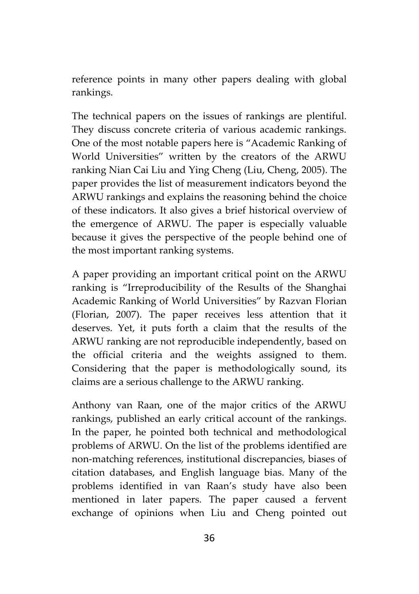reference points in many other papers dealing with global rankings.

The technical papers on the issues of rankings are plentiful. They discuss concrete criteria of various academic rankings. One of the most notable papers here is "Academic Ranking of World Universities" written by the creators of the ARWU ranking Nian Cai Liu and Ying Cheng (Liu, Cheng, 2005). The paper provides the list of measurement indicators beyond the ARWU rankings and explains the reasoning behind the choice of these indicators. It also gives a brief historical overview of the emergence of ARWU. The paper is especially valuable because it gives the perspective of the people behind one of the most important ranking systems.

A paper providing an important critical point on the ARWU ranking is "Irreproducibility of the Results of the Shanghai Academic Ranking of World Universities" by Razvan Florian (Florian, 2007). The paper receives less attention that it deserves. Yet, it puts forth a claim that the results of the ARWU ranking are not reproducible independently, based on the official criteria and the weights assigned to them. Considering that the paper is methodologically sound, its claims are a serious challenge to the ARWU ranking.

Anthony van Raan, one of the major critics of the ARWU rankings, published an early critical account of the rankings. In the paper, he pointed both technical and methodological problems of ARWU. On the list of the problems identified are non-matching references, institutional discrepancies, biases of citation databases, and English language bias. Many of the problems identified in van Raan's study have also been mentioned in later papers. The paper caused a fervent exchange of opinions when Liu and Cheng pointed out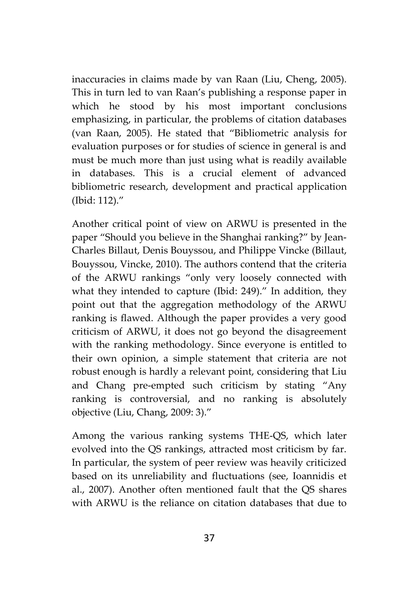inaccuracies in claims made by van Raan (Liu, Cheng, 2005). This in turn led to van Raan's publishing a response paper in which he stood by his most important conclusions emphasizing, in particular, the problems of citation databases (van Raan, 2005). He stated that "Bibliometric analysis for evaluation purposes or for studies of science in general is and must be much more than just using what is readily available in databases. This is a crucial element of advanced bibliometric research, development and practical application (Ibid: 112)."

Another critical point of view on ARWU is presented in the paper "Should you believe in the Shanghai ranking?" by Jean- Charles Billaut, Denis Bouyssou, and Philippe Vincke (Billaut, Bouyssou, Vincke, 2010). The authors contend that the criteria of the ARWU rankings "only very loosely connected with what they intended to capture (Ibid: 249)." In addition, they point out that the aggregation methodology of the ARWU ranking is flawed. Although the paper provides a very good criticism of ARWU, it does not go beyond the disagreement with the ranking methodology. Since everyone is entitled to their own opinion, a simple statement that criteria are not robust enough is hardly a relevant point, considering that Liu and Chang pre-empted such criticism by stating "Any ranking is controversial, and no ranking is absolutely objective (Liu, Chang, 2009: 3)."

Among the various ranking systems THE-QS, which later evolved into the QS rankings, attracted most criticism by far. In particular, the system of peer review was heavily criticized based on its unreliability and fluctuations (see, Ioannidis et al., 2007). Another often mentioned fault that the QS shares with ARWU is the reliance on citation databases that due to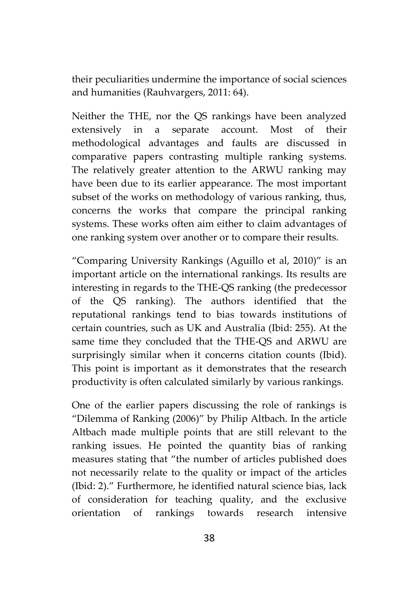their peculiarities undermine the importance of social sciences and humanities (Rauhvargers, 2011: 64).

Neither the THE, nor the QS rankings have been analyzed extensively in a separate account. Most of their methodological advantages and faults are discussed in comparative papers contrasting multiple ranking systems. The relatively greater attention to the ARWU ranking may have been due to its earlier appearance. The most important subset of the works on methodology of various ranking, thus, concerns the works that compare the principal ranking systems. These works often aim either to claim advantages of one ranking system over another or to compare their results.

"Comparing University Rankings (Aguillo et al, 2010)" is an important article on the international rankings. Its results are interesting in regards to the THE-QS ranking (the predecessor of the QS ranking). The authors identified that the reputational rankings tend to bias towards institutions of certain countries, such as UK and Australia (Ibid: 255). At the same time they concluded that the THE-QS and ARWU are surprisingly similar when it concerns citation counts (Ibid). This point is important as it demonstrates that the research productivity is often calculated similarly by various rankings.

One of the earlier papers discussing the role of rankings is "Dilemma of Ranking (2006)" by Philip Altbach. In the article Altbach made multiple points that are still relevant to the ranking issues. He pointed the quantity bias of ranking measures stating that "the number of articles published does not necessarily relate to the quality or impact of the articles (Ibid: 2)." Furthermore, he identified natural science bias, lack of consideration for teaching quality, and the exclusive orientation of rankings towards research intensive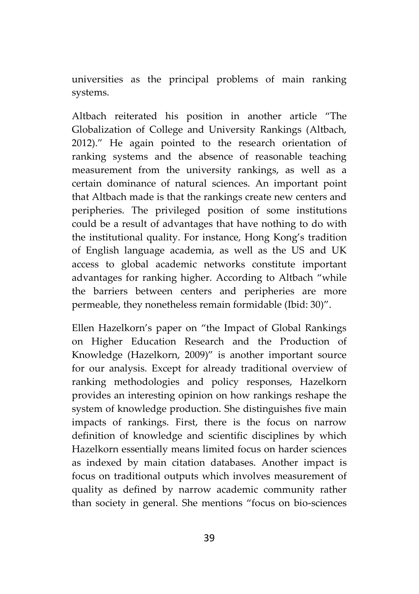universities as the principal problems of main ranking systems.

Altbach reiterated his position in another article "The Globalization of College and University Rankings (Altbach, 2012)." He again pointed to the research orientation of ranking systems and the absence of reasonable teaching measurement from the university rankings, as well as a certain dominance of natural sciences. An important point that Altbach made is that the rankings create new centers and peripheries. The privileged position of some institutions could be a result of advantages that have nothing to do with the institutional quality. For instance, Hong Kong's tradition of English language academia, as well as the US and UK access to global academic networks constitute important advantages for ranking higher. According to Altbach "while the barriers between centers and peripheries are more permeable, they nonetheless remain formidable (Ibid: 30)".

Ellen Hazelkorn's paper on "the Impact of Global Rankings on Higher Education Research and the Production of Knowledge (Hazelkorn, 2009)" is another important source for our analysis. Except for already traditional overview of ranking methodologies and policy responses, Hazelkorn provides an interesting opinion on how rankings reshape the system of knowledge production. She distinguishes five main impacts of rankings. First, there is the focus on narrow definition of knowledge and scientific disciplines by which Hazelkorn essentially means limited focus on harder sciences as indexed by main citation databases. Another impact is focus on traditional outputs which involves measurement of quality as defined by narrow academic community rather than society in general. She mentions "focus on bio-sciences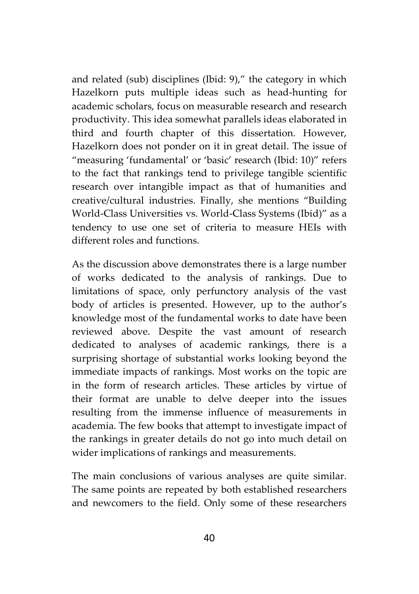and related (sub) disciplines (Ibid: 9)," the category in which Hazelkorn puts multiple ideas such as head-hunting for academic scholars, focus on measurable research and research productivity. This idea somewhat parallels ideas elaborated in third and fourth chapter of this dissertation. However, Hazelkorn does not ponder on it in great detail. The issue of "measuring 'fundamental' or 'basic' research (Ibid: 10)" refers to the fact that rankings tend to privilege tangible scientific research over intangible impact as that of humanities and creative/cultural industries. Finally, she mentions "Building World-Class Universities vs. World-Class Systems (Ibid)" as a tendency to use one set of criteria to measure HEIs with different roles and functions.

As the discussion above demonstrates there is a large number of works dedicated to the analysis of rankings. Due to limitations of space, only perfunctory analysis of the vast body of articles is presented. However, up to the author's knowledge most of the fundamental works to date have been reviewed above. Despite the vast amount of research dedicated to analyses of academic rankings, there is a surprising shortage of substantial works looking beyond the immediate impacts of rankings. Most works on the topic are in the form of research articles. These articles by virtue of their format are unable to delve deeper into the issues resulting from the immense influence of measurements in academia. The few books that attempt to investigate impact of the rankings in greater details do not go into much detail on wider implications of rankings and measurements.

The main conclusions of various analyses are quite similar. The same points are repeated by both established researchers and newcomers to the field. Only some of these researchers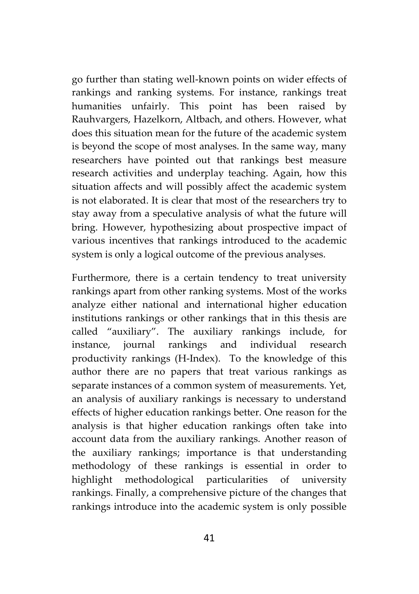go further than stating well-known points on wider effects of rankings and ranking systems. For instance, rankings treat humanities unfairly. This point has been raised by Rauhvargers, Hazelkorn, Altbach, and others. However, what does this situation mean for the future of the academic system is beyond the scope of most analyses. In the same way, many researchers have pointed out that rankings best measure research activities and underplay teaching. Again, how this situation affects and will possibly affect the academic system is not elaborated. It is clear that most of the researchers try to stay away from a speculative analysis of what the future will bring. However, hypothesizing about prospective impact of various incentives that rankings introduced to the academic system is only a logical outcome of the previous analyses.

Furthermore, there is a certain tendency to treat university rankings apart from other ranking systems. Most of the works analyze either national and international higher education institutions rankings or other rankings that in this thesis are called "auxiliary". The auxiliary rankings include, for instance, journal rankings and individual research productivity rankings (H-Index). To the knowledge of this author there are no papers that treat various rankings as separate instances of a common system of measurements. Yet, an analysis of auxiliary rankings is necessary to understand effects of higher education rankings better. One reason for the analysis is that higher education rankings often take into account data from the auxiliary rankings. Another reason of the auxiliary rankings; importance is that understanding methodology of these rankings is essential in order to highlight methodological particularities of university rankings. Finally, a comprehensive picture of the changes that rankings introduce into the academic system is only possible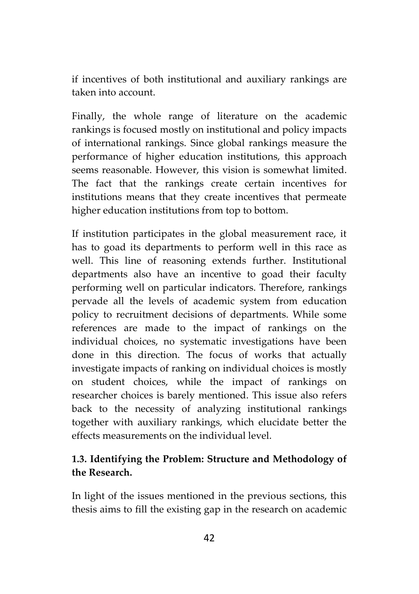if incentives of both institutional and auxiliary rankings are taken into account.

Finally, the whole range of literature on the academic rankings is focused mostly on institutional and policy impacts of international rankings. Since global rankings measure the performance of higher education institutions, this approach seems reasonable. However, this vision is somewhat limited. The fact that the rankings create certain incentives for institutions means that they create incentives that permeate higher education institutions from top to bottom.

If institution participates in the global measurement race, it has to goad its departments to perform well in this race as well. This line of reasoning extends further. Institutional departments also have an incentive to goad their faculty performing well on particular indicators. Therefore, rankings pervade all the levels of academic system from education policy to recruitment decisions of departments. While some references are made to the impact of rankings on the individual choices, no systematic investigations have been done in this direction. The focus of works that actually investigate impacts of ranking on individual choices is mostly on student choices, while the impact of rankings on researcher choices is barely mentioned. This issue also refers back to the necessity of analyzing institutional rankings together with auxiliary rankings, which elucidate better the effects measurements on the individual level.

## **1.3. Identifying the Problem: Structure and Methodology of the Research.**

In light of the issues mentioned in the previous sections, this thesis aims to fill the existing gap in the research on academic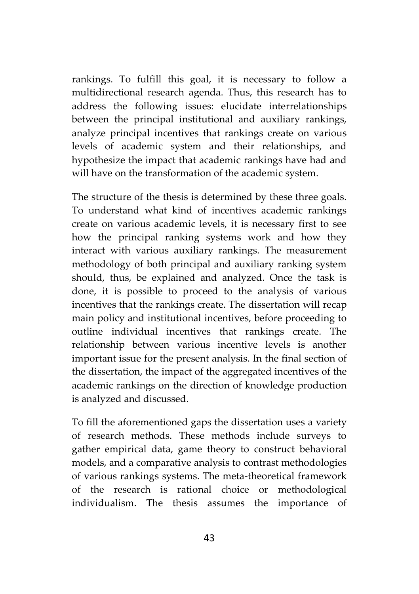rankings. To fulfill this goal, it is necessary to follow a multidirectional research agenda. Thus, this research has to address the following issues: elucidate interrelationships between the principal institutional and auxiliary rankings, analyze principal incentives that rankings create on various levels of academic system and their relationships, and hypothesize the impact that academic rankings have had and will have on the transformation of the academic system.

The structure of the thesis is determined by these three goals. To understand what kind of incentives academic rankings create on various academic levels, it is necessary first to see how the principal ranking systems work and how they interact with various auxiliary rankings. The measurement methodology of both principal and auxiliary ranking system should, thus, be explained and analyzed. Once the task is done, it is possible to proceed to the analysis of various incentives that the rankings create. The dissertation will recap main policy and institutional incentives, before proceeding to outline individual incentives that rankings create. The relationship between various incentive levels is another important issue for the present analysis. In the final section of the dissertation, the impact of the aggregated incentives of the academic rankings on the direction of knowledge production is analyzed and discussed.

To fill the aforementioned gaps the dissertation uses a variety of research methods. These methods include surveys to gather empirical data, game theory to construct behavioral models, and a comparative analysis to contrast methodologies of various rankings systems. The meta-theoretical framework of the research is rational choice or methodological individualism. The thesis assumes the importance of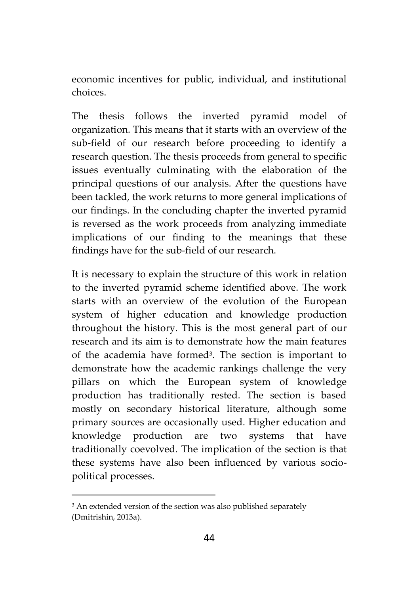economic incentives for public, individual, and institutional choices.

The thesis follows the inverted pyramid model of organization. This means that it starts with an overview of the sub-field of our research before proceeding to identify a research question. The thesis proceeds from general to specific issues eventually culminating with the elaboration of the principal questions of our analysis. After the questions have been tackled, the work returns to more general implications of our findings. In the concluding chapter the inverted pyramid is reversed as the work proceeds from analyzing immediate implications of our finding to the meanings that these findings have for the sub-field of our research.

It is necessary to explain the structure of this work in relation to the inverted pyramid scheme identified above. The work starts with an overview of the evolution of the European system of higher education and knowledge production throughout the history. This is the most general part of our research and its aim is to demonstrate how the main features of the academia have formed<sup>3</sup> . The section is important to demonstrate how the academic rankings challenge the very pillars on which the European system of knowledge production has traditionally rested. The section is based mostly on secondary historical literature, although some primary sources are occasionally used. Higher education and knowledge production are two systems that have traditionally coevolved. The implication of the section is that these systems have also been influenced by various socio political processes.

<sup>&</sup>lt;sup>3</sup> An extended version of the section was also published separately (Dmitrishin, 2013a).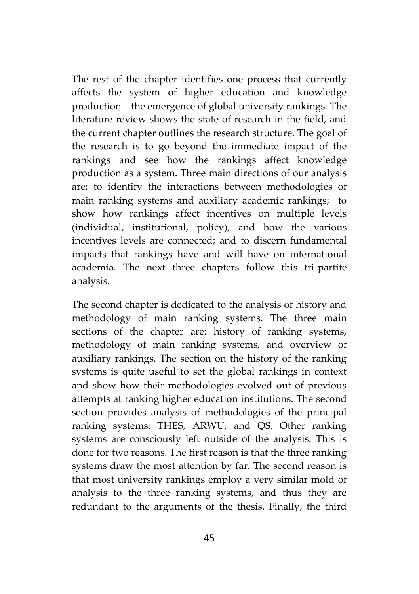The rest of the chapter identifies one process that currently affects the system of higher education and knowledge production – the emergence of global university rankings. The literature review shows the state of research in the field, and the current chapter outlines the research structure. The goal of the research is to go beyond the immediate impact of the rankings and see how the rankings affect knowledge production as a system. Three main directions of our analysis are: to identify the interactions between methodologies of main ranking systems and auxiliary academic rankings; to show how rankings affect incentives on multiple levels (individual, institutional, policy), and how the various incentives levels are connected; and to discern fundamental impacts that rankings have and will have on international academia. The next three chapters follow this tri-partite analysis.

The second chapter is dedicated to the analysis of history and methodology of main ranking systems. The three main sections of the chapter are: history of ranking systems, methodology of main ranking systems, and overview of auxiliary rankings. The section on the history of the ranking systems is quite useful to set the global rankings in context and show how their methodologies evolved out of previous attempts at ranking higher education institutions. The second section provides analysis of methodologies of the principal ranking systems: THES, ARWU, and QS. Other ranking systems are consciously left outside of the analysis. This is done for two reasons. The first reason is that the three ranking systems draw the most attention by far. The second reason is that most university rankings employ a very similar mold of analysis to the three ranking systems, and thus they are redundant to the arguments of the thesis. Finally, the third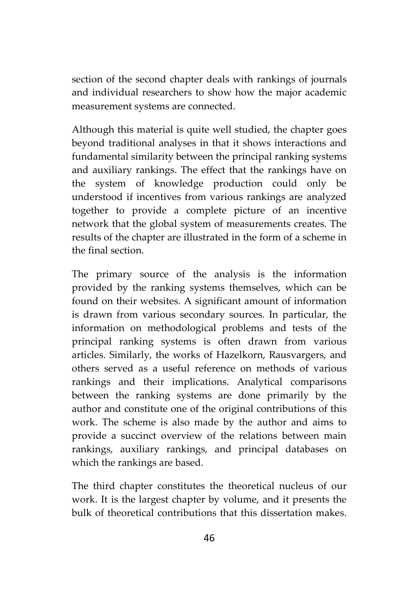section of the second chapter deals with rankings of journals and individual researchers to show how the major academic measurement systems are connected.

Although this material is quite well studied, the chapter goes beyond traditional analyses in that it shows interactions and fundamental similarity between the principal ranking systems and auxiliary rankings. The effect that the rankings have on the system of knowledge production could only be understood if incentives from various rankings are analyzed together to provide a complete picture of an incentive network that the global system of measurements creates. The results of the chapter are illustrated in the form of a scheme in the final section.

The primary source of the analysis is the information provided by the ranking systems themselves, which can be found on their websites. A significant amount of information is drawn from various secondary sources. In particular, the information on methodological problems and tests of the principal ranking systems is often drawn from various articles. Similarly, the works of Hazelkorn, Rausvargers, and others served as a useful reference on methods of various rankings and their implications. Analytical comparisons between the ranking systems are done primarily by the author and constitute one of the original contributions of this work. The scheme is also made by the author and aims to provide a succinct overview of the relations between main rankings, auxiliary rankings, and principal databases on which the rankings are based.

The third chapter constitutes the theoretical nucleus of our work. It is the largest chapter by volume, and it presents the bulk of theoretical contributions that this dissertation makes.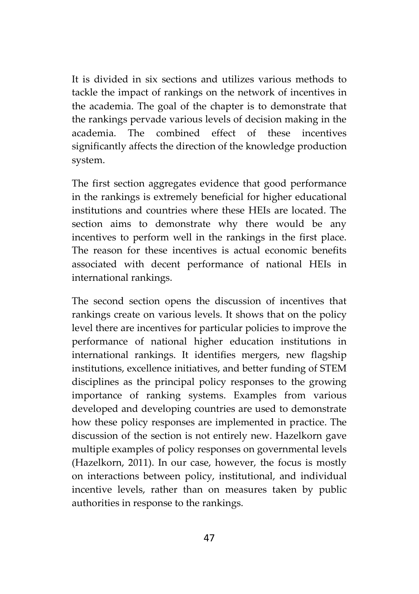It is divided in six sections and utilizes various methods to tackle the impact of rankings on the network of incentives in the academia. The goal of the chapter is to demonstrate that the rankings pervade various levels of decision making in the academia. The combined effect of these incentives significantly affects the direction of the knowledge production system.

The first section aggregates evidence that good performance in the rankings is extremely beneficial for higher educational institutions and countries where these HEIs are located. The section aims to demonstrate why there would be any incentives to perform well in the rankings in the first place. The reason for these incentives is actual economic benefits associated with decent performance of national HEIs in international rankings.

The second section opens the discussion of incentives that rankings create on various levels. It shows that on the policy level there are incentives for particular policies to improve the performance of national higher education institutions in international rankings. It identifies mergers, new flagship institutions, excellence initiatives, and better funding of STEM disciplines as the principal policy responses to the growing importance of ranking systems. Examples from various developed and developing countries are used to demonstrate how these policy responses are implemented in practice. The discussion of the section is not entirely new. Hazelkorn gave multiple examples of policy responses on governmental levels (Hazelkorn, 2011). In our case, however, the focus is mostly on interactions between policy, institutional, and individual incentive levels, rather than on measures taken by public authorities in response to the rankings.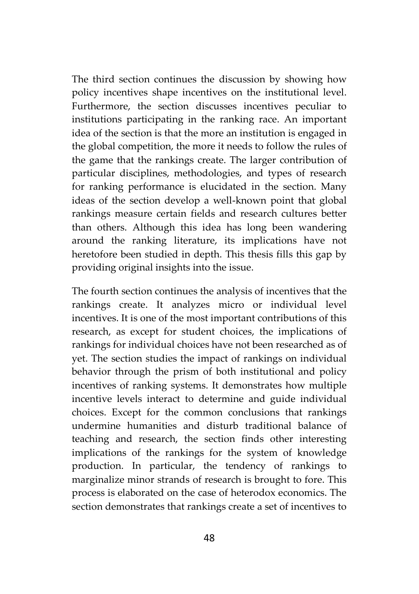The third section continues the discussion by showing how policy incentives shape incentives on the institutional level. Furthermore, the section discusses incentives peculiar to institutions participating in the ranking race. An important idea of the section is that the more an institution is engaged in the global competition, the more it needs to follow the rules of the game that the rankings create. The larger contribution of particular disciplines, methodologies, and types of research for ranking performance is elucidated in the section. Many ideas of the section develop a well-known point that global rankings measure certain fields and research cultures better than others. Although this idea has long been wandering around the ranking literature, its implications have not heretofore been studied in depth. This thesis fills this gap by providing original insights into the issue.

The fourth section continues the analysis of incentives that the rankings create. It analyzes micro or individual level incentives. It is one of the most important contributions of this research, as except for student choices, the implications of rankings for individual choices have not been researched as of yet. The section studies the impact of rankings on individual behavior through the prism of both institutional and policy incentives of ranking systems. It demonstrates how multiple incentive levels interact to determine and guide individual choices. Except for the common conclusions that rankings undermine humanities and disturb traditional balance of teaching and research, the section finds other interesting implications of the rankings for the system of knowledge production. In particular, the tendency of rankings to marginalize minor strands of research is brought to fore. This process is elaborated on the case of heterodox economics. The section demonstrates that rankings create a set of incentives to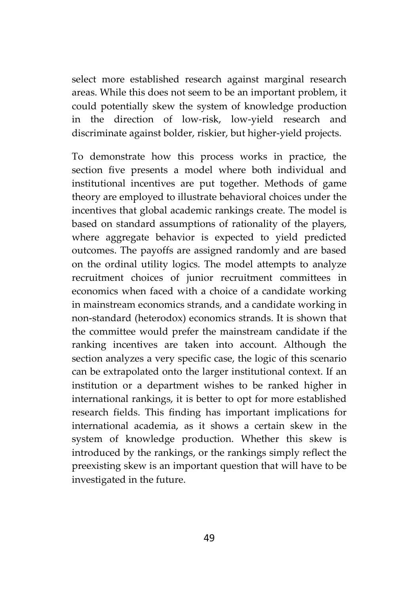select more established research against marginal research areas. While this does not seem to be an important problem, it could potentially skew the system of knowledge production in the direction of low-risk, low-yield research and discriminate against bolder, riskier, but higher-yield projects.

To demonstrate how this process works in practice, the section five presents a model where both individual and institutional incentives are put together. Methods of game theory are employed to illustrate behavioral choices under the incentives that global academic rankings create. The model is based on standard assumptions of rationality of the players, where aggregate behavior is expected to yield predicted outcomes. The payoffs are assigned randomly and are based on the ordinal utility logics. The model attempts to analyze recruitment choices of junior recruitment committees in economics when faced with a choice of a candidate working in mainstream economics strands, and a candidate working in non-standard (heterodox) economics strands. It is shown that the committee would prefer the mainstream candidate if the ranking incentives are taken into account. Although the section analyzes a very specific case, the logic of this scenario can be extrapolated onto the larger institutional context. If an institution or a department wishes to be ranked higher in international rankings, it is better to opt for more established research fields. This finding has important implications for international academia, as it shows a certain skew in the system of knowledge production. Whether this skew is introduced by the rankings, or the rankings simply reflect the preexisting skew is an important question that will have to be investigated in the future.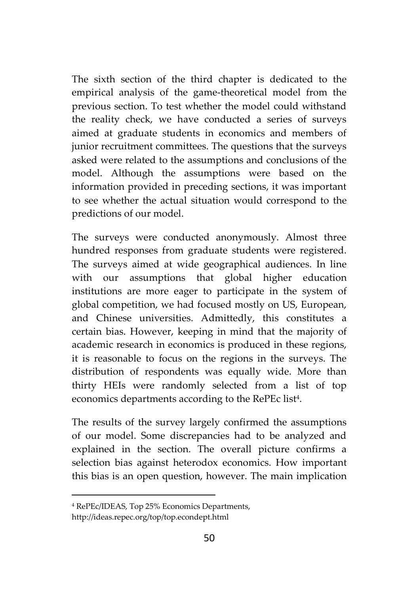The sixth section of the third chapter is dedicated to the empirical analysis of the game-theoretical model from the previous section. To test whether the model could withstand the reality check, we have conducted a series of surveys aimed at graduate students in economics and members of junior recruitment committees. The questions that the surveys asked were related to the assumptions and conclusions of the model. Although the assumptions were based on the information provided in preceding sections, it was important to see whether the actual situation would correspond to the predictions of our model.

The surveys were conducted anonymously. Almost three hundred responses from graduate students were registered. The surveys aimed at wide geographical audiences. In line with our assumptions that global higher education institutions are more eager to participate in the system of global competition, we had focused mostly on US, European, and Chinese universities. Admittedly, this constitutes a certain bias. However, keeping in mind that the majority of academic research in economics is produced in these regions, it is reasonable to focus on the regions in the surveys. The distribution of respondents was equally wide. More than thirty HEIs were randomly selected from a list of top economics departments according to the RePEc list<sup>4</sup> .

The results of the survey largely confirmed the assumptions of our model. Some discrepancies had to be analyzed and explained in the section. The overall picture confirms a selection bias against heterodox economics. How important this bias is an open question, however. The main implication

<sup>4</sup> RePEc/IDEAS, Top 25% Economics Departments,

http://ideas.repec.org/top/top.econdept.html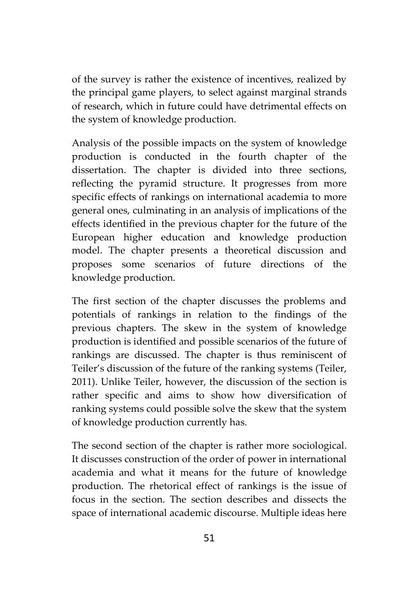of the survey is rather the existence of incentives, realized by the principal game players, to select against marginal strands of research, which in future could have detrimental effects on the system of knowledge production.

Analysis of the possible impacts on the system of knowledge production is conducted in the fourth chapter of the dissertation. The chapter is divided into three sections, reflecting the pyramid structure. It progresses from more specific effects of rankings on international academia to more general ones, culminating in an analysis of implications of the effects identified in the previous chapter for the future of the European higher education and knowledge production model. The chapter presents a theoretical discussion and proposes some scenarios of future directions of the knowledge production.

The first section of the chapter discusses the problems and potentials of rankings in relation to the findings of the previous chapters. The skew in the system of knowledge production is identified and possible scenarios of the future of rankings are discussed. The chapter is thus reminiscent of Teiler's discussion of the future of the ranking systems (Teiler, 2011). Unlike Teiler, however, the discussion of the section is rather specific and aims to show how diversification of ranking systems could possible solve the skew that the system of knowledge production currently has.

The second section of the chapter is rather more sociological. It discusses construction of the order of power in international academia and what it means for the future of knowledge production. The rhetorical effect of rankings is the issue of focus in the section. The section describes and dissects the space of international academic discourse. Multiple ideas here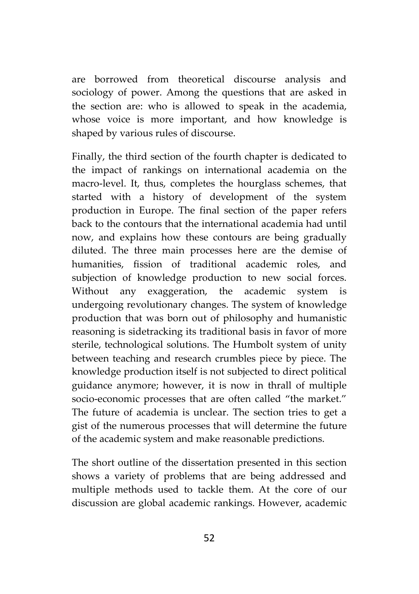are borrowed from theoretical discourse analysis and sociology of power. Among the questions that are asked in the section are: who is allowed to speak in the academia, whose voice is more important, and how knowledge is shaped by various rules of discourse.

Finally, the third section of the fourth chapter is dedicated to the impact of rankings on international academia on the macro-level. It, thus, completes the hourglass schemes, that started with a history of development of the system production in Europe. The final section of the paper refers back to the contours that the international academia had until now, and explains how these contours are being gradually diluted. The three main processes here are the demise of humanities, fission of traditional academic roles, and subjection of knowledge production to new social forces. Without any exaggeration, the academic system is undergoing revolutionary changes. The system of knowledge production that was born out of philosophy and humanistic reasoning is sidetracking its traditional basis in favor of more sterile, technological solutions. The Humbolt system of unity between teaching and research crumbles piece by piece. The knowledge production itself is not subjected to direct political guidance anymore; however, it is now in thrall of multiple socio-economic processes that are often called "the market." The future of academia is unclear. The section tries to get a gist of the numerous processes that will determine the future of the academic system and make reasonable predictions.

The short outline of the dissertation presented in this section shows a variety of problems that are being addressed and multiple methods used to tackle them. At the core of our discussion are global academic rankings. However, academic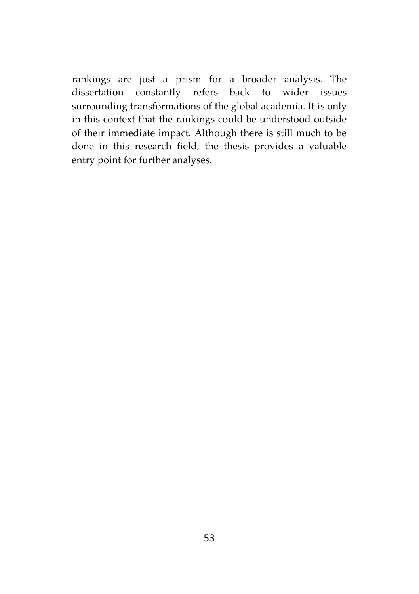rankings are just a prism for a broader analysis. The dissertation constantly refers back to wider issues surrounding transformations of the global academia. It is only in this context that the rankings could be understood outside of their immediate impact. Although there is still much to be done in this research field, the thesis provides a valuable entry point for further analyses.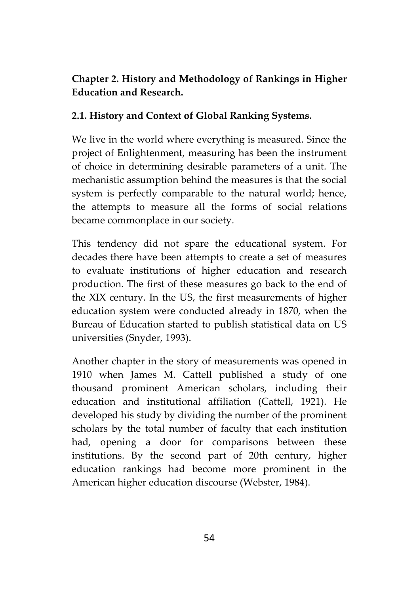## **Chapter 2. History and Methodology of Rankings in Higher Education and Research.**

## **2.1. History and Context of Global Ranking Systems.**

We live in the world where everything is measured. Since the project of Enlightenment, measuring has been the instrument of choice in determining desirable parameters of a unit. The mechanistic assumption behind the measures is that the social system is perfectly comparable to the natural world; hence, the attempts to measure all the forms of social relations became commonplace in our society.

This tendency did not spare the educational system. For decades there have been attempts to create a set of measures to evaluate institutions of higher education and research production. The first of these measures go back to the end of the XIX century. In the US, the first measurements of higher education system were conducted already in 1870, when the Bureau of Education started to publish statistical data on US universities (Snyder, 1993).

Another chapter in the story of measurements was opened in 1910 when James M. Cattell published a study of one thousand prominent American scholars, including their education and institutional affiliation (Cattell, 1921). He developed his study by dividing the number of the prominent scholars by the total number of faculty that each institution had, opening a door for comparisons between these institutions. By the second part of 20th century, higher education rankings had become more prominent in the American higher education discourse (Webster, 1984).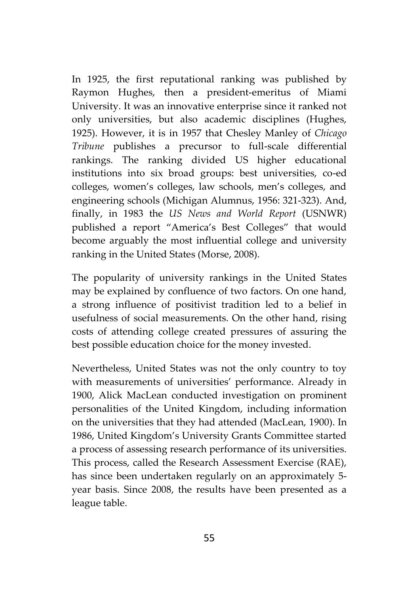In 1925, the first reputational ranking was published by Raymon Hughes, then a president-emeritus of Miami University. It was an innovative enterprise since it ranked not only universities, but also academic disciplines (Hughes, 1925). However, it is in 1957 that Chesley Manley of *Chicago Tribune* publishes a precursor to full-scale differential rankings. The ranking divided US higher educational institutions into six broad groups: best universities, co-ed colleges, women's colleges, law schools, men's colleges, and engineering schools (Michigan Alumnus, 1956: 321-323). And, finally, in 1983 the *US News and World Report* (USNWR) published a report "America's Best Colleges" that would become arguably the most influential college and university ranking in the United States (Morse, 2008).

The popularity of university rankings in the United States may be explained by confluence of two factors. On one hand, a strong influence of positivist tradition led to a belief in usefulness of social measurements. On the other hand, rising costs of attending college created pressures of assuring the best possible education choice for the money invested.

Nevertheless, United States was not the only country to toy with measurements of universities' performance. Already in 1900, Alick MacLean conducted investigation on prominent personalities of the United Kingdom, including information on the universities that they had attended (MacLean, 1900). In 1986, United Kingdom's University Grants Committee started a process of assessing research performance of its universities. This process, called the Research Assessment Exercise (RAE), has since been undertaken regularly on an approximately 5 year basis. Since 2008, the results have been presented as a league table.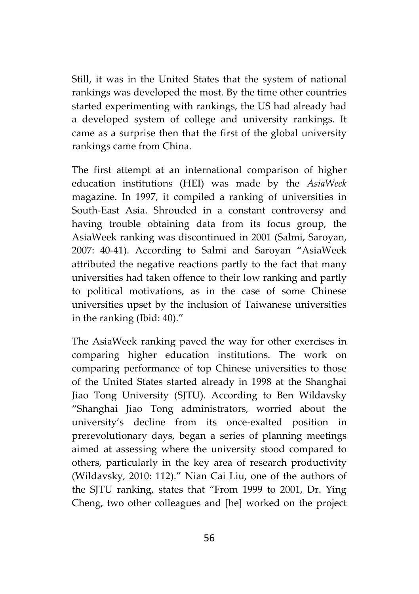Still, it was in the United States that the system of national rankings was developed the most. By the time other countries started experimenting with rankings, the US had already had a developed system of college and university rankings. It came as a surprise then that the first of the global university rankings came from China.

The first attempt at an international comparison of higher education institutions (HEI) was made by the *AsiaWeek* magazine. In 1997, it compiled a ranking of universities in South-East Asia. Shrouded in a constant controversy and having trouble obtaining data from its focus group, the AsiaWeek ranking was discontinued in 2001 (Salmi, Saroyan, 2007: 40-41). According to Salmi and Saroyan "AsiaWeek attributed the negative reactions partly to the fact that many universities had taken offence to their low ranking and partly to political motivations, as in the case of some Chinese universities upset by the inclusion of Taiwanese universities in the ranking (Ibid: 40)."

The AsiaWeek ranking paved the way for other exercises in comparing higher education institutions. The work on comparing performance of top Chinese universities to those of the United States started already in 1998 at the Shanghai Jiao Tong University (SJTU). According to Ben Wildavsky "Shanghai Jiao Tong administrators, worried about the university's decline from its once-exalted position in prerevolutionary days, began a series of planning meetings aimed at assessing where the university stood compared to others, particularly in the key area of research productivity (Wildavsky, 2010: 112)." Nian Cai Liu, one of the authors of the SJTU ranking, states that "From 1999 to 2001, Dr. Ying Cheng, two other colleagues and [he] worked on the project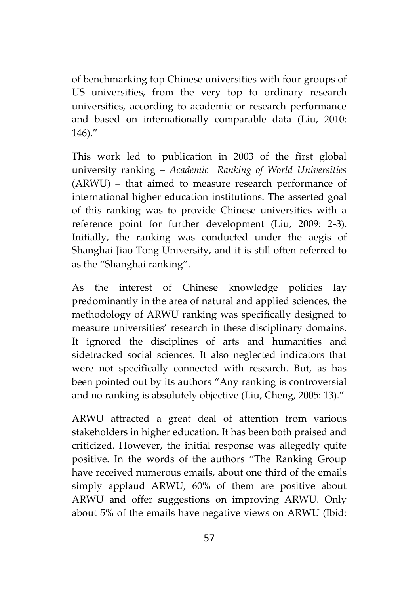of benchmarking top Chinese universities with four groups of US universities, from the very top to ordinary research universities, according to academic or research performance and based on internationally comparable data (Liu, 2010: 146)."

This work led to publication in 2003 of the first global university ranking – *Academic Ranking of World Universities* (ARWU) – that aimed to measure research performance of international higher education institutions. The asserted goal of this ranking was to provide Chinese universities with a reference point for further development (Liu, 2009: 2-3). Initially, the ranking was conducted under the aegis of Shanghai Jiao Tong University, and it is still often referred to as the "Shanghai ranking".

As the interest of Chinese knowledge policies lay predominantly in the area of natural and applied sciences, the methodology of ARWU ranking was specifically designed to measure universities' research in these disciplinary domains. It ignored the disciplines of arts and humanities and sidetracked social sciences. It also neglected indicators that were not specifically connected with research. But, as has been pointed out by its authors "Any ranking is controversial and no ranking is absolutely objective (Liu, Cheng, 2005: 13)."

ARWU attracted a great deal of attention from various stakeholders in higher education. It has been both praised and criticized. However, the initial response was allegedly quite positive. In the words of the authors "The Ranking Group have received numerous emails, about one third of the emails simply applaud ARWU, 60% of them are positive about ARWU and offer suggestions on improving ARWU. Only about 5% of the emails have negative views on ARWU (Ibid: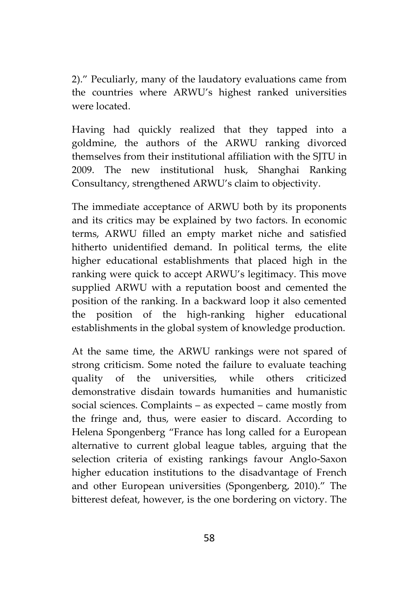2)." Peculiarly, many of the laudatory evaluations came from the countries where ARWU's highest ranked universities were located.

Having had quickly realized that they tapped into a goldmine, the authors of the ARWU ranking divorced themselves from their institutional affiliation with the SJTU in 2009. The new institutional husk, Shanghai Ranking Consultancy, strengthened ARWU's claim to objectivity.

The immediate acceptance of ARWU both by its proponents and its critics may be explained by two factors. In economic terms, ARWU filled an empty market niche and satisfied hitherto unidentified demand. In political terms, the elite higher educational establishments that placed high in the ranking were quick to accept ARWU's legitimacy. This move supplied ARWU with a reputation boost and cemented the position of the ranking. In a backward loop it also cemented the position of the high-ranking higher educational establishments in the global system of knowledge production.

At the same time, the ARWU rankings were not spared of strong criticism. Some noted the failure to evaluate teaching quality of the universities, while others criticized demonstrative disdain towards humanities and humanistic social sciences. Complaints – as expected – came mostly from the fringe and, thus, were easier to discard. According to Helena Spongenberg "France has long called for a European alternative to current global league tables, arguing that the selection criteria of existing rankings favour Anglo-Saxon higher education institutions to the disadvantage of French and other European universities (Spongenberg, 2010)." The bitterest defeat, however, is the one bordering on victory. The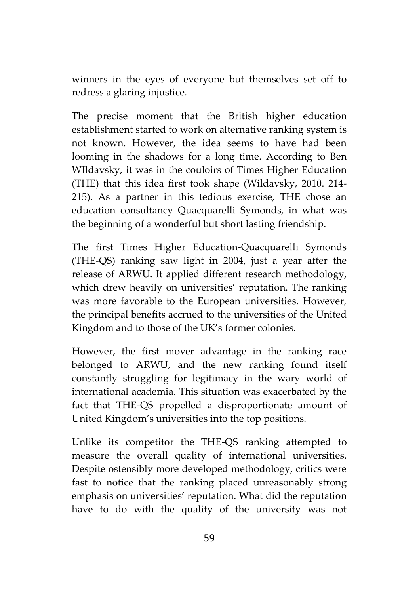winners in the eyes of everyone but themselves set off to redress a glaring injustice.

The precise moment that the British higher education establishment started to work on alternative ranking system is not known. However, the idea seems to have had been looming in the shadows for a long time. According to Ben WIldavsky, it was in the couloirs of Times Higher Education (THE) that this idea first took shape (Wildavsky, 2010. 214- 215). As a partner in this tedious exercise, THE chose an education consultancy Quacquarelli Symonds, in what was the beginning of a wonderful but short lasting friendship.

The first Times Higher Education-Quacquarelli Symonds (THE-QS) ranking saw light in 2004, just a year after the release of ARWU. It applied different research methodology, which drew heavily on universities' reputation. The ranking was more favorable to the European universities. However, the principal benefits accrued to the universities of the United Kingdom and to those of the UK's former colonies.

However, the first mover advantage in the ranking race belonged to ARWU, and the new ranking found itself constantly struggling for legitimacy in the wary world of international academia. This situation was exacerbated by the fact that THE-QS propelled a disproportionate amount of United Kingdom's universities into the top positions.

Unlike its competitor the THE-QS ranking attempted to measure the overall quality of international universities. Despite ostensibly more developed methodology, critics were fast to notice that the ranking placed unreasonably strong emphasis on universities' reputation. What did the reputation have to do with the quality of the university was not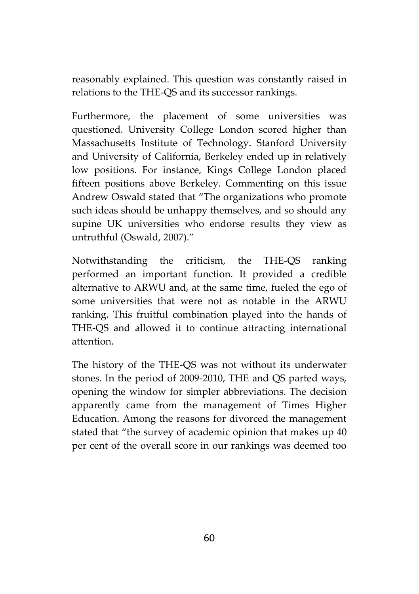reasonably explained. This question was constantly raised in relations to the THE-QS and its successor rankings.

Furthermore, the placement of some universities was questioned. University College London scored higher than Massachusetts Institute of Technology. Stanford University and University of California, Berkeley ended up in relatively low positions. For instance, Kings College London placed fifteen positions above Berkeley. Commenting on this issue Andrew Oswald stated that "The organizations who promote such ideas should be unhappy themselves, and so should any supine UK universities who endorse results they view as untruthful (Oswald, 2007)."

Notwithstanding the criticism, the THE-QS ranking performed an important function. It provided a credible alternative to ARWU and, at the same time, fueled the ego of some universities that were not as notable in the ARWU ranking. This fruitful combination played into the hands of THE-QS and allowed it to continue attracting international attention.

The history of the THE-QS was not without its underwater stones. In the period of 2009-2010, THE and QS parted ways, opening the window for simpler abbreviations. The decision apparently came from the management of Times Higher Education. Among the reasons for divorced the management stated that "the survey of academic opinion that makes up 40 per cent of the overall score in our rankings was deemed too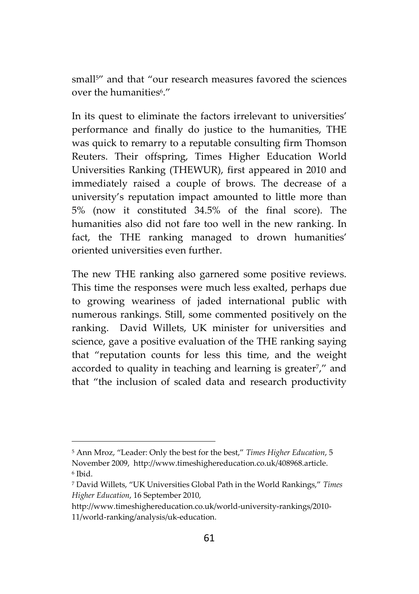small<sup>5"</sup> and that "our research measures favored the sciences over the humanities<sup>6</sup>."

In its quest to eliminate the factors irrelevant to universities' performance and finally do justice to the humanities, THE was quick to remarry to a reputable consulting firm Thomson Reuters. Their offspring, Times Higher Education World Universities Ranking (THEWUR), first appeared in 2010 and immediately raised a couple of brows. The decrease of a university's reputation impact amounted to little more than 5% (now it constituted 34.5% of the final score). The humanities also did not fare too well in the new ranking. In fact, the THE ranking managed to drown humanities' oriented universities even further.

The new THE ranking also garnered some positive reviews. This time the responses were much less exalted, perhaps due to growing weariness of jaded international public with numerous rankings. Still, some commented positively on the ranking. David Willets, UK minister for universities and science, gave a positive evaluation of the THE ranking saying that "reputation counts for less this time, and the weight accorded to quality in teaching and learning is greater<sup>7</sup>," and that "the inclusion of scaled data and research productivity

<sup>5</sup> Ann Mroz, "Leader: Only the best for the best," *Times Higher Education*, 5 November 2009, http://www.timeshighereducation.co.uk/408968.article. <sup>6</sup> Ibid.

<sup>7</sup> David Willets, "UK Universities Global Path in the World Rankings," *Times Higher Education*, 16 September 2010,

http://www.timeshighereducation.co.uk/world-university-rankings/2010- 11/world-ranking/analysis/uk-education.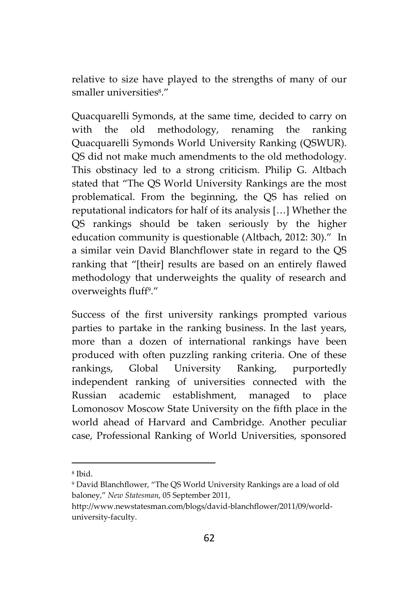relative to size have played to the strengths of many of our smaller universities<sup>8</sup> ."

Quacquarelli Symonds, at the same time, decided to carry on with the old methodology, renaming the ranking Quacquarelli Symonds World University Ranking (QSWUR). QS did not make much amendments to the old methodology. This obstinacy led to a strong criticism. Philip G. Altbach stated that "The QS World University Rankings are the most problematical. From the beginning, the QS has relied on reputational indicators for half of its analysis […] Whether the QS rankings should be taken seriously by the higher education community is questionable (Altbach, 2012: 30)." In a similar vein David Blanchflower state in regard to the QS ranking that "[their] results are based on an entirely flawed methodology that underweights the quality of research and overweights fluff<sup>9</sup> ."

Success of the first university rankings prompted various parties to partake in the ranking business. In the last years, more than a dozen of international rankings have been produced with often puzzling ranking criteria. One of these rankings, Global University Ranking, purportedly independent ranking of universities connected with the Russian academic establishment, managed to place Lomonosov Moscow State University on the fifth place in the world ahead of Harvard and Cambridge. Another peculiar case, Professional Ranking of World Universities, sponsored

<sup>8</sup> Ibid.

<sup>9</sup> David Blanchflower, "The QS World University Rankings are a load of old baloney," *New Statesman*, 05 September 2011,

http://www.newstatesman.com/blogs/david-blanchflower/2011/09/world university-faculty.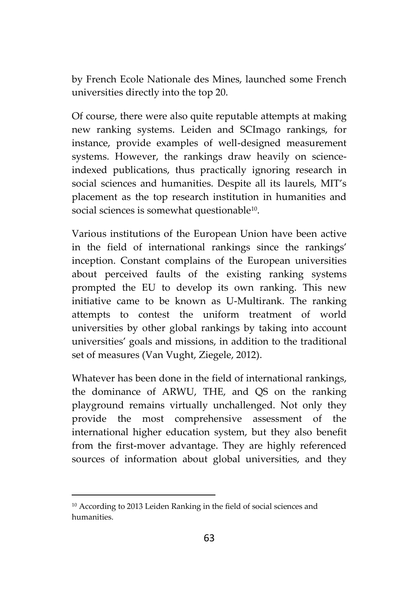by French Ecole Nationale des Mines, launched some French universities directly into the top 20.

Of course, there were also quite reputable attempts at making new ranking systems. Leiden and SCImago rankings, for instance, provide examples of well-designed measurement systems. However, the rankings draw heavily on scienceindexed publications, thus practically ignoring research in social sciences and humanities. Despite all its laurels, MIT's placement as the top research institution in humanities and social sciences is somewhat questionable<sup>10</sup> .

Various institutions of the European Union have been active in the field of international rankings since the rankings' inception. Constant complains of the European universities about perceived faults of the existing ranking systems prompted the EU to develop its own ranking. This new initiative came to be known as U-Multirank. The ranking attempts to contest the uniform treatment of world universities by other global rankings by taking into account universities' goals and missions, in addition to the traditional set of measures (Van Vught, Ziegele, 2012).

Whatever has been done in the field of international rankings, the dominance of ARWU, THE, and QS on the ranking playground remains virtually unchallenged. Not only they provide the most comprehensive assessment of the international higher education system, but they also benefit from the first-mover advantage. They are highly referenced sources of information about global universities, and they

<sup>10</sup> According to 2013 Leiden Ranking in the field of social sciences and humanities.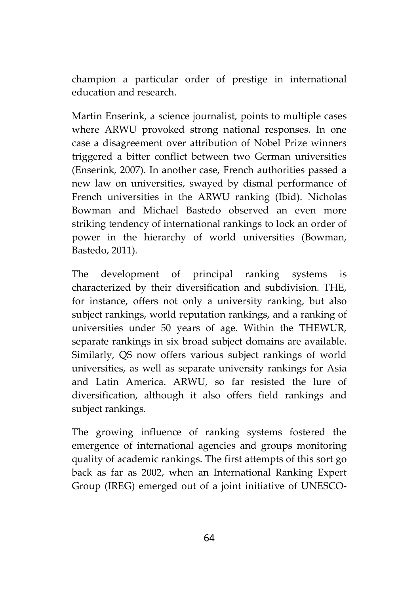champion a particular order of prestige in international education and research.

Martin Enserink, a science journalist, points to multiple cases where ARWU provoked strong national responses. In one case a disagreement over attribution of Nobel Prize winners triggered a bitter conflict between two German universities (Enserink, 2007). In another case, French authorities passed a new law on universities, swayed by dismal performance of French universities in the ARWU ranking (Ibid). Nicholas Bowman and Michael Bastedo observed an even more striking tendency of international rankings to lock an order of power in the hierarchy of world universities (Bowman, Bastedo, 2011).

The development of principal ranking systems is characterized by their diversification and subdivision. THE, for instance, offers not only a university ranking, but also subject rankings, world reputation rankings, and a ranking of universities under 50 years of age. Within the THEWUR, separate rankings in six broad subject domains are available. Similarly, QS now offers various subject rankings of world universities, as well as separate university rankings for Asia and Latin America. ARWU, so far resisted the lure of diversification, although it also offers field rankings and subject rankings.

The growing influence of ranking systems fostered the emergence of international agencies and groups monitoring quality of academic rankings. The first attempts of this sort go back as far as 2002, when an International Ranking Expert Group (IREG) emerged out of a joint initiative of UNESCO-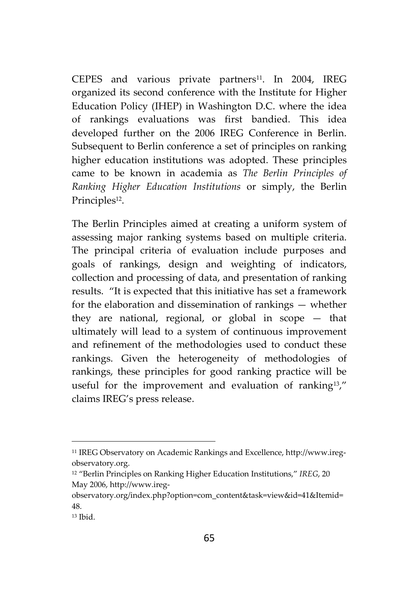CEPES and various private partners<sup>11</sup>. In 2004, IREG organized its second conference with the Institute for Higher Education Policy (IHEP) in Washington D.C. where the idea of rankings evaluations was first bandied. This idea developed further on the 2006 IREG Conference in Berlin. Subsequent to Berlin conference a set of principles on ranking higher education institutions was adopted. These principles came to be known in academia as *The Berlin Principles of Ranking Higher Education Institutions* or simply, the Berlin Principles<sup>12</sup>.

The Berlin Principles aimed at creating a uniform system of assessing major ranking systems based on multiple criteria. The principal criteria of evaluation include purposes and goals of rankings, design and weighting of indicators, collection and processing of data, and presentation of ranking results. "It is expected that this initiative has set a framework for the elaboration and dissemination of rankings — whether they are national, regional, or global in scope — that ultimately will lead to a system of continuous improvement and refinement of the methodologies used to conduct these rankings. Given the heterogeneity of methodologies of rankings, these principles for good ranking practice will be useful for the improvement and evaluation of ranking13," claims IREG's press release.

<sup>11</sup> IREG Observatory on Academic Rankings and Excellence, http://www.ireg observatory.org.

<sup>12</sup> "Berlin Principles on Ranking Higher Education Institutions," *IREG*, 20 May 2006, http://www.ireg-

observatory.org/index.php?option=com\_content&task=view&id=41&Itemid= 48.

 $13$  Ibid.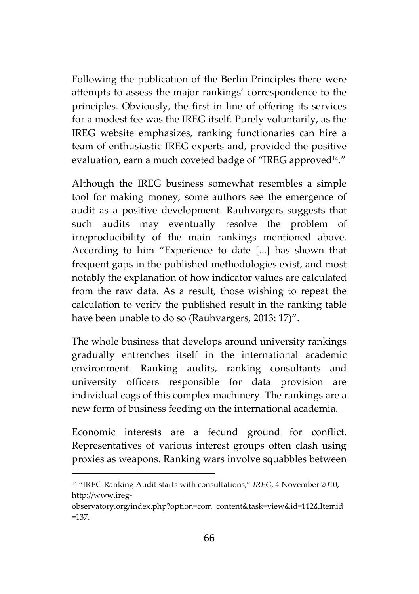Following the publication of the Berlin Principles there were attempts to assess the major rankings' correspondence to the principles. Obviously, the first in line of offering its services for a modest fee was the IREG itself. Purely voluntarily, as the IREG website emphasizes, ranking functionaries can hire a team of enthusiastic IREG experts and, provided the positive evaluation, earn a much coveted badge of "IREG approved<sup>14</sup>."

Although the IREG business somewhat resembles a simple tool for making money, some authors see the emergence of audit as a positive development. Rauhvargers suggests that such audits may eventually resolve the problem of irreproducibility of the main rankings mentioned above. According to him "Experience to date [...] has shown that frequent gaps in the published methodologies exist, and most notably the explanation of how indicator values are calculated from the raw data. As a result, those wishing to repeat the calculation to verify the published result in the ranking table have been unable to do so (Rauhvargers, 2013: 17)".

The whole business that develops around university rankings gradually entrenches itself in the international academic environment. Ranking audits, ranking consultants and university officers responsible for data provision are individual cogs of this complex machinery. The rankings are a new form of business feeding on the international academia.

Economic interests are a fecund ground for conflict. Representatives of various interest groups often clash using proxies as weapons. Ranking wars involve squabbles between

<sup>14</sup> "IREG Ranking Audit starts with consultations," *IREG*, 4 November 2010, http://www.ireg-

observatory.org/index.php?option=com\_content&task=view&id=112&Itemid =137.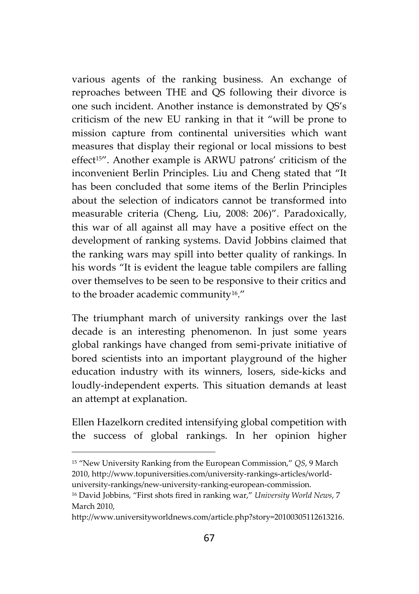various agents of the ranking business. An exchange of reproaches between THE and QS following their divorce is one such incident. Another instance is demonstrated by QS's criticism of the new EU ranking in that it "will be prone to mission capture from continental universities which want measures that display their regional or local missions to best effect15". Another example is ARWU patrons' criticism of the inconvenient Berlin Principles. Liu and Cheng stated that "It has been concluded that some items of the Berlin Principles about the selection of indicators cannot be transformed into measurable criteria (Cheng, Liu, 2008: 206)". Paradoxically, this war of all against all may have a positive effect on the development of ranking systems. David Jobbins claimed that the ranking wars may spill into better quality of rankings. In his words "It is evident the league table compilers are falling over themselves to be seen to be responsive to their critics and to the broader academic community<sup>16</sup>."

The triumphant march of university rankings over the last decade is an interesting phenomenon. In just some years global rankings have changed from semi-private initiative of bored scientists into an important playground of the higher education industry with its winners, losers, side-kicks and loudly-independent experts. This situation demands at least an attempt at explanation.

Ellen Hazelkorn credited intensifying global competition with the success of global rankings. In her opinion higher

<sup>15</sup> "New University Ranking from the European Commission," *QS*, 9 March 2010, http://www.topuniversities.com/university-rankings-articles/world university-rankings/new-university-ranking-european-commission.

<sup>16</sup> David Jobbins, "First shots fired in ranking war," *University World News*, 7 March 2010,

http://www.universityworldnews.com/article.php?story=20100305112613216.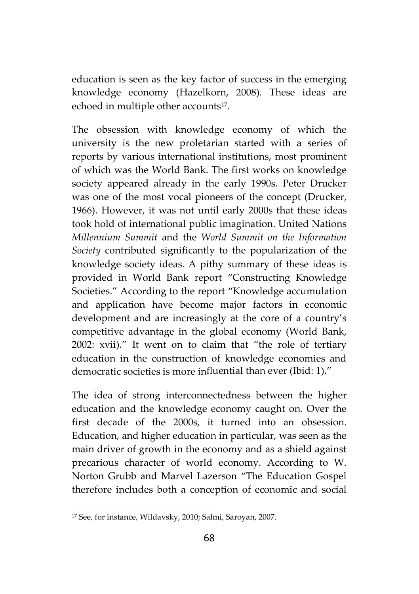education is seen as the key factor of success in the emerging knowledge economy (Hazelkorn, 2008). These ideas are echoed in multiple other accounts<sup>17</sup> .

The obsession with knowledge economy of which the university is the new proletarian started with a series of reports by various international institutions, most prominent of which was the World Bank. The first works on knowledge society appeared already in the early 1990s. Peter Drucker was one of the most vocal pioneers of the concept (Drucker, 1966). However, it was not until early 2000s that these ideas took hold of international public imagination. United Nations *Millennium Summit* and the *World Summit on the Information Society* contributed significantly to the popularization of the knowledge society ideas. A pithy summary of these ideas is provided in World Bank report "Constructing Knowledge Societies." According to the report "Knowledge accumulation and application have become major factors in economic development and are increasingly at the core of a country's competitive advantage in the global economy (World Bank, 2002: xvii)." It went on to claim that "the role of tertiary education in the construction of knowledge economies and democratic societies is more influential than ever (Ibid: 1)."

The idea of strong interconnectedness between the higher education and the knowledge economy caught on. Over the first decade of the 2000s, it turned into an obsession. Education, and higher education in particular, was seen as the main driver of growth in the economy and as a shield against precarious character of world economy. According to W. Norton Grubb and Marvel Lazerson "The Education Gospel therefore includes both a conception of economic and social

<sup>17</sup> See, for instance, Wildavsky, 2010; Salmi, Saroyan, 2007.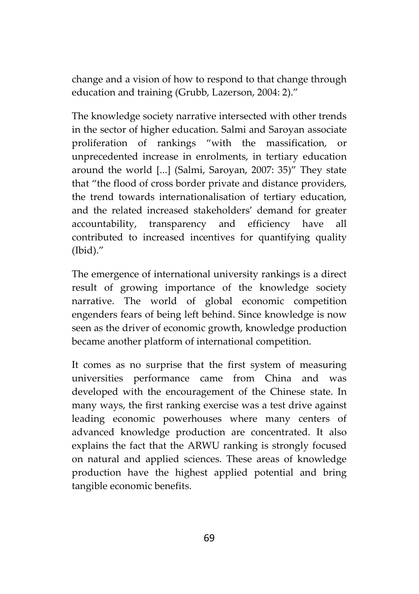change and a vision of how to respond to that change through education and training (Grubb, Lazerson, 2004: 2)."

The knowledge society narrative intersected with other trends in the sector of higher education. Salmi and Saroyan associate proliferation of rankings "with the massification, or unprecedented increase in enrolments, in tertiary education around the world [...] (Salmi, Saroyan, 2007: 35)" They state that "the flood of cross border private and distance providers, the trend towards internationalisation of tertiary education, and the related increased stakeholders' demand for greater accountability, transparency and efficiency have all contributed to increased incentives for quantifying quality (Ibid)."

The emergence of international university rankings is a direct result of growing importance of the knowledge society narrative. The world of global economic competition engenders fears of being left behind. Since knowledge is now seen as the driver of economic growth, knowledge production became another platform of international competition.

It comes as no surprise that the first system of measuring universities performance came from China and was developed with the encouragement of the Chinese state. In many ways, the first ranking exercise was a test drive against leading economic powerhouses where many centers of advanced knowledge production are concentrated. It also explains the fact that the ARWU ranking is strongly focused on natural and applied sciences. These areas of knowledge production have the highest applied potential and bring tangible economic benefits.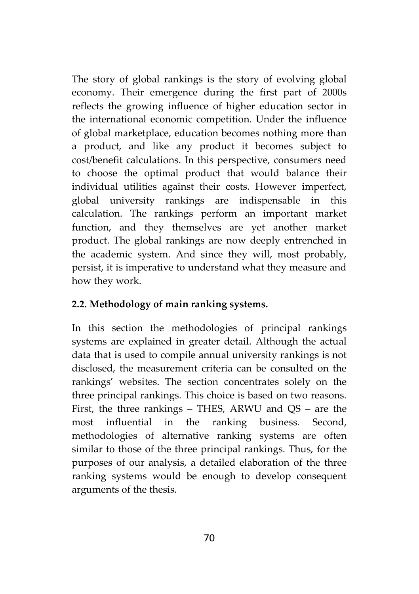The story of global rankings is the story of evolving global economy. Their emergence during the first part of 2000s reflects the growing influence of higher education sector in the international economic competition. Under the influence of global marketplace, education becomes nothing more than a product, and like any product it becomes subject to cost/benefit calculations. In this perspective, consumers need to choose the optimal product that would balance their individual utilities against their costs. However imperfect, global university rankings are indispensable in this calculation. The rankings perform an important market function, and they themselves are yet another market product. The global rankings are now deeply entrenched in the academic system. And since they will, most probably, persist, it is imperative to understand what they measure and how they work.

## **2.2. Methodology of main ranking systems.**

In this section the methodologies of principal rankings systems are explained in greater detail. Although the actual data that is used to compile annual university rankings is not disclosed, the measurement criteria can be consulted on the rankings' websites. The section concentrates solely on the three principal rankings. This choice is based on two reasons. First, the three rankings – THES, ARWU and QS – are the most influential in the ranking business. Second, methodologies of alternative ranking systems are often similar to those of the three principal rankings. Thus, for the purposes of our analysis, a detailed elaboration of the three ranking systems would be enough to develop consequent arguments of the thesis.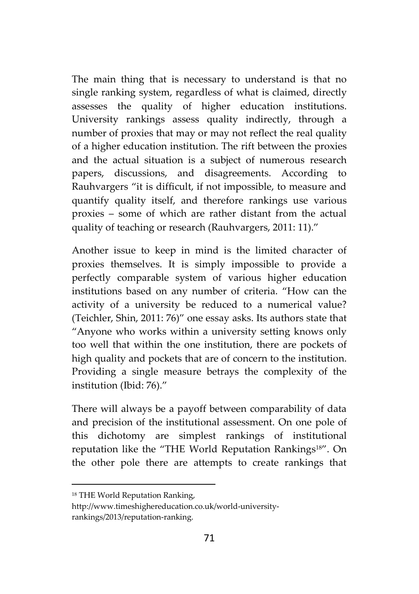The main thing that is necessary to understand is that no single ranking system, regardless of what is claimed, directly assesses the quality of higher education institutions. University rankings assess quality indirectly, through a number of proxies that may or may not reflect the real quality of a higher education institution. The rift between the proxies and the actual situation is a subject of numerous research papers, discussions, and disagreements. According to Rauhvargers "it is difficult, if not impossible, to measure and quantify quality itself, and therefore rankings use various proxies – some of which are rather distant from the actual quality of teaching or research (Rauhvargers, 2011: 11)."

Another issue to keep in mind is the limited character of proxies themselves. It is simply impossible to provide a perfectly comparable system of various higher education institutions based on any number of criteria. "How can the activity of a university be reduced to a numerical value? (Teichler, Shin, 2011: 76)" one essay asks. Its authors state that "Anyone who works within a university setting knows only too well that within the one institution, there are pockets of high quality and pockets that are of concern to the institution. Providing a single measure betrays the complexity of the institution (Ibid: 76)."

There will always be a payoff between comparability of data and precision of the institutional assessment. On one pole of this dichotomy are simplest rankings of institutional reputation like the "THE World Reputation Rankings<sup>18"</sup>. On the other pole there are attempts to create rankings that

<sup>18</sup> THE World Reputation Ranking,

http://www.timeshighereducation.co.uk/world-university rankings/2013/reputation-ranking.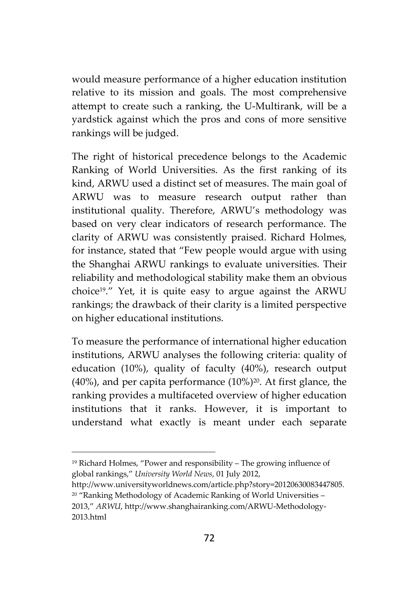would measure performance of a higher education institution relative to its mission and goals. The most comprehensive attempt to create such a ranking, the U-Multirank, will be a yardstick against which the pros and cons of more sensitive rankings will be judged.

The right of historical precedence belongs to the Academic Ranking of World Universities. As the first ranking of its kind, ARWU used a distinct set of measures. The main goal of ARWU was to measure research output rather than institutional quality. Therefore, ARWU's methodology was based on very clear indicators of research performance. The clarity of ARWU was consistently praised. Richard Holmes, for instance, stated that "Few people would argue with using the Shanghai ARWU rankings to evaluate universities. Their reliability and methodological stability make them an obvious choice19." Yet, it is quite easy to argue against the ARWU rankings; the drawback of their clarity is a limited perspective on higher educational institutions.

To measure the performance of international higher education institutions, ARWU analyses the following criteria: quality of education (10%), quality of faculty (40%), research output (40%), and per capita performance  $(10\%)^{20}$ . At first glance, the ranking provides a multifaceted overview of higher education institutions that it ranks. However, it is important to understand what exactly is meant under each separate

<sup>19</sup> Richard Holmes, "Power and responsibility – The growing influence of global rankings," *University World News*, 01 July 2012,

http://www.universityworldnews.com/article.php?story=20120630083447805. <sup>20</sup> "Ranking Methodology of Academic Ranking of World Universities – 2013," *ARWU*, http://www.shanghairanking.com/ARWU-Methodology- 2013.html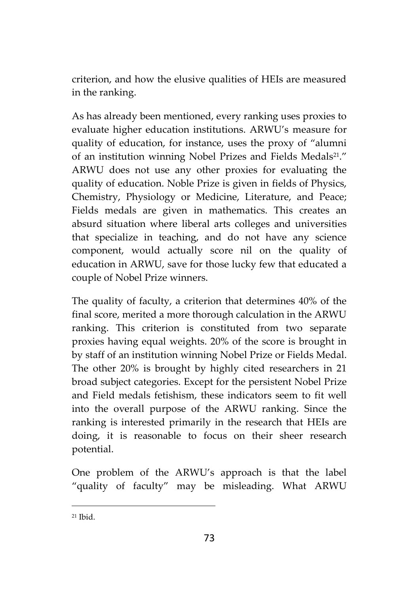criterion, and how the elusive qualities of HEIs are measured in the ranking.

As has already been mentioned, every ranking uses proxies to evaluate higher education institutions. ARWU's measure for quality of education, for instance, uses the proxy of "alumni of an institution winning Nobel Prizes and Fields Medals<sup>21</sup>." ARWU does not use any other proxies for evaluating the quality of education. Noble Prize is given in fields of Physics, Chemistry, Physiology or Medicine, Literature, and Peace; Fields medals are given in mathematics. This creates an absurd situation where liberal arts colleges and universities that specialize in teaching, and do not have any science component, would actually score nil on the quality of education in ARWU, save for those lucky few that educated a couple of Nobel Prize winners.

The quality of faculty, a criterion that determines 40% of the final score, merited a more thorough calculation in the ARWU ranking. This criterion is constituted from two separate proxies having equal weights. 20% of the score is brought in by staff of an institution winning Nobel Prize or Fields Medal. The other 20% is brought by highly cited researchers in 21 broad subject categories. Except for the persistent Nobel Prize and Field medals fetishism, these indicators seem to fit well into the overall purpose of the ARWU ranking. Since the ranking is interested primarily in the research that HEIs are doing, it is reasonable to focus on their sheer research potential.

One problem of the ARWU's approach is that the label "quality of faculty" may be misleading. What ARWU

 $21$  Ibid.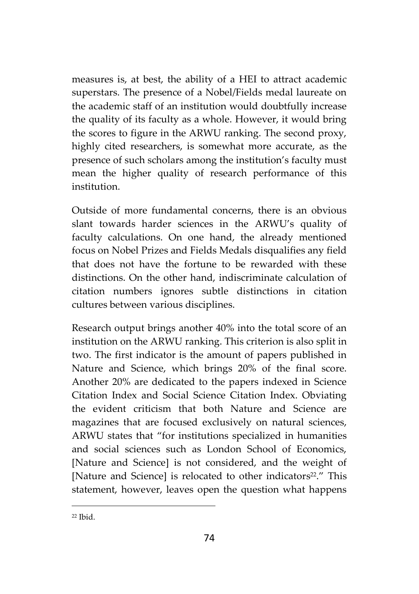measures is, at best, the ability of a HEI to attract academic superstars. The presence of a Nobel/Fields medal laureate on the academic staff of an institution would doubtfully increase the quality of its faculty as a whole. However, it would bring the scores to figure in the ARWU ranking. The second proxy, highly cited researchers, is somewhat more accurate, as the presence of such scholars among the institution's faculty must mean the higher quality of research performance of this institution.

Outside of more fundamental concerns, there is an obvious slant towards harder sciences in the ARWU's quality of faculty calculations. On one hand, the already mentioned focus on Nobel Prizes and Fields Medals disqualifies any field that does not have the fortune to be rewarded with these distinctions. On the other hand, indiscriminate calculation of citation numbers ignores subtle distinctions in citation cultures between various disciplines.

Research output brings another 40% into the total score of an institution on the ARWU ranking. This criterion is also split in two. The first indicator is the amount of papers published in Nature and Science, which brings 20% of the final score. Another 20% are dedicated to the papers indexed in Science Citation Index and Social Science Citation Index. Obviating the evident criticism that both Nature and Science are magazines that are focused exclusively on natural sciences, ARWU states that "for institutions specialized in humanities and social sciences such as London School of Economics, [Nature and Science] is not considered, and the weight of [Nature and Science] is relocated to other indicators <sup>22</sup>." This statement, however, leaves open the question what happens

 $22$  Ibid.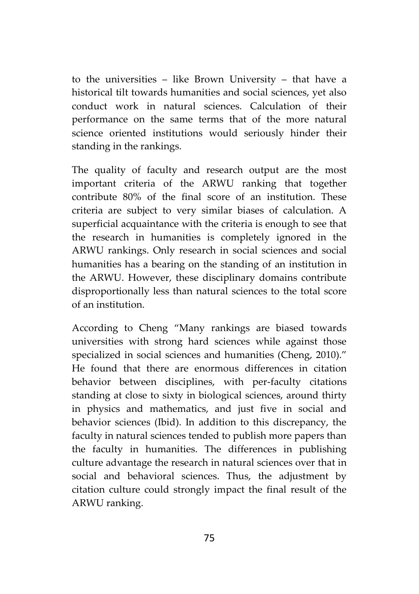to the universities – like Brown University – that have a historical tilt towards humanities and social sciences, yet also conduct work in natural sciences. Calculation of their performance on the same terms that of the more natural science oriented institutions would seriously hinder their standing in the rankings.

The quality of faculty and research output are the most important criteria of the ARWU ranking that together contribute 80% of the final score of an institution. These criteria are subject to very similar biases of calculation. A superficial acquaintance with the criteria is enough to see that the research in humanities is completely ignored in the ARWU rankings. Only research in social sciences and social humanities has a bearing on the standing of an institution in the ARWU. However, these disciplinary domains contribute disproportionally less than natural sciences to the total score of an institution.

According to Cheng "Many rankings are biased towards universities with strong hard sciences while against those specialized in social sciences and humanities (Cheng, 2010)." He found that there are enormous differences in citation behavior between disciplines, with per-faculty citations standing at close to sixty in biological sciences, around thirty in physics and mathematics, and just five in social and behavior sciences (Ibid). In addition to this discrepancy, the faculty in natural sciences tended to publish more papers than the faculty in humanities. The differences in publishing culture advantage the research in natural sciences over that in social and behavioral sciences. Thus, the adjustment by citation culture could strongly impact the final result of the ARWU ranking.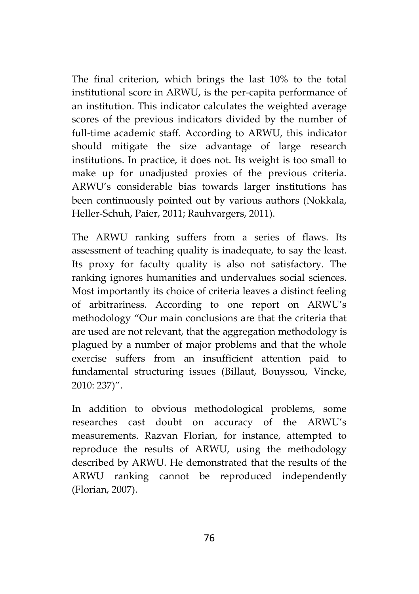The final criterion, which brings the last 10% to the total institutional score in ARWU, is the per-capita performance of an institution. This indicator calculates the weighted average scores of the previous indicators divided by the number of full-time academic staff. According to ARWU, this indicator should mitigate the size advantage of large research institutions. In practice, it does not. Its weight is too small to make up for unadjusted proxies of the previous criteria. ARWU's considerable bias towards larger institutions has been continuously pointed out by various authors (Nokkala, Heller-Schuh, Paier, 2011; Rauhvargers, 2011).

The ARWU ranking suffers from a series of flaws. Its assessment of teaching quality is inadequate, to say the least. Its proxy for faculty quality is also not satisfactory. The ranking ignores humanities and undervalues social sciences. Most importantly its choice of criteria leaves a distinct feeling of arbitrariness. According to one report on ARWU's methodology "Our main conclusions are that the criteria that are used are not relevant, that the aggregation methodology is plagued by a number of major problems and that the whole exercise suffers from an insufficient attention paid to fundamental structuring issues (Billaut, Bouyssou, Vincke, 2010: 237)".

In addition to obvious methodological problems, some researches cast doubt on accuracy of the ARWU's measurements. Razvan Florian, for instance, attempted to reproduce the results of ARWU, using the methodology described by ARWU. He demonstrated that the results of the ARWU ranking cannot be reproduced independently (Florian, 2007).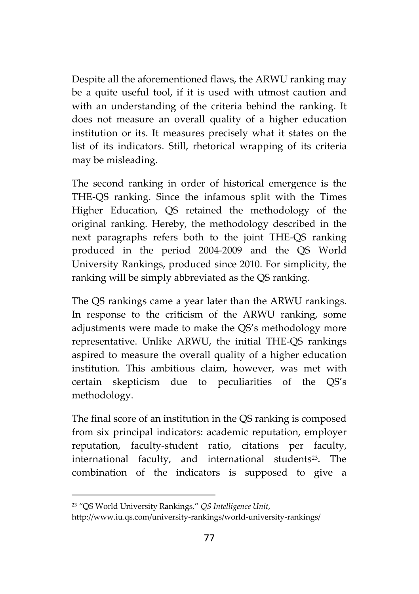Despite all the aforementioned flaws, the ARWU ranking may be a quite useful tool, if it is used with utmost caution and with an understanding of the criteria behind the ranking. It does not measure an overall quality of a higher education institution or its. It measures precisely what it states on the list of its indicators. Still, rhetorical wrapping of its criteria may be misleading.

The second ranking in order of historical emergence is the THE-QS ranking. Since the infamous split with the Times Higher Education, QS retained the methodology of the original ranking. Hereby, the methodology described in the next paragraphs refers both to the joint THE-QS ranking produced in the period 2004-2009 and the QS World University Rankings, produced since 2010. For simplicity, the ranking will be simply abbreviated as the QS ranking.

The QS rankings came a year later than the ARWU rankings. In response to the criticism of the ARWU ranking, some adjustments were made to make the QS's methodology more representative. Unlike ARWU, the initial THE-QS rankings aspired to measure the overall quality of a higher education institution. This ambitious claim, however, was met with certain skepticism due to peculiarities of the QS's methodology.

The final score of an institution in the QS ranking is composed from six principal indicators: academic reputation, employer reputation, faculty-student ratio, citations per faculty, international faculty, and international students<sup>23</sup>. The combination of the indicators is supposed to give a

<sup>23</sup> "QS World University Rankings," *QS Intelligence Unit*,

http://www.iu.qs.com/university-rankings/world-university-rankings/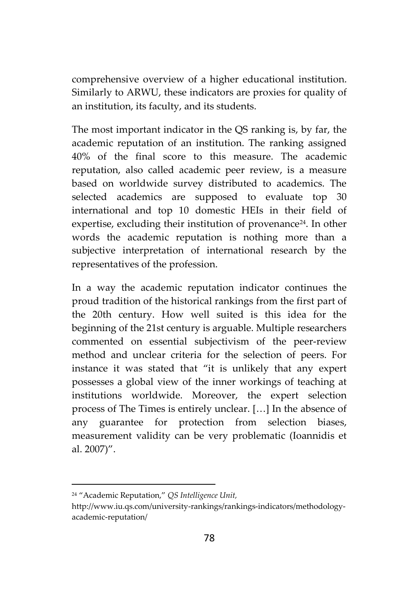comprehensive overview of a higher educational institution. Similarly to ARWU, these indicators are proxies for quality of an institution, its faculty, and its students.

The most important indicator in the QS ranking is, by far, the academic reputation of an institution. The ranking assigned 40% of the final score to this measure. The academic reputation, also called academic peer review, is a measure based on worldwide survey distributed to academics. The selected academics are supposed to evaluate top 30 international and top 10 domestic HEIs in their field of expertise, excluding their institution of provenance<sup>24</sup>. In other words the academic reputation is nothing more than a subjective interpretation of international research by the representatives of the profession.

In a way the academic reputation indicator continues the proud tradition of the historical rankings from the first part of the 20th century. How well suited is this idea for the beginning of the 21st century is arguable. Multiple researchers commented on essential subjectivism of the peer-review method and unclear criteria for the selection of peers. For instance it was stated that "it is unlikely that any expert possesses a global view of the inner workings of teaching at institutions worldwide. Moreover, the expert selection process of The Times is entirely unclear. […] In the absence of any guarantee for protection from selection biases, measurement validity can be very problematic (Ioannidis et al. 2007)".

<sup>24</sup> "Academic Reputation," *QS Intelligence Unit,*

http://www.iu.qs.com/university-rankings/rankings-indicators/methodology academic-reputation/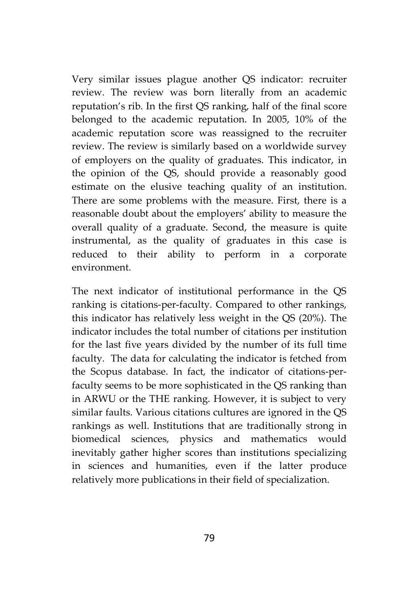Very similar issues plague another QS indicator: recruiter review. The review was born literally from an academic reputation's rib. In the first QS ranking, half of the final score belonged to the academic reputation. In 2005, 10% of the academic reputation score was reassigned to the recruiter review. The review is similarly based on a worldwide survey of employers on the quality of graduates. This indicator, in the opinion of the QS, should provide a reasonably good estimate on the elusive teaching quality of an institution. There are some problems with the measure. First, there is a reasonable doubt about the employers' ability to measure the overall quality of a graduate. Second, the measure is quite instrumental, as the quality of graduates in this case is reduced to their ability to perform in a corporate environment.

The next indicator of institutional performance in the QS ranking is citations-per-faculty. Compared to other rankings, this indicator has relatively less weight in the QS (20%). The indicator includes the total number of citations per institution for the last five years divided by the number of its full time faculty. The data for calculating the indicator is fetched from the Scopus database. In fact, the indicator of citations-perfaculty seems to be more sophisticated in the QS ranking than in ARWU or the THE ranking. However, it is subject to very similar faults. Various citations cultures are ignored in the QS rankings as well. Institutions that are traditionally strong in biomedical sciences, physics and mathematics would inevitably gather higher scores than institutions specializing in sciences and humanities, even if the latter produce relatively more publications in their field of specialization.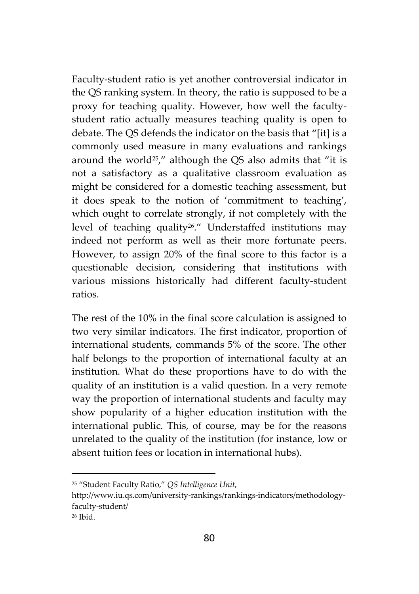Faculty-student ratio is yet another controversial indicator in the QS ranking system. In theory, the ratio is supposed to be a proxy for teaching quality. However, how well the faculty student ratio actually measures teaching quality is open to debate. The QS defends the indicator on the basis that "[it] is a commonly used measure in many evaluations and rankings around the world25," although the QS also admits that "it is not a satisfactory as a qualitative classroom evaluation as might be considered for a domestic teaching assessment, but it does speak to the notion of 'commitment to teaching', which ought to correlate strongly, if not completely with the level of teaching quality26." Understaffed institutions may indeed not perform as well as their more fortunate peers. However, to assign 20% of the final score to this factor is a questionable decision, considering that institutions with various missions historically had different faculty-student ratios.

The rest of the 10% in the final score calculation is assigned to two very similar indicators. The first indicator, proportion of international students, commands 5% of the score. The other half belongs to the proportion of international faculty at an institution. What do these proportions have to do with the quality of an institution is a valid question. In a very remote way the proportion of international students and faculty may show popularity of a higher education institution with the international public. This, of course, may be for the reasons unrelated to the quality of the institution (for instance, low or absent tuition fees or location in international hubs).

<sup>25</sup> "Student Faculty Ratio," *QS Intelligence Unit*,

http://www.iu.qs.com/university-rankings/rankings-indicators/methodologyfaculty-student/

<sup>26</sup> Ibid.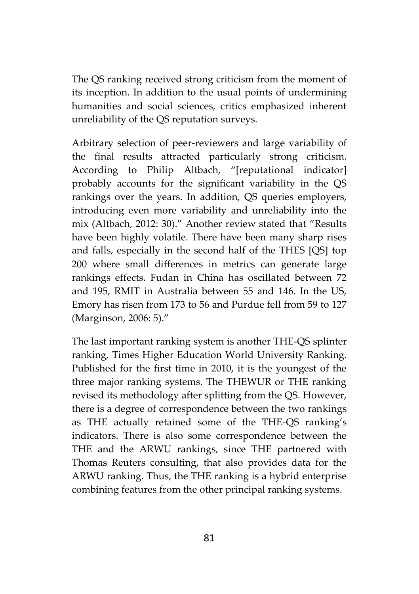The QS ranking received strong criticism from the moment of its inception. In addition to the usual points of undermining humanities and social sciences, critics emphasized inherent unreliability of the QS reputation surveys.

Arbitrary selection of peer-reviewers and large variability of the final results attracted particularly strong criticism. According to Philip Altbach, "[reputational indicator] probably accounts for the significant variability in the QS rankings over the years. In addition, QS queries employers, introducing even more variability and unreliability into the mix (Altbach, 2012: 30)." Another review stated that "Results have been highly volatile. There have been many sharp rises and falls, especially in the second half of the THES [QS] top 200 where small differences in metrics can generate large rankings effects. Fudan in China has oscillated between 72 and 195, RMIT in Australia between 55 and 146. In the US, Emory has risen from 173 to 56 and Purdue fell from 59 to 127 (Marginson, 2006: 5)."

The last important ranking system is another THE-QS splinter ranking, Times Higher Education World University Ranking. Published for the first time in 2010, it is the youngest of the three major ranking systems. The THEWUR or THE ranking revised its methodology after splitting from the QS. However, there is a degree of correspondence between the two rankings as THE actually retained some of the THE-QS ranking's indicators. There is also some correspondence between the THE and the ARWU rankings, since THE partnered with Thomas Reuters consulting, that also provides data for the ARWU ranking. Thus, the THE ranking is a hybrid enterprise combining features from the other principal ranking systems.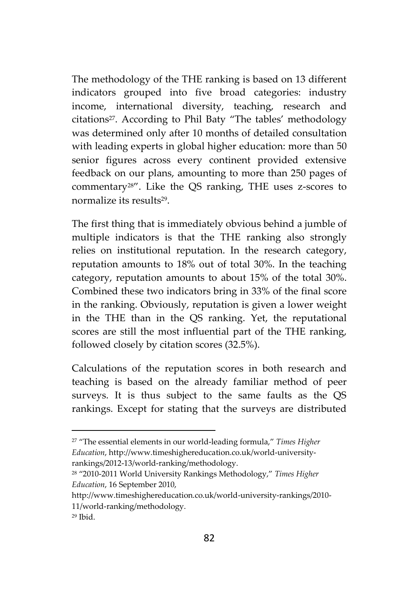The methodology of the THE ranking is based on 13 different indicators grouped into five broad categories: industry income, international diversity, teaching, research and citations27. According to Phil Baty "The tables' methodology was determined only after 10 months of detailed consultation with leading experts in global higher education: more than 50 senior figures across every continent provided extensive feedback on our plans, amounting to more than 250 pages of commentary28". Like the QS ranking, THE uses z-scores to normalize its results<sup>29</sup> .

The first thing that is immediately obvious behind a jumble of multiple indicators is that the THE ranking also strongly relies on institutional reputation. In the research category, reputation amounts to 18% out of total 30%. In the teaching category, reputation amounts to about 15% of the total 30%. Combined these two indicators bring in 33% of the final score in the ranking. Obviously, reputation is given a lower weight in the THE than in the QS ranking. Yet, the reputational scores are still the most influential part of the THE ranking, followed closely by citation scores (32.5%).

Calculations of the reputation scores in both research and teaching is based on the already familiar method of peer surveys. It is thus subject to the same faults as the QS rankings. Except for stating that the surveys are distributed

<sup>27</sup> "The essential elements in our world-leading formula," *Times Higher Education*, http://www.timeshighereducation.co.uk/world-university rankings/2012-13/world-ranking/methodology.

<sup>28</sup> "2010-2011 World University Rankings Methodology," *Times Higher Education*, 16 September 2010,

http://www.timeshighereducation.co.uk/world-university-rankings/2010- 11/world-ranking/methodology.

 $29$  Ibid.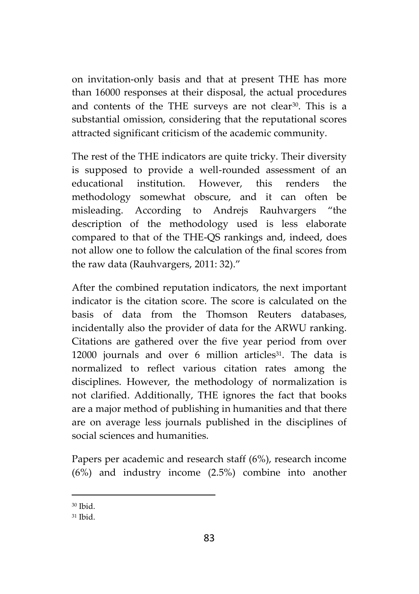on invitation-only basis and that at present THE has more than 16000 responses at their disposal, the actual procedures and contents of the THE surveys are not clear<sup>30</sup>. This is a substantial omission, considering that the reputational scores attracted significant criticism of the academic community.

The rest of the THE indicators are quite tricky. Their diversity is supposed to provide a well-rounded assessment of an educational institution. However, this renders the methodology somewhat obscure, and it can often be misleading. According to Andrejs Rauhvargers "the description of the methodology used is less elaborate compared to that of the THE-QS rankings and, indeed, does not allow one to follow the calculation of the final scores from the raw data (Rauhvargers, 2011: 32)."

After the combined reputation indicators, the next important indicator is the citation score. The score is calculated on the basis of data from the Thomson Reuters databases, incidentally also the provider of data for the ARWU ranking. Citations are gathered over the five year period from over 12000 journals and over 6 million articles<sup>31</sup>. The data is normalized to reflect various citation rates among the disciplines. However, the methodology of normalization is not clarified. Additionally, THE ignores the fact that books are a major method of publishing in humanities and that there are on average less journals published in the disciplines of social sciences and humanities.

Papers per academic and research staff (6%), research income (6%) and industry income (2.5%) combine into another

 $30$  Ibid.

<sup>31</sup> Ibid.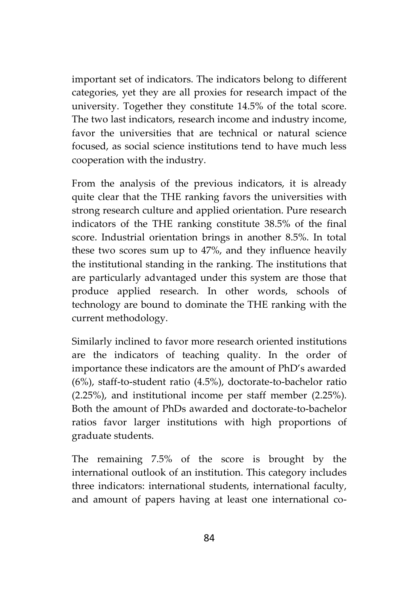important set of indicators. The indicators belong to different categories, yet they are all proxies for research impact of the university. Together they constitute 14.5% of the total score. The two last indicators, research income and industry income, favor the universities that are technical or natural science focused, as social science institutions tend to have much less cooperation with the industry.

From the analysis of the previous indicators, it is already quite clear that the THE ranking favors the universities with strong research culture and applied orientation. Pure research indicators of the THE ranking constitute 38.5% of the final score. Industrial orientation brings in another 8.5%. In total these two scores sum up to 47%, and they influence heavily the institutional standing in the ranking. The institutions that are particularly advantaged under this system are those that produce applied research. In other words, schools of technology are bound to dominate the THE ranking with the current methodology.

Similarly inclined to favor more research oriented institutions are the indicators of teaching quality. In the order of importance these indicators are the amount of PhD's awarded (6%), staff-to-student ratio (4.5%), doctorate-to-bachelor ratio (2.25%), and institutional income per staff member (2.25%). Both the amount of PhDs awarded and doctorate-to-bachelor ratios favor larger institutions with high proportions of graduate students.

The remaining 7.5% of the score is brought by the international outlook of an institution. This category includes three indicators: international students, international faculty, and amount of papers having at least one international co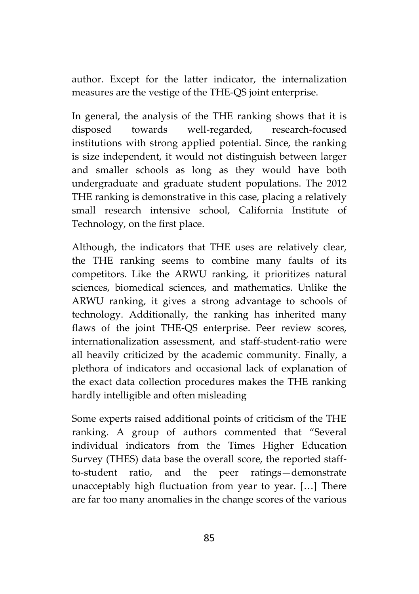author. Except for the latter indicator, the internalization measures are the vestige of the THE-QS joint enterprise.

In general, the analysis of the THE ranking shows that it is disposed towards well-regarded, research-focused institutions with strong applied potential. Since, the ranking is size independent, it would not distinguish between larger and smaller schools as long as they would have both undergraduate and graduate student populations. The 2012 THE ranking is demonstrative in this case, placing a relatively small research intensive school, California Institute of Technology, on the first place.

Although, the indicators that THE uses are relatively clear, the THE ranking seems to combine many faults of its competitors. Like the ARWU ranking, it prioritizes natural sciences, biomedical sciences, and mathematics. Unlike the ARWU ranking, it gives a strong advantage to schools of technology. Additionally, the ranking has inherited many flaws of the joint THE-QS enterprise. Peer review scores, internationalization assessment, and staff-student-ratio were all heavily criticized by the academic community. Finally, a plethora of indicators and occasional lack of explanation of the exact data collection procedures makes the THE ranking hardly intelligible and often misleading

Some experts raised additional points of criticism of the THE ranking. A group of authors commented that "Several individual indicators from the Times Higher Education Survey (THES) data base the overall score, the reported staffto-student ratio, and the peer ratings—demonstrate unacceptably high fluctuation from year to year. […] There are far too many anomalies in the change scores of the various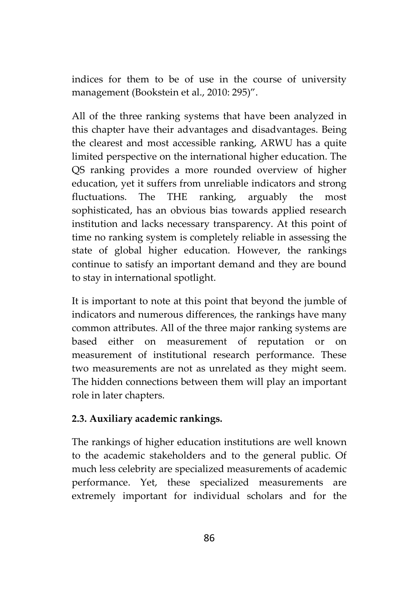indices for them to be of use in the course of university management (Bookstein et al., 2010: 295)".

All of the three ranking systems that have been analyzed in this chapter have their advantages and disadvantages. Being the clearest and most accessible ranking, ARWU has a quite limited perspective on the international higher education. The QS ranking provides a more rounded overview of higher education, yet it suffers from unreliable indicators and strong fluctuations. The THE ranking, arguably the most sophisticated, has an obvious bias towards applied research institution and lacks necessary transparency. At this point of time no ranking system is completely reliable in assessing the state of global higher education. However, the rankings continue to satisfy an important demand and they are bound to stay in international spotlight.

It is important to note at this point that beyond the jumble of indicators and numerous differences, the rankings have many common attributes. All of the three major ranking systems are based either on measurement of reputation or on measurement of institutional research performance. These two measurements are not as unrelated as they might seem. The hidden connections between them will play an important role in later chapters.

## **2.3. Auxiliary academic rankings.**

The rankings of higher education institutions are well known to the academic stakeholders and to the general public. Of much less celebrity are specialized measurements of academic performance. Yet, these specialized measurements are extremely important for individual scholars and for the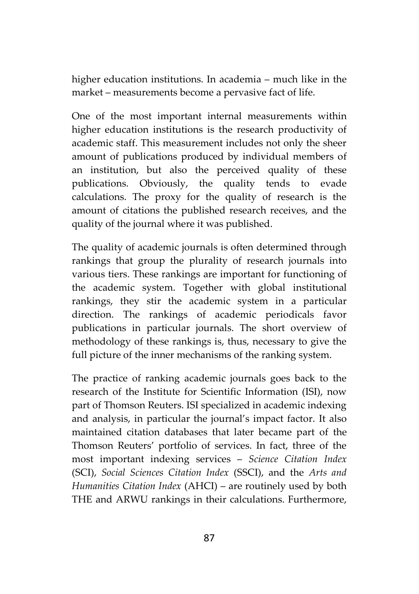higher education institutions. In academia – much like in the market – measurements become a pervasive fact of life.

One of the most important internal measurements within higher education institutions is the research productivity of academic staff. This measurement includes not only the sheer amount of publications produced by individual members of an institution, but also the perceived quality of these publications. Obviously, the quality tends to evade calculations. The proxy for the quality of research is the amount of citations the published research receives, and the quality of the journal where it was published.

The quality of academic journals is often determined through rankings that group the plurality of research journals into various tiers. These rankings are important for functioning of the academic system. Together with global institutional rankings, they stir the academic system in a particular direction. The rankings of academic periodicals favor publications in particular journals. The short overview of methodology of these rankings is, thus, necessary to give the full picture of the inner mechanisms of the ranking system.

The practice of ranking academic journals goes back to the research of the Institute for Scientific Information (ISI), now part of Thomson Reuters. ISI specialized in academic indexing and analysis, in particular the journal's impact factor. It also maintained citation databases that later became part of the Thomson Reuters' portfolio of services. In fact, three of the most important indexing services – *Science Citation Index* (SCI), *Social Sciences Citation Index* (SSCI), and the *Arts and Humanities Citation Index* (AHCI) – are routinely used by both THE and ARWU rankings in their calculations. Furthermore,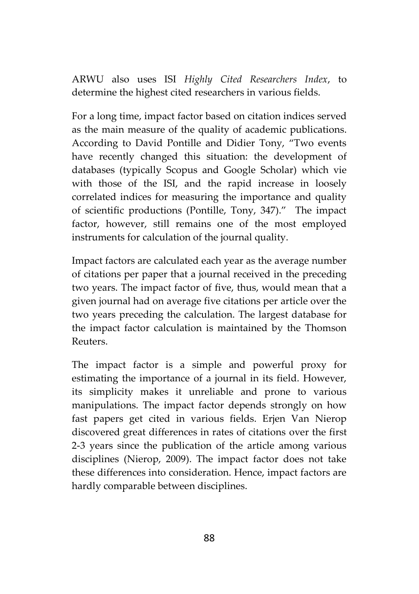ARWU also uses ISI *Highly Cited Researchers Index*, to determine the highest cited researchers in various fields.

For a long time, impact factor based on citation indices served as the main measure of the quality of academic publications. According to David Pontille and Didier Tony, "Two events have recently changed this situation: the development of databases (typically Scopus and Google Scholar) which vie with those of the ISI, and the rapid increase in loosely correlated indices for measuring the importance and quality of scientific productions (Pontille, Tony, 347)." The impact factor, however, still remains one of the most employed instruments for calculation of the journal quality.

Impact factors are calculated each year as the average number of citations per paper that a journal received in the preceding two years. The impact factor of five, thus, would mean that a given journal had on average five citations per article over the two years preceding the calculation. The largest database for the impact factor calculation is maintained by the Thomson Reuters.

The impact factor is a simple and powerful proxy for estimating the importance of a journal in its field. However, its simplicity makes it unreliable and prone to various manipulations. The impact factor depends strongly on how fast papers get cited in various fields. Erjen Van Nierop discovered great differences in rates of citations over the first 2-3 years since the publication of the article among various disciplines (Nierop, 2009). The impact factor does not take these differences into consideration. Hence, impact factors are hardly comparable between disciplines.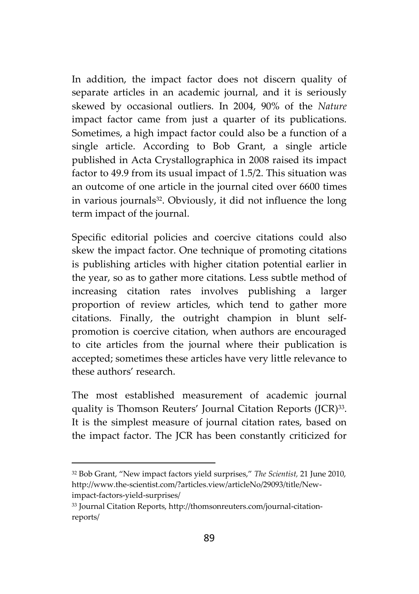In addition, the impact factor does not discern quality of separate articles in an academic journal, and it is seriously skewed by occasional outliers. In 2004, 90% of the *Nature* impact factor came from just a quarter of its publications. Sometimes, a high impact factor could also be a function of a single article. According to Bob Grant, a single article published in Acta Crystallographica in 2008 raised its impact factor to 49.9 from its usual impact of 1.5/2. This situation was an outcome of one article in the journal cited over 6600 times in various journals<sup>32</sup>. Obviously, it did not influence the long term impact of the journal.

Specific editorial policies and coercive citations could also skew the impact factor. One technique of promoting citations is publishing articles with higher citation potential earlier in the year, so as to gather more citations. Less subtle method of increasing citation rates involves publishing a larger proportion of review articles, which tend to gather more citations. Finally, the outright champion in blunt self promotion is coercive citation, when authors are encouraged to cite articles from the journal where their publication is accepted; sometimes these articles have very little relevance to these authors' research.

The most established measurement of academic journal quality is Thomson Reuters' Journal Citation Reports (JCR)<sup>33</sup>. It is the simplest measure of journal citation rates, based on the impact factor. The JCR has been constantly criticized for

<sup>32</sup> Bob Grant, "New impact factors yield surprises," *The Scientist,* 21 June 2010, http://www.the-scientist.com/?articles.view/articleNo/29093/title/Newimpact-factors-yield-surprises/

<sup>33</sup> Journal Citation Reports, http://thomsonreuters.com/journal-citation reports/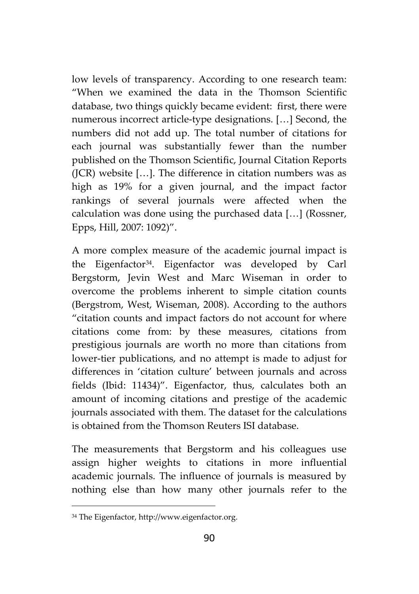low levels of transparency. According to one research team: "When we examined the data in the Thomson Scientific database, two things quickly became evident: first, there were numerous incorrect article-type designations. […] Second, the numbers did not add up. The total number of citations for each journal was substantially fewer than the number published on the Thomson Scientific, Journal Citation Reports (JCR) website […]. The difference in citation numbers was as high as 19% for a given journal, and the impact factor rankings of several journals were affected when the calculation was done using the purchased data […] (Rossner, Epps, Hill, 2007: 1092)".

A more complex measure of the academic journal impact is the Eigenfactor<sup>34</sup>. Eigenfactor was developed by Carl Bergstorm, Jevin West and Marc Wiseman in order to overcome the problems inherent to simple citation counts (Bergstrom, West, Wiseman, 2008). According to the authors "citation counts and impact factors do not account for where citations come from: by these measures, citations from prestigious journals are worth no more than citations from lower-tier publications, and no attempt is made to adjust for differences in 'citation culture' between journals and across fields (Ibid: 11434)". Eigenfactor, thus, calculates both an amount of incoming citations and prestige of the academic journals associated with them. The dataset for the calculations is obtained from the Thomson Reuters ISI database.

The measurements that Bergstorm and his colleagues use assign higher weights to citations in more influential academic journals. The influence of journals is measured by nothing else than how many other journals refer to the

<sup>34</sup> The Eigenfactor, http://www.eigenfactor.org.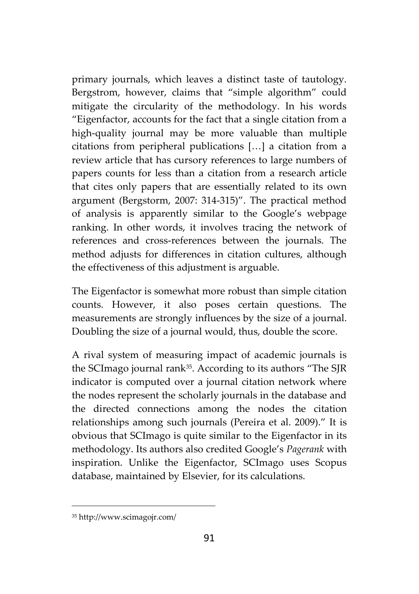primary journals, which leaves a distinct taste of tautology. Bergstrom, however, claims that "simple algorithm" could mitigate the circularity of the methodology. In his words "Eigenfactor, accounts for the fact that a single citation from a high-quality journal may be more valuable than multiple citations from peripheral publications […] a citation from a review article that has cursory references to large numbers of papers counts for less than a citation from a research article that cites only papers that are essentially related to its own argument (Bergstorm, 2007: 314-315)". The practical method of analysis is apparently similar to the Google's webpage ranking. In other words, it involves tracing the network of references and cross-references between the journals. The method adjusts for differences in citation cultures, although the effectiveness of this adjustment is arguable.

The Eigenfactor is somewhat more robust than simple citation counts. However, it also poses certain questions. The measurements are strongly influences by the size of a journal. Doubling the size of a journal would, thus, double the score.

A rival system of measuring impact of academic journals is the SCImago journal rank35. According to its authors "The SJR indicator is computed over a journal citation network where the nodes represent the scholarly journals in the database and the directed connections among the nodes the citation relationships among such journals (Pereira et al. 2009)." It is obvious that SCImago is quite similar to the Eigenfactor in its methodology. Its authors also credited Google's *Pagerank* with inspiration. Unlike the Eigenfactor, SCImago uses Scopus database, maintained by Elsevier, for its calculations.

<sup>35</sup> http://www.scimagojr.com/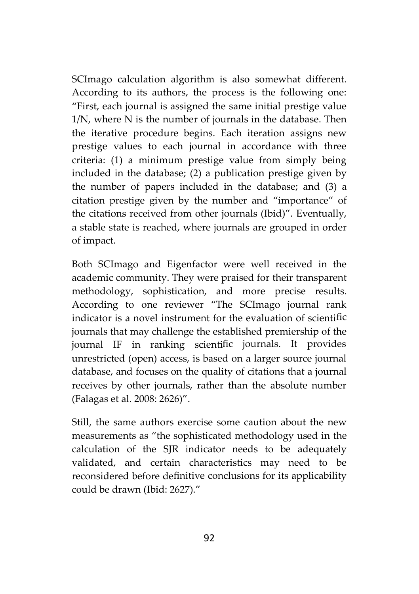SCImago calculation algorithm is also somewhat different. According to its authors, the process is the following one: "First, each journal is assigned the same initial prestige value 1/N, where N is the number of journals in the database. Then the iterative procedure begins. Each iteration assigns new prestige values to each journal in accordance with three criteria: (1) a minimum prestige value from simply being included in the database; (2) a publication prestige given by the number of papers included in the database; and (3) a citation prestige given by the number and "importance" of the citations received from other journals (Ibid)". Eventually, a stable state is reached, where journals are grouped in order of impact.

Both SCImago and Eigenfactor were well received in the academic community. They were praised for their transparent methodology, sophistication, and more precise results. According to one reviewer "The SCImago journal rank indicator is a novel instrument for the evaluation of scientific journals that may challenge the established premiership of the journal IF in ranking scientific journals. It provides unrestricted (open) access, is based on a larger source journal database, and focuses on the quality of citations that a journal receives by other journals, rather than the absolute number (Falagas et al. 2008: 2626)".

Still, the same authors exercise some caution about the new measurements as "the sophisticated methodology used in the calculation of the SJR indicator needs to be adequately validated, and certain characteristics may need to be reconsidered before definitive conclusions for its applicability could be drawn (Ibid: 2627)."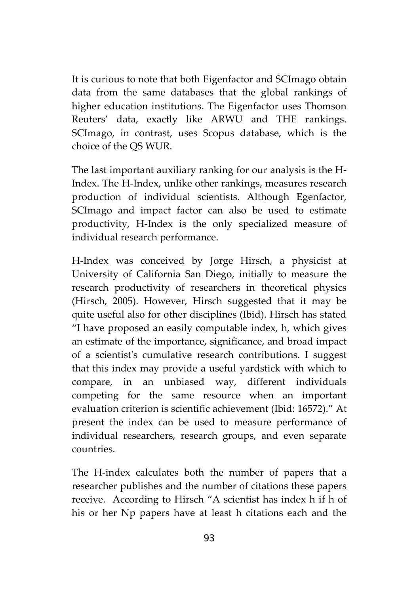It is curious to note that both Eigenfactor and SCImago obtain data from the same databases that the global rankings of higher education institutions. The Eigenfactor uses Thomson Reuters' data, exactly like ARWU and THE rankings. SCImago, in contrast, uses Scopus database, which is the choice of the QS WUR.

The last important auxiliary ranking for our analysis is the H- Index. The H-Index, unlike other rankings, measures research production of individual scientists. Although Egenfactor, SCImago and impact factor can also be used to estimate productivity, H-Index is the only specialized measure of individual research performance.

H-Index was conceived by Jorge Hirsch, a physicist at University of California San Diego, initially to measure the research productivity of researchers in theoretical physics (Hirsch, 2005). However, Hirsch suggested that it may be quite useful also for other disciplines (Ibid). Hirsch has stated "I have proposed an easily computable index, h, which gives an estimate of the importance, significance, and broad impact of a scientist's cumulative research contributions. I suggest that this index may provide a useful yardstick with which to compare, in an unbiased way, different individuals competing for the same resource when an important evaluation criterion is scientific achievement (Ibid: 16572)." At present the index can be used to measure performance of individual researchers, research groups, and even separate countries.

The H-index calculates both the number of papers that a researcher publishes and the number of citations these papers receive. According to Hirsch "A scientist has index h if h of his or her Np papers have at least h citations each and the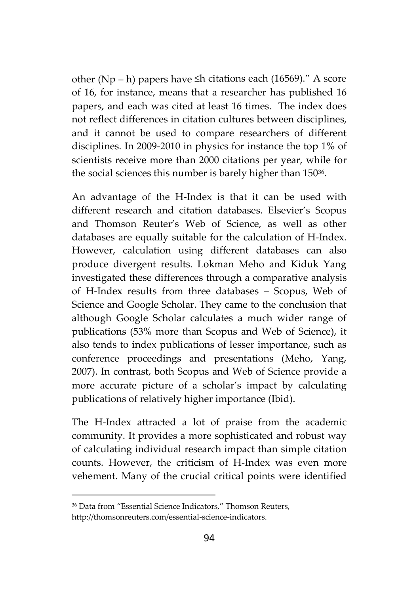other (Np – h) papers have ≤h citations each (16569)." A score of 16, for instance, means that a researcher has published 16 papers, and each was cited at least 16 times. The index does not reflect differences in citation cultures between disciplines, and it cannot be used to compare researchers of different disciplines. In 2009-2010 in physics for instance the top 1% of scientists receive more than 2000 citations per year, while for the social sciences this number is barely higher than 150<sup>36</sup> .

An advantage of the H-Index is that it can be used with different research and citation databases. Elsevier's Scopus and Thomson Reuter's Web of Science, as well as other databases are equally suitable for the calculation of H-Index. However, calculation using different databases can also produce divergent results. Lokman Meho and Kiduk Yang investigated these differences through a comparative analysis of H-Index results from three databases – Scopus, Web of Science and Google Scholar. They came to the conclusion that although Google Scholar calculates a much wider range of publications (53% more than Scopus and Web of Science), it also tends to index publications of lesser importance, such as conference proceedings and presentations (Meho, Yang, 2007). In contrast, both Scopus and Web of Science provide a more accurate picture of a scholar's impact by calculating publications of relatively higher importance (Ibid).

The H-Index attracted a lot of praise from the academic community. It provides a more sophisticated and robust way of calculating individual research impact than simple citation counts. However, the criticism of H-Index was even more vehement. Many of the crucial critical points were identified

<sup>36</sup> Data from "Essential Science Indicators," Thomson Reuters,

http://thomsonreuters.com/essential-science-indicators.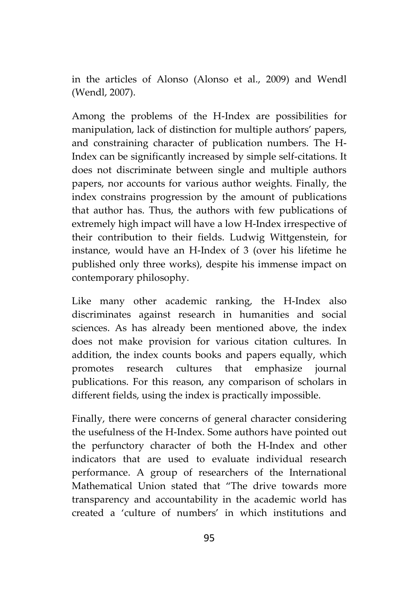in the articles of Alonso (Alonso et al., 2009) and Wendl (Wendl, 2007).

Among the problems of the H-Index are possibilities for manipulation, lack of distinction for multiple authors' papers, and constraining character of publication numbers. The H- Index can be significantly increased by simple self-citations. It does not discriminate between single and multiple authors papers, nor accounts for various author weights. Finally, the index constrains progression by the amount of publications that author has. Thus, the authors with few publications of extremely high impact will have a low H-Index irrespective of their contribution to their fields. Ludwig Wittgenstein, for instance, would have an H-Index of 3 (over his lifetime he published only three works), despite his immense impact on contemporary philosophy.

Like many other academic ranking, the H-Index also discriminates against research in humanities and social sciences. As has already been mentioned above, the index does not make provision for various citation cultures. In addition, the index counts books and papers equally, which promotes research cultures that emphasize journal publications. For this reason, any comparison of scholars in different fields, using the index is practically impossible.

Finally, there were concerns of general character considering the usefulness of the H-Index. Some authors have pointed out the perfunctory character of both the H-Index and other indicators that are used to evaluate individual research performance. A group of researchers of the International Mathematical Union stated that "The drive towards more transparency and accountability in the academic world has created a 'culture of numbers' in which institutions and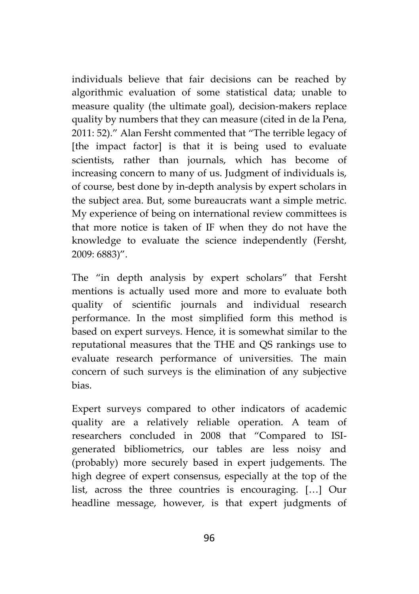individuals believe that fair decisions can be reached by algorithmic evaluation of some statistical data; unable to measure quality (the ultimate goal), decision-makers replace quality by numbers that they can measure (cited in de la Pena, 2011: 52)." Alan Fersht commented that "The terrible legacy of [the impact factor] is that it is being used to evaluate scientists, rather than journals, which has become of increasing concern to many of us. Judgment of individuals is, of course, best done by in-depth analysis by expert scholars in the subject area. But, some bureaucrats want a simple metric. My experience of being on international review committees is that more notice is taken of IF when they do not have the knowledge to evaluate the science independently (Fersht, 2009: 6883)".

The "in depth analysis by expert scholars" that Fersht mentions is actually used more and more to evaluate both quality of scientific journals and individual research performance. In the most simplified form this method is based on expert surveys. Hence, it is somewhat similar to the reputational measures that the THE and QS rankings use to evaluate research performance of universities. The main concern of such surveys is the elimination of any subjective bias.

Expert surveys compared to other indicators of academic quality are a relatively reliable operation. A team of researchers concluded in 2008 that "Compared to ISI generated bibliometrics, our tables are less noisy and (probably) more securely based in expert judgements. The high degree of expert consensus, especially at the top of the list, across the three countries is encouraging. […] Our headline message, however, is that expert judgments of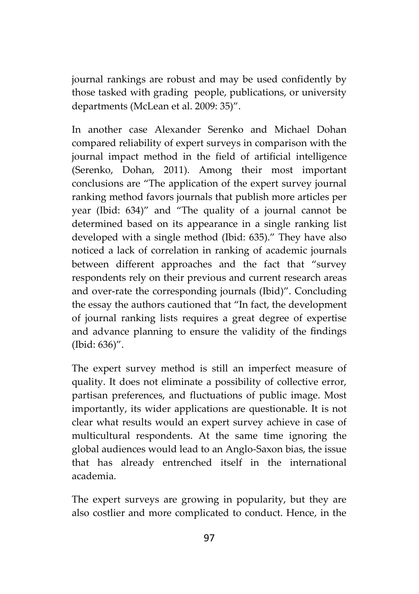journal rankings are robust and may be used confidently by those tasked with grading people, publications, or university departments (McLean et al. 2009: 35)".

In another case Alexander Serenko and Michael Dohan compared reliability of expert surveys in comparison with the journal impact method in the field of artificial intelligence (Serenko, Dohan, 2011). Among their most important conclusions are "The application of the expert survey journal ranking method favors journals that publish more articles per year (Ibid: 634)" and "The quality of a journal cannot be determined based on its appearance in a single ranking list developed with a single method (Ibid: 635)." They have also noticed a lack of correlation in ranking of academic journals between different approaches and the fact that "survey respondents rely on their previous and current research areas and over-rate the corresponding journals (Ibid)". Concluding the essay the authors cautioned that "In fact, the development of journal ranking lists requires a great degree of expertise and advance planning to ensure the validity of the findings (Ibid: 636)".

The expert survey method is still an imperfect measure of quality. It does not eliminate a possibility of collective error, partisan preferences, and fluctuations of public image. Most importantly, its wider applications are questionable. It is not clear what results would an expert survey achieve in case of multicultural respondents. At the same time ignoring the global audiences would lead to an Anglo-Saxon bias, the issue that has already entrenched itself in the international academia.

The expert surveys are growing in popularity, but they are also costlier and more complicated to conduct. Hence, in the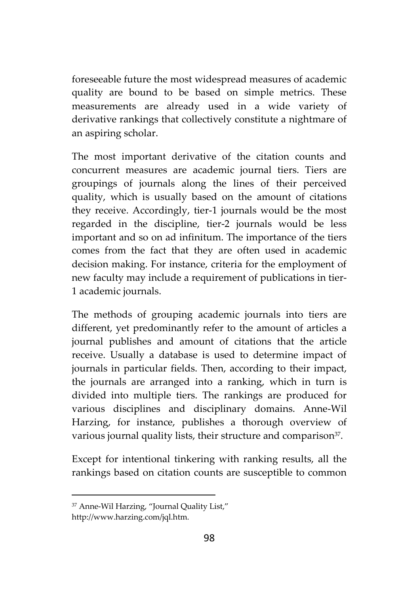foreseeable future the most widespread measures of academic quality are bound to be based on simple metrics. These measurements are already used in a wide variety of derivative rankings that collectively constitute a nightmare of an aspiring scholar.

The most important derivative of the citation counts and concurrent measures are academic journal tiers. Tiers are groupings of journals along the lines of their perceived quality, which is usually based on the amount of citations they receive. Accordingly, tier-1 journals would be the most regarded in the discipline, tier-2 journals would be less important and so on ad infinitum. The importance of the tiers comes from the fact that they are often used in academic decision making. For instance, criteria for the employment of new faculty may include a requirement of publications in tier- 1 academic journals.

The methods of grouping academic journals into tiers are different, yet predominantly refer to the amount of articles a journal publishes and amount of citations that the article receive. Usually a database is used to determine impact of journals in particular fields. Then, according to their impact, the journals are arranged into a ranking, which in turn is divided into multiple tiers. The rankings are produced for various disciplines and disciplinary domains. Anne-Wil Harzing, for instance, publishes a thorough overview of various journal quality lists, their structure and comparison<sup>37</sup>.

Except for intentional tinkering with ranking results, all the rankings based on citation counts are susceptible to common

<sup>37</sup> Anne-Wil Harzing, "Journal Quality List,"

http://www.harzing.com/jql.htm.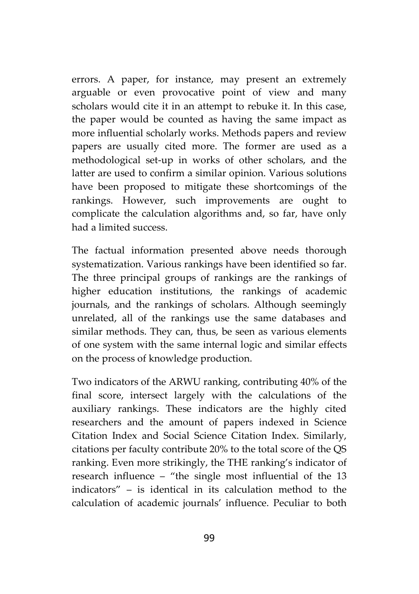errors. A paper, for instance, may present an extremely arguable or even provocative point of view and many scholars would cite it in an attempt to rebuke it. In this case, the paper would be counted as having the same impact as more influential scholarly works. Methods papers and review papers are usually cited more. The former are used as a methodological set-up in works of other scholars, and the latter are used to confirm a similar opinion. Various solutions have been proposed to mitigate these shortcomings of the rankings. However, such improvements are ought to complicate the calculation algorithms and, so far, have only had alimited success.

The factual information presented above needs thorough systematization. Various rankings have been identified so far. The three principal groups of rankings are the rankings of higher education institutions, the rankings of academic journals, and the rankings of scholars. Although seemingly unrelated, all of the rankings use the same databases and similar methods. They can, thus, be seen as various elements of one system with the same internal logic and similar effects on the process of knowledge production.

Two indicators of the ARWU ranking, contributing 40% of the final score, intersect largely with the calculations of the auxiliary rankings. These indicators are the highly cited researchers and the amount of papers indexed in Science Citation Index and Social Science Citation Index. Similarly, citations per faculty contribute 20% to the total score of the QS ranking. Even more strikingly, the THE ranking's indicator of research influence – "the single most influential of the 13 indicators" – is identical in its calculation method to the calculation of academic journals' influence. Peculiar to both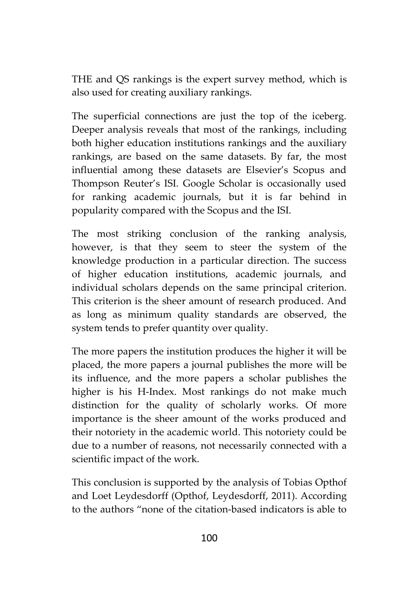THE and QS rankings is the expert survey method, which is also used for creating auxiliary rankings.

The superficial connections are just the top of the iceberg. Deeper analysis reveals that most of the rankings, including both higher education institutions rankings and the auxiliary rankings, are based on the same datasets. By far, the most influential among these datasets are Elsevier's Scopus and Thompson Reuter's ISI. Google Scholar is occasionally used for ranking academic journals, but it is far behind in popularity compared with the Scopus and the ISI.

The most striking conclusion of the ranking analysis, however, is that they seem to steer the system of the knowledge production in a particular direction. The success of higher education institutions, academic journals, and individual scholars depends on the same principal criterion. This criterion is the sheer amount of research produced. And as long as minimum quality standards are observed, the system tends to prefer quantity over quality.

The more papers the institution produces the higher it will be placed, the more papers a journal publishes the more will be its influence, and the more papers a scholar publishes the higher is his H-Index. Most rankings do not make much distinction for the quality of scholarly works. Of more importance is the sheer amount of the works produced and their notoriety in the academic world. This notoriety could be due to a number of reasons, not necessarily connected with a scientific impact of the work.

This conclusion is supported by the analysis of Tobias Opthof and Loet Leydesdorff (Opthof, Leydesdorff, 2011). According to the authors "none of the citation-based indicators is able to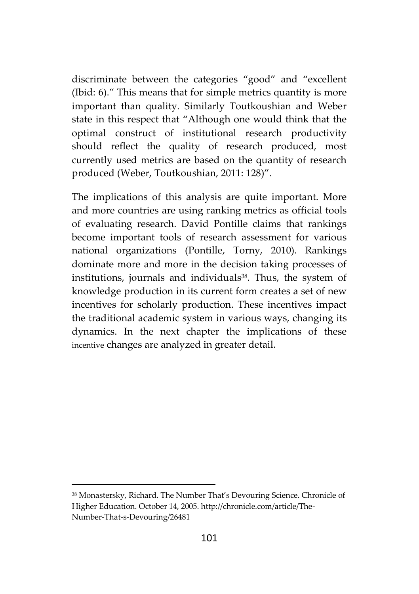discriminate between the categories "good" and "excellent (Ibid: 6)." This means that for simple metrics quantity is more important than quality. Similarly Toutkoushian and Weber state in this respect that "Although one would think that the optimal construct of institutional research productivity should reflect the quality of research produced, most currently used metrics are based on the quantity of research produced (Weber, Toutkoushian, 2011: 128)".

The implications of this analysis are quite important. More and more countries are using ranking metrics as official tools of evaluating research. David Pontille claims that rankings become important tools of research assessment for various national organizations (Pontille, Torny, 2010). Rankings dominate more and more in the decision taking processes of institutions, journals and individuals<sup>38</sup>. Thus, the system of knowledge production in its current form creates a set of new incentives for scholarly production. These incentives impact the traditional academic system in various ways, changing its dynamics. In the next chapter the implications of these incentive changes are analyzed in greater detail.

<sup>38</sup> Monastersky, Richard. The Number That's Devouring Science. Chronicle of Higher Education. October 14, 2005. http://chronicle.com/article/The- Number-That-s-Devouring/26481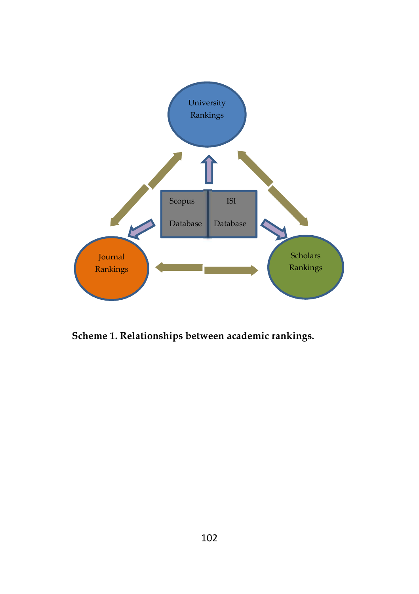

**Scheme 1. Relationships between academic rankings.**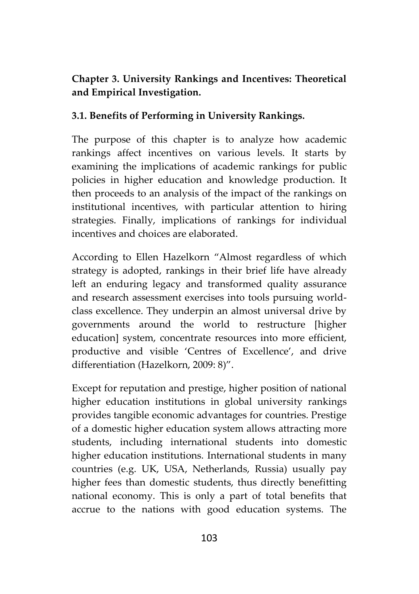## **Chapter 3. University Rankings and Incentives: Theoretical and Empirical Investigation.**

## **3.1. Benefits of Performing in University Rankings.**

The purpose of this chapter is to analyze how academic rankings affect incentives on various levels. It starts by examining the implications of academic rankings for public policies in higher education and knowledge production. It then proceeds to an analysis of the impact of the rankings on institutional incentives, with particular attention to hiring strategies. Finally, implications of rankings for individual incentives and choices are elaborated.

According to Ellen Hazelkorn "Almost regardless of which strategy is adopted, rankings in their brief life have already left an enduring legacy and transformed quality assurance and research assessment exercises into tools pursuing world class excellence. They underpin an almost universal drive by governments around the world to restructure [higher education] system, concentrate resources into more efficient, productive and visible 'Centres of Excellence', and drive differentiation (Hazelkorn, 2009: 8)".

Except for reputation and prestige, higher position of national higher education institutions in global university rankings provides tangible economic advantages for countries. Prestige of a domestic higher education system allows attracting more students, including international students into domestic higher education institutions. International students in many countries (e.g. UK, USA, Netherlands, Russia) usually pay higher fees than domestic students, thus directly benefitting national economy. This is only a part of total benefits that accrue to the nations with good education systems. The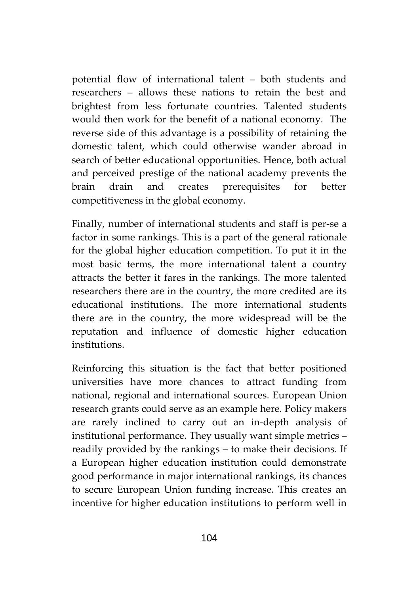potential flow of international talent – both students and researchers – allows these nations to retain the best and brightest from less fortunate countries. Talented students would then work for the benefit of a national economy. The reverse side of this advantage is a possibility of retaining the domestic talent, which could otherwise wander abroad in search of better educational opportunities. Hence, both actual and perceived prestige of the national academy prevents the brain drain and creates prerequisites for better competitiveness in the global economy.

Finally, number of international students and staff is per-se a factor in some rankings. This is a part of the general rationale for the global higher education competition. To put it in the most basic terms, the more international talent a country attracts the better it fares in the rankings. The more talented researchers there are in the country, the more credited are its educational institutions. The more international students there are in the country, the more widespread will be the reputation and influence of domestic higher education institutions.

Reinforcing this situation is the fact that better positioned universities have more chances to attract funding from national, regional and international sources. European Union research grants could serve as an example here. Policy makers are rarely inclined to carry out an in-depth analysis of institutional performance. They usually want simple metrics – readily provided by the rankings – to make their decisions. If a European higher education institution could demonstrate good performance in major international rankings, its chances to secure European Union funding increase. This creates an incentive for higher education institutions to perform well in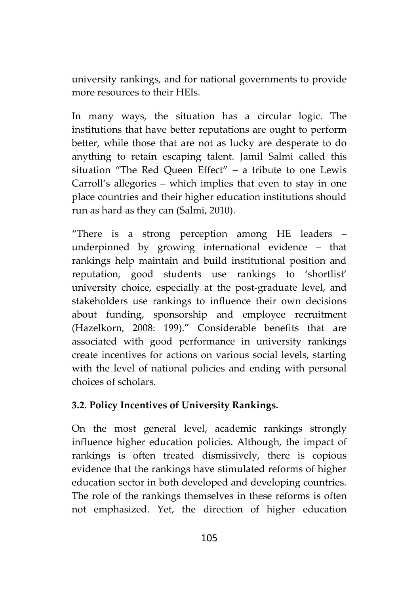university rankings, and for national governments to provide more resources to their HEIs.

In many ways, the situation has a circular logic. The institutions that have better reputations are ought to perform better, while those that are not as lucky are desperate to do anything to retain escaping talent. Jamil Salmi called this situation "The Red Queen Effect" – a tribute to one Lewis Carroll's allegories – which implies that even to stay in one place countries and their higher education institutions should run as hard as they can (Salmi, 2010).

"There is a strong perception among HE leaders – underpinned by growing international evidence – that rankings help maintain and build institutional position and reputation, good students use rankings to 'shortlist' university choice, especially at the post-graduate level, and stakeholders use rankings to influence their own decisions about funding, sponsorship and employee recruitment (Hazelkorn, 2008: 199)." Considerable benefits that are associated with good performance in university rankings create incentives for actions on various social levels, starting with the level of national policies and ending with personal choices of scholars.

## **3.2. Policy Incentives of University Rankings.**

On the most general level, academic rankings strongly influence higher education policies. Although, the impact of rankings is often treated dismissively, there is copious evidence that the rankings have stimulated reforms of higher education sector in both developed and developing countries. The role of the rankings themselves in these reforms is often not emphasized. Yet, the direction of higher education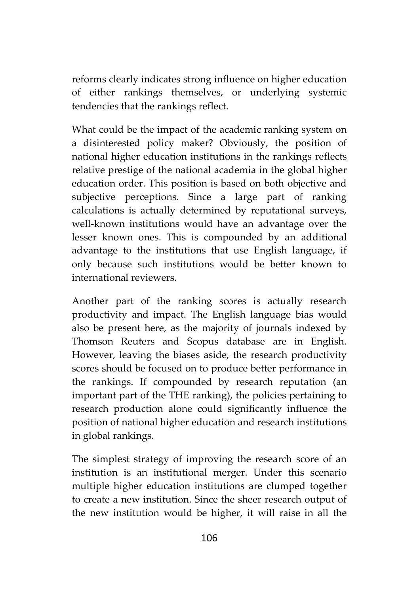reforms clearly indicates strong influence on higher education of either rankings themselves, or underlying systemic tendencies that the rankings reflect.

What could be the impact of the academic ranking system on a disinterested policy maker? Obviously, the position of national higher education institutions in the rankings reflects relative prestige of the national academia in the global higher education order. This position is based on both objective and subjective perceptions. Since a large part of ranking calculations is actually determined by reputational surveys, well-known institutions would have an advantage over the lesser known ones. This is compounded by an additional advantage to the institutions that use English language, if only because such institutions would be better known to international reviewers.

Another part of the ranking scores is actually research productivity and impact. The English language bias would also be present here, as the majority of journals indexed by Thomson Reuters and Scopus database are in English. However, leaving the biases aside, the research productivity scores should be focused on to produce better performance in the rankings. If compounded by research reputation (an important part of the THE ranking), the policies pertaining to research production alone could significantly influence the position of national higher education and research institutions in global rankings.

The simplest strategy of improving the research score of an institution is an institutional merger. Under this scenario multiple higher education institutions are clumped together to create a new institution. Since the sheer research output of the new institution would be higher, it will raise in all the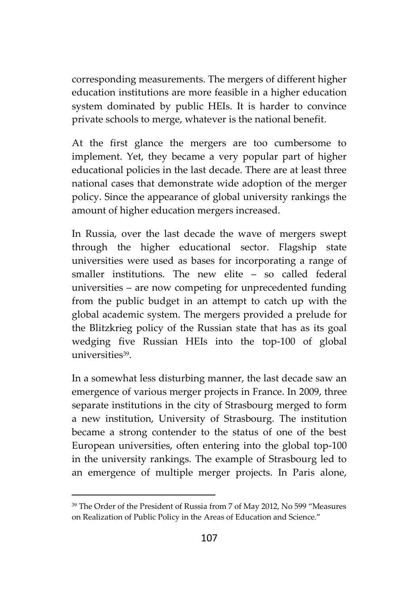corresponding measurements. The mergers of different higher education institutions are more feasible in a higher education system dominated by public HEIs. It is harder to convince private schools to merge, whatever is the national benefit.

At the first glance the mergers are too cumbersome to implement. Yet, they became a very popular part of higher educational policies in the last decade. There are at least three national cases that demonstrate wide adoption of the merger policy. Since the appearance of global university rankings the amount of higher education mergers increased.

In Russia, over the last decade the wave of mergers swept through the higher educational sector. Flagship state universities were used as bases for incorporating a range of smaller institutions. The new elite – so called federal universities – are now competing for unprecedented funding from the public budget in an attempt to catch up with the global academic system. The mergers provided a prelude for the Blitzkrieg policy of the Russian state that has as its goal wedging five Russian HEIs into the top-100 of global universities<sup>39</sup>.

In a somewhat less disturbing manner, the last decade saw an emergence of various merger projects in France. In 2009, three separate institutions in the city of Strasbourg merged to form a new institution, University of Strasbourg. The institution became a strong contender to the status of one of the best European universities, often entering into the global top-100 in the university rankings. The example of Strasbourg led to an emergence of multiple merger projects. In Paris alone,

<sup>39</sup> The Order of the President of Russia from 7 of May 2012, No 599 "Measures on Realization of Public Policy in the Areas of Education and Science."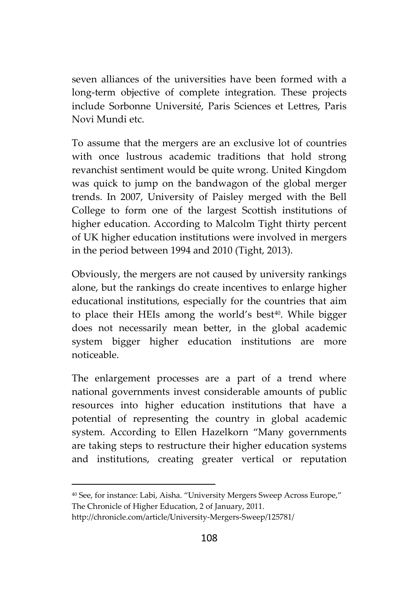seven alliances of the universities have been formed with a long-term objective of complete integration. These projects include Sorbonne Université, Paris Sciences et Lettres, Paris Novi Mundi etc.

To assume that the mergers are an exclusive lot of countries with once lustrous academic traditions that hold strong revanchist sentiment would be quite wrong. United Kingdom was quick to jump on the bandwagon of the global merger trends. In 2007, University of Paisley merged with the Bell College to form one of the largest Scottish institutions of higher education. According to Malcolm Tight thirty percent of UK higher education institutions were involved in mergers in the period between 1994 and 2010 (Tight, 2013).

Obviously, the mergers are not caused by university rankings alone, but the rankings do create incentives to enlarge higher educational institutions, especially for the countries that aim to place their HEIs among the world's best<sup>40</sup>. While bigger does not necessarily mean better, in the global academic system bigger higher education institutions are more noticeable.

The enlargement processes are a part of a trend where national governments invest considerable amounts of public resources into higher education institutions that have a potential of representing the country in global academic system. According to Ellen Hazelkorn "Many governments are taking steps to restructure their higher education systems and institutions, creating greater vertical or reputation

<sup>40</sup> See, for instance: Labi, Aisha. "University Mergers Sweep Across Europe," The Chronicle of Higher Education, 2 of January, 2011.

http://chronicle.com/article/University-Mergers-Sweep/125781/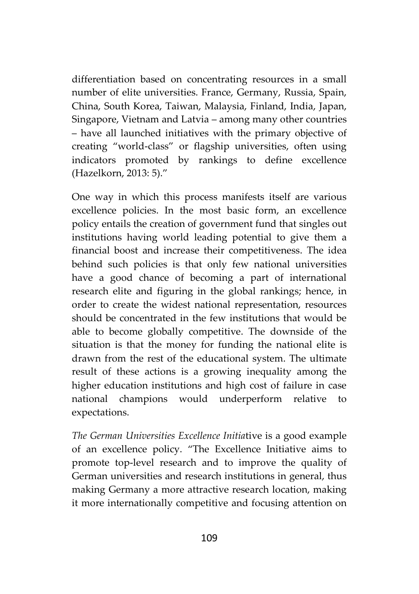differentiation based on concentrating resources in a small number of elite universities. France, Germany, Russia, Spain, China, South Korea, Taiwan, Malaysia, Finland, India, Japan, Singapore, Vietnam and Latvia – among many other countries – have all launched initiatives with the primary objective of creating "world-class" or flagship universities, often using indicators promoted by rankings to define excellence (Hazelkorn, 2013: 5)."

One way in which this process manifests itself are various excellence policies. In the most basic form, an excellence policy entails the creation of government fund that singles out institutions having world leading potential to give them a financial boost and increase their competitiveness. The idea behind such policies is that only few national universities have a good chance of becoming a part of international research elite and figuring in the global rankings; hence, in order to create the widest national representation, resources should be concentrated in the few institutions that would be able to become globally competitive. The downside of the situation is that the money for funding the national elite is drawn from the rest of the educational system. The ultimate result of these actions is a growing inequality among the higher education institutions and high cost of failure in case national champions would underperform relative to expectations.

*The German Universities Excellence Initia*tive is a good example of an excellence policy. "The Excellence Initiative aims to promote top-level research and to improve the quality of German universities and research institutions in general, thus making Germany a more attractive research location, making it more internationally competitive and focusing attention on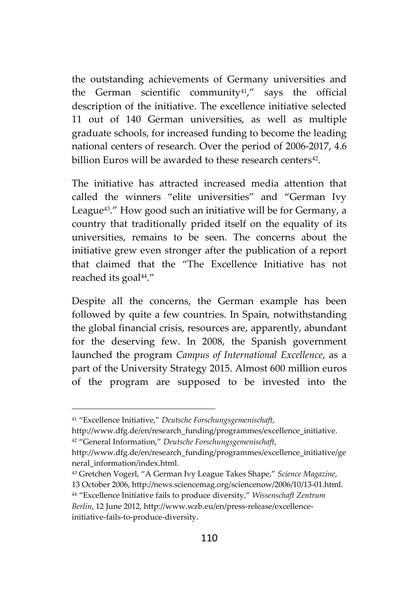the outstanding achievements of Germany universities and the German scientific community $41$ ," says the official description of the initiative. The excellence initiative selected 11 out of 140 German universities, as well as multiple graduate schools, for increased funding to become the leading national centers of research. Over the period of 2006-2017, 4.6 billion Euros will be awarded to these research centers<sup>42</sup>.

The initiative has attracted increased media attention that called the winners "elite universities" and "German Ivy League43." How good such an initiative will be for Germany, a country that traditionally prided itself on the equality of its universities, remains to be seen. The concerns about the initiative grew even stronger after the publication of a report that claimed that the "The Excellence Initiative has not reached its goal<sup>44</sup>."

Despite all the concerns, the German example has been followed by quite a few countries. In Spain, notwithstanding the global financial crisis, resources are, apparently, abundant for the deserving few. In 2008, the Spanish government launched the program *Campus of International Excellence*, as a part of the University Strategy 2015. Almost 600 million euros of the program are supposed to be invested into the

<sup>41</sup> "Excellence Initiative," *Deutsche Forschungsgemenischaft*,

http://www.dfg.de/en/research\_funding/programmes/excellence\_initiative. <sup>42</sup> "General Information," *Deutsche Forschungsgemenischaft*,

http://www.dfg.de/en/research\_funding/programmes/excellence\_initiative/ge neral\_information/index.html.

<sup>43</sup> Gretchen Vogerl, "A German Ivy League Takes Shape," *Science Magazine*, 13 October 2006, http://news.sciencemag.org/sciencenow/2006/10/13-01.html.

<sup>44</sup> "Excellence Initiative fails to produce diversity," *Wissenschaft Zentrum Berlin*, 12 June 2012, http://www.wzb.eu/en/press-release/excellenceinitiative-fails-to-produce-diversity.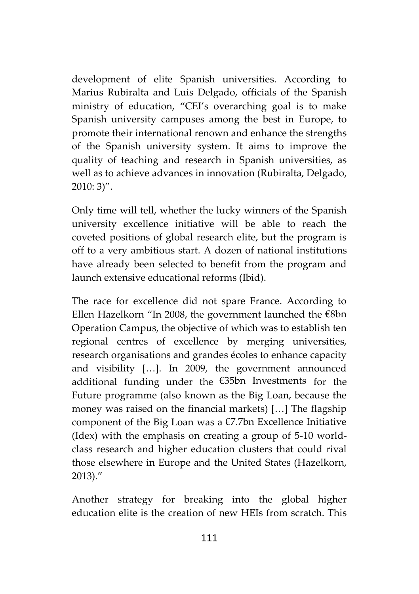development of elite Spanish universities. According to Marius Rubiralta and Luis Delgado, officials of the Spanish ministry of education, "CEI's overarching goal is to make Spanish university campuses among the best in Europe, to promote their international renown and enhance the strengths of the Spanish university system. It aims to improve the quality of teaching and research in Spanish universities, as well as to achieve advances in innovation (Rubiralta, Delgado, 2010: 3)".

Only time will tell, whether the lucky winners of the Spanish university excellence initiative will be able to reach the coveted positions of global research elite, but the program is off to a very ambitious start. A dozen of national institutions have already been selected to benefit from the program and launch extensive educational reforms (Ibid).

The race for excellence did not spare France. According to Ellen Hazelkorn "In 2008, the government launched the €8bn Operation Campus, the objective of which was to establish ten regional centres of excellence by merging universities, research organisations and grandes écoles to enhance capacity and visibility […]. In 2009, the government announced additional funding under the €35bn Investments for the Future programme (also known as the Big Loan, because the money was raised on the financial markets) […] The flagship component of the Big Loan was a €7.7bn Excellence Initiative (Idex) with the emphasis on creating a group of 5-10 world class research and higher education clusters that could rival those elsewhere in Europe and the United States (Hazelkorn, 2013)."

Another strategy for breaking into the global higher education elite is the creation of new HEIs from scratch. This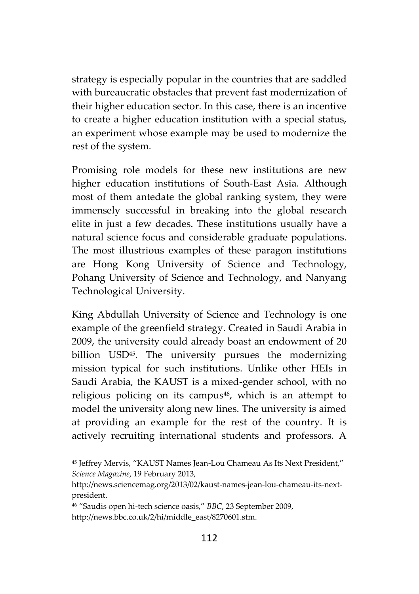strategy is especially popular in the countries that are saddled with bureaucratic obstacles that prevent fast modernization of their higher education sector. In this case, there is an incentive to create a higher education institution with a special status, an experiment whose example may be used to modernize the rest of the system.

Promising role models for these new institutions are new higher education institutions of South-East Asia. Although most of them antedate the global ranking system, they were immensely successful in breaking into the global research elite in just a few decades. These institutions usually have a natural science focus and considerable graduate populations. The most illustrious examples of these paragon institutions are Hong Kong University of Science and Technology, Pohang University of Science and Technology, and Nanyang Technological University.

King Abdullah University of Science and Technology is one example of the greenfield strategy. Created in Saudi Arabia in 2009, the university could already boast an endowment of 20 billion USD45. The university pursues the modernizing mission typical for such institutions. Unlike other HEIs in Saudi Arabia, the KAUST is a mixed-gender school, with no religious policing on its campus<sup>46</sup>, which is an attempt to model the university along new lines. The university is aimed at providing an example for the rest of the country. It is actively recruiting international students and professors. A

<sup>45</sup> Jeffrey Mervis, "KAUST Names Jean-Lou Chameau As Its Next President," *Science Magazine*, 19 February 2013,

http://news.sciencemag.org/2013/02/kaust-names-jean-lou-chameau-its-next president.

<sup>46</sup> "Saudis open hi-tech science oasis," *BBC*, 23 September 2009,

http://news.bbc.co.uk/2/hi/middle\_east/8270601.stm.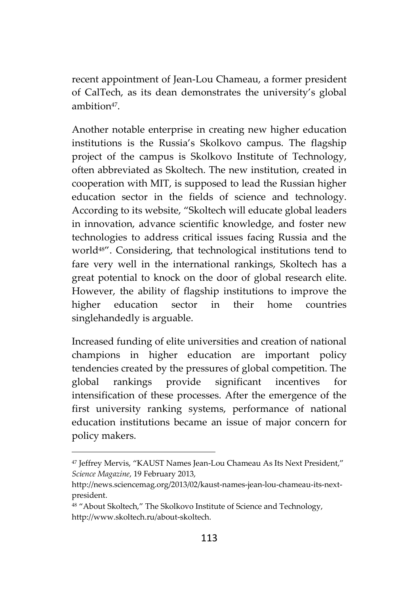recent appointment of Jean-Lou Chameau, a former president of CalTech, as its dean demonstrates the university's global ambition<sup>47</sup>.

Another notable enterprise in creating new higher education institutions is the Russia's Skolkovo campus. The flagship project of the campus is Skolkovo Institute of Technology, often abbreviated as Skoltech. The new institution, created in cooperation with MIT, is supposed to lead the Russian higher education sector in the fields of science and technology. According to its website, "Skoltech will educate global leaders in innovation, advance scientific knowledge, and foster new technologies to address critical issues facing Russia and the world48". Considering, that technological institutions tend to fare very well in the international rankings, Skoltech has a great potential to knock on the door of global research elite. However, the ability of flagship institutions to improve the higher education sector in their home countries singlehandedly is arguable.

Increased funding of elite universities and creation of national champions in higher education are important policy tendencies created by the pressures of global competition. The global rankings provide significant incentives for intensification of these processes. After the emergence of the first university ranking systems, performance of national education institutions became an issue of major concern for policy makers.

<sup>47</sup> Jeffrey Mervis, "KAUST Names Jean-Lou Chameau As Its Next President," *Science Magazine*, 19 February 2013,

http://news.sciencemag.org/2013/02/kaust-names-jean-lou-chameau-its-next president.

<sup>48 &</sup>quot;About Skoltech," The Skolkovo Institute of Science and Technology, http://www.skoltech.ru/about-skoltech.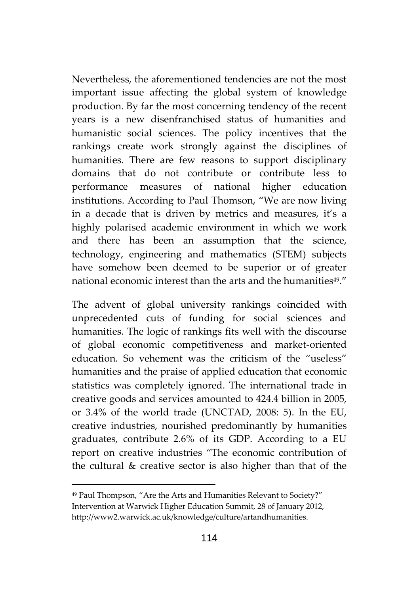Nevertheless, the aforementioned tendencies are not the most important issue affecting the global system of knowledge production. By far the most concerning tendency of the recent years is a new disenfranchised status of humanities and humanistic social sciences. The policy incentives that the rankings create work strongly against the disciplines of humanities. There are few reasons to support disciplinary domains that do not contribute or contribute less to performance measures of national higher education institutions. According to Paul Thomson, "We are now living in a decade that is driven by metrics and measures, it's a highly polarised academic environment in which we work and there has been an assumption that the science, technology, engineering and mathematics (STEM) subjects have somehow been deemed to be superior or of greater national economic interest than the arts and the humanities<sup>49</sup>

The advent of global university rankings coincided with unprecedented cuts of funding for social sciences and humanities. The logic of rankings fits well with the discourse of global economic competitiveness and market-oriented education. So vehement was the criticism of the "useless" humanities and the praise of applied education that economic statistics was completely ignored. The international trade in creative goods and services amounted to 424.4 billion in 2005, or 3.4% of the world trade (UNCTAD, 2008: 5). In the EU, creative industries, nourished predominantly by humanities graduates, contribute 2.6% of its GDP. According to a EU report on creative industries "The economic contribution of the cultural & creative sector is also higher than that of the

<sup>49</sup> Paul Thompson, "Are the Arts and Humanities Relevant to Society?" Intervention at Warwick Higher Education Summit, 28 of January 2012, http://www2.warwick.ac.uk/knowledge/culture/artandhumanities.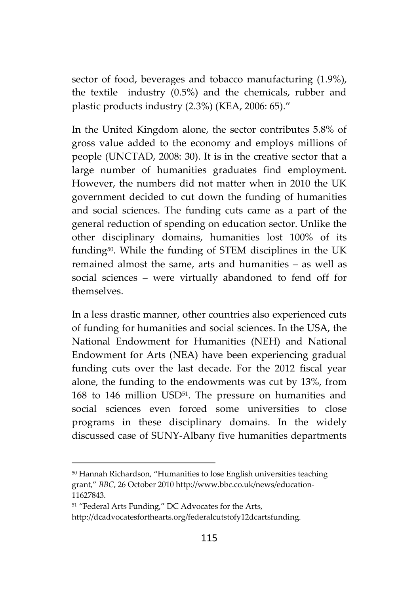sector of food, beverages and tobacco manufacturing (1.9%), the textile industry (0.5%) and the chemicals, rubber and plastic products industry (2.3%) (KEA, 2006: 65)."

In the United Kingdom alone, the sector contributes 5.8% of gross value added to the economy and employs millions of people (UNCTAD, 2008: 30). It is in the creative sector that a large number of humanities graduates find employment. However, the numbers did not matter when in 2010 the UK government decided to cut down the funding of humanities and social sciences. The funding cuts came as a part of the general reduction of spending on education sector. Unlike the other disciplinary domains, humanities lost 100% of its funding50. While the funding of STEM disciplines in the UK remained almost the same, arts and humanities – as well as social sciences – were virtually abandoned to fend off for themselves.

In a less drastic manner, other countries also experienced cuts of funding for humanities and social sciences. In the USA, the National Endowment for Humanities (NEH) and National Endowment for Arts (NEA) have been experiencing gradual funding cuts over the last decade. For the 2012 fiscal year alone, the funding to the endowments was cut by 13%, from 168 to 146 million USD<sup>51</sup>. The pressure on humanities and social sciences even forced some universities to close programs in these disciplinary domains. In the widely discussed case of SUNY-Albany five humanities departments

<sup>50</sup> Hannah Richardson, "Humanities to lose English universities teaching grant," *BBC*, 26 October 2010 http://www.bbc.co.uk/news/education- 11627843.

<sup>51</sup> "Federal Arts Funding," DC Advocates for the Arts,

http://dcadvocatesforthearts.org/federalcutstofy12dcartsfunding.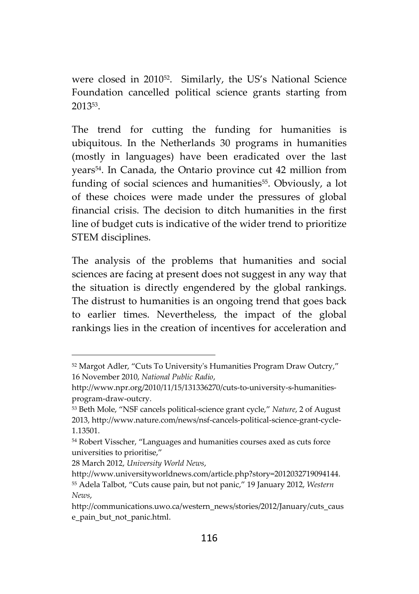were closed in 2010<sup>52</sup> . Similarly, the US's National Science Foundation cancelled political science grants starting from 2013<sup>53</sup> .

The trend for cutting the funding for humanities is ubiquitous. In the Netherlands 30 programs in humanities (mostly in languages) have been eradicated over the last years54. In Canada, the Ontario province cut 42 million from funding of social sciences and humanities<sup>55</sup>. Obviously, a lot of these choices were made under the pressures of global financial crisis. The decision to ditch humanities in the first line of budget cuts is indicative of the wider trend to prioritize STEM disciplines.

The analysis of the problems that humanities and social sciences are facing at present does not suggest in any way that the situation is directly engendered by the global rankings. The distrust to humanities is an ongoing trend that goes back to earlier times. Nevertheless, the impact of the global rankings lies in the creation of incentives for acceleration and

<sup>52</sup> Margot Adler, "Cuts To University's Humanities Program Draw Outcry," 16 November 2010, *National Public Radio*,

http://www.npr.org/2010/11/15/131336270/cuts-to-university-s-humanities program-draw-outcry.

<sup>53</sup> Beth Mole, "NSF cancels political-science grant cycle," *Nature*, 2 of August 2013, http://www.nature.com/news/nsf-cancels-political-science-grant-cycle- 1.13501.

<sup>54</sup> Robert Visscher, "Languages and humanities courses axed as cuts force universities to prioritise,"

<sup>28</sup> March 2012, *University World News*,

http://www.universityworldnews.com/article.php?story=2012032719094144. <sup>55</sup> Adela Talbot, "Cuts cause pain, but not panic," 19 January 2012, *Western News*,

http://communications.uwo.ca/western\_news/stories/2012/January/cuts\_caus e\_pain\_but\_not\_panic.html.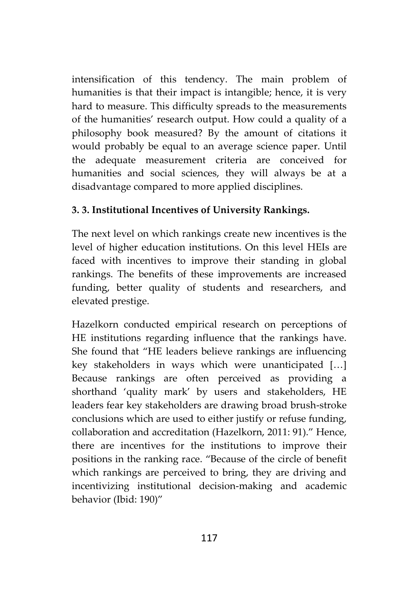intensification of this tendency. The main problem of humanities is that their impact is intangible; hence, it is very hard to measure. This difficulty spreads to the measurements of the humanities' research output. How could a quality of a philosophy book measured? By the amount of citations it would probably be equal to an average science paper. Until the adequate measurement criteria are conceived for humanities and social sciences, they will always be at a disadvantage compared to more applied disciplines.

## **3. 3. Institutional Incentives of University Rankings.**

The next level on which rankings create new incentives is the level of higher education institutions. On this level HEIs are faced with incentives to improve their standing in global rankings. The benefits of these improvements are increased funding, better quality of students and researchers, and elevated prestige.

Hazelkorn conducted empirical research on perceptions of HE institutions regarding influence that the rankings have. She found that "HE leaders believe rankings are influencing key stakeholders in ways which were unanticipated […] Because rankings are often perceived as providing a shorthand 'quality mark' by users and stakeholders, HE leaders fear key stakeholders are drawing broad brush-stroke conclusions which are used to either justify or refuse funding, collaboration and accreditation (Hazelkorn, 2011: 91)." Hence, there are incentives for the institutions to improve their positions in the ranking race. "Because of the circle of benefit which rankings are perceived to bring, they are driving and incentivizing institutional decision-making and academic behavior (Ibid: 190)"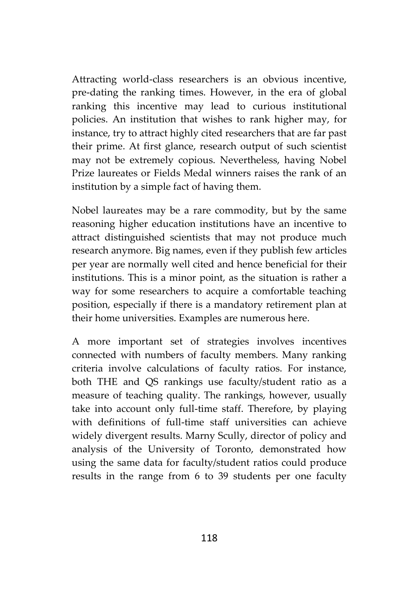Attracting world-class researchers is an obvious incentive, pre-dating the ranking times. However, in the era of global ranking this incentive may lead to curious institutional policies. An institution that wishes to rank higher may, for instance, try to attract highly cited researchers that are far past their prime. At first glance, research output of such scientist may not be extremely copious. Nevertheless, having Nobel Prize laureates or Fields Medal winners raises the rank of an institution by a simple fact of having them.

Nobel laureates may be a rare commodity, but by the same reasoning higher education institutions have an incentive to attract distinguished scientists that may not produce much research anymore. Big names, even if they publish few articles per year are normally well cited and hence beneficial for their institutions. This is a minor point, as the situation is rather a way for some researchers to acquire a comfortable teaching position, especially if there is a mandatory retirement plan at their home universities. Examples are numerous here.

A more important set of strategies involves incentives connected with numbers of faculty members. Many ranking criteria involve calculations of faculty ratios. For instance, both THE and QS rankings use faculty/student ratio as a measure of teaching quality. The rankings, however, usually take into account only full-time staff. Therefore, by playing with definitions of full-time staff universities can achieve widely divergent results. Marny Scully, director of policy and analysis of the University of Toronto, demonstrated how using the same data for faculty/student ratios could produce results in the range from 6 to 39 students per one faculty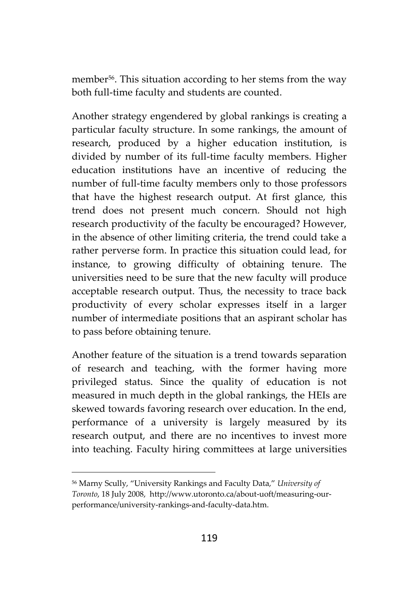member<sup>56</sup>. This situation according to her stems from the way both full-time faculty and students are counted.

Another strategy engendered by global rankings is creating a particular faculty structure. In some rankings, the amount of research, produced by a higher education institution, is divided by number of its full-time faculty members. Higher education institutions have an incentive of reducing the number of full-time faculty members only to those professors that have the highest research output. At first glance, this trend does not present much concern. Should not high research productivity of the faculty be encouraged? However, in the absence of other limiting criteria, the trend could take a rather perverse form. In practice this situation could lead, for instance, to growing difficulty of obtaining tenure. The universities need to be sure that the new faculty will produce acceptable research output. Thus, the necessity to trace back productivity of every scholar expresses itself in a larger number of intermediate positions that an aspirant scholar has to pass before obtaining tenure.

Another feature of the situation is a trend towards separation of research and teaching, with the former having more privileged status. Since the quality of education is not measured in much depth in the global rankings, the HEIs are skewed towards favoring research over education. In the end, performance of a university is largely measured by its research output, and there are no incentives to invest more into teaching. Faculty hiring committees at large universities

<sup>56</sup> Marny Scully, "University Rankings and Faculty Data," *University of Toronto*, 18 July 2008, http://www.utoronto.ca/about-uoft/measuring-our performance/university-rankings-and-faculty-data.htm.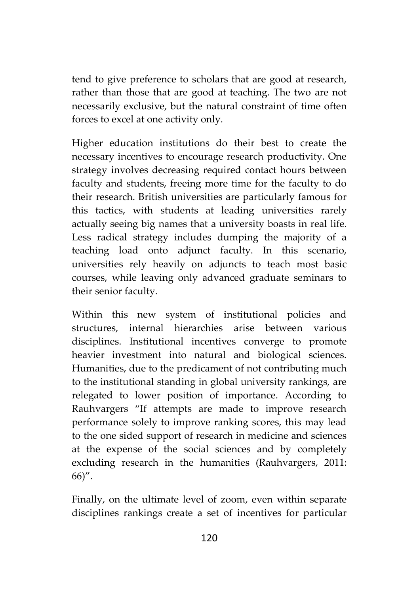tend to give preference to scholars that are good at research, rather than those that are good at teaching. The two are not necessarily exclusive, but the natural constraint of time often forces to excel at one activity only.

Higher education institutions do their best to create the necessary incentives to encourage research productivity. One strategy involves decreasing required contact hours between faculty and students, freeing more time for the faculty to do their research. British universities are particularly famous for this tactics, with students at leading universities rarely actually seeing big names that a university boasts in real life. Less radical strategy includes dumping the majority of a teaching load onto adjunct faculty. In this scenario, universities rely heavily on adjuncts to teach most basic courses, while leaving only advanced graduate seminars to their senior faculty.

Within this new system of institutional policies and structures, internal hierarchies arise between various disciplines. Institutional incentives converge to promote heavier investment into natural and biological sciences. Humanities, due to the predicament of not contributing much to the institutional standing in global university rankings, are relegated to lower position of importance. According to Rauhvargers "If attempts are made to improve research performance solely to improve ranking scores, this may lead to the one sided support of research in medicine and sciences at the expense of the social sciences and by completely excluding research in the humanities (Rauhvargers, 2011: 66)".

Finally, on the ultimate level of zoom, even within separate disciplines rankings create a set of incentives for particular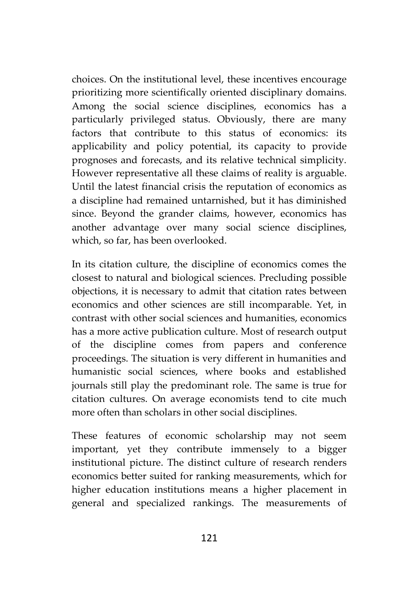choices. On the institutional level, these incentives encourage prioritizing more scientifically oriented disciplinary domains. Among the social science disciplines, economics has a particularly privileged status. Obviously, there are many factors that contribute to this status of economics: its applicability and policy potential, its capacity to provide prognoses and forecasts, and its relative technical simplicity. However representative all these claims of reality is arguable. Until the latest financial crisis the reputation of economics as a discipline had remained untarnished, but it has diminished since. Beyond the grander claims, however, economics has another advantage over many social science disciplines, which, so far, has been overlooked.

In its citation culture, the discipline of economics comes the closest to natural and biological sciences. Precluding possible objections, it is necessary to admit that citation rates between economics and other sciences are still incomparable. Yet, in contrast with other social sciences and humanities, economics has a more active publication culture. Most of research output of the discipline comes from papers and conference proceedings. The situation is very different in humanities and humanistic social sciences, where books and established journals still play the predominant role. The same is true for citation cultures. On average economists tend to cite much more often than scholars in other social disciplines.

These features of economic scholarship may not seem important, yet they contribute immensely to a bigger institutional picture. The distinct culture of research renders economics better suited for ranking measurements, which for higher education institutions means a higher placement in general and specialized rankings. The measurements of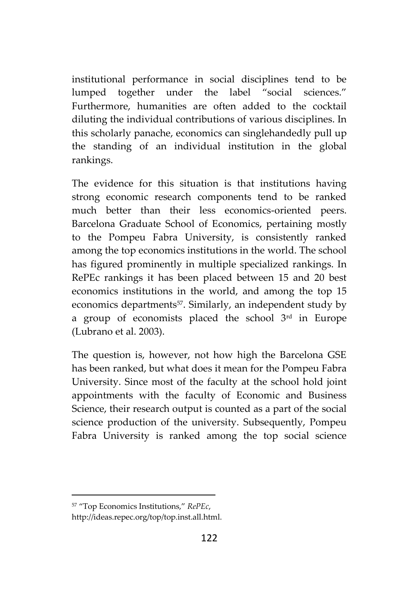institutional performance in social disciplines tend to be lumped together under the label "social sciences." Furthermore, humanities are often added to the cocktail diluting the individual contributions of various disciplines. In this scholarly panache, economics can singlehandedly pull up the standing of an individual institution in the global rankings.

The evidence for this situation is that institutions having strong economic research components tend to be ranked much better than their less economics-oriented peers. Barcelona Graduate School of Economics, pertaining mostly to the Pompeu Fabra University, is consistently ranked among the top economics institutions in the world. The school has figured prominently in multiple specialized rankings. In RePEc rankings it has been placed between 15 and 20 best economics institutions in the world, and among the top 15 economics departments<sup>57</sup>. Similarly, an independent study by a group of economists placed the school  $3<sup>rd</sup>$  in Europe (Lubrano et al. 2003).

The question is, however, not how high the Barcelona GSE has been ranked, but what does it mean for the Pompeu Fabra University. Since most of the faculty at the school hold joint appointments with the faculty of Economic and Business Science, their research output is counted as a part of the social science production of the university. Subsequently, Pompeu Fabra University is ranked among the top social science

<sup>57</sup> "Top Economics Institutions," *RePEc*,

http://ideas.repec.org/top/top.inst.all.html.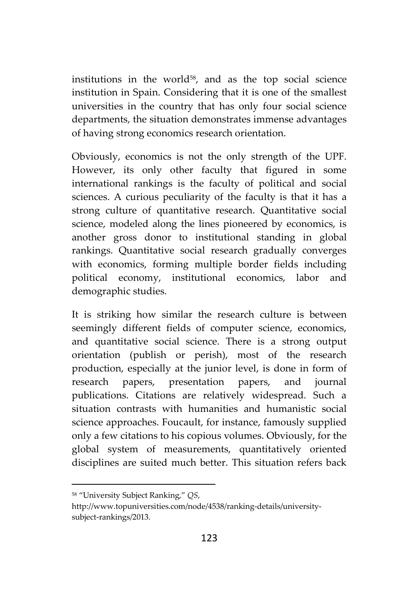institutions in the world<sup>58</sup>, and as the top social science institution in Spain. Considering that it is one of the smallest universities in the country that has only four social science departments, the situation demonstrates immense advantages of having strong economics research orientation.

Obviously, economics is not the only strength of the UPF. However, its only other faculty that figured in some international rankings is the faculty of political and social sciences. A curious peculiarity of the faculty is that it has a strong culture of quantitative research. Quantitative social science, modeled along the lines pioneered by economics, is another gross donor to institutional standing in global rankings. Quantitative social research gradually converges with economics, forming multiple border fields including political economy, institutional economics, labor and demographic studies.

It is striking how similar the research culture is between seemingly different fields of computer science, economics, and quantitative social science. There is a strong output orientation (publish or perish), most of the research production, especially at the junior level, is done in form of research papers, presentation papers, and journal publications. Citations are relatively widespread. Such a situation contrasts with humanities and humanistic social science approaches. Foucault, for instance, famously supplied only a few citations to his copious volumes. Obviously, for the global system of measurements, quantitatively oriented disciplines are suited much better. This situation refers back

<sup>&</sup>lt;sup>58</sup> "University Subject Ranking," *QS*,<br>http://www.topuniversities.com/node/4538/ranking-details/universitysubject-rankings/2013.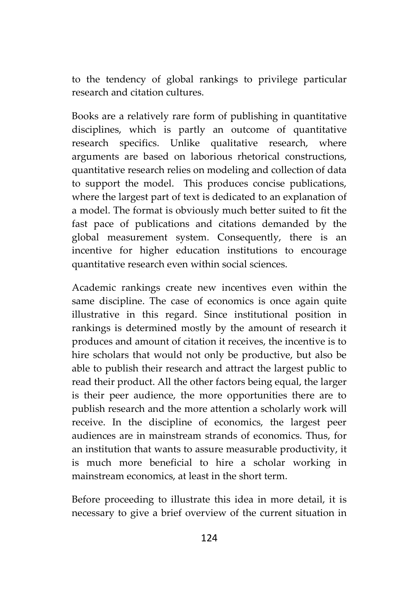to the tendency of global rankings to privilege particular research and citation cultures.

Books are a relatively rare form of publishing in quantitative disciplines, which is partly an outcome of quantitative research specifics. Unlike qualitative research, where arguments are based on laborious rhetorical constructions, quantitative research relies on modeling and collection of data to support the model. This produces concise publications, where the largest part of text is dedicated to an explanation of a model. The format is obviously much better suited to fit the fast pace of publications and citations demanded by the global measurement system. Consequently, there is an incentive for higher education institutions to encourage quantitative research even within social sciences.

Academic rankings create new incentives even within the same discipline. The case of economics is once again quite illustrative in this regard. Since institutional position in rankings is determined mostly by the amount of research it produces and amount of citation it receives, the incentive is to hire scholars that would not only be productive, but also be able to publish their research and attract the largest public to read their product. All the other factors being equal, the larger is their peer audience, the more opportunities there are to publish research and the more attention a scholarly work will receive. In the discipline of economics, the largest peer audiences are in mainstream strands of economics. Thus, for an institution that wants to assure measurable productivity, it is much more beneficial to hire a scholar working in mainstream economics, at least in the short term.

Before proceeding to illustrate this idea in more detail, it is necessary to give a brief overview of the current situation in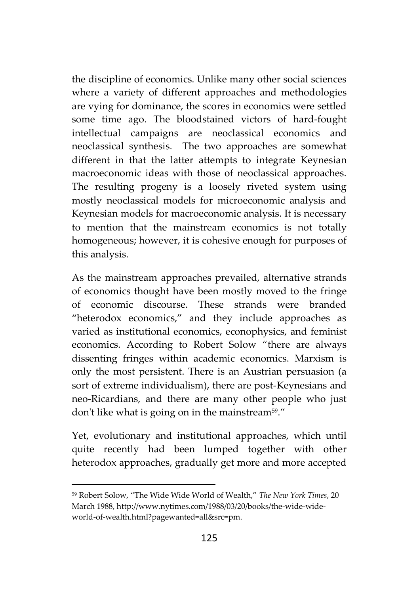the discipline of economics. Unlike many other social sciences where a variety of different approaches and methodologies are vying for dominance, the scores in economics were settled some time ago. The bloodstained victors of hard-fought intellectual campaigns are neoclassical economics and neoclassical synthesis. The two approaches are somewhat different in that the latter attempts to integrate Keynesian macroeconomic ideas with those of neoclassical approaches. The resulting progeny is a loosely riveted system using mostly neoclassical models for microeconomic analysis and Keynesian models for macroeconomic analysis. It is necessary to mention that the mainstream economics is not totally homogeneous; however, it is cohesive enough for purposes of this analysis.

As the mainstream approaches prevailed, alternative strands of economics thought have been mostly moved to the fringe of economic discourse. These strands were branded "heterodox economics," and they include approaches as varied as institutional economics, econophysics, and feminist economics. According to Robert Solow "there are always dissenting fringes within academic economics. Marxism is only the most persistent. There is an Austrian persuasion (a sort of extreme individualism), there are post-Keynesians and neo-Ricardians, and there are many other people who just don't like what is going on in the mainstream<sup>59</sup>."

Yet, evolutionary and institutional approaches, which until quite recently had been lumped together with other heterodox approaches, gradually get more and more accepted

<sup>59</sup> Robert Solow, "The Wide Wide World of Wealth," *The New York Times*, 20 March 1988, http://www.nytimes.com/1988/03/20/books/the-wide-wide world-of-wealth.html?pagewanted=all&src=pm.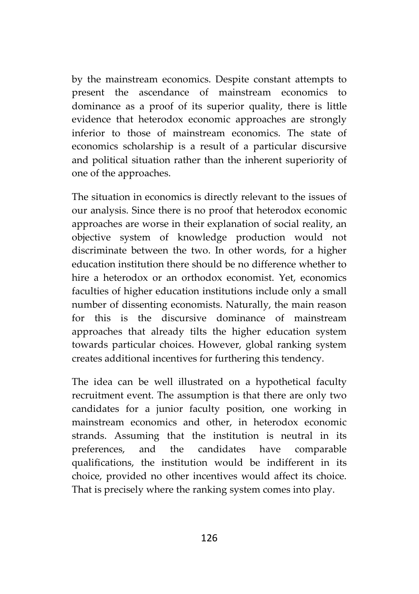by the mainstream economics. Despite constant attempts to present the ascendance of mainstream economics to dominance as a proof of its superior quality, there is little evidence that heterodox economic approaches are strongly inferior to those of mainstream economics. The state of economics scholarship is a result of a particular discursive and political situation rather than the inherent superiority of one of the approaches.

The situation in economics is directly relevant to the issues of our analysis. Since there is no proof that heterodox economic approaches are worse in their explanation of social reality, an objective system of knowledge production would not discriminate between the two. In other words, for a higher education institution there should be no difference whether to hire a heterodox or an orthodox economist. Yet, economics faculties of higher education institutions include only a small number of dissenting economists. Naturally, the main reason for this is the discursive dominance of mainstream approaches that already tilts the higher education system towards particular choices. However, global ranking system creates additional incentives for furthering this tendency.

The idea can be well illustrated on a hypothetical faculty recruitment event. The assumption is that there are only two candidates for a junior faculty position, one working in mainstream economics and other, in heterodox economic strands. Assuming that the institution is neutral in its preferences, and the candidates have comparable qualifications, the institution would be indifferent in its choice, provided no other incentives would affect its choice. That is precisely where the ranking system comes into play.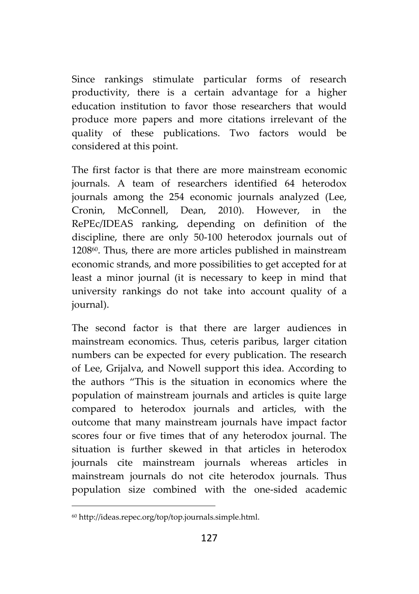Since rankings stimulate particular forms of research productivity, there is a certain advantage for a higher education institution to favor those researchers that would produce more papers and more citations irrelevant of the quality of these publications. Two factors would be considered at this point.

The first factor is that there are more mainstream economic journals. A team of researchers identified 64 heterodox journals among the 254 economic journals analyzed (Lee, Cronin, McConnell, Dean, 2010). However, in the RePEc/IDEAS ranking, depending on definition of the discipline, there are only 50-100 heterodox journals out of 120860. Thus, there are more articles published in mainstream economic strands, and more possibilities to get accepted for at least a minor journal (it is necessary to keep in mind that university rankings do not take into account quality of a journal).

The second factor is that there are larger audiences in mainstream economics. Thus, ceteris paribus, larger citation numbers can be expected for every publication. The research of Lee, Grijalva, and Nowell support this idea. According to the authors "This is the situation in economics where the population of mainstream journals and articles is quite large compared to heterodox journals and articles, with the outcome that many mainstream journals have impact factor scores four or five times that of any heterodox journal. The situation is further skewed in that articles in heterodox journals cite mainstream journals whereas articles in mainstream journals do not cite heterodox journals. Thus population size combined with the one-sided academic

<sup>60</sup> http://ideas.repec.org/top/top.journals.simple.html.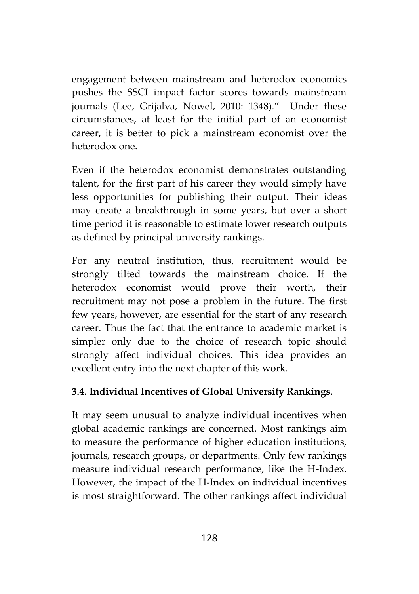engagement between mainstream and heterodox economics pushes the SSCI impact factor scores towards mainstream journals (Lee, Grijalva, Nowel, 2010: 1348)." Under these circumstances, at least for the initial part of an economist career, it is better to pick a mainstream economist over the heterodox one.

Even if the heterodox economist demonstrates outstanding talent, for the first part of his career they would simply have less opportunities for publishing their output. Their ideas may create a breakthrough in some years, but over a short time period it is reasonable to estimate lower research outputs as defined by principal university rankings.

For any neutral institution, thus, recruitment would be strongly tilted towards the mainstream choice. If the heterodox economist would prove their worth, their recruitment may not pose a problem in the future. The first few years, however, are essential for the start of any research career. Thus the fact that the entrance to academic market is simpler only due to the choice of research topic should strongly affect individual choices. This idea provides an excellent entry into the next chapter of this work.

## **3.4. Individual Incentives of Global University Rankings.**

It may seem unusual to analyze individual incentives when global academic rankings are concerned. Most rankings aim to measure the performance of higher education institutions, journals, research groups, or departments. Only few rankings measure individual research performance, like the H-Index. However, the impact of the H-Index on individual incentives is most straightforward. The other rankings affect individual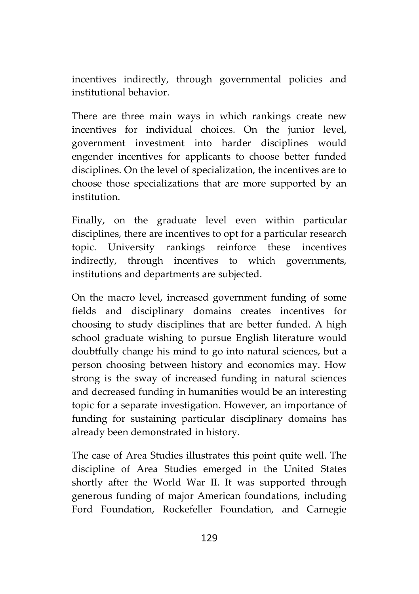incentives indirectly, through governmental policies and institutional behavior.

There are three main ways in which rankings create new incentives for individual choices. On the junior level, government investment into harder disciplines would engender incentives for applicants to choose better funded disciplines. On the level of specialization, the incentives are to choose those specializations that are more supported by an institution.

Finally, on the graduate level even within particular disciplines, there are incentives to opt for a particular research topic. University rankings reinforce these incentives indirectly, through incentives to which governments, institutions and departments are subjected.

On the macro level, increased government funding of some fields and disciplinary domains creates incentives for choosing to study disciplines that are better funded. A high school graduate wishing to pursue English literature would doubtfully change his mind to go into natural sciences, but a person choosing between history and economics may. How strong is the sway of increased funding in natural sciences and decreased funding in humanities would be an interesting topic for a separate investigation. However, an importance of funding for sustaining particular disciplinary domains has already been demonstrated in history.

The case of Area Studies illustrates this point quite well. The discipline of Area Studies emerged in the United States shortly after the World War II. It was supported through generous funding of major American foundations, including Ford Foundation, Rockefeller Foundation, and Carnegie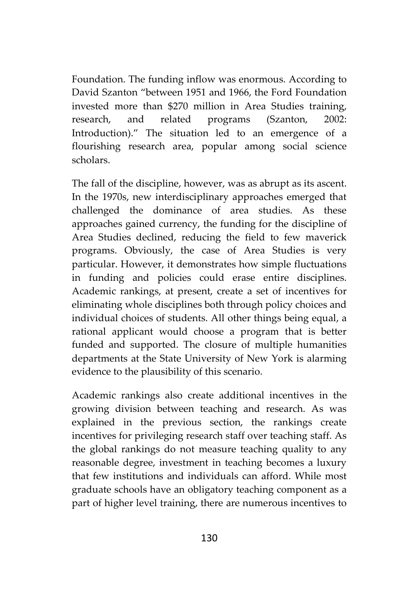Foundation. The funding inflow was enormous. According to David Szanton "between 1951 and 1966, the Ford Foundation invested more than \$270 million in Area Studies training, research, and related programs (Szanton, 2002: Introduction)." The situation led to an emergence of a flourishing research area, popular among social science scholars.

The fall of the discipline, however, was as abrupt as its ascent. In the 1970s, new interdisciplinary approaches emerged that challenged the dominance of area studies. As these approaches gained currency, the funding for the discipline of Area Studies declined, reducing the field to few maverick programs. Obviously, the case of Area Studies is very particular. However, it demonstrates how simple fluctuations in funding and policies could erase entire disciplines. Academic rankings, at present, create a set of incentives for eliminating whole disciplines both through policy choices and individual choices of students. All other things being equal, a rational applicant would choose a program that is better funded and supported. The closure of multiple humanities departments at the State University of New York is alarming evidence to the plausibility of this scenario.

Academic rankings also create additional incentives in the growing division between teaching and research. As was explained in the previous section, the rankings create incentives for privileging research staff over teaching staff. As the global rankings do not measure teaching quality to any reasonable degree, investment in teaching becomes a luxury that few institutions and individuals can afford. While most graduate schools have an obligatory teaching component as a part of higher level training, there are numerous incentives to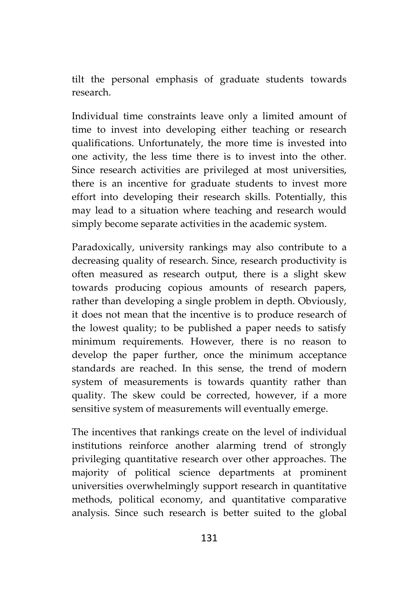tilt the personal emphasis of graduate students towards research.

Individual time constraints leave only a limited amount of time to invest into developing either teaching or research qualifications. Unfortunately, the more time is invested into one activity, the less time there is to invest into the other. Since research activities are privileged at most universities, there is an incentive for graduate students to invest more effort into developing their research skills. Potentially, this may lead to a situation where teaching and research would simply become separate activities in the academic system.

Paradoxically, university rankings may also contribute to a decreasing quality of research. Since, research productivity is often measured as research output, there is a slight skew towards producing copious amounts of research papers, rather than developing a single problem in depth. Obviously, it does not mean that the incentive is to produce research of the lowest quality; to be published a paper needs to satisfy minimum requirements. However, there is no reason to develop the paper further, once the minimum acceptance standards are reached. In this sense, the trend of modern system of measurements is towards quantity rather than quality. The skew could be corrected, however, if a more sensitive system of measurements will eventually emerge.

The incentives that rankings create on the level of individual institutions reinforce another alarming trend of strongly privileging quantitative research over other approaches. The majority of political science departments at prominent universities overwhelmingly support research in quantitative methods, political economy, and quantitative comparative analysis. Since such research is better suited to the global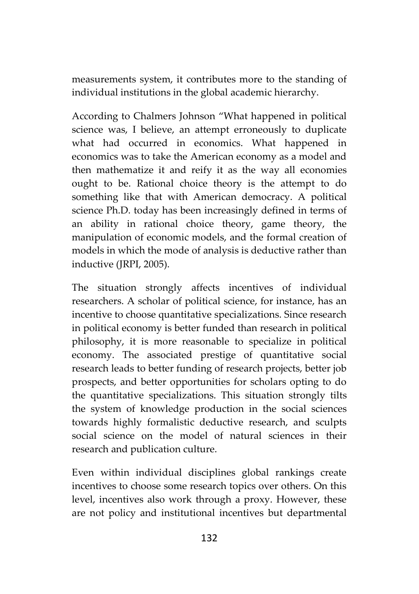measurements system, it contributes more to the standing of individual institutions in the global academic hierarchy.

According to Chalmers Johnson "What happened in political science was, I believe, an attempt erroneously to duplicate what had occurred in economics. What happened in economics was to take the American economy as a model and then mathematize it and reify it as the way all economies ought to be. Rational choice theory is the attempt to do something like that with American democracy. A political science Ph.D. today has been increasingly defined in terms of an ability in rational choice theory, game theory, the manipulation of economic models, and the formal creation of models in which the mode of analysis is deductive rather than inductive (JRPI, 2005).

The situation strongly affects incentives of individual researchers. A scholar of political science, for instance, has an incentive to choose quantitative specializations. Since research in political economy is better funded than research in political philosophy, it is more reasonable to specialize in political economy. The associated prestige of quantitative social research leads to better funding of research projects, better job prospects, and better opportunities for scholars opting to do the quantitative specializations. This situation strongly tilts the system of knowledge production in the social sciences towards highly formalistic deductive research, and sculpts social science on the model of natural sciences in their research and publication culture.

Even within individual disciplines global rankings create incentives to choose some research topics over others. On this level, incentives also work through a proxy. However, these are not policy and institutional incentives but departmental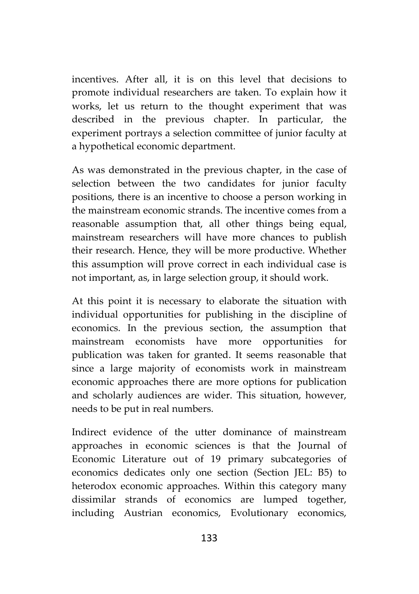incentives. After all, it is on this level that decisions to promote individual researchers are taken. To explain how it works, let us return to the thought experiment that was described in the previous chapter. In particular, the experiment portrays a selection committee of junior faculty at a hypothetical economic department.

As was demonstrated in the previous chapter, in the case of selection between the two candidates for junior faculty positions, there is an incentive to choose a person working in the mainstream economic strands. The incentive comes from a reasonable assumption that, all other things being equal, mainstream researchers will have more chances to publish their research. Hence, they will be more productive. Whether this assumption will prove correct in each individual case is not important, as, in large selection group, it should work.

At this point it is necessary to elaborate the situation with individual opportunities for publishing in the discipline of economics. In the previous section, the assumption that mainstream economists have more opportunities for publication was taken for granted. It seems reasonable that since a large majority of economists work in mainstream economic approaches there are more options for publication and scholarly audiences are wider. This situation, however, needs to be put in real numbers.

Indirect evidence of the utter dominance of mainstream approaches in economic sciences is that the Journal of Economic Literature out of 19 primary subcategories of economics dedicates only one section (Section JEL: B5) to heterodox economic approaches. Within this category many dissimilar strands of economics are lumped together, including Austrian economics, Evolutionary economics,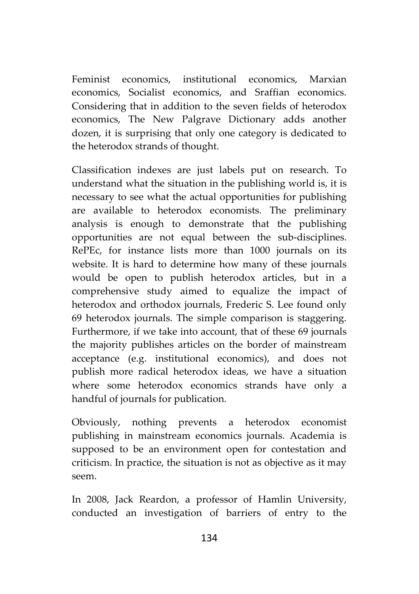Feminist economics, institutional economics, Marxian economics, Socialist economics, and Sraffian economics. Considering that in addition to the seven fields of heterodox economics, The New Palgrave Dictionary adds another dozen, it is surprising that only one category is dedicated to the heterodox strands of thought.

Classification indexes are just labels put on research. To understand what the situation in the publishing world is, it is necessary to see what the actual opportunities for publishing are available to heterodox economists. The preliminary analysis is enough to demonstrate that the publishing opportunities are not equal between the sub-disciplines. RePEc, for instance lists more than 1000 journals on its website. It is hard to determine how many of these journals would be open to publish heterodox articles, but in a comprehensive study aimed to equalize the impact of heterodox and orthodox journals, Frederic S. Lee found only 69 heterodox journals. The simple comparison is staggering. Furthermore, if we take into account, that of these 69 journals the majority publishes articles on the border of mainstream acceptance (e.g. institutional economics), and does not publish more radical heterodox ideas, we have a situation where some heterodox economics strands have only a handful of journals for publication.

Obviously, nothing prevents a heterodox economist publishing in mainstream economics journals. Academia is supposed to be an environment open for contestation and criticism. In practice, the situation is not as objective as it may seem.

In 2008, Jack Reardon, a professor of Hamlin University, conducted an investigation of barriers of entry to the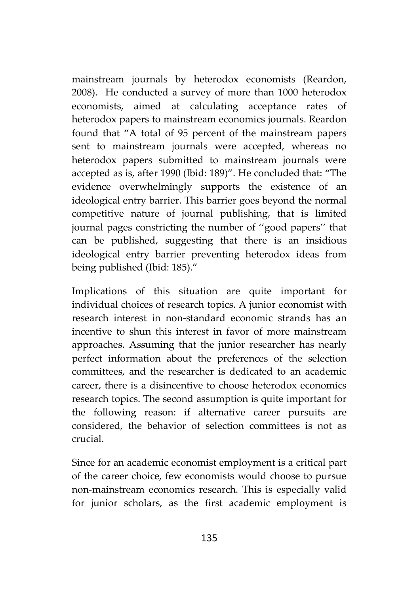mainstream journals by heterodox economists (Reardon, 2008). He conducted a survey of more than 1000 heterodox economists, aimed at calculating acceptance rates of heterodox papers to mainstream economics journals. Reardon found that "A total of 95 percent of the mainstream papers sent to mainstream journals were accepted, whereas no heterodox papers submitted to mainstream journals were accepted as is, after 1990 (Ibid: 189)". He concluded that: "The evidence overwhelmingly supports the existence of an ideological entry barrier. This barrier goes beyond the normal competitive nature of journal publishing, that is limited journal pages constricting the number of ''good papers'' that can be published, suggesting that there is an insidious ideological entry barrier preventing heterodox ideas from being published (Ibid: 185)."

Implications of this situation are quite important for individual choices of research topics. A junior economist with research interest in non-standard economic strands has an incentive to shun this interest in favor of more mainstream approaches. Assuming that the junior researcher has nearly perfect information about the preferences of the selection committees, and the researcher is dedicated to an academic career, there is a disincentive to choose heterodox economics research topics. The second assumption is quite important for the following reason: if alternative career pursuits are considered, the behavior of selection committees is not as crucial.

Since for an academic economist employment is a critical part of the career choice, few economists would choose to pursue non-mainstream economics research. This is especially valid for junior scholars, as the first academic employment is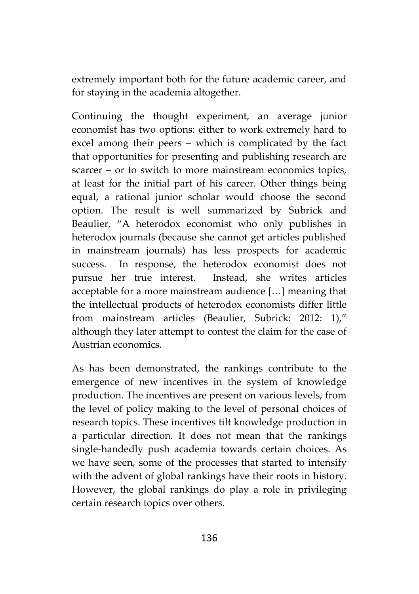extremely important both for the future academic career, and for staying in the academia altogether.

Continuing the thought experiment, an average junior economist has two options: either to work extremely hard to excel among their peers – which is complicated by the fact that opportunities for presenting and publishing research are scarcer – or to switch to more mainstream economics topics, at least for the initial part of his career. Other things being equal, a rational junior scholar would choose the second option. The result is well summarized by Subrick and Beaulier, "A heterodox economist who only publishes in heterodox journals (because she cannot get articles published in mainstream journals) has less prospects for academic success. In response, the heterodox economist does not pursue her true interest. Instead, she writes articles acceptable for a more mainstream audience […] meaning that the intellectual products of heterodox economists differ little from mainstream articles (Beaulier, Subrick: 2012: 1)," although they later attempt to contest the claim for the case of Austrian economics.

As has been demonstrated, the rankings contribute to the emergence of new incentives in the system of knowledge production. The incentives are present on various levels, from the level of policy making to the level of personal choices of research topics. These incentives tilt knowledge production in a particular direction. It does not mean that the rankings single-handedly push academia towards certain choices. As we have seen, some of the processes that started to intensify with the advent of global rankings have their roots in history. However, the global rankings do play a role in privileging certain research topics over others.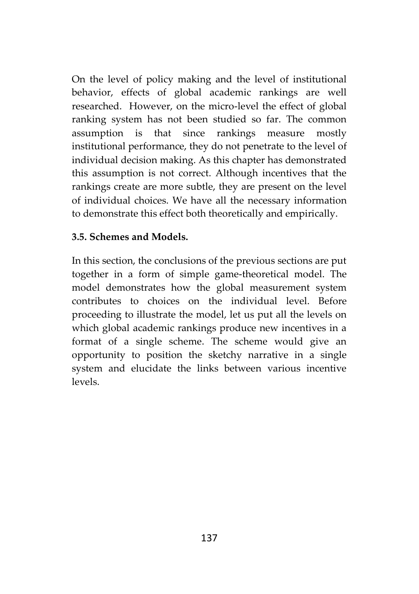On the level of policy making and the level of institutional behavior, effects of global academic rankings are well researched. However, on the micro-level the effect of global ranking system has not been studied so far. The common assumption is that since rankings measure mostly institutional performance, they do not penetrate to the level of individual decision making. As this chapter has demonstrated this assumption is not correct. Although incentives that the rankings create are more subtle, they are present on the level of individual choices. We have all the necessary information to demonstrate this effect both theoretically and empirically.

## **3.5. Schemes and Models.**

In this section, the conclusions of the previous sections are put together in a form of simple game-theoretical model. The model demonstrates how the global measurement system contributes to choices on the individual level. Before proceeding to illustrate the model, let us put all the levels on which global academic rankings produce new incentives in a format of a single scheme. The scheme would give an opportunity to position the sketchy narrative in a single system and elucidate the links between various incentive levels.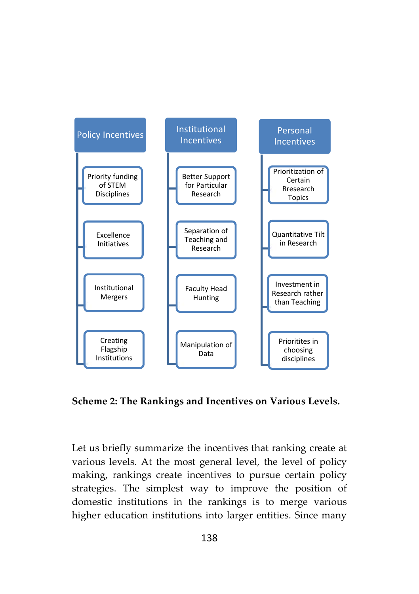

**Scheme 2: The Rankings and Incentives on Various Levels.**

Let us briefly summarize the incentives that ranking create at various levels. At the most general level, the level of policy making, rankings create incentives to pursue certain policy strategies. The simplest way to improve the position of domestic institutions in the rankings is to merge various higher education institutions into larger entities. Since many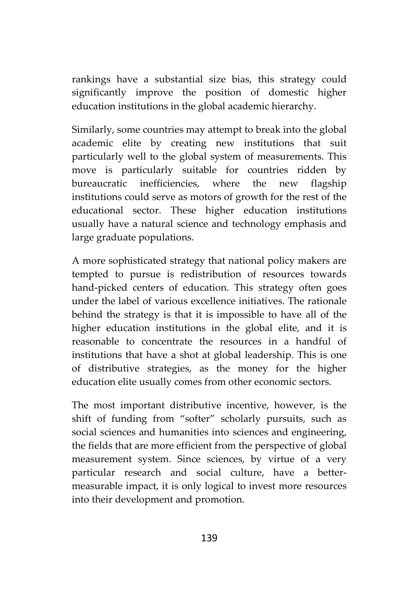rankings have a substantial size bias, this strategy could significantly improve the position of domestic higher education institutions in the global academic hierarchy.

Similarly, some countries may attempt to break into the global academic elite by creating new institutions that suit particularly well to the global system of measurements. This move is particularly suitable for countries ridden by bureaucratic inefficiencies, where the new flagship institutions could serve as motors of growth for the rest of the educational sector. These higher education institutions usually have a natural science and technology emphasis and large graduate populations.

A more sophisticated strategy that national policy makers are tempted to pursue is redistribution of resources towards hand-picked centers of education. This strategy often goes under the label of various excellence initiatives. The rationale behind the strategy is that it is impossible to have all of the higher education institutions in the global elite, and it is reasonable to concentrate the resources in a handful of institutions that have a shot at global leadership. This is one of distributive strategies, as the money for the higher education elite usually comes from other economic sectors.

The most important distributive incentive, however, is the shift of funding from "softer" scholarly pursuits, such as social sciences and humanities into sciences and engineering, the fields that are more efficient from the perspective of global measurement system. Since sciences, by virtue of a very particular research and social culture, have a better measurable impact, it is only logical to invest more resources into their development and promotion.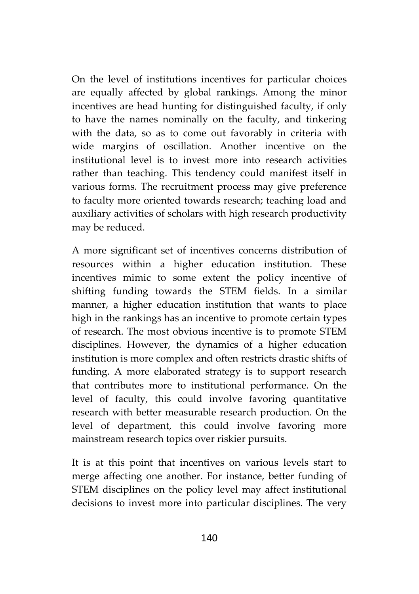On the level of institutions incentives for particular choices are equally affected by global rankings. Among the minor incentives are head hunting for distinguished faculty, if only to have the names nominally on the faculty, and tinkering with the data, so as to come out favorably in criteria with wide margins of oscillation. Another incentive on the institutional level is to invest more into research activities rather than teaching. This tendency could manifest itself in various forms. The recruitment process may give preference to faculty more oriented towards research; teaching load and auxiliary activities of scholars with high research productivity may be reduced.

A more significant set of incentives concerns distribution of resources within a higher education institution. These incentives mimic to some extent the policy incentive of shifting funding towards the STEM fields. In a similar manner, a higher education institution that wants to place high in the rankings has an incentive to promote certain types of research. The most obvious incentive is to promote STEM disciplines. However, the dynamics of a higher education institution is more complex and often restricts drastic shifts of funding. A more elaborated strategy is to support research that contributes more to institutional performance. On the level of faculty, this could involve favoring quantitative research with better measurable research production. On the level of department, this could involve favoring more mainstream research topics over riskier pursuits.

It is at this point that incentives on various levels start to merge affecting one another. For instance, better funding of STEM disciplines on the policy level may affect institutional decisions to invest more into particular disciplines. The very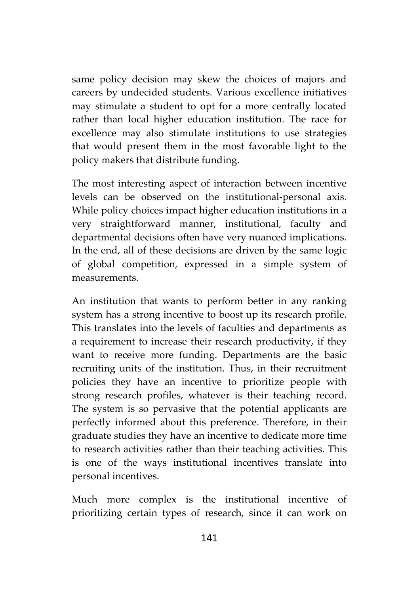same policy decision may skew the choices of majors and careers by undecided students. Various excellence initiatives may stimulate a student to opt for a more centrally located rather than local higher education institution. The race for excellence may also stimulate institutions to use strategies that would present them in the most favorable light to the policy makers that distribute funding.

The most interesting aspect of interaction between incentive levels can be observed on the institutional-personal axis. While policy choices impact higher education institutions in a very straightforward manner, institutional, faculty and departmental decisions often have very nuanced implications. In the end, all of these decisions are driven by the same logic of global competition, expressed in a simple system of measurements.

An institution that wants to perform better in any ranking system has a strong incentive to boost up its research profile. This translates into the levels of faculties and departments as a requirement to increase their research productivity, if they want to receive more funding. Departments are the basic recruiting units of the institution. Thus, in their recruitment policies they have an incentive to prioritize people with strong research profiles, whatever is their teaching record. The system is so pervasive that the potential applicants are perfectly informed about this preference. Therefore, in their graduate studies they have an incentive to dedicate more time to research activities rather than their teaching activities. This is one of the ways institutional incentives translate into personal incentives.

Much more complex is the institutional incentive of prioritizing certain types of research, since it can work on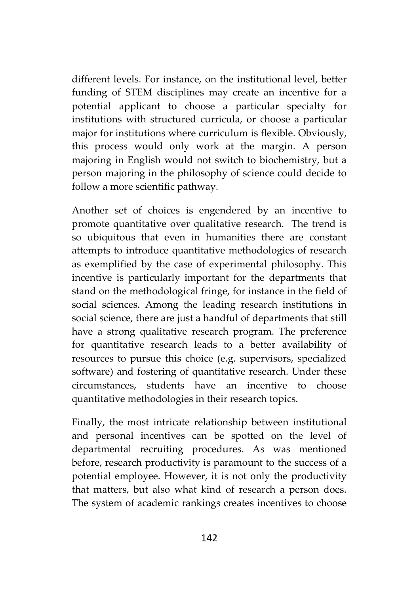different levels. For instance, on the institutional level, better funding of STEM disciplines may create an incentive for a potential applicant to choose a particular specialty for institutions with structured curricula, or choose a particular major for institutions where curriculum is flexible. Obviously, this process would only work at the margin. A person majoring in English would not switch to biochemistry, but a person majoring in the philosophy of science could decide to follow a more scientific pathway.

Another set of choices is engendered by an incentive to promote quantitative over qualitative research. The trend is so ubiquitous that even in humanities there are constant attempts to introduce quantitative methodologies of research as exemplified by the case of experimental philosophy. This incentive is particularly important for the departments that stand on the methodological fringe, for instance in the field of social sciences. Among the leading research institutions in social science, there are just a handful of departments that still have a strong qualitative research program. The preference for quantitative research leads to a better availability of resources to pursue this choice (e.g. supervisors, specialized software) and fostering of quantitative research. Under these circumstances, students have an incentive to choose quantitative methodologies in their research topics.

Finally, the most intricate relationship between institutional and personal incentives can be spotted on the level of departmental recruiting procedures. As was mentioned before, research productivity is paramount to the success of a potential employee. However, it is not only the productivity that matters, but also what kind of research a person does. The system of academic rankings creates incentives to choose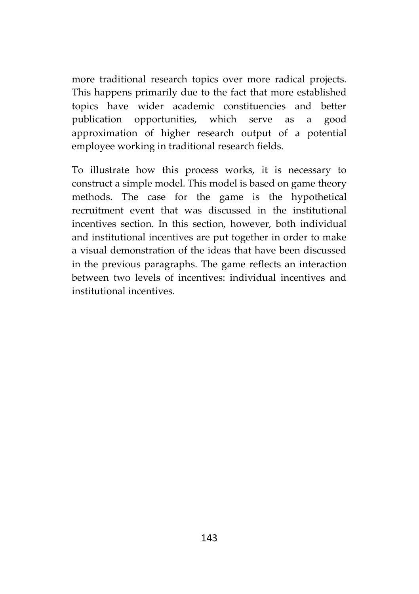more traditional research topics over more radical projects. This happens primarily due to the fact that more established topics have wider academic constituencies and better publication opportunities, which serve as a good approximation of higher research output of a potential employee working in traditional research fields.

To illustrate how this process works, it is necessary to construct a simple model. This model is based on game theory methods. The case for the game is the hypothetical recruitment event that was discussed in the institutional incentives section. In this section, however, both individual and institutional incentives are put together in order to make a visual demonstration of the ideas that have been discussed in the previous paragraphs. The game reflects an interaction between two levels of incentives: individual incentives and institutional incentives.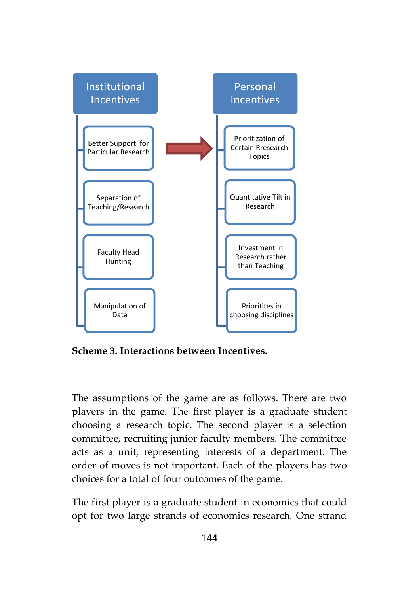

**Scheme 3. Interactions between Incentives.**

The assumptions of the game are as follows. There are two players in the game. The first player is a graduate student choosing a research topic. The second player is a selection committee, recruiting junior faculty members. The committee acts as a unit, representing interests of a department. The order of moves is not important. Each of the players has two choices for a total of four outcomes of the game.

The first player is a graduate student in economics that could opt for two large strands of economics research. One strand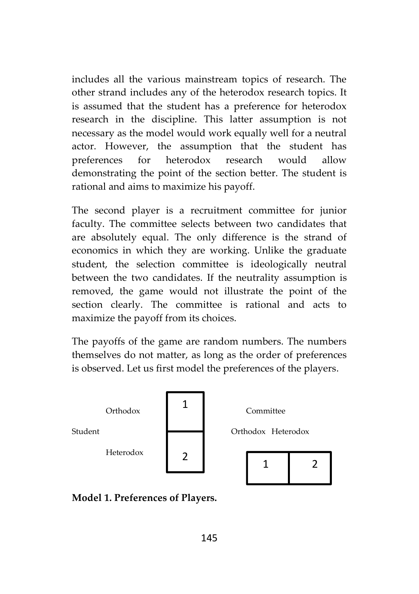includes all the various mainstream topics of research. The other strand includes any of the heterodox research topics. It is assumed that the student has a preference for heterodox research in the discipline. This latter assumption is not necessary as the model would work equally well for a neutral actor. However, the assumption that the student has preferences for heterodox research would allow demonstrating the point of the section better. The student is rational and aims to maximize his payoff.

The second player is a recruitment committee for junior faculty. The committee selects between two candidates that are absolutely equal. The only difference is the strand of economics in which they are working. Unlike the graduate student, the selection committee is ideologically neutral between the two candidates. If the neutrality assumption is removed, the game would not illustrate the point of the section clearly. The committee is rational and acts to maximize the payoff from its choices.

The payoffs of the game are random numbers. The numbers themselves do not matter, as long as the order of preferences is observed. Let us first model the preferences of the players.



**Model 1. Preferences of Players.**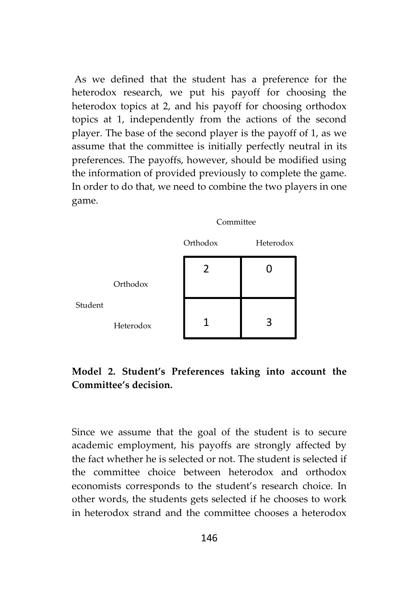As we defined that the student has a preference for the heterodox research, we put his payoff for choosing the heterodox topics at 2, and his payoff for choosing orthodox topics at 1, independently from the actions of the second player. The base of the second player is the payoff of 1, as we assume that the committee is initially perfectly neutral in its preferences. The payoffs, however, should be modified using the information of provided previously to complete the game. In order to do that, we need to combine the two players in one game.



# **Model 2. Student's Preferences taking into account the Committee's decision.**

Since we assume that the goal of the student is to secure academic employment, his payoffs are strongly affected by the fact whether he is selected or not. The student is selected if the committee choice between heterodox and orthodox economists corresponds to the student's research choice. In other words, the students gets selected if he chooses to work in heterodox strand and the committee chooses a heterodox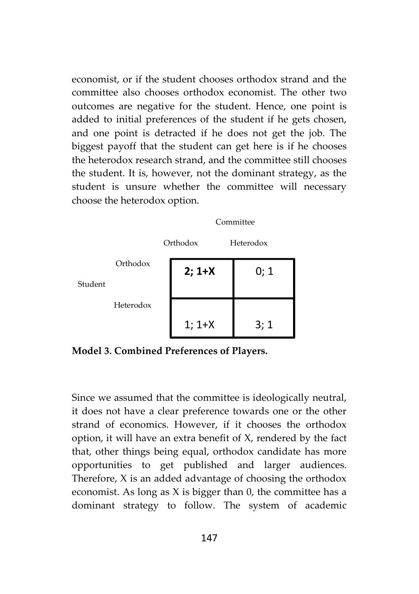economist, or if the student chooses orthodox strand and the committee also chooses orthodox economist. The other two outcomes are negative for the student. Hence, one point is added to initial preferences of the student if he gets chosen, and one point is detracted if he does not get the job. The biggest payoff that the student can get here is if he chooses the heterodox research strand, and the committee still chooses the student. It is, however, not the dominant strategy, as the student is unsure whether the committee will necessary choose the heterodox option.



**Model 3. Combined Preferences of Players.**

Since we assumed that the committee is ideologically neutral, it does not have a clear preference towards one or the other strand of economics. However, if it chooses the orthodox option, it will have an extra benefit of X, rendered by the fact that, other things being equal, orthodox candidate has more opportunities to get published and larger audiences. Therefore, X is an added advantage of choosing the orthodox economist. As long as X is bigger than 0, the committee has a dominant strategy to follow. The system of academic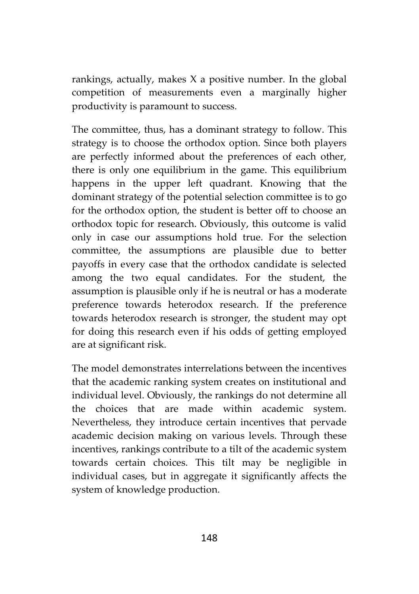rankings, actually, makes X a positive number. In the global competition of measurements even a marginally higher productivity is paramount to success.

The committee, thus, has a dominant strategy to follow. This strategy is to choose the orthodox option. Since both players are perfectly informed about the preferences of each other, there is only one equilibrium in the game. This equilibrium happens in the upper left quadrant. Knowing that the dominant strategy of the potential selection committee is to go for the orthodox option, the student is better off to choose an orthodox topic for research. Obviously, this outcome is valid only in case our assumptions hold true. For the selection committee, the assumptions are plausible due to better payoffs in every case that the orthodox candidate is selected among the two equal candidates. For the student, the assumption is plausible only if he is neutral or has a moderate preference towards heterodox research. If the preference towards heterodox research is stronger, the student may opt for doing this research even if his odds of getting employed are at significant risk.

The model demonstrates interrelations between the incentives that the academic ranking system creates on institutional and individual level. Obviously, the rankings do not determine all the choices that are made within academic system. Nevertheless, they introduce certain incentives that pervade academic decision making on various levels. Through these incentives, rankings contribute to a tilt of the academic system towards certain choices. This tilt may be negligible in individual cases, but in aggregate it significantly affects the system of knowledge production.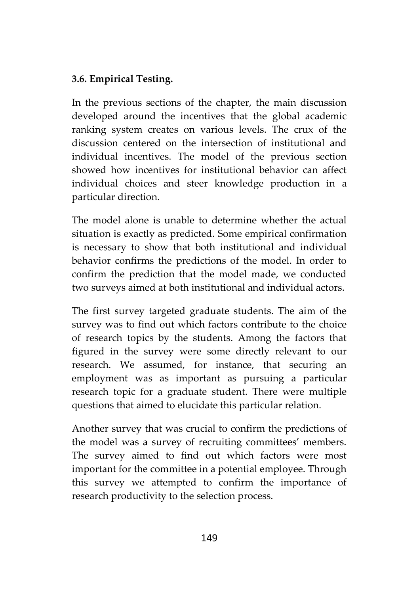## **3.6. Empirical Testing.**

In the previous sections of the chapter, the main discussion developed around the incentives that the global academic ranking system creates on various levels. The crux of the discussion centered on the intersection of institutional and individual incentives. The model of the previous section showed how incentives for institutional behavior can affect individual choices and steer knowledge production in a particular direction.

The model alone is unable to determine whether the actual situation is exactly as predicted. Some empirical confirmation is necessary to show that both institutional and individual behavior confirms the predictions of the model. In order to confirm the prediction that the model made, we conducted two surveys aimed at both institutional and individual actors.

The first survey targeted graduate students. The aim of the survey was to find out which factors contribute to the choice of research topics by the students. Among the factors that figured in the survey were some directly relevant to our research. We assumed, for instance, that securing an employment was as important as pursuing a particular research topic for a graduate student. There were multiple questions that aimed to elucidate this particular relation.

Another survey that was crucial to confirm the predictions of the model was a survey of recruiting committees' members. The survey aimed to find out which factors were most important for the committee in a potential employee. Through this survey we attempted to confirm the importance of research productivity to the selection process.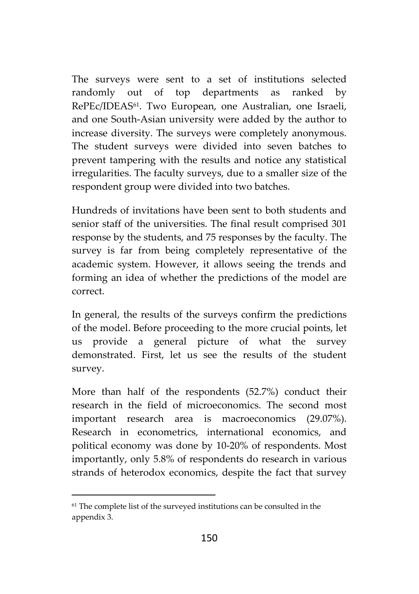The surveys were sent to a set of institutions selected randomly out of top departments as ranked by RePEc/IDEAS61. Two European, one Australian, one Israeli, and one South-Asian university were added by the author to increase diversity. The surveys were completely anonymous. The student surveys were divided into seven batches to prevent tampering with the results and notice any statistical irregularities. The faculty surveys, due to a smaller size of the respondent group were divided into two batches.

Hundreds of invitations have been sent to both students and senior staff of the universities. The final result comprised 301 response by the students, and 75 responses by the faculty. The survey is far from being completely representative of the academic system. However, it allows seeing the trends and forming an idea of whether the predictions of the model are correct.

In general, the results of the surveys confirm the predictions of the model. Before proceeding to the more crucial points, let us provide a general picture of what the survey demonstrated. First, let us see the results of the student survey.

More than half of the respondents (52.7%) conduct their research in the field of microeconomics. The second most important research area is macroeconomics (29.07%). Research in econometrics, international economics, and political economy was done by 10-20% of respondents. Most importantly, only 5.8% of respondents do research in various strands of heterodox economics, despite the fact that survey

<sup>&</sup>lt;sup>61</sup> The complete list of the surveyed institutions can be consulted in the appendix 3.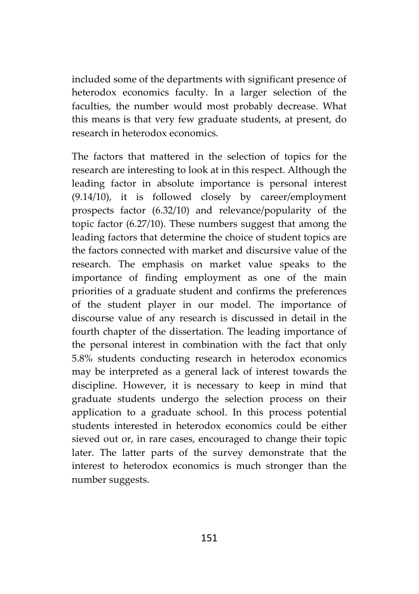included some of the departments with significant presence of heterodox economics faculty. In a larger selection of the faculties, the number would most probably decrease. What this means is that very few graduate students, at present, do research in heterodox economics.

The factors that mattered in the selection of topics for the research are interesting to look at in this respect. Although the leading factor in absolute importance is personal interest (9.14/10), it is followed closely by career/employment prospects factor (6.32/10) and relevance/popularity of the topic factor (6.27/10). These numbers suggest that among the leading factors that determine the choice of student topics are the factors connected with market and discursive value of the research. The emphasis on market value speaks to the importance of finding employment as one of the main priorities of a graduate student and confirms the preferences of the student player in our model. The importance of discourse value of any research is discussed in detail in the fourth chapter of the dissertation. The leading importance of the personal interest in combination with the fact that only 5.8% students conducting research in heterodox economics may be interpreted as a general lack of interest towards the discipline. However, it is necessary to keep in mind that graduate students undergo the selection process on their application to a graduate school. In this process potential students interested in heterodox economics could be either sieved out or, in rare cases, encouraged to change their topic later. The latter parts of the survey demonstrate that the interest to heterodox economics is much stronger than the number suggests.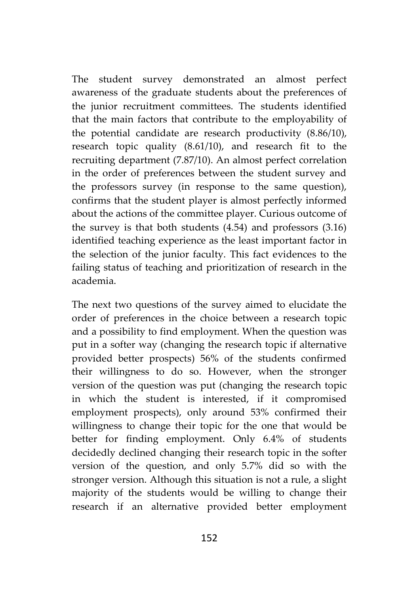The student survey demonstrated an almost perfect awareness of the graduate students about the preferences of the junior recruitment committees. The students identified that the main factors that contribute to the employability of the potential candidate are research productivity (8.86/10), research topic quality (8.61/10), and research fit to the recruiting department (7.87/10). An almost perfect correlation in the order of preferences between the student survey and the professors survey (in response to the same question), confirms that the student player is almost perfectly informed about the actions of the committee player. Curious outcome of the survey is that both students (4.54) and professors (3.16) identified teaching experience as the least important factor in the selection of the junior faculty. This fact evidences to the failing status of teaching and prioritization of research in the academia.

The next two questions of the survey aimed to elucidate the order of preferences in the choice between a research topic and a possibility to find employment. When the question was put in a softer way (changing the research topic if alternative provided better prospects) 56% of the students confirmed their willingness to do so. However, when the stronger version of the question was put (changing the research topic in which the student is interested, if it compromised employment prospects), only around 53% confirmed their willingness to change their topic for the one that would be better for finding employment. Only 6.4% of students decidedly declined changing their research topic in the softer version of the question, and only 5.7% did so with the stronger version. Although this situation is not a rule, a slight majority of the students would be willing to change their research if an alternative provided better employment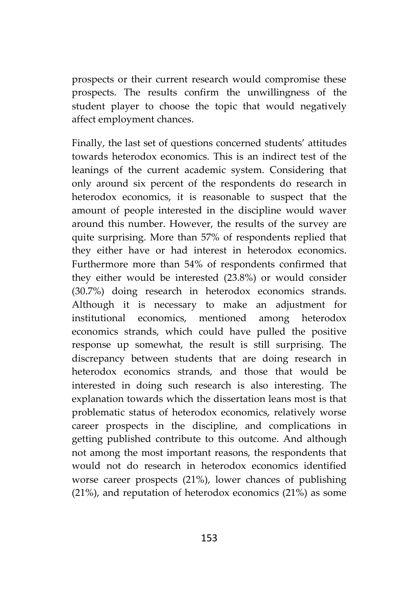prospects or their current research would compromise these prospects. The results confirm the unwillingness of the student player to choose the topic that would negatively affect employment chances.

Finally, the last set of questions concerned students' attitudes towards heterodox economics. This is an indirect test of the leanings of the current academic system. Considering that only around six percent of the respondents do research in heterodox economics, it is reasonable to suspect that the amount of people interested in the discipline would waver around this number. However, the results of the survey are quite surprising. More than 57% of respondents replied that they either have or had interest in heterodox economics. Furthermore more than 54% of respondents confirmed that they either would be interested (23.8%) or would consider (30.7%) doing research in heterodox economics strands. Although it is necessary to make an adjustment for institutional economics, mentioned among heterodox economics strands, which could have pulled the positive response up somewhat, the result is still surprising. The discrepancy between students that are doing research in heterodox economics strands, and those that would be interested in doing such research is also interesting. The explanation towards which the dissertation leans most is that problematic status of heterodox economics, relatively worse career prospects in the discipline, and complications in getting published contribute to this outcome. And although not among the most important reasons, the respondents that would not do research in heterodox economics identified worse career prospects (21%), lower chances of publishing (21%), and reputation of heterodox economics (21%) as some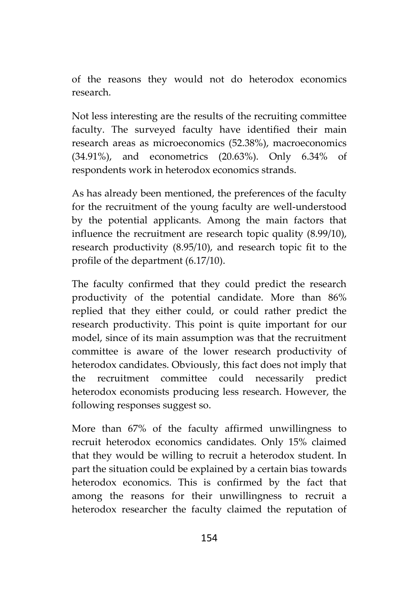of the reasons they would not do heterodox economics research.

Not less interesting are the results of the recruiting committee faculty. The surveyed faculty have identified their main research areas as microeconomics (52.38%), macroeconomics (34.91%), and econometrics (20.63%). Only 6.34% of respondents work in heterodox economics strands.

As has already been mentioned, the preferences of the faculty for the recruitment of the young faculty are well-understood by the potential applicants. Among the main factors that influence the recruitment are research topic quality (8.99/10), research productivity (8.95/10), and research topic fit to the profile of the department (6.17/10).

The faculty confirmed that they could predict the research productivity of the potential candidate. More than 86% replied that they either could, or could rather predict the research productivity. This point is quite important for our model, since of its main assumption was that the recruitment committee is aware of the lower research productivity of heterodox candidates. Obviously, this fact does not imply that the recruitment committee could necessarily predict heterodox economists producing less research. However, the following responses suggest so.

More than 67% of the faculty affirmed unwillingness to recruit heterodox economics candidates. Only 15% claimed that they would be willing to recruit a heterodox student. In part the situation could be explained by a certain bias towards heterodox economics. This is confirmed by the fact that among the reasons for their unwillingness to recruit a heterodox researcher the faculty claimed the reputation of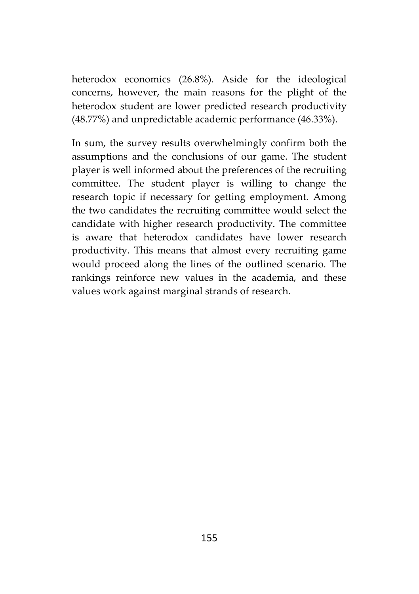heterodox economics (26.8%). Aside for the ideological concerns, however, the main reasons for the plight of the heterodox student are lower predicted research productivity (48.77%) and unpredictable academic performance (46.33%).

In sum, the survey results overwhelmingly confirm both the assumptions and the conclusions of our game. The student player is well informed about the preferences of the recruiting committee. The student player is willing to change the research topic if necessary for getting employment. Among the two candidates the recruiting committee would select the candidate with higher research productivity. The committee is aware that heterodox candidates have lower research productivity. This means that almost every recruiting game would proceed along the lines of the outlined scenario. The rankings reinforce new values in the academia, and these values work against marginal strands of research.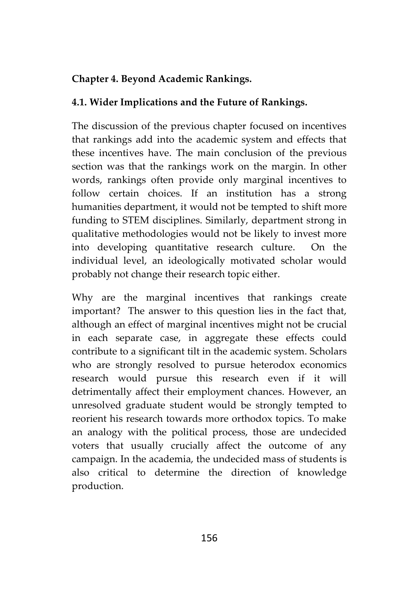### **Chapter 4. Beyond Academic Rankings.**

#### **4.1. Wider Implications and the Future of Rankings.**

The discussion of the previous chapter focused on incentives that rankings add into the academic system and effects that these incentives have. The main conclusion of the previous section was that the rankings work on the margin. In other words, rankings often provide only marginal incentives to follow certain choices. If an institution has a strong humanities department, it would not be tempted to shift more funding to STEM disciplines. Similarly, department strong in qualitative methodologies would not be likely to invest more into developing quantitative research culture. On the individual level, an ideologically motivated scholar would probably not change their research topic either.

Why are the marginal incentives that rankings create important? The answer to this question lies in the fact that, although an effect of marginal incentives might not be crucial in each separate case, in aggregate these effects could contribute to a significant tilt in the academic system. Scholars who are strongly resolved to pursue heterodox economics research would pursue this research even if it will detrimentally affect their employment chances. However, an unresolved graduate student would be strongly tempted to reorient his research towards more orthodox topics. To make an analogy with the political process, those are undecided voters that usually crucially affect the outcome of any campaign. In the academia, the undecided mass of students is also critical to determine the direction of knowledge production.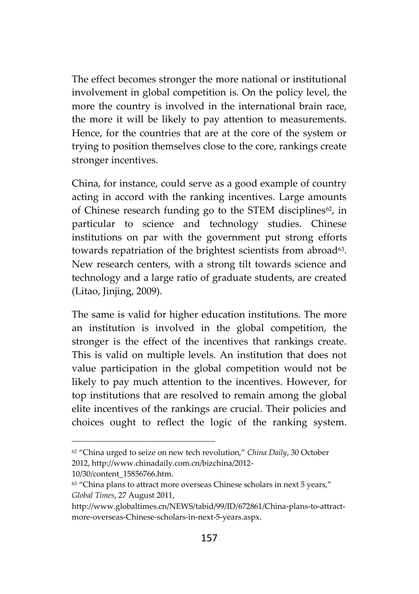The effect becomes stronger the more national or institutional involvement in global competition is. On the policy level, the more the country is involved in the international brain race, the more it will be likely to pay attention to measurements. Hence, for the countries that are at the core of the system or trying to position themselves close to the core, rankings create stronger incentives.

China, for instance, could serve as a good example of country acting in accord with the ranking incentives. Large amounts of Chinese research funding go to the STEM disciplines<sup>62</sup>, in particular to science and technology studies. Chinese institutions on par with the government put strong efforts towards repatriation of the brightest scientists from abroad<sup>63</sup>. New research centers, with a strong tilt towards science and technology and a large ratio of graduate students, are created (Litao, Jinjing, 2009).

The same is valid for higher education institutions. The more an institution is involved in the global competition, the stronger is the effect of the incentives that rankings create. This is valid on multiple levels. An institution that does not value participation in the global competition would not be likely to pay much attention to the incentives. However, for top institutions that are resolved to remain among the global elite incentives of the rankings are crucial. Their policies and choices ought to reflect the logic of the ranking system.

<sup>62</sup> "China urged to seize on new tech revolution," *China Daily*, 30 October 2012, http://www.chinadaily.com.cn/bizchina/2012-

<sup>10/30/</sup>content\_15856766.htm.

<sup>&</sup>lt;sup>63</sup> "China plans to attract more overseas Chinese scholars in next 5 years," *Global Times*, 27 August 2011,

http://www.globaltimes.cn/NEWS/tabid/99/ID/672861/China-plans-to-attract more-overseas-Chinese-scholars-in-next-5-years.aspx.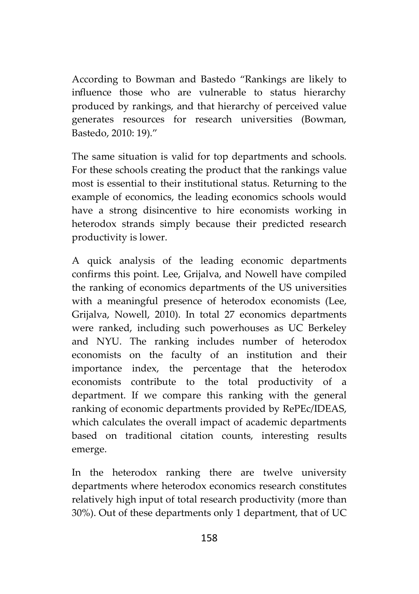According to Bowman and Bastedo "Rankings are likely to influence those who are vulnerable to status hierarchy produced by rankings, and that hierarchy of perceived value generates resources for research universities (Bowman, Bastedo, 2010: 19)."

The same situation is valid for top departments and schools. For these schools creating the product that the rankings value most is essential to their institutional status. Returning to the example of economics, the leading economics schools would have a strong disincentive to hire economists working in heterodox strands simply because their predicted research productivity islower.

A quick analysis of the leading economic departments confirms this point. Lee, Grijalva, and Nowell have compiled the ranking of economics departments of the US universities with a meaningful presence of heterodox economists (Lee, Grijalva, Nowell, 2010). In total 27 economics departments were ranked, including such powerhouses as UC Berkeley and NYU. The ranking includes number of heterodox economists on the faculty of an institution and their importance index, the percentage that the heterodox economists contribute to the total productivity of a department. If we compare this ranking with the general ranking of economic departments provided by RePEc/IDEAS, which calculates the overall impact of academic departments based on traditional citation counts, interesting results emerge.

In the heterodox ranking there are twelve university departments where heterodox economics research constitutes relatively high input of total research productivity (more than 30%). Out of these departments only 1 department, that of UC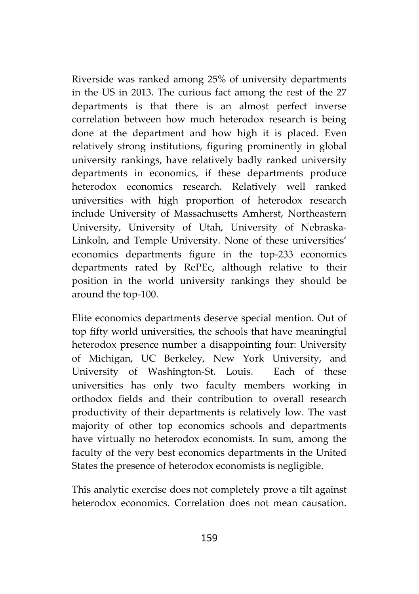Riverside was ranked among 25% of university departments in the US in 2013. The curious fact among the rest of the 27 departments is that there is an almost perfect inverse correlation between how much heterodox research is being done at the department and how high it is placed. Even relatively strong institutions, figuring prominently in global university rankings, have relatively badly ranked university departments in economics, if these departments produce heterodox economics research. Relatively well ranked universities with high proportion of heterodox research include University of Massachusetts Amherst, Northeastern University, University of Utah, University of Nebraska- Linkoln, and Temple University. None of these universities' economics departments figure in the top-233 economics departments rated by RePEc, although relative to their position in the world university rankings they should be around the top-100.

Elite economics departments deserve special mention. Out of top fifty world universities, the schools that have meaningful heterodox presence number a disappointing four: University of Michigan, UC Berkeley, New York University, and University of Washington-St. Louis. Each of these universities has only two faculty members working in orthodox fields and their contribution to overall research productivity of their departments is relatively low. The vast majority of other top economics schools and departments have virtually no heterodox economists. In sum, among the faculty of the very best economics departments in the United States the presence of heterodox economists is negligible.

This analytic exercise does not completely prove a tilt against heterodox economics. Correlation does not mean causation.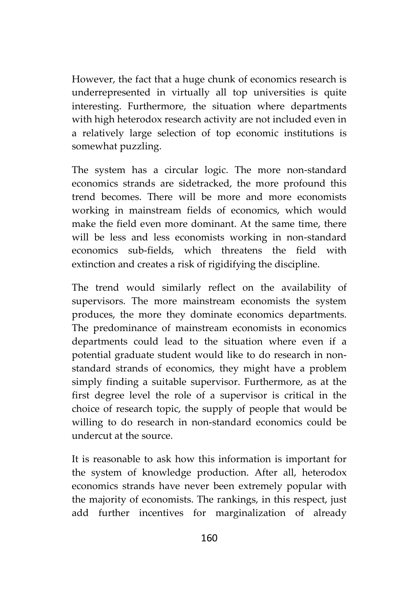However, the fact that a huge chunk of economics research is underrepresented in virtually all top universities is quite interesting. Furthermore, the situation where departments with high heterodox research activity are not included even in a relatively large selection of top economic institutions is somewhat puzzling.

The system has a circular logic. The more non-standard economics strands are sidetracked, the more profound this trend becomes. There will be more and more economists working in mainstream fields of economics, which would make the field even more dominant. At the same time, there will be less and less economists working in non-standard economics sub-fields, which threatens the field with extinction and creates a risk of rigidifying the discipline.

The trend would similarly reflect on the availability of supervisors. The more mainstream economists the system produces, the more they dominate economics departments. The predominance of mainstream economists in economics departments could lead to the situation where even if a potential graduate student would like to do research in non standard strands of economics, they might have a problem simply finding a suitable supervisor. Furthermore, as at the first degree level the role of a supervisor is critical in the choice of research topic, the supply of people that would be willing to do research in non-standard economics could be undercut at the source.

It is reasonable to ask how this information is important for the system of knowledge production. After all, heterodox economics strands have never been extremely popular with the majority of economists. The rankings, in this respect, just add further incentives for marginalization of already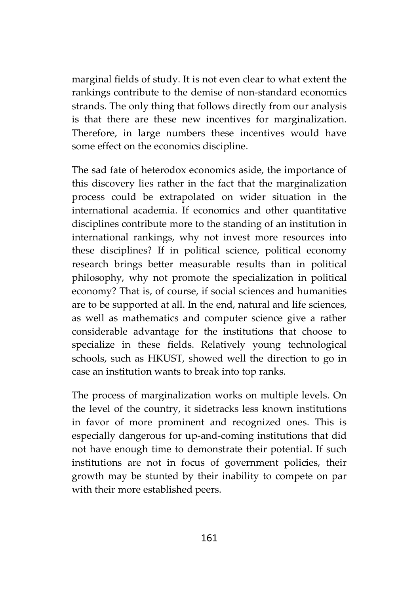marginal fields of study. It is not even clear to what extent the rankings contribute to the demise of non-standard economics strands. The only thing that follows directly from our analysis is that there are these new incentives for marginalization. Therefore, in large numbers these incentives would have some effect on the economics discipline.

The sad fate of heterodox economics aside, the importance of this discovery lies rather in the fact that the marginalization process could be extrapolated on wider situation in the international academia. If economics and other quantitative disciplines contribute more to the standing of an institution in international rankings, why not invest more resources into these disciplines? If in political science, political economy research brings better measurable results than in political philosophy, why not promote the specialization in political economy? That is, of course, if social sciences and humanities are to be supported at all. In the end, natural and life sciences, as well as mathematics and computer science give a rather considerable advantage for the institutions that choose to specialize in these fields. Relatively young technological schools, such as HKUST, showed well the direction to go in case an institution wants to break into top ranks.

The process of marginalization works on multiple levels. On the level of the country, it sidetracks less known institutions in favor of more prominent and recognized ones. This is especially dangerous for up-and-coming institutions that did not have enough time to demonstrate their potential. If such institutions are not in focus of government policies, their growth may be stunted by their inability to compete on par with their more established peers.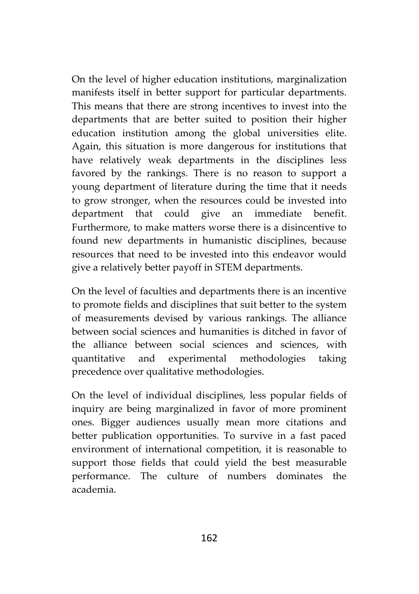On the level of higher education institutions, marginalization manifests itself in better support for particular departments. This means that there are strong incentives to invest into the departments that are better suited to position their higher education institution among the global universities elite. Again, this situation is more dangerous for institutions that have relatively weak departments in the disciplines less favored by the rankings. There is no reason to support a young department of literature during the time that it needs to grow stronger, when the resources could be invested into department that could give an immediate benefit. Furthermore, to make matters worse there is a disincentive to found new departments in humanistic disciplines, because resources that need to be invested into this endeavor would give a relatively better payoff in STEM departments.

On the level of faculties and departments there is an incentive to promote fields and disciplines that suit better to the system of measurements devised by various rankings. The alliance between social sciences and humanities is ditched in favor of the alliance between social sciences and sciences, with quantitative and experimental methodologies taking precedence over qualitative methodologies.

On the level of individual disciplines, less popular fields of inquiry are being marginalized in favor of more prominent ones. Bigger audiences usually mean more citations and better publication opportunities. To survive in a fast paced environment of international competition, it is reasonable to support those fields that could yield the best measurable performance. The culture of numbers dominates the academia.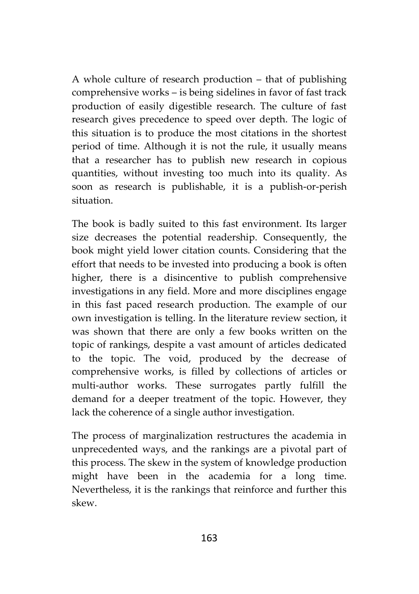A whole culture of research production – that of publishing comprehensive works – is being sidelines in favor of fast track production of easily digestible research. The culture of fast research gives precedence to speed over depth. The logic of this situation is to produce the most citations in the shortest period of time. Although it is not the rule, it usually means that a researcher has to publish new research in copious quantities, without investing too much into its quality. As soon as research is publishable, it is a publish-or-perish situation.

The book is badly suited to this fast environment. Its larger size decreases the potential readership. Consequently, the book might yield lower citation counts. Considering that the effort that needs to be invested into producing a book is often higher, there is a disincentive to publish comprehensive investigations in any field. More and more disciplines engage in this fast paced research production. The example of our own investigation is telling. In the literature review section, it was shown that there are only a few books written on the topic of rankings, despite a vast amount of articles dedicated to the topic. The void, produced by the decrease of comprehensive works, is filled by collections of articles or multi-author works. These surrogates partly fulfill the demand for a deeper treatment of the topic. However, they lack the coherence of a single author investigation.

The process of marginalization restructures the academia in unprecedented ways, and the rankings are a pivotal part of this process. The skew in the system of knowledge production might have been in the academia for a long time. Nevertheless, it is the rankings that reinforce and further this skew.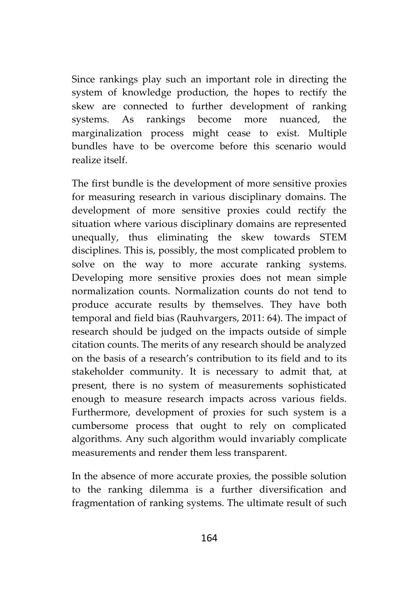Since rankings play such an important role in directing the system of knowledge production, the hopes to rectify the skew are connected to further development of ranking systems. As rankings become more nuanced, the marginalization process might cease to exist. Multiple bundles have to be overcome before this scenario would realize itself.

The first bundle is the development of more sensitive proxies for measuring research in various disciplinary domains. The development of more sensitive proxies could rectify the situation where various disciplinary domains are represented unequally, thus eliminating the skew towards STEM disciplines. This is, possibly, the most complicated problem to solve on the way to more accurate ranking systems. Developing more sensitive proxies does not mean simple normalization counts. Normalization counts do not tend to produce accurate results by themselves. They have both temporal and field bias (Rauhvargers, 2011: 64). The impact of research should be judged on the impacts outside of simple citation counts. The merits of any research should be analyzed on the basis of a research's contribution to its field and to its stakeholder community. It is necessary to admit that, at present, there is no system of measurements sophisticated enough to measure research impacts across various fields. Furthermore, development of proxies for such system is a cumbersome process that ought to rely on complicated algorithms. Any such algorithm would invariably complicate measurements and render them less transparent.

In the absence of more accurate proxies, the possible solution to the ranking dilemma is a further diversification and fragmentation of ranking systems. The ultimate result of such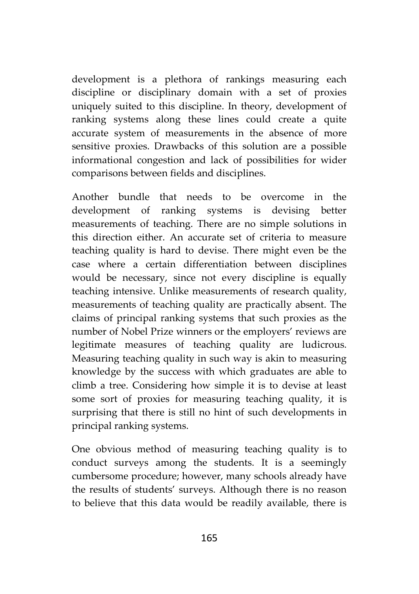development is a plethora of rankings measuring each discipline or disciplinary domain with a set of proxies uniquely suited to this discipline. In theory, development of ranking systems along these lines could create a quite accurate system of measurements in the absence of more sensitive proxies. Drawbacks of this solution are a possible informational congestion and lack of possibilities for wider comparisons between fields and disciplines.

Another bundle that needs to be overcome in the development of ranking systems is devising better measurements of teaching. There are no simple solutions in this direction either. An accurate set of criteria to measure teaching quality is hard to devise. There might even be the case where a certain differentiation between disciplines would be necessary, since not every discipline is equally teaching intensive. Unlike measurements of research quality, measurements of teaching quality are practically absent. The claims of principal ranking systems that such proxies as the number of Nobel Prize winners or the employers' reviews are legitimate measures of teaching quality are ludicrous. Measuring teaching quality in such way is akin to measuring knowledge by the success with which graduates are able to climb a tree. Considering how simple it is to devise at least some sort of proxies for measuring teaching quality, it is surprising that there is still no hint of such developments in principal ranking systems.

One obvious method of measuring teaching quality is to conduct surveys among the students. It is a seemingly cumbersome procedure; however, many schools already have the results of students' surveys. Although there is no reason to believe that this data would be readily available, there is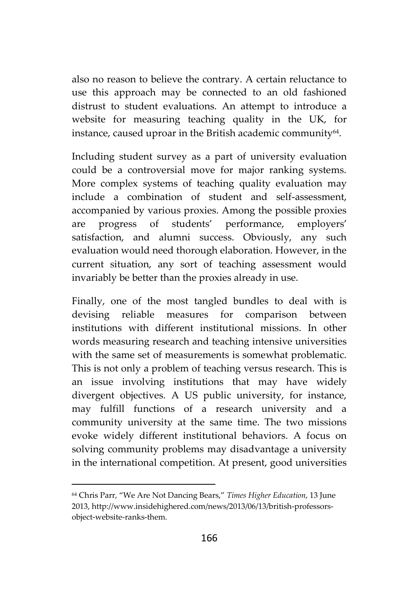also no reason to believe the contrary. A certain reluctance to use this approach may be connected to an old fashioned distrust to student evaluations. An attempt to introduce a website for measuring teaching quality in the UK, for instance, caused uproar in the British academic community<sup>64</sup> .

Including student survey as a part of university evaluation could be a controversial move for major ranking systems. More complex systems of teaching quality evaluation may include a combination of student and self-assessment, accompanied by various proxies. Among the possible proxies are progress of students' performance, employers' satisfaction, and alumni success. Obviously, any such evaluation would need thorough elaboration. However, in the current situation, any sort of teaching assessment would invariably be better than the proxies already in use.

Finally, one of the most tangled bundles to deal with is devising reliable measures for comparison between institutions with different institutional missions. In other words measuring research and teaching intensive universities with the same set of measurements is somewhat problematic. This is not only a problem of teaching versus research. This is an issue involving institutions that may have widely divergent objectives. A US public university, for instance, may fulfill functions of a research university and a community university at the same time. The two missions evoke widely different institutional behaviors. A focus on solving community problems may disadvantage a university in the international competition. At present, good universities

<sup>64</sup> Chris Parr, "We Are Not Dancing Bears," *Times Higher Education*, 13 June 2013, http://www.insidehighered.com/news/2013/06/13/british-professors object-website-ranks-them.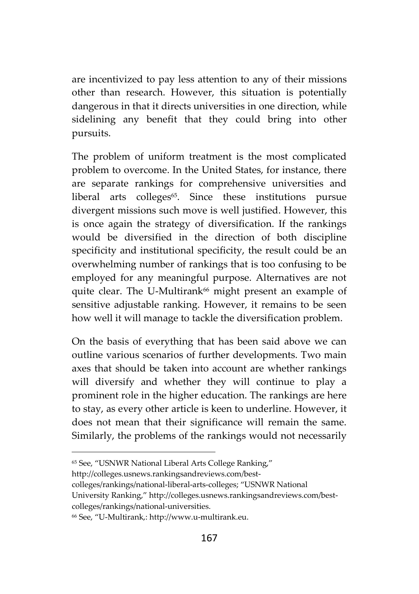are incentivized to pay less attention to any of their missions other than research. However, this situation is potentially dangerous in that it directs universities in one direction, while sidelining any benefit that they could bring into other pursuits.

The problem of uniform treatment is the most complicated problem to overcome. In the United States, for instance, there are separate rankings for comprehensive universities and liberal arts colleges<sup>65</sup>. Since these institutions pursue divergent missions such move is well justified. However, this is once again the strategy of diversification. If the rankings would be diversified in the direction of both discipline specificity and institutional specificity, the result could be an overwhelming number of rankings that is too confusing to be employed for any meaningful purpose. Alternatives are not quite clear. The U-Multirank<sup>66</sup> might present an example of sensitive adjustable ranking. However, it remains to be seen how well it will manage to tackle the diversification problem.

On the basis of everything that has been said above we can outline various scenarios of further developments. Two main axes that should be taken into account are whether rankings will diversify and whether they will continue to play a prominent role in the higher education. The rankings are here to stay, as every other article is keen to underline. However, it does not mean that their significance will remain the same. Similarly, the problems of the rankings would not necessarily

University Ranking," http://colleges.usnews.rankingsandreviews.com/best colleges/rankings/national-universities.

<sup>65</sup> See, "USNWR National Liberal Arts College Ranking,"

http://colleges.usnews.rankingsandreviews.com/best-

colleges/rankings/national-liberal-arts-colleges; "USNWR National

<sup>66</sup> See, "U-Multirank,: http://www.u-multirank.eu.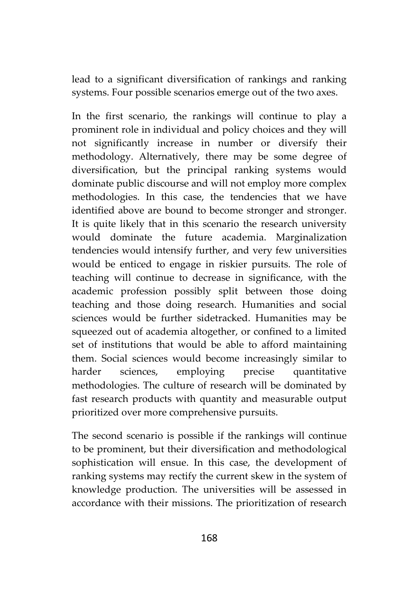lead to a significant diversification of rankings and ranking systems. Four possible scenarios emerge out of the two axes.

In the first scenario, the rankings will continue to play a prominent role in individual and policy choices and they will not significantly increase in number or diversify their methodology. Alternatively, there may be some degree of diversification, but the principal ranking systems would dominate public discourse and will not employ more complex methodologies. In this case, the tendencies that we have identified above are bound to become stronger and stronger. It is quite likely that in this scenario the research university would dominate the future academia. Marginalization tendencies would intensify further, and very few universities would be enticed to engage in riskier pursuits. The role of teaching will continue to decrease in significance, with the academic profession possibly split between those doing teaching and those doing research. Humanities and social sciences would be further sidetracked. Humanities may be squeezed out of academia altogether, or confined to a limited set of institutions that would be able to afford maintaining them. Social sciences would become increasingly similar to harder sciences, employing precise quantitative methodologies. The culture of research will be dominated by fast research products with quantity and measurable output prioritized over more comprehensive pursuits.

The second scenario is possible if the rankings will continue to be prominent, but their diversification and methodological sophistication will ensue. In this case, the development of ranking systems may rectify the current skew in the system of knowledge production. The universities will be assessed in accordance with their missions. The prioritization of research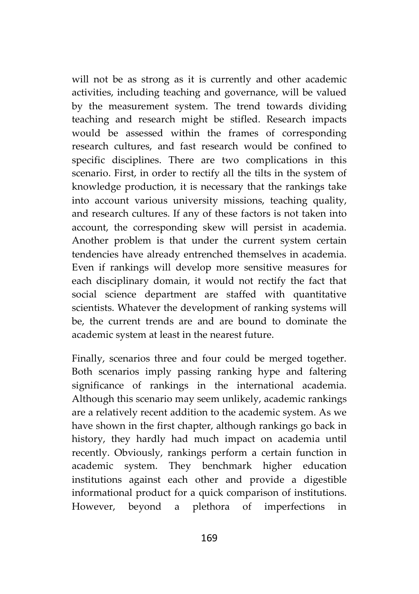will not be as strong as it is currently and other academic activities, including teaching and governance, will be valued by the measurement system. The trend towards dividing teaching and research might be stifled. Research impacts would be assessed within the frames of corresponding research cultures, and fast research would be confined to specific disciplines. There are two complications in this scenario. First, in order to rectify all the tilts in the system of knowledge production, it is necessary that the rankings take into account various university missions, teaching quality, and research cultures. If any of these factors is not taken into account, the corresponding skew will persist in academia. Another problem is that under the current system certain tendencies have already entrenched themselves in academia. Even if rankings will develop more sensitive measures for each disciplinary domain, it would not rectify the fact that social science department are staffed with quantitative scientists. Whatever the development of ranking systems will be, the current trends are and are bound to dominate the academic system at least in the nearest future.

Finally, scenarios three and four could be merged together. Both scenarios imply passing ranking hype and faltering significance of rankings in the international academia. Although this scenario may seem unlikely, academic rankings are a relatively recent addition to the academic system. As we have shown in the first chapter, although rankings go back in history, they hardly had much impact on academia until recently. Obviously, rankings perform a certain function in academic system. They benchmark higher education institutions against each other and provide a digestible informational product for a quick comparison of institutions. However, beyond a plethora of imperfections in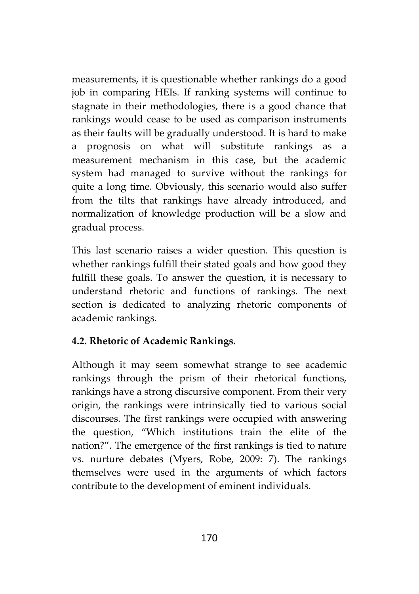measurements, it is questionable whether rankings do a good job in comparing HEIs. If ranking systems will continue to stagnate in their methodologies, there is a good chance that rankings would cease to be used as comparison instruments as their faults will be gradually understood. It is hard to make a prognosis on what will substitute rankings as a measurement mechanism in this case, but the academic system had managed to survive without the rankings for quite a long time. Obviously, this scenario would also suffer from the tilts that rankings have already introduced, and normalization of knowledge production will be a slow and gradual process.

This last scenario raises a wider question. This question is whether rankings fulfill their stated goals and how good they fulfill these goals. To answer the question, it is necessary to understand rhetoric and functions of rankings. The next section is dedicated to analyzing rhetoric components of academic rankings.

## **4.2. Rhetoric of Academic Rankings.**

Although it may seem somewhat strange to see academic rankings through the prism of their rhetorical functions, rankings have a strong discursive component. From their very origin, the rankings were intrinsically tied to various social discourses. The first rankings were occupied with answering the question, "Which institutions train the elite of the nation?". The emergence of the first rankings is tied to nature vs. nurture debates (Myers, Robe, 2009: 7). The rankings themselves were used in the arguments of which factors contribute to the development of eminent individuals.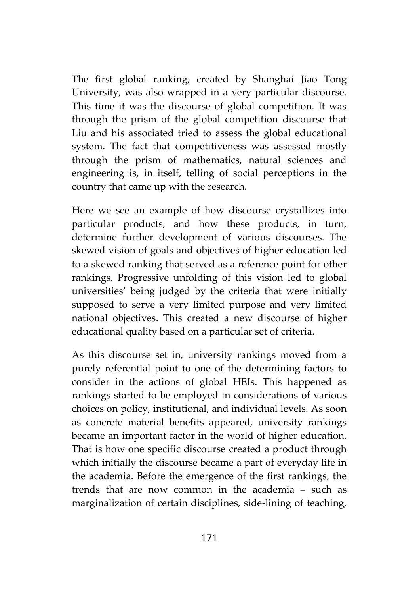The first global ranking, created by Shanghai Jiao Tong University, was also wrapped in a very particular discourse. This time it was the discourse of global competition. It was through the prism of the global competition discourse that Liu and his associated tried to assess the global educational system. The fact that competitiveness was assessed mostly through the prism of mathematics, natural sciences and engineering is, in itself, telling of social perceptions in the country that came up with the research.

Here we see an example of how discourse crystallizes into particular products, and how these products, in turn, determine further development of various discourses. The skewed vision of goals and objectives of higher education led to a skewed ranking that served as a reference point for other rankings. Progressive unfolding of this vision led to global universities' being judged by the criteria that were initially supposed to serve a very limited purpose and very limited national objectives. This created a new discourse of higher educational quality based on a particular set of criteria.

As this discourse set in, university rankings moved from a purely referential point to one of the determining factors to consider in the actions of global HEIs. This happened as rankings started to be employed in considerations of various choices on policy, institutional, and individual levels. As soon as concrete material benefits appeared, university rankings became an important factor in the world of higher education. That is how one specific discourse created a product through which initially the discourse became a part of everyday life in the academia. Before the emergence of the first rankings, the trends that are now common in the academia – such as marginalization of certain disciplines, side-lining of teaching,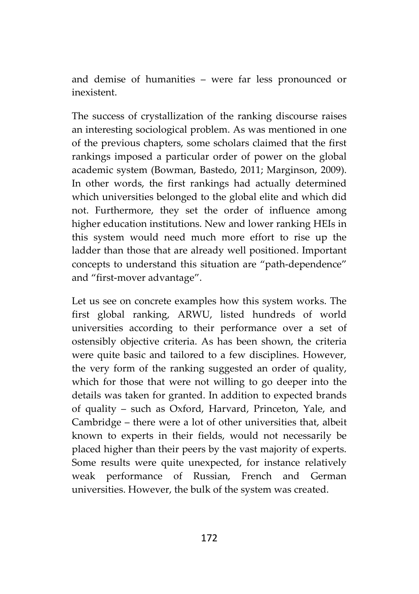and demise of humanities – were far less pronounced or inexistent.

The success of crystallization of the ranking discourse raises an interesting sociological problem. As was mentioned in one of the previous chapters, some scholars claimed that the first rankings imposed a particular order of power on the global academic system (Bowman, Bastedo, 2011; Marginson, 2009). In other words, the first rankings had actually determined which universities belonged to the global elite and which did not. Furthermore, they set the order of influence among higher education institutions. New and lower ranking HEIs in this system would need much more effort to rise up the ladder than those that are already well positioned. Important concepts to understand this situation are "path-dependence" and "first-mover advantage".

Let us see on concrete examples how this system works. The first global ranking, ARWU, listed hundreds of world universities according to their performance over a set of ostensibly objective criteria. As has been shown, the criteria were quite basic and tailored to a few disciplines. However, the very form of the ranking suggested an order of quality, which for those that were not willing to go deeper into the details was taken for granted. In addition to expected brands of quality – such as Oxford, Harvard, Princeton, Yale, and Cambridge – there were a lot of other universities that, albeit known to experts in their fields, would not necessarily be placed higher than their peers by the vast majority of experts. Some results were quite unexpected, for instance relatively weak performance of Russian, French and German universities. However, the bulk of the system was created.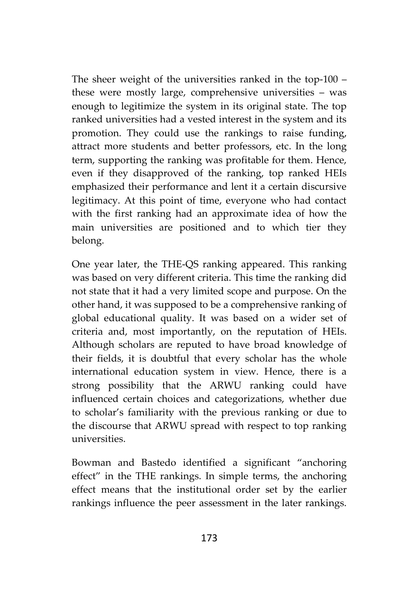The sheer weight of the universities ranked in the top-100 – these were mostly large, comprehensive universities – was enough to legitimize the system in its original state. The top ranked universities had a vested interest in the system and its promotion. They could use the rankings to raise funding, attract more students and better professors, etc. In the long term, supporting the ranking was profitable for them. Hence, even if they disapproved of the ranking, top ranked HEIs emphasized their performance and lent it a certain discursive legitimacy. At this point of time, everyone who had contact with the first ranking had an approximate idea of how the main universities are positioned and to which tier they belong.

One year later, the THE-QS ranking appeared. This ranking was based on very different criteria. This time the ranking did not state that it had a very limited scope and purpose. On the other hand, it was supposed to be a comprehensive ranking of global educational quality. It was based on a wider set of criteria and, most importantly, on the reputation of HEIs. Although scholars are reputed to have broad knowledge of their fields, it is doubtful that every scholar has the whole international education system in view. Hence, there is a strong possibility that the ARWU ranking could have influenced certain choices and categorizations, whether due to scholar's familiarity with the previous ranking or due to the discourse that ARWU spread with respect to top ranking universities.

Bowman and Bastedo identified a significant "anchoring effect" in the THE rankings. In simple terms, the anchoring effect means that the institutional order set by the earlier rankings influence the peer assessment in the later rankings.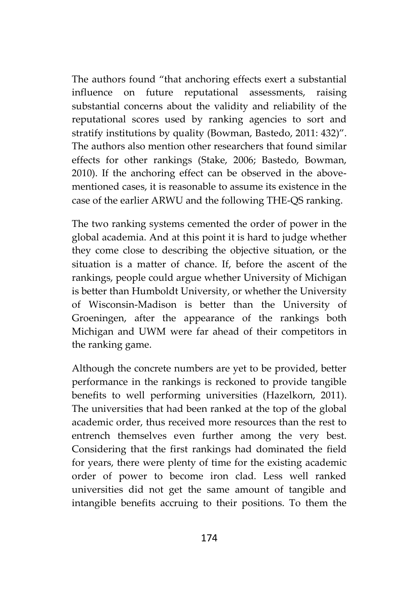The authors found "that anchoring effects exert a substantial influence on future reputational assessments, raising substantial concerns about the validity and reliability of the reputational scores used by ranking agencies to sort and stratify institutions by quality (Bowman, Bastedo, 2011: 432)". The authors also mention other researchers that found similar effects for other rankings (Stake, 2006; Bastedo, Bowman, 2010). If the anchoring effect can be observed in the above mentioned cases, it is reasonable to assume its existence in the case of the earlier ARWU and the following THE-QS ranking.

The two ranking systems cemented the order of power in the global academia. And at this point it is hard to judge whether they come close to describing the objective situation, or the situation is a matter of chance. If, before the ascent of the rankings, people could argue whether University of Michigan is better than Humboldt University, or whether the University of Wisconsin-Madison is better than the University of Groeningen, after the appearance of the rankings both Michigan and UWM were far ahead of their competitors in the ranking game.

Although the concrete numbers are yet to be provided, better performance in the rankings is reckoned to provide tangible benefits to well performing universities (Hazelkorn, 2011). The universities that had been ranked at the top of the global academic order, thus received more resources than the rest to entrench themselves even further among the very best. Considering that the first rankings had dominated the field for years, there were plenty of time for the existing academic order of power to become iron clad. Less well ranked universities did not get the same amount of tangible and intangible benefits accruing to their positions. To them the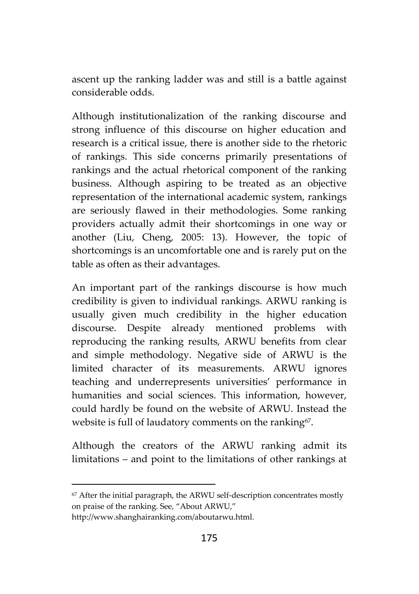ascent up the ranking ladder was and still is a battle against considerable odds.

Although institutionalization of the ranking discourse and strong influence of this discourse on higher education and research is a critical issue, there is another side to the rhetoric of rankings. This side concerns primarily presentations of rankings and the actual rhetorical component of the ranking business. Although aspiring to be treated as an objective representation of the international academic system, rankings are seriously flawed in their methodologies. Some ranking providers actually admit their shortcomings in one way or another (Liu, Cheng, 2005: 13). However, the topic of shortcomings is an uncomfortable one and is rarely put on the table as often as their advantages.

An important part of the rankings discourse is how much credibility is given to individual rankings. ARWU ranking is usually given much credibility in the higher education discourse. Despite already mentioned problems with reproducing the ranking results, ARWU benefits from clear and simple methodology. Negative side of ARWU is the limited character of its measurements. ARWU ignores teaching and underrepresents universities' performance in humanities and social sciences. This information, however, could hardly be found on the website of ARWU. Instead the website is full of laudatory comments on the ranking<sup>67</sup>.

Although the creators of the ARWU ranking admit its limitations – and point to the limitations of other rankings at

<sup>67</sup> After the initial paragraph, the ARWU self-description concentrates mostly on praise of the ranking. See, "About ARWU,"

http://www.shanghairanking.com/aboutarwu.html.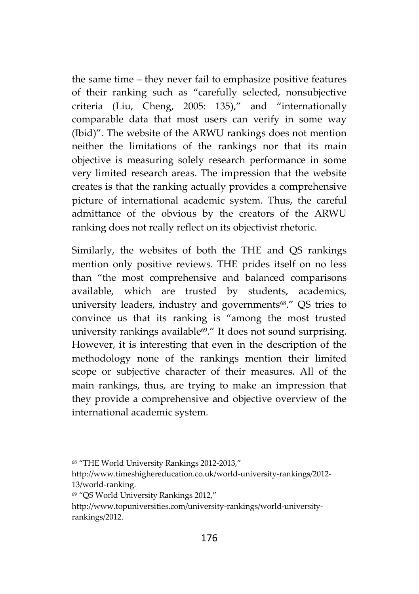the same time – they never fail to emphasize positive features of their ranking such as "carefully selected, nonsubjective criteria (Liu, Cheng, 2005: 135)," and "internationally comparable data that most users can verify in some way (Ibid)". The website of the ARWU rankings does not mention neither the limitations of the rankings nor that its main objective is measuring solely research performance in some very limited research areas. The impression that the website creates is that the ranking actually provides a comprehensive picture of international academic system. Thus, the careful admittance of the obvious by the creators of the ARWU ranking does not really reflect on its objectivist rhetoric.

Similarly, the websites of both the THE and QS rankings mention only positive reviews. THE prides itself on no less than "the most comprehensive and balanced comparisons available, which are trusted by students, academics, university leaders, industry and governments<sup>68</sup>." QS tries to convince us that its ranking is "among the most trusted university rankings available<sup>69</sup>." It does not sound surprising. However, it is interesting that even in the description of the methodology none of the rankings mention their limited scope or subjective character of their measures. All of the main rankings, thus, are trying to make an impression that they provide a comprehensive and objective overview of the international academic system.

<sup>68</sup> "THE World University Rankings 2012-2013,"

http://www.timeshighereducation.co.uk/world-university-rankings/2012- 13/world-ranking.

<sup>69</sup> "QS World University Rankings 2012,"

http://www.topuniversities.com/university-rankings/world-university rankings/2012.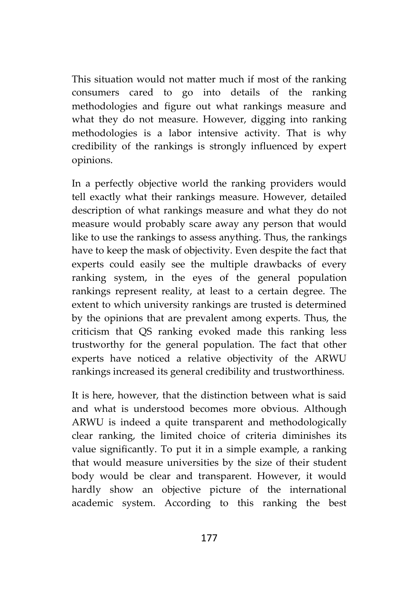This situation would not matter much if most of the ranking consumers cared to go into details of the ranking methodologies and figure out what rankings measure and what they do not measure. However, digging into ranking methodologies is a labor intensive activity. That is why credibility of the rankings is strongly influenced by expert opinions.

In a perfectly objective world the ranking providers would tell exactly what their rankings measure. However, detailed description of what rankings measure and what they do not measure would probably scare away any person that would like to use the rankings to assess anything. Thus, the rankings have to keep the mask of objectivity. Even despite the fact that experts could easily see the multiple drawbacks of every ranking system, in the eyes of the general population rankings represent reality, at least to a certain degree. The extent to which university rankings are trusted is determined by the opinions that are prevalent among experts. Thus, the criticism that QS ranking evoked made this ranking less trustworthy for the general population. The fact that other experts have noticed a relative objectivity of the ARWU rankings increased its general credibility and trustworthiness.

It is here, however, that the distinction between what is said and what is understood becomes more obvious. Although ARWU is indeed a quite transparent and methodologically clear ranking, the limited choice of criteria diminishes its value significantly. To put it in a simple example, a ranking that would measure universities by the size of their student body would be clear and transparent. However, it would hardly show an objective picture of the international academic system. According to this ranking the best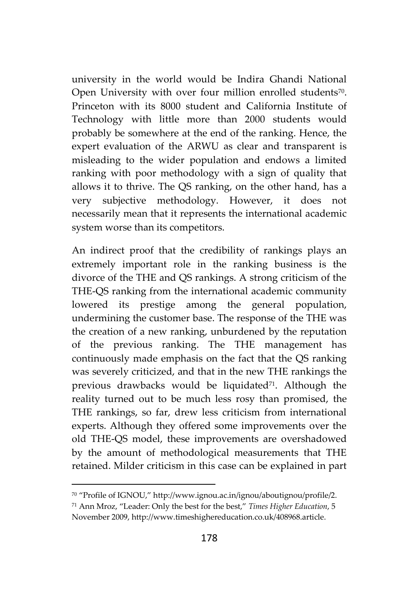university in the world would be Indira Ghandi National Open University with over four million enrolled students<sup>70</sup>. Princeton with its 8000 student and California Institute of Technology with little more than 2000 students would probably be somewhere at the end of the ranking. Hence, the expert evaluation of the ARWU as clear and transparent is misleading to the wider population and endows a limited ranking with poor methodology with a sign of quality that allows it to thrive. The QS ranking, on the other hand, has a very subjective methodology. However, it does not necessarily mean that it represents the international academic system worse than its competitors.

An indirect proof that the credibility of rankings plays an extremely important role in the ranking business is the divorce of the THE and QS rankings. A strong criticism of the THE-QS ranking from the international academic community lowered its prestige among the general population, undermining the customer base. The response of the THE was the creation of a new ranking, unburdened by the reputation of the previous ranking. The THE management has continuously made emphasis on the fact that the QS ranking was severely criticized, and that in the new THE rankings the previous drawbacks would be liquidated<sup>71</sup>. Although the reality turned out to be much less rosy than promised, the THE rankings, so far, drew less criticism from international experts. Although they offered some improvements over the old THE-QS model, these improvements are overshadowed by the amount of methodological measurements that THE retained. Milder criticism in this case can be explained in part

<sup>70</sup> "Profile of IGNOU," http://www.ignou.ac.in/ignou/aboutignou/profile/2.

<sup>71</sup> Ann Mroz, "Leader: Only the best for the best," *Times Higher Education*, 5 November 2009, http://www.timeshighereducation.co.uk/408968.article.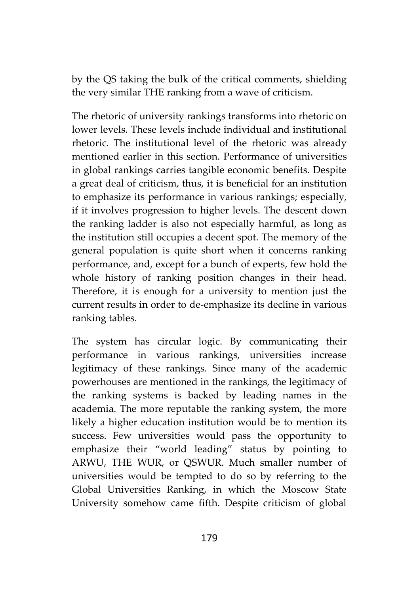by the QS taking the bulk of the critical comments, shielding the very similar THE ranking from a wave of criticism.

The rhetoric of university rankings transforms into rhetoric on lower levels. These levels include individual and institutional rhetoric. The institutional level of the rhetoric was already mentioned earlier in this section. Performance of universities in global rankings carries tangible economic benefits. Despite a great deal of criticism, thus, it is beneficial for an institution to emphasize its performance in various rankings; especially, if it involves progression to higher levels. The descent down the ranking ladder is also not especially harmful, as long as the institution still occupies a decent spot. The memory of the general population is quite short when it concerns ranking performance, and, except for a bunch of experts, few hold the whole history of ranking position changes in their head. Therefore, it is enough for a university to mention just the current results in order to de-emphasize its decline in various ranking tables.

The system has circular logic. By communicating their performance in various rankings, universities increase legitimacy of these rankings. Since many of the academic powerhouses are mentioned in the rankings, the legitimacy of the ranking systems is backed by leading names in the academia. The more reputable the ranking system, the more likely a higher education institution would be to mention its success. Few universities would pass the opportunity to emphasize their "world leading" status by pointing to ARWU, THE WUR, or QSWUR. Much smaller number of universities would be tempted to do so by referring to the Global Universities Ranking, in which the Moscow State University somehow came fifth. Despite criticism of global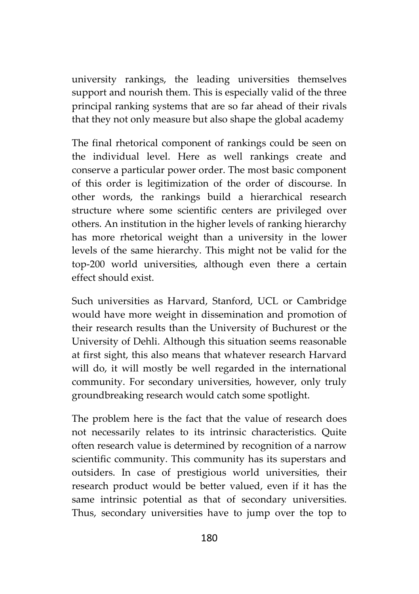university rankings, the leading universities themselves support and nourish them. This is especially valid of the three principal ranking systems that are so far ahead of their rivals that they not only measure but also shape the global academy

The final rhetorical component of rankings could be seen on the individual level. Here as well rankings create and conserve a particular power order. The most basic component of this order is legitimization of the order of discourse. In other words, the rankings build a hierarchical research structure where some scientific centers are privileged over others. An institution in the higher levels of ranking hierarchy has more rhetorical weight than a university in the lower levels of the same hierarchy. This might not be valid for the top-200 world universities, although even there a certain effect should exist.

Such universities as Harvard, Stanford, UCL or Cambridge would have more weight in dissemination and promotion of their research results than the University of Buchurest or the University of Dehli. Although this situation seems reasonable at first sight, this also means that whatever research Harvard will do, it will mostly be well regarded in the international community. For secondary universities, however, only truly groundbreaking research would catch some spotlight.

The problem here is the fact that the value of research does not necessarily relates to its intrinsic characteristics. Quite often research value is determined by recognition of a narrow scientific community. This community has its superstars and outsiders. In case of prestigious world universities, their research product would be better valued, even if it has the same intrinsic potential as that of secondary universities. Thus, secondary universities have to jump over the top to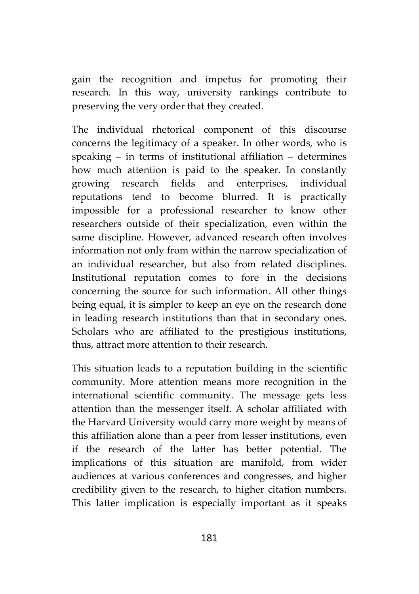gain the recognition and impetus for promoting their research. In this way, university rankings contribute to preserving the very order that they created.

The individual rhetorical component of this discourse concerns the legitimacy of a speaker. In other words, who is speaking – in terms of institutional affiliation – determines how much attention is paid to the speaker. In constantly growing research fields and enterprises, individual reputations tend to become blurred. It is practically impossible for a professional researcher to know other researchers outside of their specialization, even within the same discipline. However, advanced research often involves information not only from within the narrow specialization of an individual researcher, but also from related disciplines. Institutional reputation comes to fore in the decisions concerning the source for such information. All other things being equal, it is simpler to keep an eye on the research done in leading research institutions than that in secondary ones. Scholars who are affiliated to the prestigious institutions, thus, attract more attention to their research.

This situation leads to a reputation building in the scientific community. More attention means more recognition in the international scientific community. The message gets less attention than the messenger itself. A scholar affiliated with the Harvard University would carry more weight by means of this affiliation alone than a peer from lesser institutions, even if the research of the latter has better potential. The implications of this situation are manifold, from wider audiences at various conferences and congresses, and higher credibility given to the research, to higher citation numbers. This latter implication is especially important as it speaks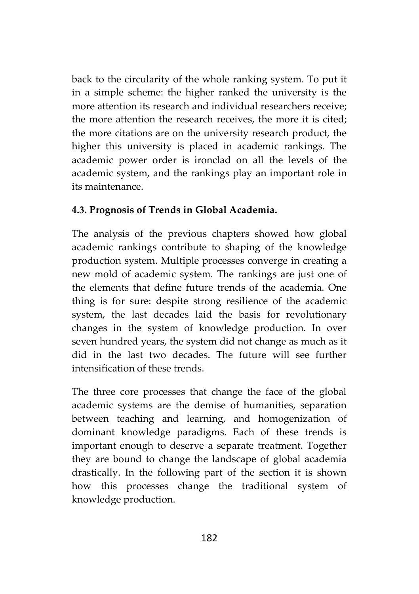back to the circularity of the whole ranking system. To put it in a simple scheme: the higher ranked the university is the more attention its research and individual researchers receive; the more attention the research receives, the more it is cited; the more citations are on the university research product, the higher this university is placed in academic rankings. The academic power order is ironclad on all the levels of the academic system, and the rankings play an important role in its maintenance.

#### **4.3. Prognosis of Trends in Global Academia.**

The analysis of the previous chapters showed how global academic rankings contribute to shaping of the knowledge production system. Multiple processes converge in creating a new mold of academic system. The rankings are just one of the elements that define future trends of the academia. One thing is for sure: despite strong resilience of the academic system, the last decades laid the basis for revolutionary changes in the system of knowledge production. In over seven hundred years, the system did not change as much as it did in the last two decades. The future will see further intensification of these trends.

The three core processes that change the face of the global academic systems are the demise of humanities, separation between teaching and learning, and homogenization of dominant knowledge paradigms. Each of these trends is important enough to deserve a separate treatment. Together they are bound to change the landscape of global academia drastically. In the following part of the section it is shown how this processes change the traditional system of knowledge production.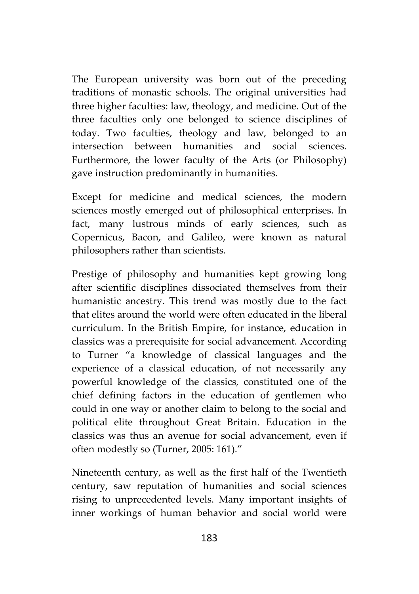The European university was born out of the preceding traditions of monastic schools. The original universities had three higher faculties: law, theology, and medicine. Out of the three faculties only one belonged to science disciplines of today. Two faculties, theology and law, belonged to an intersection between humanities and social sciences. Furthermore, the lower faculty of the Arts (or Philosophy) gave instruction predominantly in humanities.

Except for medicine and medical sciences, the modern sciences mostly emerged out of philosophical enterprises. In fact, many lustrous minds of early sciences, such as Copernicus, Bacon, and Galileo, were known as natural philosophers rather than scientists.

Prestige of philosophy and humanities kept growing long after scientific disciplines dissociated themselves from their humanistic ancestry. This trend was mostly due to the fact that elites around the world were often educated in the liberal curriculum. In the British Empire, for instance, education in classics was a prerequisite for social advancement. According to Turner "a knowledge of classical languages and the experience of a classical education, of not necessarily any powerful knowledge of the classics, constituted one of the chief defining factors in the education of gentlemen who could in one way or another claim to belong to the social and political elite throughout Great Britain. Education in the classics was thus an avenue for social advancement, even if often modestly so (Turner, 2005: 161)."

Nineteenth century, as well as the first half of the Twentieth century, saw reputation of humanities and social sciences rising to unprecedented levels. Many important insights of inner workings of human behavior and social world were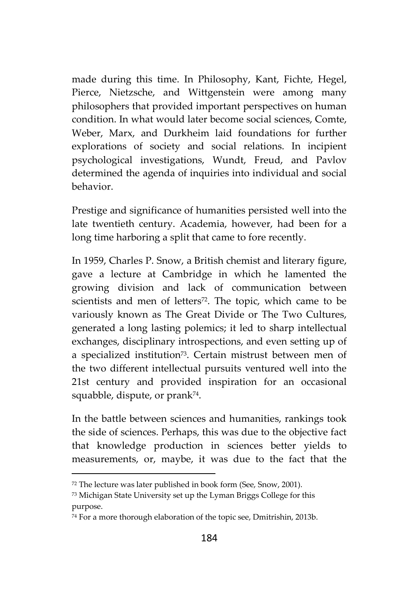made during this time. In Philosophy, Kant, Fichte, Hegel, Pierce, Nietzsche, and Wittgenstein were among many philosophers that provided important perspectives on human condition. In what would later become social sciences, Comte, Weber, Marx, and Durkheim laid foundations for further explorations of society and social relations. In incipient psychological investigations, Wundt, Freud, and Pavlov determined the agenda of inquiries into individual and social behavior.

Prestige and significance of humanities persisted well into the late twentieth century. Academia, however, had been for a long time harboring a split that came to fore recently.

In 1959, Charles P. Snow, a British chemist and literary figure, gave a lecture at Cambridge in which he lamented the growing division and lack of communication between scientists and men of letters<sup>72</sup>. The topic, which came to be variously known as The Great Divide or The Two Cultures, generated a long lasting polemics; it led to sharp intellectual exchanges, disciplinary introspections, and even setting up of a specialized institution<sup>73</sup> . Certain mistrust between men of the two different intellectual pursuits ventured well into the 21st century and provided inspiration for an occasional squabble, dispute, or prank<sup>74</sup> .

In the battle between sciences and humanities, rankings took the side of sciences. Perhaps, this was due to the objective fact that knowledge production in sciences better yields to measurements, or, maybe, it was due to the fact that the

<sup>72</sup> The lecture was later published in book form (See, Snow, 2001).

<sup>73</sup> Michigan State University set up the Lyman Briggs College for this purpose.

<sup>74</sup> For a more thorough elaboration of the topic see, Dmitrishin, 2013b.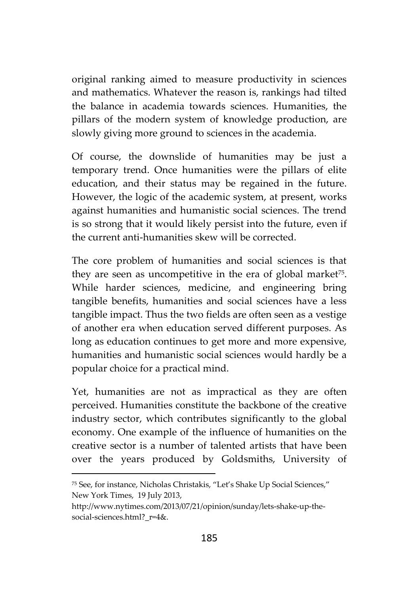original ranking aimed to measure productivity in sciences and mathematics. Whatever the reason is, rankings had tilted the balance in academia towards sciences. Humanities, the pillars of the modern system of knowledge production, are slowly giving more ground to sciences in the academia.

Of course, the downslide of humanities may be just a temporary trend. Once humanities were the pillars of elite education, and their status may be regained in the future. However, the logic of the academic system, at present, works against humanities and humanistic social sciences. The trend is so strong that it would likely persist into the future, even if the current anti-humanities skew will be corrected.

The core problem of humanities and social sciences is that they are seen as uncompetitive in the era of global market<sup>75</sup>. While harder sciences, medicine, and engineering bring tangible benefits, humanities and social sciences have a less tangible impact. Thus the two fields are often seen as a vestige of another era when education served different purposes. As long as education continues to get more and more expensive, humanities and humanistic social sciences would hardly be a popular choice for a practical mind.

Yet, humanities are not as impractical as they are often perceived. Humanities constitute the backbone of the creative industry sector, which contributes significantly to the global economy. One example of the influence of humanities on the creative sector is a number of talented artists that have been over the years produced by Goldsmiths, University of

<sup>75</sup> See, for instance, Nicholas Christakis, "Let's Shake Up Social Sciences," New York Times, 19 July 2013,

http://www.nytimes.com/2013/07/21/opinion/sunday/lets-shake-up-the social-sciences.html? r=4&.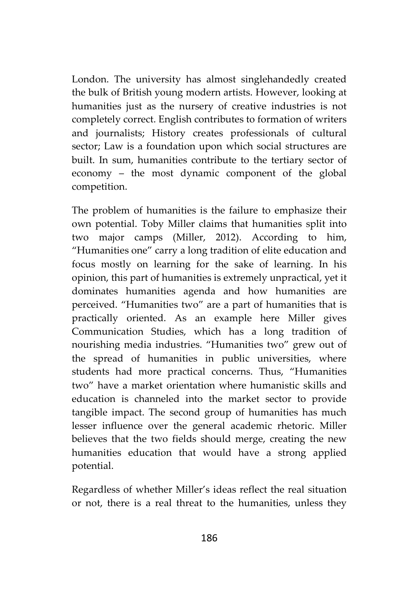London. The university has almost singlehandedly created the bulk of British young modern artists. However, looking at humanities just as the nursery of creative industries is not completely correct. English contributes to formation of writers and journalists; History creates professionals of cultural sector; Law is a foundation upon which social structures are built. In sum, humanities contribute to the tertiary sector of economy – the most dynamic component of the global competition.

The problem of humanities is the failure to emphasize their own potential. Toby Miller claims that humanities split into two major camps (Miller, 2012). According to him, "Humanities one" carry a long tradition of elite education and focus mostly on learning for the sake of learning. In his opinion, this part of humanities is extremely unpractical, yet it dominates humanities agenda and how humanities are perceived. "Humanities two" are a part of humanities that is practically oriented. As an example here Miller gives Communication Studies, which has a long tradition of nourishing media industries. "Humanities two" grew out of the spread of humanities in public universities, where students had more practical concerns. Thus, "Humanities two" have a market orientation where humanistic skills and education is channeled into the market sector to provide tangible impact. The second group of humanities has much lesser influence over the general academic rhetoric. Miller believes that the two fields should merge, creating the new humanities education that would have a strong applied potential.

Regardless of whether Miller's ideas reflect the real situation or not, there is a real threat to the humanities, unless they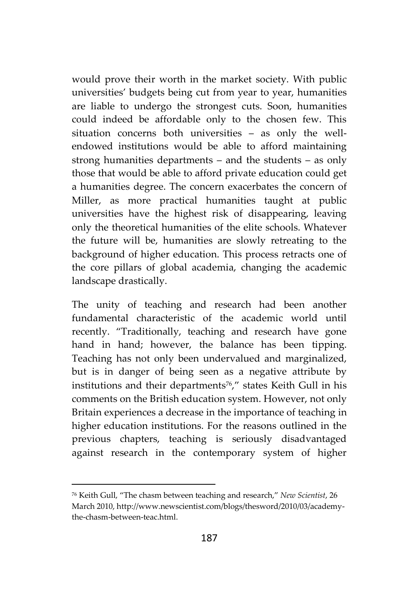would prove their worth in the market society. With public universities' budgets being cut from year to year, humanities are liable to undergo the strongest cuts. Soon, humanities could indeed be affordable only to the chosen few. This situation concerns both universities – as only the well endowed institutions would be able to afford maintaining strong humanities departments – and the students – as only those that would be able to afford private education could get a humanities degree. The concern exacerbates the concern of Miller, as more practical humanities taught at public universities have the highest risk of disappearing, leaving only the theoretical humanities of the elite schools. Whatever the future will be, humanities are slowly retreating to the background of higher education. This process retracts one of the core pillars of global academia, changing the academic landscape drastically.

The unity of teaching and research had been another fundamental characteristic of the academic world until recently. "Traditionally, teaching and research have gone hand in hand; however, the balance has been tipping. Teaching has not only been undervalued and marginalized, but is in danger of being seen as a negative attribute by institutions and their departments<sup>76</sup>," states Keith Gull in his comments on the British education system. However, not only Britain experiences a decrease in the importance of teaching in higher education institutions. For the reasons outlined in the previous chapters, teaching is seriously disadvantaged against research in the contemporary system of higher

<sup>76</sup> Keith Gull, "The chasm between teaching and research," *New Scientist*, 26 March 2010, http://www.newscientist.com/blogs/thesword/2010/03/academythe-chasm-between-teac.html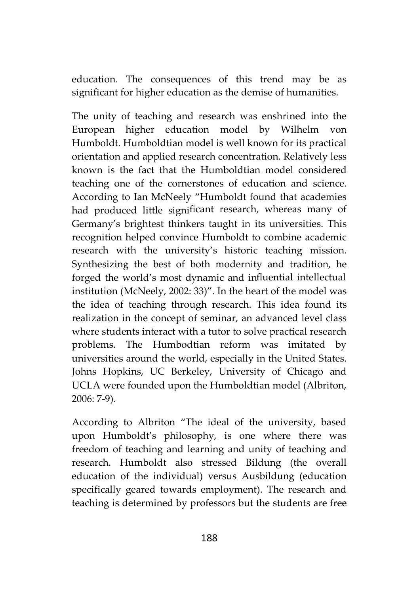education. The consequences of this trend may be as significant for higher education as the demise of humanities.

The unity of teaching and research was enshrined into the European higher education model by Wilhelm von Humboldt. Humboldtian model is well known for its practical orientation and applied research concentration. Relatively less known is the fact that the Humboldtian model considered teaching one of the cornerstones of education and science. According to Ian McNeely "Humboldt found that academies had produced little significant research, whereas many of Germany's brightest thinkers taught in its universities. This recognition helped convince Humboldt to combine academic research with the university's historic teaching mission. Synthesizing the best of both modernity and tradition, he forged the world's most dynamic and influential intellectual institution (McNeely, 2002: 33)". In the heart of the model was the idea of teaching through research. This idea found its realization in the concept of seminar, an advanced level class where students interact with a tutor to solve practical research problems. The Humbodtian reform was imitated by universities around the world, especially in the United States. Johns Hopkins, UC Berkeley, University of Chicago and UCLA were founded upon the Humboldtian model (Albriton, 2006: 7-9).

According to Albriton "The ideal of the university, based upon Humboldt's philosophy, is one where there was freedom of teaching and learning and unity of teaching and research. Humboldt also stressed Bildung (the overall education of the individual) versus Ausbildung (education specifically geared towards employment). The research and teaching is determined by professors but the students are free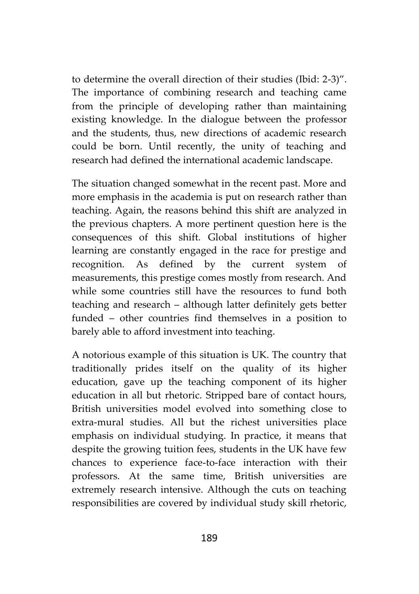to determine the overall direction of their studies (Ibid: 2-3)". The importance of combining research and teaching came from the principle of developing rather than maintaining existing knowledge. In the dialogue between the professor and the students, thus, new directions of academic research could be born. Until recently, the unity of teaching and research had defined the international academic landscape.

The situation changed somewhat in the recent past. More and more emphasis in the academia is put on research rather than teaching. Again, the reasons behind this shift are analyzed in the previous chapters. A more pertinent question here is the consequences of this shift. Global institutions of higher learning are constantly engaged in the race for prestige and recognition. As defined by the current system of measurements, this prestige comes mostly from research. And while some countries still have the resources to fund both teaching and research – although latter definitely gets better funded – other countries find themselves in a position to barely able to afford investment into teaching.

A notorious example of this situation is UK. The country that traditionally prides itself on the quality of its higher education, gave up the teaching component of its higher education in all but rhetoric. Stripped bare of contact hours, British universities model evolved into something close to extra-mural studies. All but the richest universities place emphasis on individual studying. In practice, it means that despite the growing tuition fees, students in the UK have few chances to experience face-to-face interaction with their professors. At the same time, British universities are extremely research intensive. Although the cuts on teaching responsibilities are covered by individual study skill rhetoric,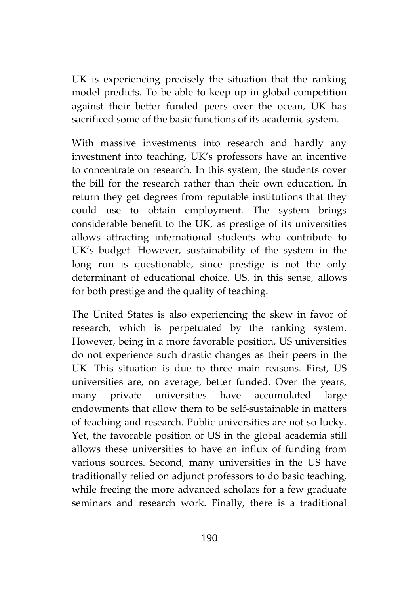UK is experiencing precisely the situation that the ranking model predicts. To be able to keep up in global competition against their better funded peers over the ocean, UK has sacrificed some of the basic functions of its academic system.

With massive investments into research and hardly any investment into teaching, UK's professors have an incentive to concentrate on research. In this system, the students cover the bill for the research rather than their own education. In return they get degrees from reputable institutions that they could use to obtain employment. The system brings considerable benefit to the UK, as prestige of its universities allows attracting international students who contribute to UK's budget. However, sustainability of the system in the long run is questionable, since prestige is not the only determinant of educational choice. US, in this sense, allows for both prestige and the quality of teaching.

The United States is also experiencing the skew in favor of research, which is perpetuated by the ranking system. However, being in a more favorable position, US universities do not experience such drastic changes as their peers in the UK. This situation is due to three main reasons. First, US universities are, on average, better funded. Over the years, many private universities have accumulated large endowments that allow them to be self-sustainable in matters of teaching and research. Public universities are not so lucky. Yet, the favorable position of US in the global academia still allows these universities to have an influx of funding from various sources. Second, many universities in the US have traditionally relied on adjunct professors to do basic teaching, while freeing the more advanced scholars for a few graduate seminars and research work. Finally, there is a traditional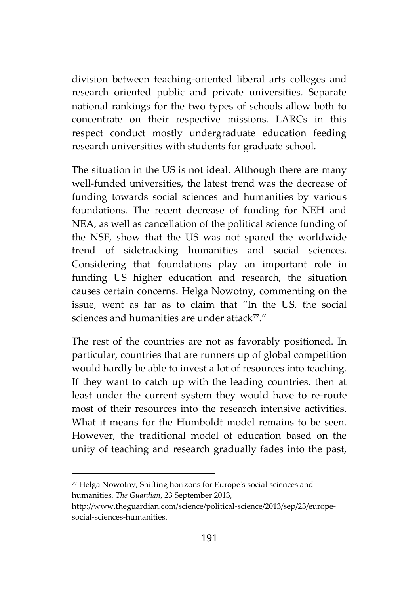division between teaching-oriented liberal arts colleges and research oriented public and private universities. Separate national rankings for the two types of schools allow both to concentrate on their respective missions. LARCs in this respect conduct mostly undergraduate education feeding research universities with students for graduate school.

The situation in the US is not ideal. Although there are many well-funded universities, the latest trend was the decrease of funding towards social sciences and humanities by various foundations. The recent decrease of funding for NEH and NEA, as well as cancellation of the political science funding of the NSF, show that the US was not spared the worldwide trend of sidetracking humanities and social sciences. Considering that foundations play an important role in funding US higher education and research, the situation causes certain concerns. Helga Nowotny, commenting on the issue, went as far as to claim that "In the US, the social sciences and humanities are under attack<sup>77</sup>."

The rest of the countries are not as favorably positioned. In particular, countries that are runners up of global competition would hardly be able to invest a lot of resources into teaching. If they want to catch up with the leading countries, then at least under the current system they would have to re-route most of their resources into the research intensive activities. What it means for the Humboldt model remains to be seen. However, the traditional model of education based on the unity of teaching and research gradually fades into the past,

<sup>77</sup> Helga Nowotny, Shifting horizons for Europe's social sciences and humanities, *The Guardian*, 23 September 2013,

http://www.theguardian.com/science/political-science/2013/sep/23/europe social-sciences-humanities.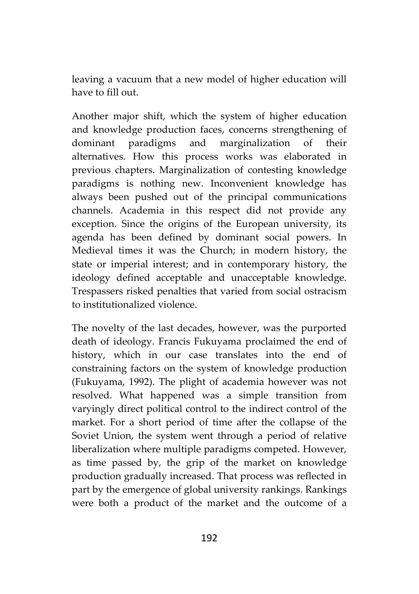leaving a vacuum that a new model of higher education will have to fill out.

Another major shift, which the system of higher education and knowledge production faces, concerns strengthening of dominant paradigms and marginalization of their alternatives. How this process works was elaborated in previous chapters. Marginalization of contesting knowledge paradigms is nothing new. Inconvenient knowledge has always been pushed out of the principal communications channels. Academia in this respect did not provide any exception. Since the origins of the European university, its agenda has been defined by dominant social powers. In Medieval times it was the Church; in modern history, the state or imperial interest; and in contemporary history, the ideology defined acceptable and unacceptable knowledge. Trespassers risked penalties that varied from social ostracism to institutionalized violence.

The novelty of the last decades, however, was the purported death of ideology. Francis Fukuyama proclaimed the end of history, which in our case translates into the end of constraining factors on the system of knowledge production (Fukuyama, 1992). The plight of academia however was not resolved. What happened was a simple transition from varyingly direct political control to the indirect control of the market. For a short period of time after the collapse of the Soviet Union, the system went through a period of relative liberalization where multiple paradigms competed. However, as time passed by, the grip of the market on knowledge production gradually increased. That process was reflected in part by the emergence of global university rankings. Rankings were both a product of the market and the outcome of a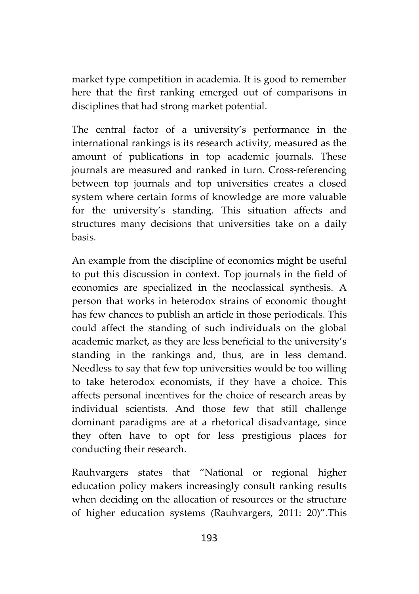market type competition in academia. It is good to remember here that the first ranking emerged out of comparisons in disciplines that had strong market potential.

The central factor of a university's performance in the international rankings is its research activity, measured as the amount of publications in top academic journals. These journals are measured and ranked in turn. Cross-referencing between top journals and top universities creates a closed system where certain forms of knowledge are more valuable for the university's standing. This situation affects and structures many decisions that universities take on a daily basis.

An example from the discipline of economics might be useful to put this discussion in context. Top journals in the field of economics are specialized in the neoclassical synthesis. A person that works in heterodox strains of economic thought has few chances to publish an article in those periodicals. This could affect the standing of such individuals on the global academic market, as they are less beneficial to the university's standing in the rankings and, thus, are in less demand. Needless to say that few top universities would be too willing to take heterodox economists, if they have a choice. This affects personal incentives for the choice of research areas by individual scientists. And those few that still challenge dominant paradigms are at a rhetorical disadvantage, since they often have to opt for less prestigious places for conducting their research.

Rauhvargers states that "National or regional higher education policy makers increasingly consult ranking results when deciding on the allocation of resources or the structure of higher education systems (Rauhvargers, 2011: 20)".This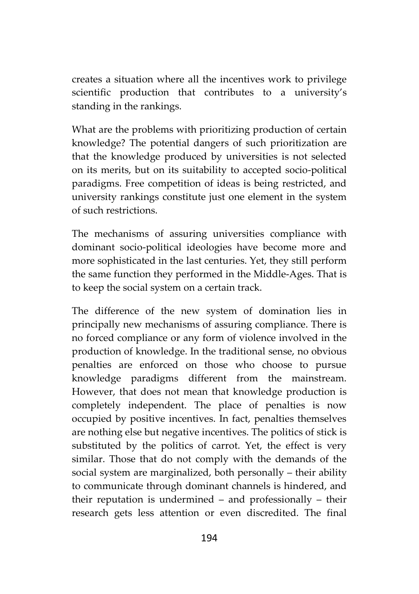creates a situation where all the incentives work to privilege scientific production that contributes to a university's standing in the rankings.

What are the problems with prioritizing production of certain knowledge? The potential dangers of such prioritization are that the knowledge produced by universities is not selected on its merits, but on its suitability to accepted socio-political paradigms. Free competition of ideas is being restricted, and university rankings constitute just one element in the system of such restrictions.

The mechanisms of assuring universities compliance with dominant socio-political ideologies have become more and more sophisticated in the last centuries. Yet, they still perform the same function they performed in the Middle-Ages. That is to keep the social system on a certain track.

The difference of the new system of domination lies in principally new mechanisms of assuring compliance. There is no forced compliance or any form of violence involved in the production of knowledge. In the traditional sense, no obvious penalties are enforced on those who choose to pursue knowledge paradigms different from the mainstream. However, that does not mean that knowledge production is completely independent. The place of penalties is now occupied by positive incentives. In fact, penalties themselves are nothing else but negative incentives. The politics of stick is substituted by the politics of carrot. Yet, the effect is very similar. Those that do not comply with the demands of the social system are marginalized, both personally – their ability to communicate through dominant channels is hindered, and their reputation is undermined – and professionally – their research gets less attention or even discredited. The final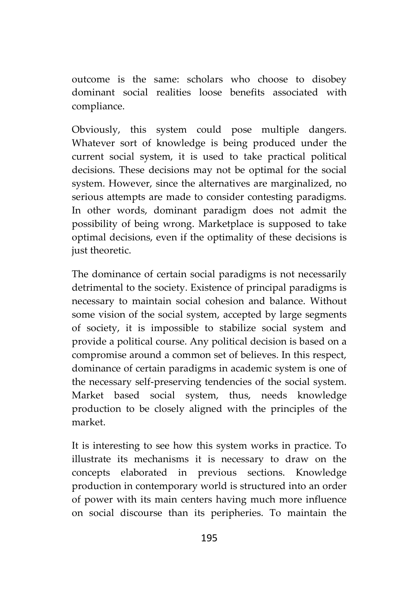outcome is the same: scholars who choose to disobey dominant social realities loose benefits associated with compliance.

Obviously, this system could pose multiple dangers. Whatever sort of knowledge is being produced under the current social system, it is used to take practical political decisions. These decisions may not be optimal for the social system. However, since the alternatives are marginalized, no serious attempts are made to consider contesting paradigms. In other words, dominant paradigm does not admit the possibility of being wrong. Marketplace is supposed to take optimal decisions, even if the optimality of these decisions is just theoretic.

The dominance of certain social paradigms is not necessarily detrimental to the society. Existence of principal paradigms is necessary to maintain social cohesion and balance. Without some vision of the social system, accepted by large segments of society, it is impossible to stabilize social system and provide a political course. Any political decision is based on a compromise around a common set of believes. In this respect, dominance of certain paradigms in academic system is one of the necessary self-preserving tendencies of the social system. Market based social system, thus, needs knowledge production to be closely aligned with the principles of the market.

It is interesting to see how this system works in practice. To illustrate its mechanisms it is necessary to draw on the concepts elaborated in previous sections. Knowledge production in contemporary world is structured into an order of power with its main centers having much more influence on social discourse than its peripheries. To maintain the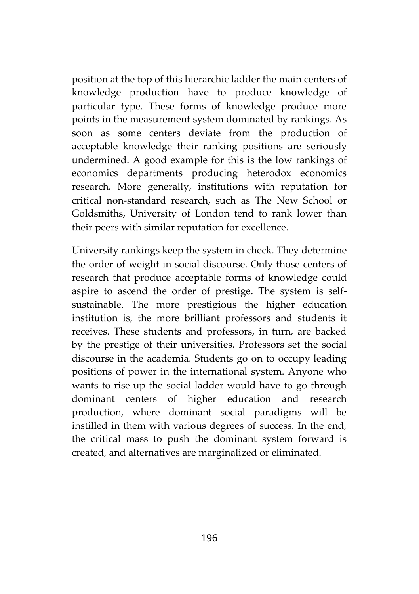position at the top of this hierarchic ladder the main centers of knowledge production have to produce knowledge of particular type. These forms of knowledge produce more points in the measurement system dominated by rankings. As soon as some centers deviate from the production of acceptable knowledge their ranking positions are seriously undermined. A good example for this is the low rankings of economics departments producing heterodox economics research. More generally, institutions with reputation for critical non-standard research, such as The New School or Goldsmiths, University of London tend to rank lower than their peers with similar reputation for excellence.

University rankings keep the system in check. They determine the order of weight in social discourse. Only those centers of research that produce acceptable forms of knowledge could aspire to ascend the order of prestige. The system is self sustainable. The more prestigious the higher education institution is, the more brilliant professors and students it receives. These students and professors, in turn, are backed by the prestige of their universities. Professors set the social discourse in the academia. Students go on to occupy leading positions of power in the international system. Anyone who wants to rise up the social ladder would have to go through dominant centers of higher education and research production, where dominant social paradigms will be instilled in them with various degrees of success. In the end, the critical mass to push the dominant system forward is created, and alternatives are marginalized or eliminated.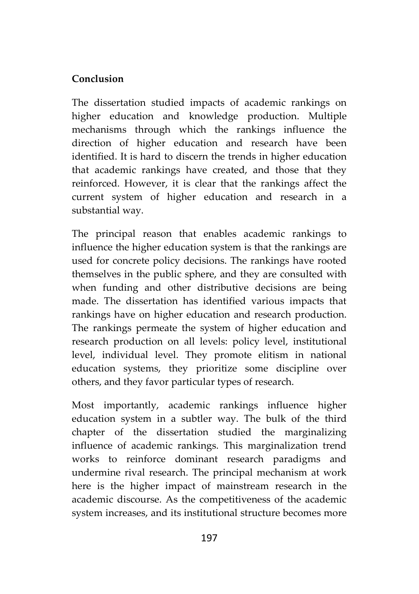#### **Conclusion**

The dissertation studied impacts of academic rankings on higher education and knowledge production. Multiple mechanisms through which the rankings influence the direction of higher education and research have been identified. It is hard to discern the trends in higher education that academic rankings have created, and those that they reinforced. However, it is clear that the rankings affect the current system of higher education and research in a substantial way.

The principal reason that enables academic rankings to influence the higher education system is that the rankings are used for concrete policy decisions. The rankings have rooted themselves in the public sphere, and they are consulted with when funding and other distributive decisions are being made. The dissertation has identified various impacts that rankings have on higher education and research production. The rankings permeate the system of higher education and research production on all levels: policy level, institutional level, individual level. They promote elitism in national education systems, they prioritize some discipline over others, and they favor particular types of research.

Most importantly, academic rankings influence higher education system in a subtler way. The bulk of the third chapter of the dissertation studied the marginalizing influence of academic rankings. This marginalization trend works to reinforce dominant research paradigms and undermine rival research. The principal mechanism at work here is the higher impact of mainstream research in the academic discourse. As the competitiveness of the academic system increases, and its institutional structure becomes more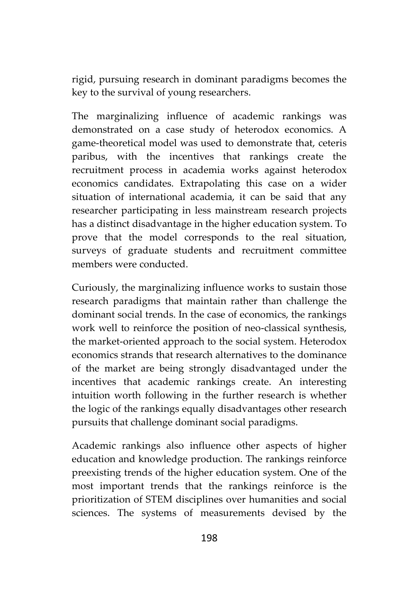rigid, pursuing research in dominant paradigms becomes the key to the survival of young researchers.

The marginalizing influence of academic rankings was demonstrated on a case study of heterodox economics. A game-theoretical model was used to demonstrate that, ceteris paribus, with the incentives that rankings create the recruitment process in academia works against heterodox economics candidates. Extrapolating this case on a wider situation of international academia, it can be said that any researcher participating in less mainstream research projects has a distinct disadvantage in the higher education system. To prove that the model corresponds to the real situation, surveys of graduate students and recruitment committee members were conducted.

Curiously, the marginalizing influence works to sustain those research paradigms that maintain rather than challenge the dominant social trends. In the case of economics, the rankings work well to reinforce the position of neo-classical synthesis, the market-oriented approach to the social system. Heterodox economics strands that research alternatives to the dominance of the market are being strongly disadvantaged under the incentives that academic rankings create. An interesting intuition worth following in the further research is whether the logic of the rankings equally disadvantages other research pursuits that challenge dominant social paradigms.

Academic rankings also influence other aspects of higher education and knowledge production. The rankings reinforce preexisting trends of the higher education system. One of the most important trends that the rankings reinforce is the prioritization of STEM disciplines over humanities and social sciences. The systems of measurements devised by the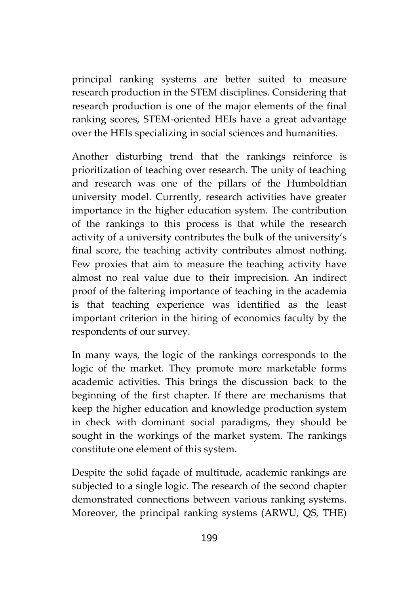principal ranking systems are better suited to measure research production in the STEM disciplines. Considering that research production is one of the major elements of the final ranking scores, STEM-oriented HEIs have a great advantage over the HEIs specializing in social sciences and humanities.

Another disturbing trend that the rankings reinforce is prioritization of teaching over research. The unity of teaching and research was one of the pillars of the Humboldtian university model. Currently, research activities have greater importance in the higher education system. The contribution of the rankings to this process is that while the research activity of a university contributes the bulk of the university's final score, the teaching activity contributes almost nothing. Few proxies that aim to measure the teaching activity have almost no real value due to their imprecision. An indirect proof of the faltering importance of teaching in the academia is that teaching experience was identified as the least important criterion in the hiring of economics faculty by the respondents of our survey.

In many ways, the logic of the rankings corresponds to the logic of the market. They promote more marketable forms academic activities. This brings the discussion back to the beginning of the first chapter. If there are mechanisms that keep the higher education and knowledge production system in check with dominant social paradigms, they should be sought in the workings of the market system. The rankings constitute one element of this system.

Despite the solid façade of multitude, academic rankings are subjected to a single logic. The research of the second chapter demonstrated connections between various ranking systems. Moreover, the principal ranking systems (ARWU, QS, THE)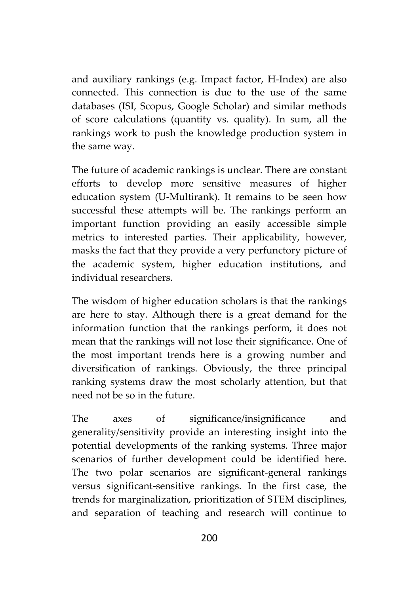and auxiliary rankings (e.g. Impact factor, H-Index) are also connected. This connection is due to the use of the same databases (ISI, Scopus, Google Scholar) and similar methods of score calculations (quantity vs. quality). In sum, all the rankings work to push the knowledge production system in the same way.

The future of academic rankings is unclear. There are constant efforts to develop more sensitive measures of higher education system (U-Multirank). It remains to be seen how successful these attempts will be. The rankings perform an important function providing an easily accessible simple metrics to interested parties. Their applicability, however, masks the fact that they provide a very perfunctory picture of the academic system, higher education institutions, and individual researchers.

The wisdom of higher education scholars is that the rankings are here to stay. Although there is a great demand for the information function that the rankings perform, it does not mean that the rankings will not lose their significance. One of the most important trends here is a growing number and diversification of rankings. Obviously, the three principal ranking systems draw the most scholarly attention, but that need not be so in the future.

The axes of significance/insignificance and generality/sensitivity provide an interesting insight into the potential developments of the ranking systems. Three major scenarios of further development could be identified here. The two polar scenarios are significant-general rankings versus significant-sensitive rankings. In the first case, the trends for marginalization, prioritization of STEM disciplines, and separation of teaching and research will continue to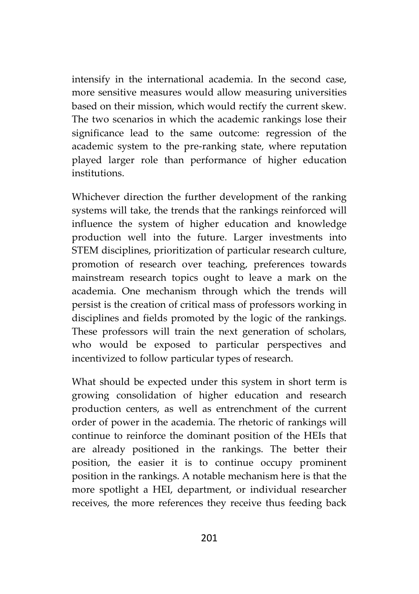intensify in the international academia. In the second case, more sensitive measures would allow measuring universities based on their mission, which would rectify the current skew. The two scenarios in which the academic rankings lose their significance lead to the same outcome: regression of the academic system to the pre-ranking state, where reputation played larger role than performance of higher education institutions.

Whichever direction the further development of the ranking systems will take, the trends that the rankings reinforced will influence the system of higher education and knowledge production well into the future. Larger investments into STEM disciplines, prioritization of particular research culture, promotion of research over teaching, preferences towards mainstream research topics ought to leave a mark on the academia. One mechanism through which the trends will persist is the creation of critical mass of professors working in disciplines and fields promoted by the logic of the rankings. These professors will train the next generation of scholars, who would be exposed to particular perspectives and incentivized to follow particular types of research.

What should be expected under this system in short term is growing consolidation of higher education and research production centers, as well as entrenchment of the current order of power in the academia. The rhetoric of rankings will continue to reinforce the dominant position of the HEIs that are already positioned in the rankings. The better their position, the easier it is to continue occupy prominent position in the rankings. A notable mechanism here is that the more spotlight a HEI, department, or individual researcher receives, the more references they receive thus feeding back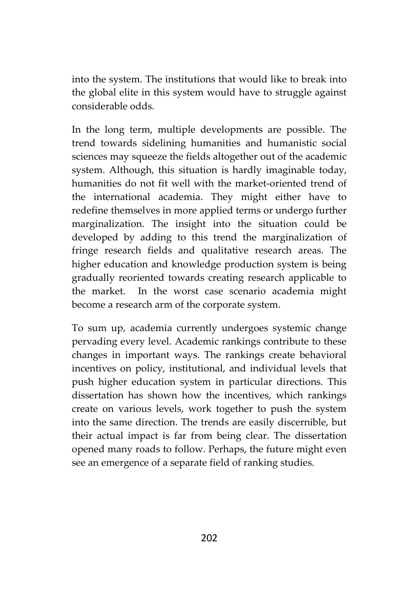into the system. The institutions that would like to break into the global elite in this system would have to struggle against considerable odds.

In the long term, multiple developments are possible. The trend towards sidelining humanities and humanistic social sciences may squeeze the fields altogether out of the academic system. Although, this situation is hardly imaginable today, humanities do not fit well with the market-oriented trend of the international academia. They might either have to redefine themselves in more applied terms or undergo further marginalization. The insight into the situation could be developed by adding to this trend the marginalization of fringe research fields and qualitative research areas. The higher education and knowledge production system is being gradually reoriented towards creating research applicable to the market. In the worst case scenario academia might become a research arm of the corporate system.

To sum up, academia currently undergoes systemic change pervading every level. Academic rankings contribute to these changes in important ways. The rankings create behavioral incentives on policy, institutional, and individual levels that push higher education system in particular directions. This dissertation has shown how the incentives, which rankings create on various levels, work together to push the system into the same direction. The trends are easily discernible, but their actual impact is far from being clear. The dissertation opened many roads to follow. Perhaps, the future might even see an emergence of a separate field of ranking studies.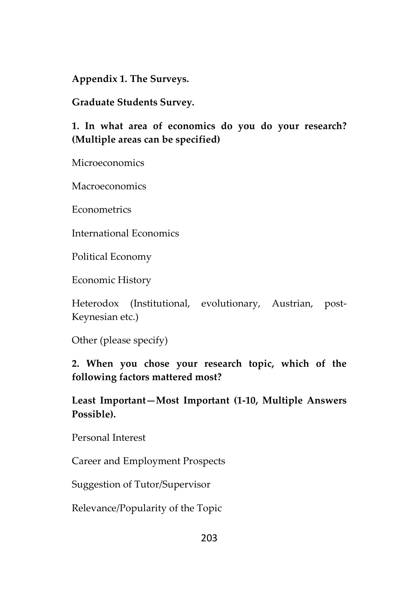**Appendix 1. The Surveys.**

**Graduate Students Survey.**

### **1. In what area of economics do you do your research? (Multiple areas can be specified)**

Microeconomics

Macroeconomics

Econometrics

International Economics

Political Economy

Economic History

Heterodox (Institutional, evolutionary, Austrian, post- Keynesian etc.)

Other (please specify)

### **2. When you chose your research topic, which of the following factors mattered most?**

**Least Important—Most Important (1-10, Multiple Answers Possible).**

Personal Interest

Career and Employment Prospects

Suggestion of Tutor/Supervisor

Relevance/Popularity of the Topic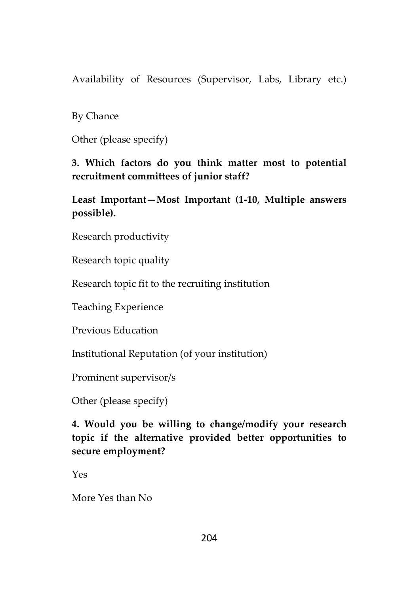Availability of Resources (Supervisor, Labs, Library etc.)

By Chance

Other (please specify)

**3. Which factors do you think matter most to potential recruitment committees of junior staff?**

**Least Important—Most Important (1-10, Multiple answers possible).**

Research productivity

Research topic quality

Research topic fit to the recruiting institution

Teaching Experience

Previous Education

Institutional Reputation (of your institution)

Prominent supervisor/s

Other (please specify)

**4. Would you be willing to change/modify your research topic if the alternative provided better opportunities to secure employment?**

Yes

More Yes than No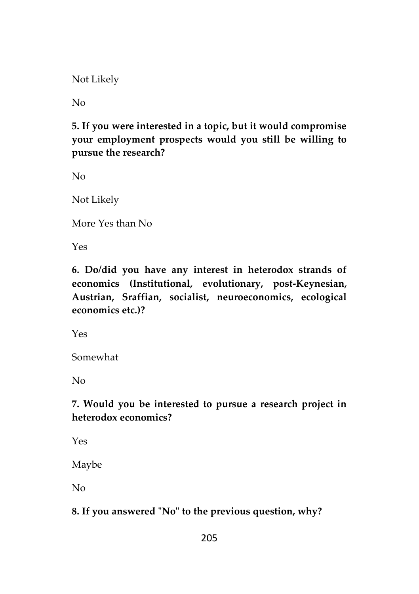Not Likely

 $N_{\Omega}$ 

# **5. If you were interested in a topic, but it would compromise your employment prospects would you still be willing to pursue the research?**

No

Not Likely

More Yes than No

Yes

**6. Do/did you have any interest in heterodox strands of economics (Institutional, evolutionary, post-Keynesian, Austrian, Sraffian, socialist, neuroeconomics, ecological economics etc.)?**

Yes

Somewhat

 $N_{\Omega}$ 

# **7. Would you be interested to pursue a research project in heterodox economics?**

Yes

Maybe

No

### **8. If you answered "No" to the previous question, why?**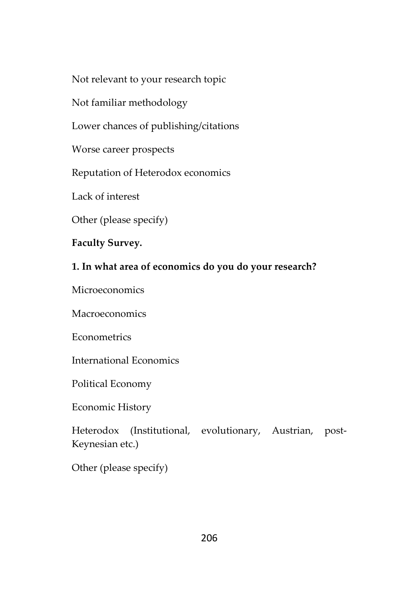Not relevant to your research topic

Not familiar methodology

Lower chances of publishing/citations

Worse career prospects

Reputation of Heterodox economics

Lack of interest

Other (please specify)

**Faculty Survey.**

### **1. In what area of economics do you do your research?**

Microeconomics

Macroeconomics

Econometrics

International Economics

Political Economy

Economic History

Heterodox (Institutional, evolutionary, Austrian, post- Keynesian etc.)

Other (please specify)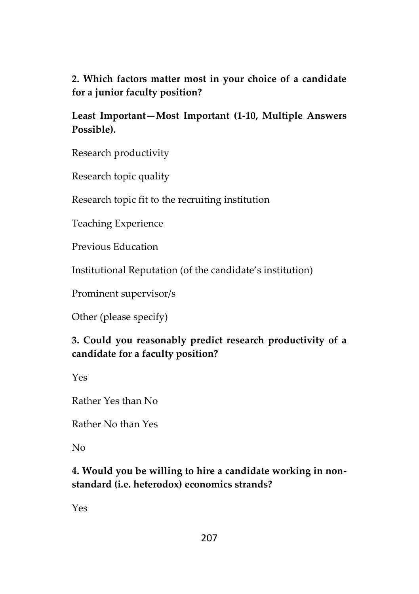# **2. Which factors matter most in your choice of a candidate for a junior faculty position?**

## **Least Important—Most Important (1-10, Multiple Answers Possible).**

Research productivity

Research topic quality

Research topic fit to the recruiting institution

Teaching Experience

Previous Education

Institutional Reputation (of the candidate's institution)

Prominent supervisor/s

Other (please specify)

# **3. Could you reasonably predict research productivity of a candidate for a faculty position?**

Yes

Rather Yes than No

Rather No than Yes

No

# **4. Would you be willing to hire a candidate working in non standard (i.e. heterodox) economics strands?**

Yes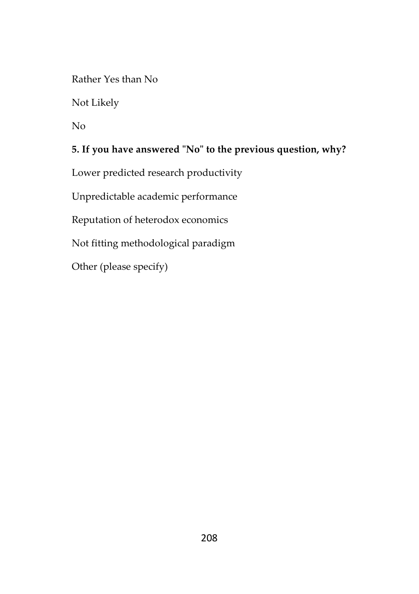Rather Yes than No

Not Likely

No

## **5. If you have answered "No" to the previous question, why?**

Lower predicted research productivity

Unpredictable academic performance

Reputation of heterodox economics

Not fitting methodological paradigm

Other (please specify)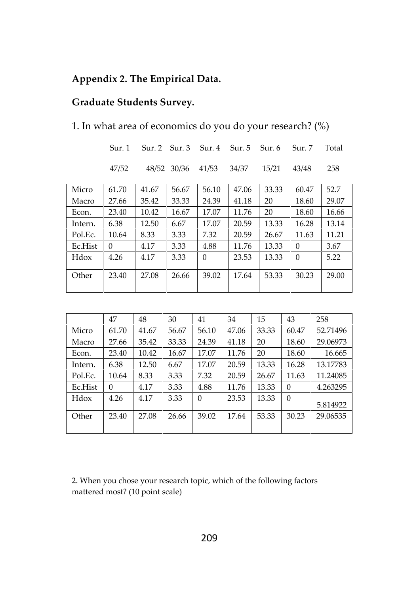## **Appendix 2. The Empirical Data.**

#### **Graduate Students Survey.**

| 1. In what area of economics do you do your research? (%) |  |  |
|-----------------------------------------------------------|--|--|
|-----------------------------------------------------------|--|--|

|         | Sur. 1   |       | Sur. 2 Sur. 3 Sur. 4 Sur. 5 |          |       | Sur. 6 | Sur. 7       | Total |
|---------|----------|-------|-----------------------------|----------|-------|--------|--------------|-------|
|         | 47/52    |       | 48/52 30/36                 | 41/53    | 34/37 | 15/21  | 43/48        | 258   |
| Micro   | 61.70    | 41.67 | 56.67                       | 56.10    | 47.06 | 33.33  | 60.47        | 52.7  |
| Macro   | 27.66    | 35.42 | 33.33                       | 24.39    | 41.18 | 20     | 18.60        | 29.07 |
| Econ.   | 23.40    | 10.42 | 16.67                       | 17.07    | 11.76 | 20     | 18.60        | 16.66 |
| Intern. | 6.38     | 12.50 | 6.67                        | 17.07    | 20.59 | 13.33  | 16.28        | 13.14 |
| Pol.Ec. | 10.64    | 8.33  | 3.33                        | 7.32     | 20.59 | 26.67  | 11.63        | 11.21 |
| Ec.Hist | $\Omega$ | 4.17  | 3.33                        | 4.88     | 11.76 | 13.33  | $\mathbf{0}$ | 3.67  |
| Hdox    | 4.26     | 4.17  | 3.33                        | $\Omega$ | 23.53 | 13.33  | $\mathbf{0}$ | 5.22  |
| Other   | 23.40    | 27.08 | 26.66                       | 39.02    | 17.64 | 53.33  | 30.23        | 29.00 |

|         | 47       | 48    | 30    | 41       | 34    | 15    | 43       | 258      |
|---------|----------|-------|-------|----------|-------|-------|----------|----------|
| Micro   | 61.70    | 41.67 | 56.67 | 56.10    | 47.06 | 33.33 | 60.47    | 52.71496 |
| Macro   | 27.66    | 35.42 | 33.33 | 24.39    | 41.18 | 20    | 18.60    | 29.06973 |
| Econ.   | 23.40    | 10.42 | 16.67 | 17.07    | 11.76 | 20    | 18.60    | 16.665   |
| Intern. | 6.38     | 12.50 | 6.67  | 17.07    | 20.59 | 13.33 | 16.28    | 13.17783 |
| Pol.Ec. | 10.64    | 8.33  | 3.33  | 7.32     | 20.59 | 26.67 | 11.63    | 11.24085 |
| Ec.Hist | $\Omega$ | 4.17  | 3.33  | 4.88     | 11.76 | 13.33 | $\Omega$ | 4.263295 |
| Hdox    | 4.26     | 4.17  | 3.33  | $\theta$ | 23.53 | 13.33 | $\theta$ | 5.814922 |
| Other   | 23.40    | 27.08 | 26.66 | 39.02    | 17.64 | 53.33 | 30.23    | 29.06535 |

2. When you chose your research topic, which of the following factors mattered most? (10 point scale)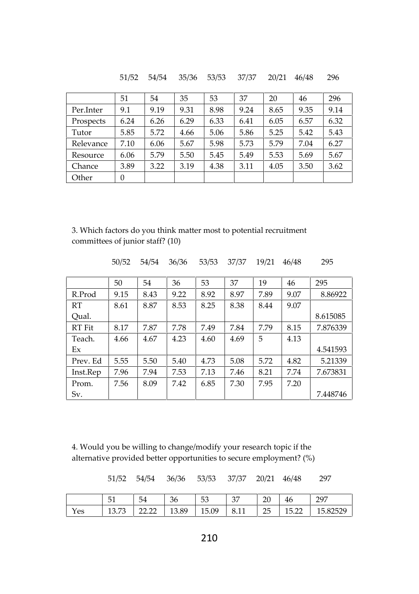|           | 51       | 54   | 35   | 53   | 37   | 20   | 46   | 296  |
|-----------|----------|------|------|------|------|------|------|------|
| Per.Inter | 9.1      | 9.19 | 9.31 | 8.98 | 9.24 | 8.65 | 9.35 | 9.14 |
| Prospects | 6.24     | 6.26 | 6.29 | 6.33 | 6.41 | 6.05 | 6.57 | 6.32 |
| Tutor     | 5.85     | 5.72 | 4.66 | 5.06 | 5.86 | 5.25 | 5.42 | 5.43 |
| Relevance | 7.10     | 6.06 | 5.67 | 5.98 | 5.73 | 5.79 | 7.04 | 6.27 |
| Resource  | 6.06     | 5.79 | 5.50 | 5.45 | 5.49 | 5.53 | 5.69 | 5.67 |
| Chance    | 3.89     | 3.22 | 3.19 | 4.38 | 3.11 | 4.05 | 3.50 | 3.62 |
| Other     | $\theta$ |      |      |      |      |      |      |      |

51/52 54/54 35/36 53/53 37/37 20/21 46/48 296

3. Which factors do you think matter most to potential recruitment committees of junior staff? (10)

|          | 50/52 | 54/54 | 36/36 | 53/53 | 37/37 | 19/21 | 46/48 | 295      |
|----------|-------|-------|-------|-------|-------|-------|-------|----------|
|          | 50    | 54    | 36    | 53    | 37    | 19    | 46    | 295      |
| R.Prod   | 9.15  | 8.43  | 9.22  | 8.92  | 8.97  | 7.89  | 9.07  | 8.86922  |
| RT       | 8.61  | 8.87  | 8.53  | 8.25  | 8.38  | 8.44  | 9.07  |          |
| Oual.    |       |       |       |       |       |       |       | 8.615085 |
| RT Fit   | 8.17  | 7.87  | 7.78  | 7.49  | 7.84  | 7.79  | 8.15  | 7.876339 |
| Teach.   | 4.66  | 4.67  | 4.23  | 4.60  | 4.69  | 5     | 4.13  |          |
| Ex       |       |       |       |       |       |       |       | 4.541593 |
| Prev. Ed | 5.55  | 5.50  | 5.40  | 4.73  | 5.08  | 5.72  | 4.82  | 5.21339  |
| Inst.Rep | 7.96  | 7.94  | 7.53  | 7.13  | 7.46  | 8.21  | 7.74  | 7.673831 |
| Prom.    | 7.56  | 8.09  | 7.42  | 6.85  | 7.30  | 7.95  | 7.20  |          |
| Sv.      |       |       |       |       |       |       |       | 7.448746 |

4. Would you be willing to change/modify your research topic if the alternative provided better opportunities to secure employment? (%)

51/52 54/54 36/36 53/53 37/37 20/21 46/48 297 51 | 54 | 36 | 53 | 37 | 20 | 46 | 297 | Yes | 13.73 | 22.22 | 13.89 | 15.09 | 8.11 | 25 | 15.22 | 15.82529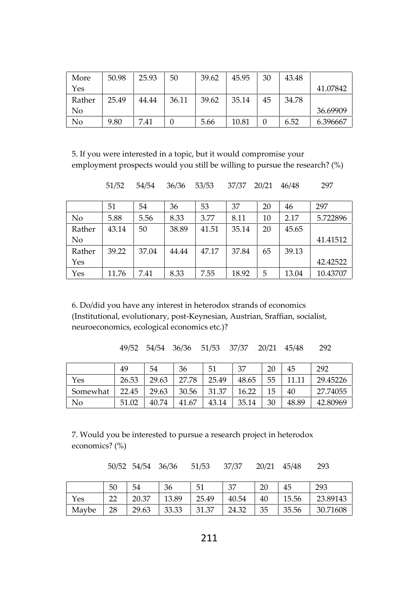| More   | 50.98 | 25.93 | 50    | 39.62 | 45.95 | 30 | 43.48 |          |
|--------|-------|-------|-------|-------|-------|----|-------|----------|
| Yes    |       |       |       |       |       |    |       | 41.07842 |
| Rather | 25.49 | 44.44 | 36.11 | 39.62 | 35.14 | 45 | 34.78 |          |
| No     |       |       |       |       |       |    |       | 36.69909 |
| No     | 9.80  | 7.41  |       | 5.66  | 10.81 | 0  | 6.52  | 6.396667 |

5. If you were interested in a topic, but it would compromise your employment prospects would you still be willing to pursue the research? (%)

51/52 54/54 36/36 53/53 37/37 20/21 46/48 297

|        | 51    | 54    | 36    | 53    | 37    | 20 | 46    | 297      |
|--------|-------|-------|-------|-------|-------|----|-------|----------|
| No     | 5.88  | 5.56  | 8.33  | 3.77  | 8.11  | 10 | 2.17  | 5.722896 |
| Rather | 43.14 | 50    | 38.89 | 41.51 | 35.14 | 20 | 45.65 |          |
| No     |       |       |       |       |       |    |       | 41.41512 |
| Rather | 39.22 | 37.04 | 44.44 | 47.17 | 37.84 | 65 | 39.13 |          |
| Yes    |       |       |       |       |       |    |       | 42.42522 |
| Yes    | 11.76 | 7.41  | 8.33  | 7.55  | 18.92 | 5  | 13.04 | 10.43707 |

6. Do/did you have any interest in heterodox strands of economics (Institutional, evolutionary, post-Keynesian, Austrian, Sraffian, socialist, neuroeconomics, ecological economics etc.)?

| 49/52 54/54 36/36 51/53 37/37 20/21 45/48 292 |  |
|-----------------------------------------------|--|
|-----------------------------------------------|--|

|          | 49    | 54    | 36    | 51    | 37    | 20 | 45    | 292      |
|----------|-------|-------|-------|-------|-------|----|-------|----------|
| Yes      | 26.53 | 29.63 | 27.78 | 25.49 | 48.65 | 55 |       | 29.45226 |
| Somewhat | 22.45 | 29.63 | 30.56 | 31.37 | 16.22 | 15 | 40    | 27.74055 |
| No       | 51.02 | 40.74 | 41.67 | 43.14 | 35.14 | 30 | 48.89 | 42.80969 |

7. Would you be interested to pursue a research project in heterodox economics? (%)

50/52 54/54 36/36 51/53 37/37 20/21 45/48 293

|       | 50              | 54    | 36    | 51    | 37    | 20 | 45    | 293      |
|-------|-----------------|-------|-------|-------|-------|----|-------|----------|
| Yes   | nn<br><u>__</u> | 20.37 | 13.89 | 25.49 | 40.54 | 40 | 15.56 | 23.89143 |
| Maybe | 28              | 29.63 | 33.33 | 31.37 | 24.32 | 35 | 35.56 | 30.71608 |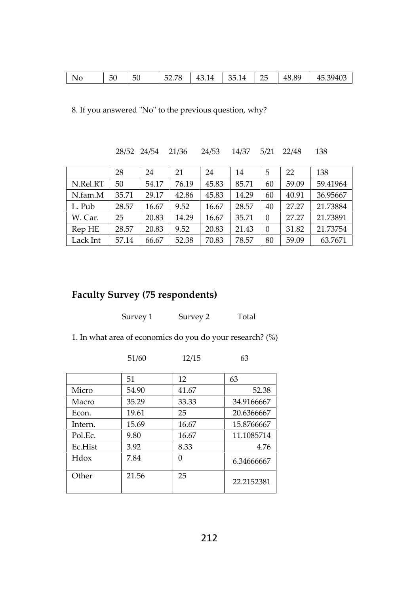| 52 78<br>ገፍ<br>50<br>.39403<br>48.89<br>43.14<br>35.14<br>14<br>د.45<br>No<br>52.7<br>ЭU<br>∼<br>and the control of the |
|-------------------------------------------------------------------------------------------------------------------------|
|-------------------------------------------------------------------------------------------------------------------------|

8. If you answered "No" to the previous question, why?

28/52 24/54 21/36 24/53 14/37 5/21 22/48 138

|          | 28    | 24    | 21    | 24    | 14    | 5        | 22    | 138      |
|----------|-------|-------|-------|-------|-------|----------|-------|----------|
| N.Rel.RT | 50    | 54.17 | 76.19 | 45.83 | 85.71 | 60       | 59.09 | 59.41964 |
| N.fam.M  | 35.71 | 29.17 | 42.86 | 45.83 | 14.29 | 60       | 40.91 | 36.95667 |
| L. Pub   | 28.57 | 16.67 | 9.52  | 16.67 | 28.57 | 40       | 27.27 | 21.73884 |
| W. Car.  | 25    | 20.83 | 14.29 | 16.67 | 35.71 | $\Omega$ | 27.27 | 21.73891 |
| Rep HE   | 28.57 | 20.83 | 9.52  | 20.83 | 21.43 | $\theta$ | 31.82 | 21.73754 |
| Lack Int | 57.14 | 66.67 | 52.38 | 70.83 | 78.57 | 80       | 59.09 | 63.7671  |

# **Faculty Survey (75 respondents)**

| Survey 1 | Survey 2 | Total |
|----------|----------|-------|
|          |          |       |

1. In what area of economics do you do your research? (%)

|         | 51/60 | 12/15    | 63         |
|---------|-------|----------|------------|
|         | 51    | 12       | 63         |
| Micro   | 54.90 | 41.67    | 52.38      |
| Macro   | 35.29 | 33.33    | 34.9166667 |
| Econ.   | 19.61 | 25       | 20.6366667 |
| Intern. | 15.69 | 16.67    | 15.8766667 |
| Pol.Ec. | 9.80  | 16.67    | 11.1085714 |
| Ec.Hist | 3.92  | 8.33     | 4.76       |
| Hdox    | 7.84  | $\Omega$ | 6.34666667 |
| Other   | 21.56 | 25       | 22.2152381 |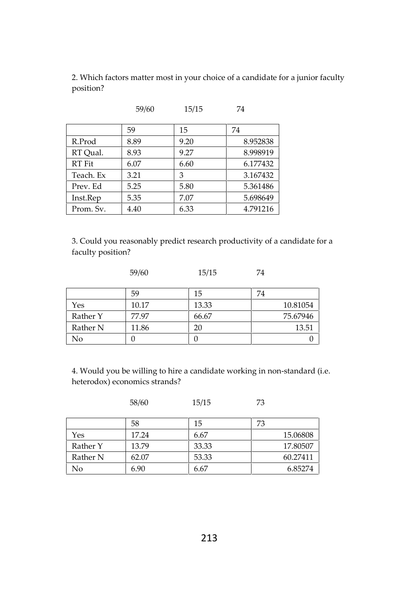2. Which factors matter most in your choice of a candidate for a junior faculty position?

59/60 15/15 74

|           | ----- | $-0, -0$ |          |
|-----------|-------|----------|----------|
|           | 59    | 15       | 74       |
| R.Prod    | 8.89  | 9.20     | 8.952838 |
| RT Oual.  | 8.93  | 9.27     | 8.998919 |
| RT Fit    | 6.07  | 6.60     | 6.177432 |
| Teach. Ex | 3.21  | 3        | 3.167432 |
| Prev. Ed  | 5.25  | 5.80     | 5.361486 |
| Inst.Rep  | 5.35  | 7.07     | 5.698649 |
| Prom. Sv. | 4.40  | 6.33     | 4.791216 |

3. Could you reasonably predict research productivity of a candidate for a faculty position?

59/60 15/15 74

|          | 59    | 15    | 74       |
|----------|-------|-------|----------|
| Yes      | 10.17 | 13.33 | 10.81054 |
| Rather Y | 77.97 | 66.67 | 75.67946 |
| Rather N | 11.86 | 20    | 13.51    |
| No       |       |       |          |

4. Would you be willing to hire a candidate working in non-standard (i.e. heterodox) economics strands?

|          | 58/60 | 15/15 | 73       |
|----------|-------|-------|----------|
|          | 58    | 15    | 73       |
| Yes      | 17.24 | 6.67  | 15.06808 |
| Rather Y | 13.79 | 33.33 | 17.80507 |
| Rather N | 62.07 | 53.33 | 60.27411 |
| No       | 6.90  | 6.67  | 6.85274  |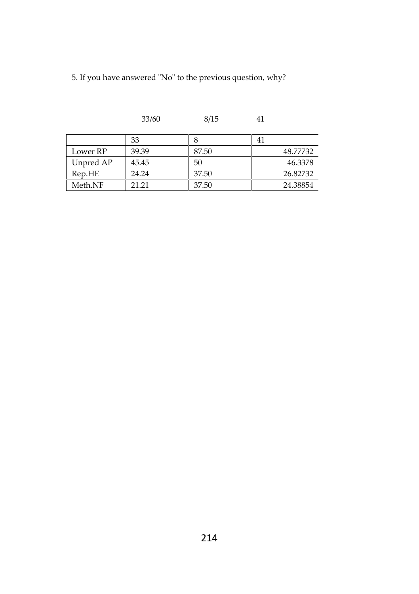5. If you have answered "No" to the previous question, why?

|           | 33    |       | 41       |
|-----------|-------|-------|----------|
| Lower RP  | 39.39 | 87.50 | 48.77732 |
| Unpred AP | 45.45 | 50    | 46.3378  |
| Rep.HE    | 24.24 | 37.50 | 26.82732 |
| Meth.NF   | 21 21 | 37.50 | 24.38854 |

33/60 8/15 41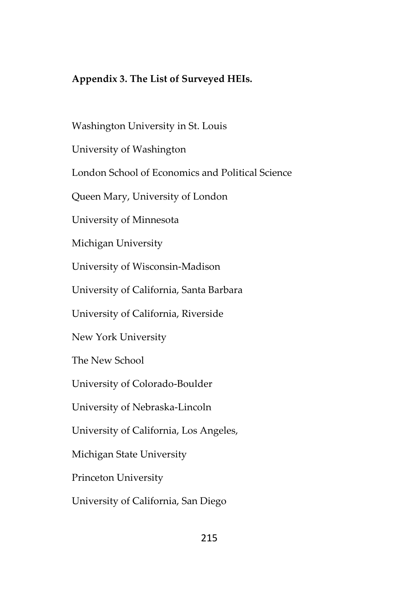### **Appendix 3. The List of Surveyed HEIs.**

Washington University in St. Louis University of Washington London School of Economics and Political Science Queen Mary, University of London University of Minnesota Michigan University University of Wisconsin-Madison University of California, Santa Barbara University of California, Riverside New York University The New School University of Colorado-Boulder University of Nebraska-Lincoln University of California, Los Angeles, Michigan State University Princeton University University of California, San Diego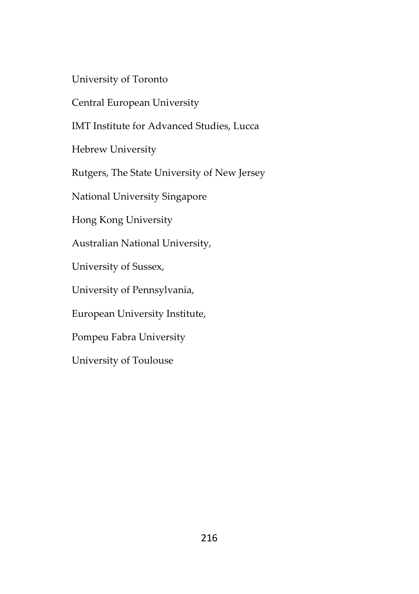University of Toronto

Central European University

IMT Institute for Advanced Studies, Lucca

Hebrew University

Rutgers, The State University of New Jersey

National University Singapore

Hong Kong University

Australian National University,

University of Sussex,

University of Pennsylvania,

European University Institute,

Pompeu Fabra University

University of Toulouse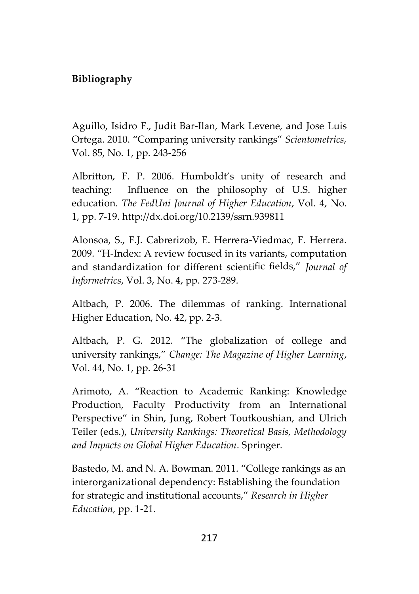## **Bibliography**

Aguillo, Isidro F., Judit Bar-Ilan, Mark Levene, and Jose Luis Ortega. 2010. "Comparing university rankings" *Scientometrics,* Vol. 85, No. 1, pp. 243-256

Albritton, F. P. 2006. Humboldt's unity of research and teaching: Influence on the philosophy of U.S. higher education. *The FedUni Journal of Higher Education*, Vol. 4, No. 1, pp. 7-19. http://dx.doi.org/10.2139/ssrn.939811

Alonsoa, S., F.J. Cabrerizob, E. Herrera-Viedmac, F. Herrera. 2009. "H-Index: A review focused in its variants, computation and standardization for different scientific fields," *Journal of Informetrics*, Vol. 3, No. 4, pp. 273-289.

Altbach, P. 2006. The dilemmas of ranking. International Higher Education, No. 42, pp. 2-3.

Altbach, P. G. 2012. "The globalization of college and university rankings," *Change: The Magazine of Higher Learning*, Vol. 44, No. 1, pp. 26-31

Arimoto, A. "Reaction to Academic Ranking: Knowledge Production, Faculty Productivity from an International Perspective" in Shin, Jung, Robert Toutkoushian, and Ulrich Teiler (eds.), *University Rankings: Theoretical Basis, Methodology and Impacts on Global Higher Education*. Springer.

Bastedo, M. and N. A. Bowman. 2011. "College rankings as an interorganizational dependency: Establishing the foundation for strategic and institutional accounts," *Research in Higher Education*, pp. 1-21.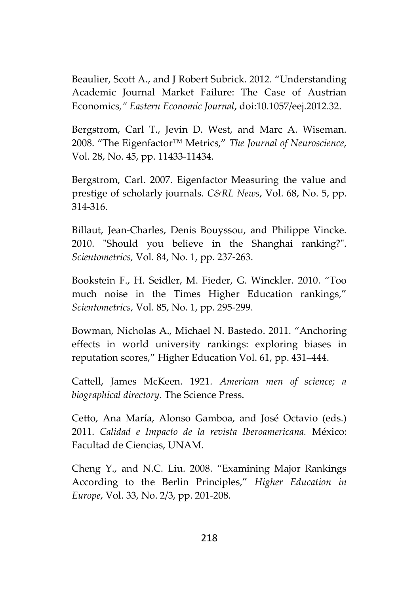Beaulier, Scott A., and J Robert Subrick. 2012. "Understanding Academic Journal Market Failure: The Case of Austrian Economics*," Eastern Economic Journal*, doi:10.1057/eej.2012.32.

Bergstrom, Carl T., Jevin D. West, and Marc A. Wiseman. 2008. "The Eigenfactor™ Metrics," *The Journal of Neuroscience*, Vol. 28, No. 45, pp. 11433-11434.

Bergstrom, Carl. 2007. Eigenfactor Measuring the value and prestige of scholarly journals. *C&RL News*, Vol. 68, No. 5, pp. 314-316.

Billaut, Jean-Charles, Denis Bouyssou, and Philippe Vincke. 2010. "Should you believe in the Shanghai ranking?". *Scientometrics,* Vol. 84, No. 1, pp. 237-263.

Bookstein F., H. Seidler, M. Fieder, G. Winckler. 2010. "Too much noise in the Times Higher Education rankings," *Scientometrics,* Vol. 85, No. 1, pp. 295-299.

Bowman, Nicholas A., Michael N. Bastedo. 2011. "Anchoring effects in world university rankings: exploring biases in reputation scores," Higher Education Vol. 61, pp. 431–444.

Cattell, James McKeen. 1921. *American men of science; a biographical directory.* The Science Press.

Cetto, Ana María, Alonso Gamboa, and José Octavio (eds.) 2011. *Calidad e Impacto de la revista Iberoamericana.* México: Facultad de Ciencias, UNAM.

Cheng Y., and N.C. Liu. 2008. "Examining Major Rankings According to the Berlin Principles," *Higher Education in Europe*, Vol. 33, No. 2/3, pp. 201-208.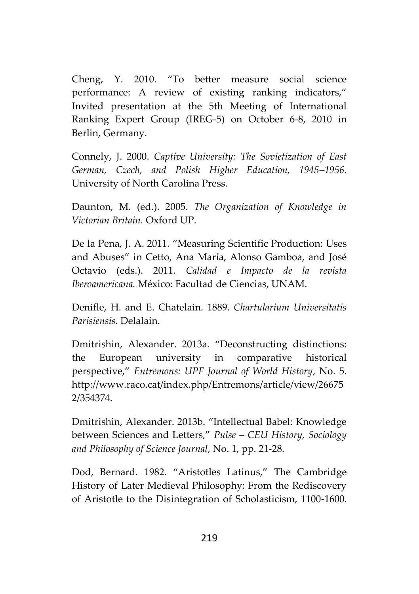Cheng, Y. 2010. "To better measure social science performance: A review of existing ranking indicators," Invited presentation at the 5th Meeting of International Ranking Expert Group (IREG-5) on October 6-8, 2010 in Berlin, Germany.

Connely, J. 2000. *Captive University: The Sovietization of East German, Czech, and Polish Higher Education, 1945–1956.* University of North Carolina Press.

Daunton, M. (ed.). 2005. *The Organization of Knowledge in Victorian Britain.* Oxford UP.

De la Pena, J. A. 2011. "Measuring Scientific Production: Uses and Abuses" in Cetto, Ana María, Alonso Gamboa, and José Octavio (eds.). 2011. *Calidad e Impacto de la revista Iberoamericana.* México: Facultad de Ciencias, UNAM.

Denifle, H. and E. Chatelain. 1889. *Chartularium Universitatis Parisiensis.* Delalain.

Dmitrishin, Alexander. 2013a. "Deconstructing distinctions: the European university in comparative historical perspective," *Entremons: UPF Journal of World History*, No. 5. http://www.raco.cat/index.php/Entremons/article/view/26675 2/354374.

Dmitrishin, Alexander. 2013b. "Intellectual Babel: Knowledge between Sciences and Letters," *Pulse – CEU History, Sociology and Philosophy of Science Journal*, No. 1, pp. 21-28.

Dod, Bernard. 1982. "Aristotles Latinus," The Cambridge History of Later Medieval Philosophy: From the Rediscovery of Aristotle to the Disintegration of Scholasticism, 1100-1600.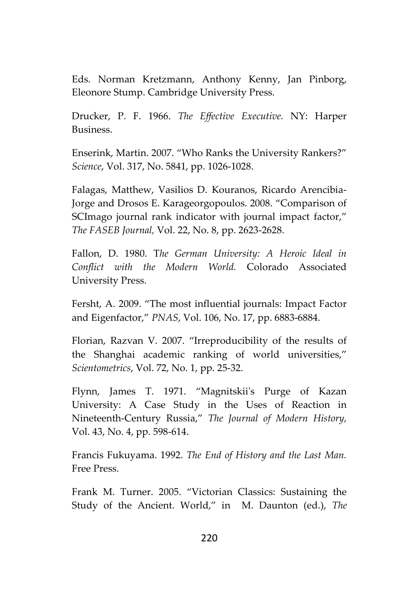Eds. Norman Kretzmann, Anthony Kenny, Jan Pinborg, Eleonore Stump. Cambridge University Press.

Drucker, P. F. 1966. *The Effective Executive.* NY: Harper Business.

Enserink, Martin. 2007. "Who Ranks the University Rankers?" *Science*, Vol. 317, No. 5841, pp. 1026-1028.

Falagas, Matthew, Vasilios D. Kouranos, Ricardo Arencibia-Jorge and Drosos E. Karageorgopoulos. 2008. "Comparison of SCImago journal rank indicator with journal impact factor," *The FASEB Journal,* Vol. 22, No. 8, pp. 2623-2628.

Fallon, D. 1980. T*he German University: A Heroic Ideal in Conflict with the Modern World.* Colorado Associated University Press.

Fersht, A. 2009. "The most influential journals: Impact Factor and Eigenfactor," *PNAS*, Vol. 106, No. 17, pp. 6883-6884.

Florian, Razvan V. 2007. "Irreproducibility of the results of the Shanghai academic ranking of world universities," *Scientometrics*, Vol. 72, No. 1, pp. 25-32.

Flynn, James T. 1971. "Magnitskii's Purge of Kazan University: A Case Study in the Uses of Reaction in Nineteenth-Century Russia," *The Journal of Modern History,* Vol. 43, No. 4, pp. 598-614.

Francis Fukuyama. 1992. *The End of History and the Last Man.* Free Press.

Frank M. Turner. 2005. "Victorian Classics: Sustaining the Study of the Ancient. World," in M. Daunton (ed.), *The*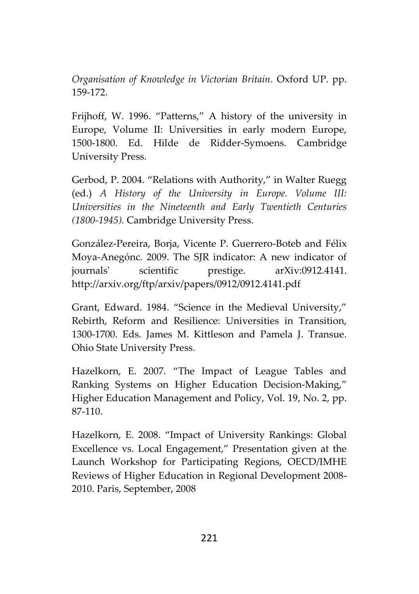*Organisation of Knowledge in Victorian Britain*. Oxford UP. pp. 159-172.

Frijhoff, W. 1996. "Patterns," A history of the university in Europe, Volume II: Universities in early modern Europe, 1500-1800. Ed. Hilde de Ridder-Symoens. Cambridge University Press.

Gerbod, P. 2004. "Relations with Authority," in Walter Ruegg (ed.) *A History of the University in Europe. Volume III: Universities in the Nineteenth and Early Twentieth Centuries (1800-1945).* Cambridge University Press.

González-Pereira, Borja, Vicente P. Guerrero-Boteb and Félix Moya-Anegónc. 2009. The SJR indicator: A new indicator of journals' scientific prestige. arXiv:0912.4141. http://arxiv.org/ftp/arxiv/papers/0912/0912.4141.pdf

Grant, Edward. 1984. "Science in the Medieval University," Rebirth, Reform and Resilience: Universities in Transition, 1300-1700. Eds. James M. Kittleson and Pamela J. Transue. Ohio State University Press.

Hazelkorn, E. 2007. "The Impact of League Tables and Ranking Systems on Higher Education Decision-Making," Higher Education Management and Policy, Vol. 19, No. 2, pp. 87-110.

Hazelkorn, E. 2008. "Impact of University Rankings: Global Excellence vs. Local Engagement," Presentation given at the Launch Workshop for Participating Regions, OECD/IMHE Reviews of Higher Education in Regional Development 2008- 2010. Paris, September, 2008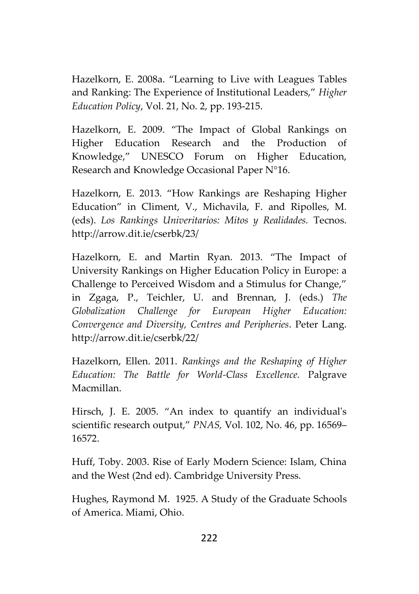Hazelkorn, E. 2008a. "Learning to Live with Leagues Tables and Ranking: The Experience of Institutional Leaders," *Higher Education Policy*, Vol. 21, No. 2, pp. 193-215.

Hazelkorn, E. 2009. "The Impact of Global Rankings on Higher Education Research and the Production of Knowledge," UNESCO Forum on Higher Education, Research and Knowledge Occasional Paper N°16.

Hazelkorn, E. 2013. "How Rankings are Reshaping Higher Education" in Climent, V., Michavila, F. and Ripolles, M. (eds). *Los Rankings Univeritarios: Mitos y Realidades.* Tecnos. http://arrow.dit.ie/cserbk/23/

Hazelkorn, E. and Martin Ryan. 2013. "The Impact of University Rankings on Higher Education Policy in Europe: a Challenge to Perceived Wisdom and a Stimulus for Change," in Zgaga, P., Teichler, U. and Brennan, J. (eds.) *The Globalization Challenge for European Higher Education: Convergence and Diversity, Centres and Peripheries*. Peter Lang. http://arrow.dit.ie/cserbk/22/

Hazelkorn, Ellen. 2011. *Rankings and the Reshaping of Higher Education: The Battle for World-Class Excellence.* Palgrave Macmillan.

Hirsch, J. E. 2005. "An index to quantify an individual's scientific research output," *PNAS,* Vol. 102, No. 46, pp. 16569– 16572.

Huff, Toby. 2003. Rise of Early Modern Science: Islam, China and the West (2nd ed). Cambridge University Press.

Hughes, Raymond M. 1925. A Study of the Graduate Schools of America. Miami, Ohio.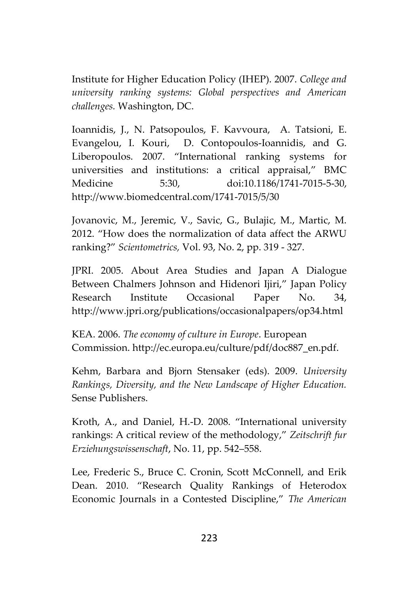Institute for Higher Education Policy (IHEP). 2007. *College and university ranking systems: Global perspectives and American challenges.* Washington, DC.

Ioannidis, J., N. Patsopoulos, F. Kavvoura, A. Tatsioni, E. Evangelou, I. Kouri, D. Contopoulos-Ioannidis, and G. Liberopoulos. 2007. "International ranking systems for universities and institutions: a critical appraisal," BMC Medicine 5:30, doi:10.1186/1741-7015-5-30, http://www.biomedcentral.com/1741-7015/5/30

Jovanovic, M., Jeremic, V., Savic, G., Bulajic, M., Martic, M. 2012. "How does the normalization of data affect the ARWU ranking?" *Scientometrics,* Vol. 93, No. 2, pp. 319 - 327.

JPRI. 2005. About Area Studies and Japan A Dialogue Between Chalmers Johnson and Hidenori Ijiri," Japan Policy Research Institute Occasional Paper No. 34, http://www.jpri.org/publications/occasionalpapers/op34.html

KEA. 2006. *The economy of culture in Europe*. European Commission. http://ec.europa.eu/culture/pdf/doc887\_en.pdf.

Kehm, Barbara and Bjorn Stensaker (eds). 2009. *University Rankings, Diversity, and the New Landscape of Higher Education.* Sense Publishers.

Kroth, A., and Daniel, H.-D. 2008. "International university rankings: A critical review of the methodology," *Zeitschrift fur Erziehungswissenschaft*, No. 11, pp. 542–558.

Lee, Frederic S., Bruce C. Cronin, Scott McConnell, and Erik Dean. 2010. "Research Quality Rankings of Heterodox Economic Journals in a Contested Discipline," *The American*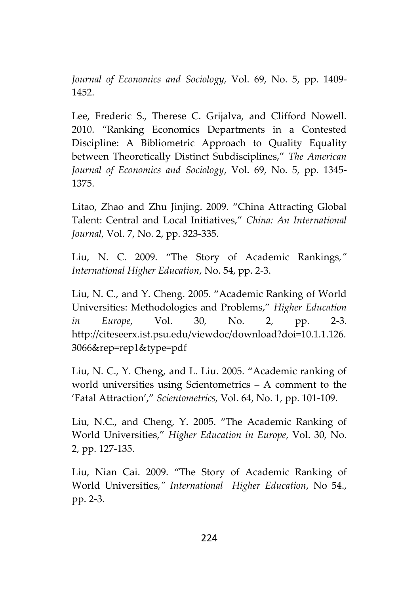*Journal of Economics and Sociology,* Vol. 69, No. 5, pp. 1409- 1452.

Lee, Frederic S., Therese C. Grijalva, and Clifford Nowell. 2010. "Ranking Economics Departments in a Contested Discipline: A Bibliometric Approach to Quality Equality between Theoretically Distinct Subdisciplines," *The American Journal of Economics and Sociology*, Vol. 69, No. 5, pp. 1345- 1375.

Litao, Zhao and Zhu Jinjing. 2009. "China Attracting Global Talent: Central and Local Initiatives," *China: An International Journal,* Vol. 7, No. 2, pp. 323-335.

Liu, N. C. 2009. "The Story of Academic Rankings*," International Higher Education*, No. 54, pp. 2-3.

Liu, N. C., and Y. Cheng. 2005. "Academic Ranking of World Universities: Methodologies and Problems," *Higher Education in Europe*, Vol. 30, No. 2, pp. 2-3. http://citeseerx.ist.psu.edu/viewdoc/download?doi=10.1.1.126. 3066&rep=rep1&type=pdf

Liu, N. C., Y. Cheng, and L. Liu. 2005. "Academic ranking of world universities using Scientometrics – A comment to the 'Fatal Attraction'," *Scientometrics,* Vol. 64, No. 1, pp. 101-109.

Liu, N.C., and Cheng, Y. 2005. "The Academic Ranking of World Universities," *Higher Education in Europe*, Vol. 30, No. 2, pp. 127-135.

Liu, Nian Cai. 2009. "The Story of Academic Ranking of World Universities*," International Higher Education*, No 54., pp. 2-3.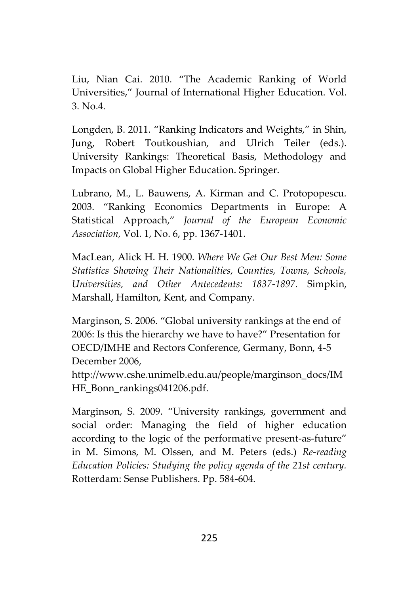Liu, Nian Cai. 2010. "The Academic Ranking of World Universities," Journal of International Higher Education. Vol. 3. No.4.

Longden, B. 2011. "Ranking Indicators and Weights," in Shin, Jung, Robert Toutkoushian, and Ulrich Teiler (eds.). University Rankings: Theoretical Basis, Methodology and Impacts on Global Higher Education. Springer.

Lubrano, M., L. Bauwens, A. Kirman and C. Protopopescu. 2003. "Ranking Economics Departments in Europe: A Statistical Approach," *Journal of the European Economic Association,* Vol. 1, No. 6, pp. 1367-1401.

MacLean, Alick H. H. 1900. *Where We Get Our Best Men: Some Statistics Showing Their Nationalities, Counties, Towns, Schools, Universities, and Other Antecedents: 1837-1897.* Simpkin, Marshall, Hamilton, Kent, and Company.

Marginson, S. 2006. "Global university rankings at the end of 2006: Is this the hierarchy we have to have?" Presentation for OECD/IMHE and Rectors Conference, Germany, Bonn, 4-5 December 2006,

http://www.cshe.unimelb.edu.au/people/marginson\_docs/IM HE\_Bonn\_rankings041206.pdf.

Marginson, S. 2009. "University rankings, government and social order: Managing the field of higher education according to the logic of the performative present-as-future" in M. Simons, M. Olssen, and M. Peters (eds.) *Re-reading Education Policies: Studying the policy agenda of the 21st century.* Rotterdam: Sense Publishers. Pp. 584-604.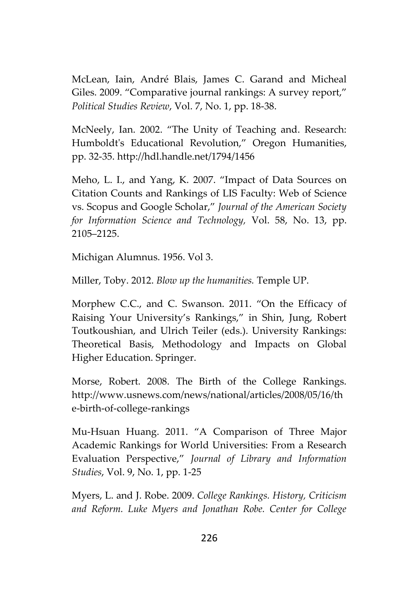McLean, Iain, André Blais, James C. Garand and Micheal Giles. 2009. "Comparative journal rankings: A survey report," *Political Studies Review*, Vol. 7, No. 1, pp. 18-38.

McNeely, Ian. 2002. "The Unity of Teaching and. Research: Humboldt's Educational Revolution," Oregon Humanities, pp. 32-35. http://hdl.handle.net/1794/1456

Meho, L. I., and Yang, K. 2007. "Impact of Data Sources on Citation Counts and Rankings of LIS Faculty: Web of Science vs. Scopus and Google Scholar," *Journal of the American Society for Information Science and Technology,* Vol. 58, No. 13, pp. 2105–2125.

Michigan Alumnus. 1956. Vol 3.

Miller, Toby. 2012. *Blow up the humanities.* Temple UP.

Morphew C.C., and C. Swanson. 2011. "On the Efficacy of Raising Your University's Rankings," in Shin, Jung, Robert Toutkoushian, and Ulrich Teiler (eds.). University Rankings: Theoretical Basis, Methodology and Impacts on Global Higher Education. Springer.

Morse, Robert. 2008. The Birth of the College Rankings. http://www.usnews.com/news/national/articles/2008/05/16/th e-birth-of-college-rankings

Mu-Hsuan Huang. 2011. "A Comparison of Three Major Academic Rankings for World Universities: From a Research Evaluation Perspective," *Journal of Library and Information Studies*, Vol. 9, No. 1, pp. 1-25

Myers, L. and J. Robe. 2009. *College Rankings. History, Criticism and Reform. Luke Myers and Jonathan Robe. Center for College*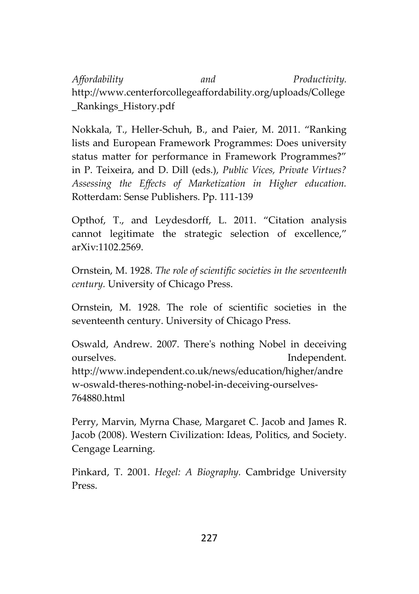*Affordability and Productivity.* http://www.centerforcollegeaffordability.org/uploads/College \_Rankings\_History.pdf

Nokkala, T., Heller-Schuh, B., and Paier, M. 2011. "Ranking lists and European Framework Programmes: Does university status matter for performance in Framework Programmes?" in P. Teixeira, and D. Dill (eds.), *Public Vices, Private Virtues? Assessing the Effects of Marketization in Higher education.* Rotterdam: Sense Publishers. Pp. 111-139

Opthof, T., and Leydesdorff, L. 2011. "Citation analysis cannot legitimate the strategic selection of excellence," arXiv:1102.2569.

Ornstein, M. 1928. *The role of scientific societies in the seventeenth century.* University of Chicago Press.

Ornstein, M. 1928. The role of scientific societies in the seventeenth century. University of Chicago Press.

Oswald, Andrew. 2007. There's nothing Nobel in deceiving ourselves. Independent. http://www.independent.co.uk/news/education/higher/andre w-oswald-theres-nothing-nobel-in-deceiving-ourselves- 764880.html

Perry, Marvin, Myrna Chase, Margaret C. Jacob and James R. Jacob (2008). Western Civilization: Ideas, Politics, and Society. Cengage Learning.

Pinkard, T. 2001. *Hegel: A Biography.* Cambridge University Press.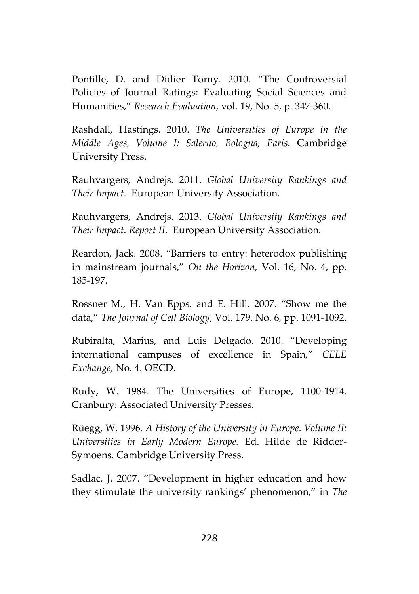Pontille, D. and Didier Torny. 2010. "The Controversial Policies of Journal Ratings: Evaluating Social Sciences and Humanities," *Research Evaluation*, vol. 19, No. 5, p. 347-360.

Rashdall, Hastings. 2010. *The Universities of Europe in the Middle Ages, Volume I: Salerno, Bologna, Paris.* Cambridge University Press.

Rauhvargers, Andrejs. 2011. *Global University Rankings and Their Impact.* European University Association.

Rauhvargers, Andrejs. 2013. *Global University Rankings and Their Impact. Report II.* European University Association.

Reardon, Jack. 2008. "Barriers to entry: heterodox publishing in mainstream journals," *On the Horizon,* Vol. 16, No. 4, pp. 185-197.

Rossner M., H. Van Epps, and E. Hill. 2007. "Show me the data," *The Journal of Cell Biology*, Vol. 179, No. 6, pp. 1091-1092.

Rubiralta, Marius, and Luis Delgado. 2010. "Developing international campuses of excellence in Spain," *CELE Exchange,* No. 4. OECD.

Rudy, W. 1984. The Universities of Europe, 1100-1914. Cranbury: Associated University Presses.

Rüegg, W. 1996. *A History of the University in Europe. Volume II: Universities in Early Modern Europe.* Ed. Hilde de Ridder- Symoens. Cambridge University Press.

Sadlac, J. 2007. "Development in higher education and how they stimulate the university rankings' phenomenon," in *The*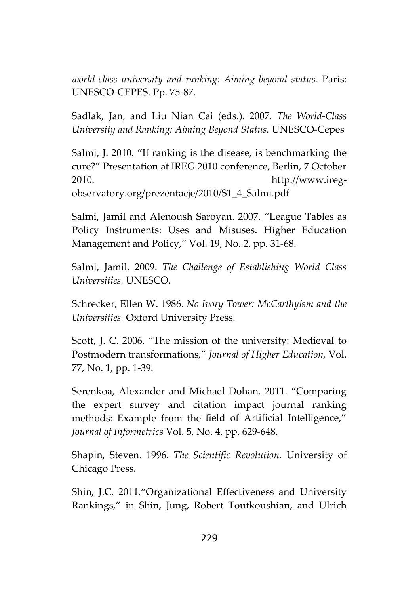*world-class university and ranking: Aiming beyond status*. Paris: UNESCO-CEPES. Pp. 75-87.

Sadlak, Jan, and Liu Nian Cai (eds.). 2007. *The World-Class University and Ranking: Aiming Beyond Status.* UNESCO-Cepes

Salmi, J. 2010. "If ranking is the disease, is benchmarking the cure?" Presentation at IREG 2010 conference, Berlin, 7 October 2010. http://www.ireg observatory.org/prezentacje/2010/S1\_4\_Salmi.pdf

Salmi, Jamil and Alenoush Saroyan. 2007. "League Tables as Policy Instruments: Uses and Misuses. Higher Education Management and Policy," Vol. 19, No. 2, pp. 31-68.

Salmi, Jamil. 2009. *The Challenge of Establishing World Class Universities.* UNESCO.

Schrecker, Ellen W. 1986. *No Ivory Tower: McCarthyism and the Universities.* Oxford University Press.

Scott, J. C. 2006. "The mission of the university: Medieval to Postmodern transformations," *Journal of Higher Education,* Vol. 77, No. 1, pp. 1-39.

Serenkoa, Alexander and Michael Dohan. 2011. "Comparing the expert survey and citation impact journal ranking methods: Example from the field of Artificial Intelligence," *Journal of Informetrics* Vol. 5, No. 4, pp. 629-648.

Shapin, Steven. 1996. *The Scientific Revolution.* University of Chicago Press.

Shin, J.C. 2011."Organizational Effectiveness and University Rankings," in Shin, Jung, Robert Toutkoushian, and Ulrich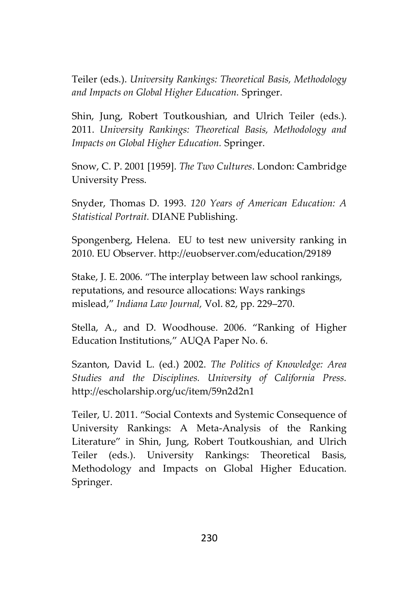Teiler (eds.). *University Rankings: Theoretical Basis, Methodology and Impacts on Global Higher Education.* Springer.

Shin, Jung, Robert Toutkoushian, and Ulrich Teiler (eds.). 2011. *University Rankings: Theoretical Basis, Methodology and Impacts on Global Higher Education.* Springer.

Snow, C. P. 2001 [1959]. *The Two Cultures*. London: Cambridge University Press.

Snyder, Thomas D. 1993. *120 Years of American Education: A Statistical Portrait.* DIANE Publishing.

Spongenberg, Helena. EU to test new university ranking in 2010. EU Observer. http://euobserver.com/education/29189

Stake, J. E. 2006. "The interplay between law school rankings, reputations, and resource allocations: Ways rankings mislead," *Indiana Law Journal,* Vol. 82, pp. 229–270.

Stella, A., and D. Woodhouse. 2006. "Ranking of Higher Education Institutions," AUQA Paper No. 6.

Szanton, David L. (ed.) 2002. *The Politics of Knowledge: Area Studies and the Disciplines. University of California Press.* http://escholarship.org/uc/item/59n2d2n1

Teiler, U. 2011. "Social Contexts and Systemic Consequence of University Rankings: A Meta-Analysis of the Ranking Literature" in Shin, Jung, Robert Toutkoushian, and Ulrich Teiler (eds.). University Rankings: Theoretical Basis, Methodology and Impacts on Global Higher Education. Springer.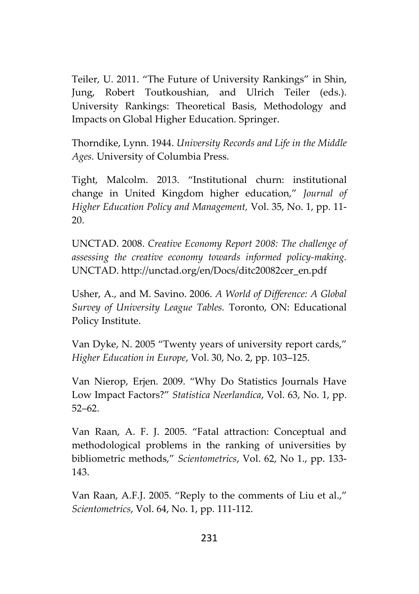Teiler, U. 2011. "The Future of University Rankings" in Shin, Jung, Robert Toutkoushian, and Ulrich Teiler (eds.). University Rankings: Theoretical Basis, Methodology and Impacts on Global Higher Education. Springer.

Thorndike, Lynn. 1944. *University Records and Life in the Middle Ages.* University of Columbia Press.

Tight, Malcolm. 2013. "Institutional churn: institutional change in United Kingdom higher education," *Journal of Higher Education Policy and Management,* Vol. 35, No. 1, pp. 11- 20.

UNCTAD. 2008. *Creative Economy Report 2008: The challenge of assessing the creative economy towards informed policy-making.* UNCTAD. http://unctad.org/en/Docs/ditc20082cer\_en.pdf

Usher, A., and M. Savino. 2006. *A World of Difference: A Global Survey of University League Tables.* Toronto, ON: Educational Policy Institute.

Van Dyke, N. 2005 "Twenty years of university report cards," *Higher Education in Europe*, Vol. 30, No. 2, pp. 103–125.

Van Nierop, Erjen. 2009. "Why Do Statistics Journals Have Low Impact Factors?" *Statistica Neerlandica*, Vol. 63, No. 1, pp. 52–62.

Van Raan, A. F. J. 2005. "Fatal attraction: Conceptual and methodological problems in the ranking of universities by bibliometric methods," *Scientometrics*, Vol. 62, No 1., pp. 133- 143.

Van Raan, A.F.J. 2005. "Reply to the comments of Liu et al.," *Scientometrics*, Vol. 64, No. 1, pp. 111-112.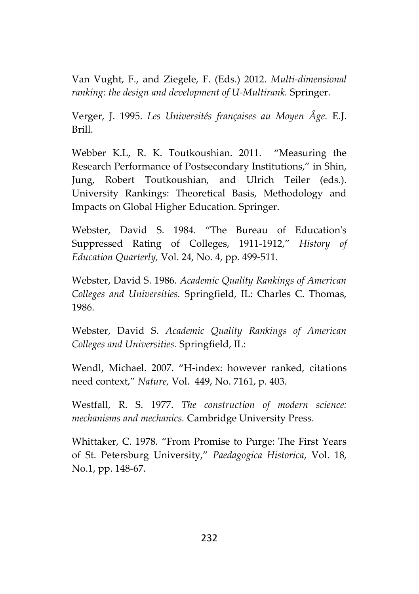Van Vught, F., and Ziegele, F. (Eds.) 2012. *Multi-dimensional ranking: the design and development of U-Multirank.* Springer.

Verger, J. 1995. *Les Universités françaises au Moyen Âge.* E.J. Brill.

Webber K.L, R. K. Toutkoushian. 2011. "Measuring the Research Performance of Postsecondary Institutions," in Shin, Jung, Robert Toutkoushian, and Ulrich Teiler (eds.). University Rankings: Theoretical Basis, Methodology and Impacts on Global Higher Education. Springer.

Webster, David S. 1984. "The Bureau of Education's Suppressed Rating of Colleges, 1911-1912," *History of Education Quarterly,* Vol. 24, No. 4, pp. 499-511.

Webster, David S. 1986. *Academic Quality Rankings of American Colleges and Universities.* Springfield, IL: Charles C. Thomas, 1986.

Webster, David S. *Academic Quality Rankings of American Colleges and Universities.* Springfield, IL:

Wendl, Michael. 2007. "H-index: however ranked, citations need context," *Nature,* Vol. 449, No. 7161, p. 403.

Westfall, R. S. 1977. *The construction of modern science: mechanisms and mechanics.* Cambridge University Press.

Whittaker, C. 1978. "From Promise to Purge: The First Years of St. Petersburg University," *Paedagogica Historica*, Vol. 18, No.1, pp. 148-67.